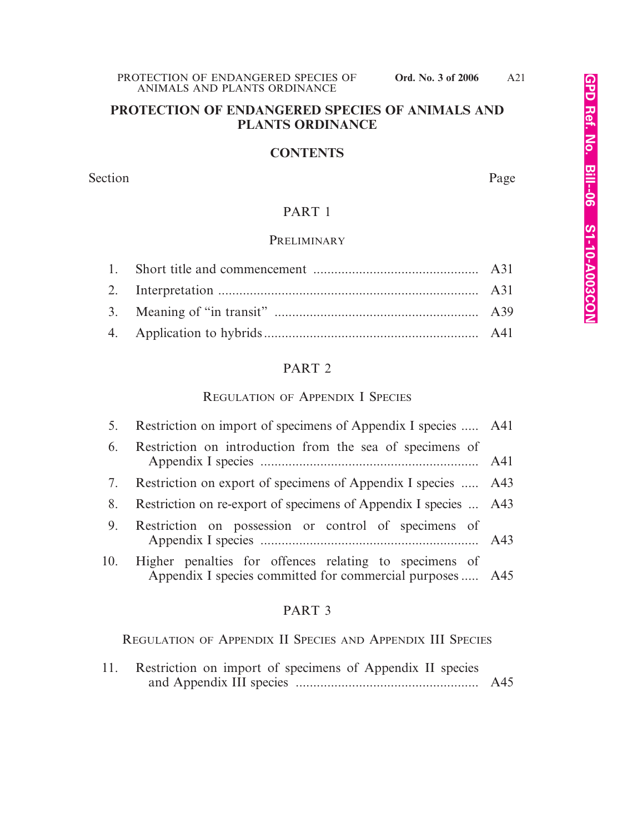### **CONTENTS**

Section Page

# PART 1

# PRELIMINARY

# PART 2

### REGULATION OF APPENDIX I SPECIES

|    | 5. Restriction on import of specimens of Appendix I species  A41                                                        |  |
|----|-------------------------------------------------------------------------------------------------------------------------|--|
| 6. | Restriction on introduction from the sea of specimens of                                                                |  |
|    | 7. Restriction on export of specimens of Appendix I species  A43                                                        |  |
| 8. | Restriction on re-export of specimens of Appendix I species  A43                                                        |  |
| 9. | Restriction on possession or control of specimens of                                                                    |  |
|    | 10. Higher penalties for offences relating to specimens of<br>Appendix I species committed for commercial purposes  A45 |  |

# PART 3

REGULATION OF APPENDIX II SPECIES AND APPENDIX III SPECIES

11. Restriction on import of specimens of Appendix II species and Appendix III species .................................................... A45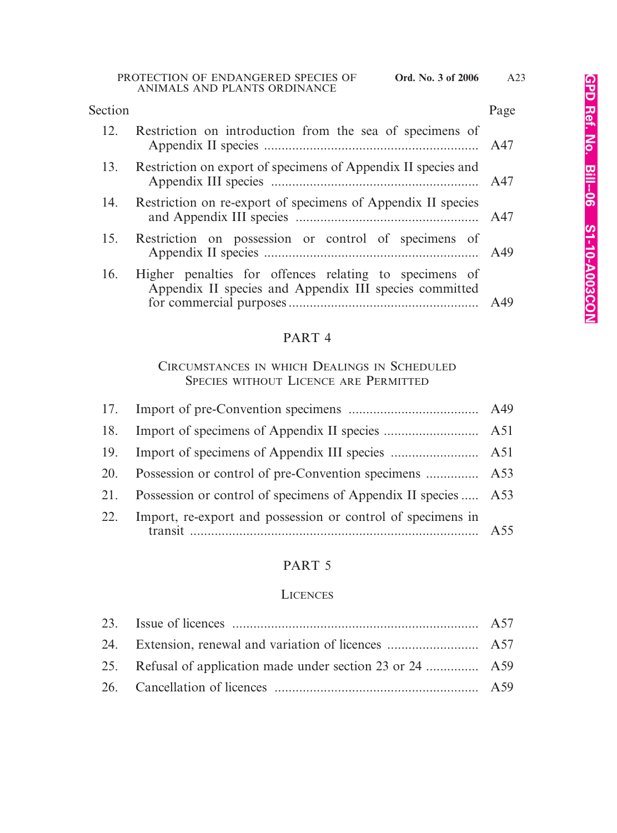# 12. Restriction on introduction from the sea of specimens of Appendix II species ............................................................. A47 13. Restriction on export of specimens of Appendix II species and Appendix III species ........................................................... A47 14. Restriction on re-export of specimens of Appendix II species and Appendix III species .................................................... A47 15. Restriction on possession or control of specimens of Appendix II species ............................................................. A49 16. Higher penalties for offences relating to specimens of Appendix II species and Appendix III species committed for commercial purposes ...................................................... A49 Section Page

# PART 4

# CIRCUMSTANCES IN WHICH DEALINGS IN SCHEDULED SPECIES WITHOUT LICENCE ARE PERMITTED

| 18. |                                                                |  |
|-----|----------------------------------------------------------------|--|
| 19. |                                                                |  |
| 20. |                                                                |  |
| 21. | Possession or control of specimens of Appendix II species  A53 |  |
| 22. | Import, re-export and possession or control of specimens in    |  |

# PART 5

### **LICENCES**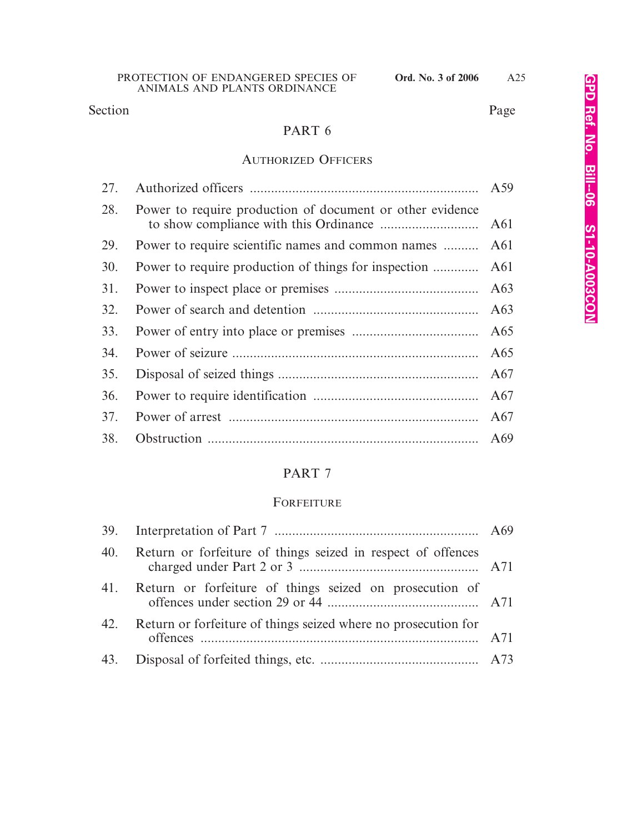Section Page

# PART 6

# AUTHORIZED OFFICERS

| 27. |                                                           |                 |
|-----|-----------------------------------------------------------|-----------------|
| 28. | Power to require production of document or other evidence | A61             |
| 29. | Power to require scientific names and common names        | A61             |
| 30. | Power to require production of things for inspection      | A61             |
| 31. |                                                           | A63             |
| 32. |                                                           | A63             |
| 33. |                                                           | A65             |
| 34. |                                                           | A65             |
| 35. |                                                           | A67             |
| 36. |                                                           | A67             |
| 37. |                                                           | A67             |
| 38. |                                                           | A <sub>69</sub> |

# PART 7

# FORFEITURE

| 40. Return or forfeiture of things seized in respect of offences   |  |
|--------------------------------------------------------------------|--|
| 41. Return or forfeiture of things seized on prosecution of        |  |
| 42. Return or forfeiture of things seized where no prosecution for |  |
|                                                                    |  |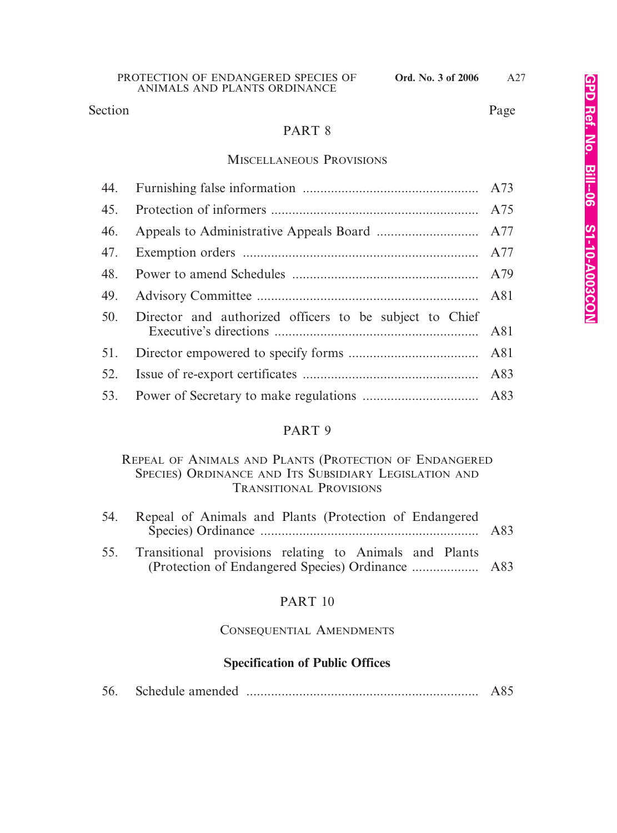Section Page

# PART 8

### MISCELLANEOUS PROVISIONS

| 45. |                                                         |  |
|-----|---------------------------------------------------------|--|
| 46. |                                                         |  |
|     |                                                         |  |
| 48. |                                                         |  |
| 49. |                                                         |  |
| 50. | Director and authorized officers to be subject to Chief |  |
|     |                                                         |  |
| 52. |                                                         |  |
|     |                                                         |  |

### PART 9

# REPEAL OF ANIMALS AND PLANTS (PROTECTION OF ENDANGERED SPECIES) ORDINANCE AND ITS SUBSIDIARY LEGISLATION AND TRANSITIONAL PROVISIONS

| 54. | Repeal of Animals and Plants (Protection of Endangered     |  |
|-----|------------------------------------------------------------|--|
|     | 55. Transitional provisions relating to Animals and Plants |  |

# PART 10

# CONSEQUENTIAL AMENDMENTS

# **Specification of Public Offices**

| 56. |  |  | A85 |
|-----|--|--|-----|
|-----|--|--|-----|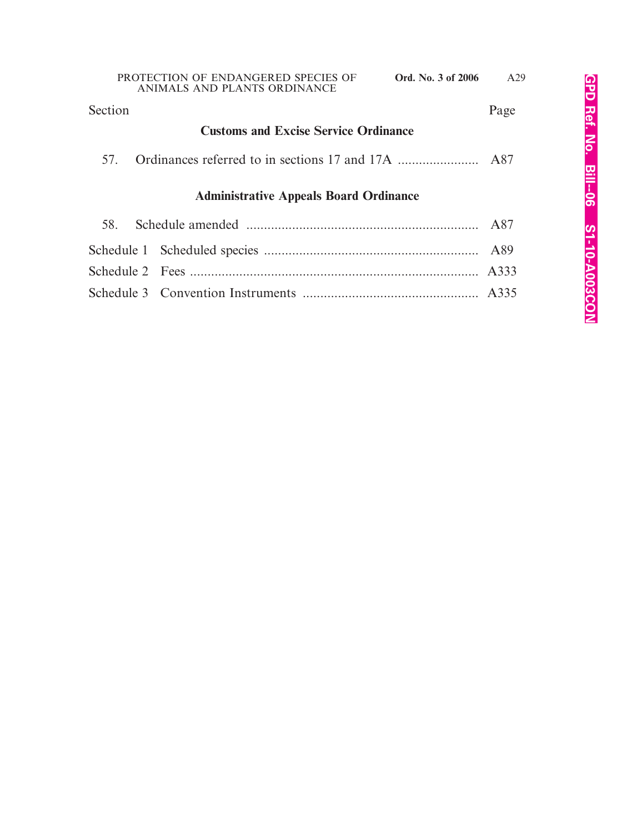# **Customs and Excise Service Ordinance** 57. Ordinances referred to in sections 17 and 17A ....................... A87 **Administrative Appeals Board Ordinance** 58. Schedule amended .................................................................. A87 Schedule 1 Scheduled species ............................................................. A89 Schedule 2 Fees .................................................................................. A333 Schedule 3 Convention Instruments .................................................. A335 Section Page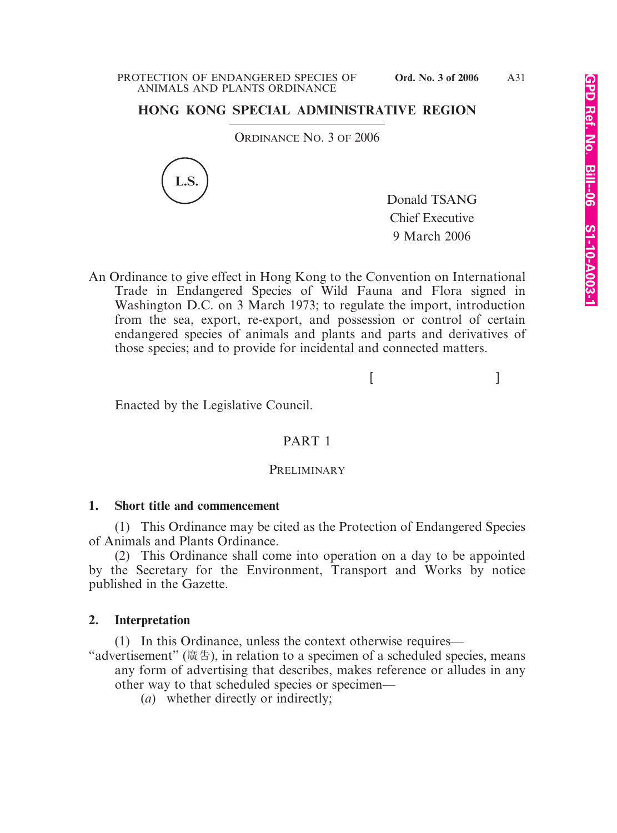# **HONG KONG SPECIAL ADMINISTRATIVE REGION**

ORDINANCE NO. 3 OF 2006



Donald TSANG Chief Executive 9 March 2006

An Ordinance to give effect in Hong Kong to the Convention on International Trade in Endangered Species of Wild Fauna and Flora signed in Washington D.C. on 3 March 1973; to regulate the import, introduction from the sea, export, re-export, and possession or control of certain endangered species of animals and plants and parts and derivatives of those species; and to provide for incidental and connected matters.

 $[$ 

Enacted by the Legislative Council.

# PART 1

### PRELIMINARY

### **1. Short title and commencement**

(1) This Ordinance may be cited as the Protection of Endangered Species of Animals and Plants Ordinance.

(2) This Ordinance shall come into operation on a day to be appointed by the Secretary for the Environment, Transport and Works by notice published in the Gazette.

# **2. Interpretation**

(1) In this Ordinance, unless the context otherwise requires—

"advertisement" (廣告), in relation to a specimen of a scheduled species, means any form of advertising that describes, makes reference or alludes in any other way to that scheduled species or specimen—

(*a*) whether directly or indirectly;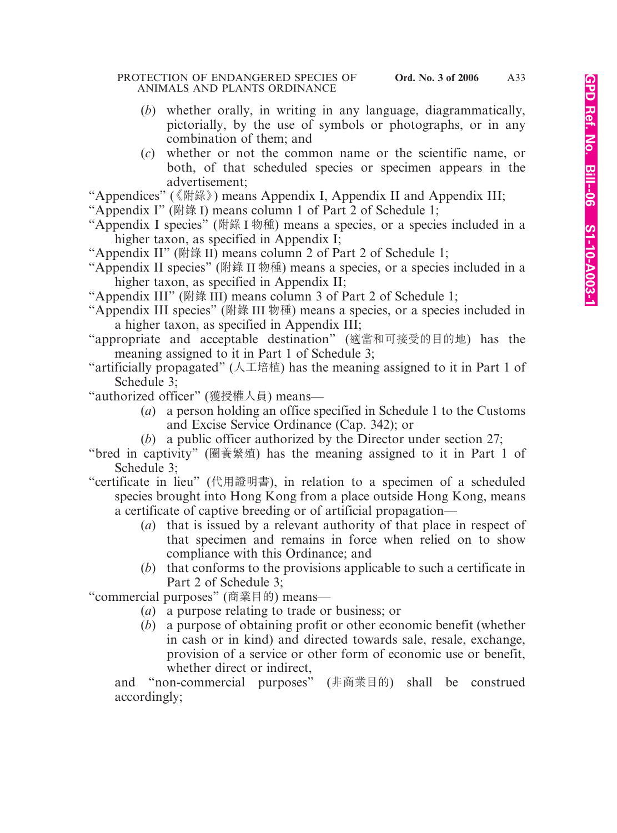#### PROTECTION OF ENDANGERED SPECIES OF **Ord. No. 3 of 2006** ANIMALS AND PLANTS ORDINANCE

- (*b*) whether orally, in writing in any language, diagrammatically, pictorially, by the use of symbols or photographs, or in any combination of them; and
- (*c*) whether or not the common name or the scientific name, or both, of that scheduled species or specimen appears in the advertisement;

"Appendices" (《附錄》) means Appendix I, Appendix II and Appendix III;

"Appendix I" (附錄 I) means column 1 of Part 2 of Schedule 1;

- "Appendix I species" (附錄 I 物種) means a species, or a species included in a higher taxon, as specified in Appendix I;
- "Appendix II" (附錄 II) means column 2 of Part 2 of Schedule 1;
- "Appendix II species" (附錄 II 物種) means a species, or a species included in a higher taxon, as specified in Appendix II;
- "Appendix III" (附錄 III) means column 3 of Part 2 of Schedule 1;
- "Appendix III species" (附錄 III 物種) means a species, or a species included in a higher taxon, as specified in Appendix III;
- "appropriate and acceptable destination" (適當和可接受的目的地) has the meaning assigned to it in Part 1 of Schedule 3;
- "artificially propagated" (人工培植) has the meaning assigned to it in Part 1 of Schedule 3;
- "authorized officer" (獲授權人員) means—
	- (*a*) a person holding an office specified in Schedule 1 to the Customs and Excise Service Ordinance (Cap. 342); or
	- (*b*) a public officer authorized by the Director under section 27;
- "bred in captivity" (圈養繁殖) has the meaning assigned to it in Part 1 of Schedule 3;
- "certificate in lieu" (代用證明書), in relation to a specimen of a scheduled species brought into Hong Kong from a place outside Hong Kong, means a certificate of captive breeding or of artificial propagation—
	- (*a*) that is issued by a relevant authority of that place in respect of that specimen and remains in force when relied on to show compliance with this Ordinance; and
	- (*b*) that conforms to the provisions applicable to such a certificate in Part 2 of Schedule 3;

"commercial purposes" (商業目的) means—

- (*a*) a purpose relating to trade or business; or
- (*b*) a purpose of obtaining profit or other economic benefit (whether in cash or in kind) and directed towards sale, resale, exchange, provision of a service or other form of economic use or benefit, whether direct or indirect,

and "non-commercial purposes" (非商業目的) shall be construed accordingly;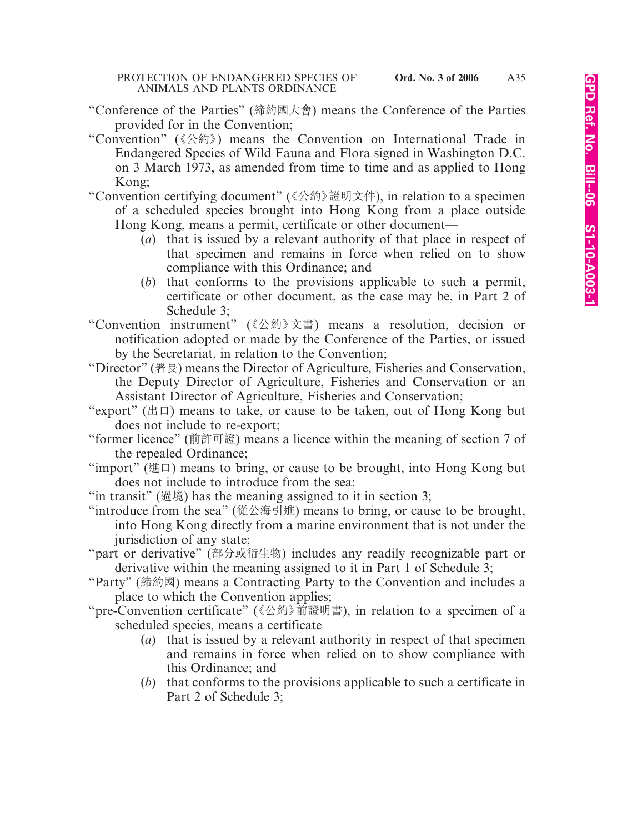- "Conference of the Parties" (締約國大會) means the Conference of the Parties provided for in the Convention;
- "Convention" (《公約》) means the Convention on International Trade in Endangered Species of Wild Fauna and Flora signed in Washington D.C. on 3 March 1973, as amended from time to time and as applied to Hong Kong;
- "Convention certifying document" (《公約》證明文件), in relation to a specimen of a scheduled species brought into Hong Kong from a place outside Hong Kong, means a permit, certificate or other document—
	- (*a*) that is issued by a relevant authority of that place in respect of that specimen and remains in force when relied on to show compliance with this Ordinance; and
	- (*b*) that conforms to the provisions applicable to such a permit, certificate or other document, as the case may be, in Part 2 of Schedule 3;
- "Convention instrument" (《公約》文書) means a resolution, decision or notification adopted or made by the Conference of the Parties, or issued by the Secretariat, in relation to the Convention;
- "Director" (署長) means the Director of Agriculture, Fisheries and Conservation, the Deputy Director of Agriculture, Fisheries and Conservation or an Assistant Director of Agriculture, Fisheries and Conservation;
- "export" ( $\boxplus \Box$ ) means to take, or cause to be taken, out of Hong Kong but does not include to re-export;
- "former licence" (前許可證) means a licence within the meaning of section 7 of the repealed Ordinance;
- "import" (進口) means to bring, or cause to be brought, into Hong Kong but does not include to introduce from the sea;
- "in transit" (過境) has the meaning assigned to it in section 3;
- "introduce from the sea" (從公海引進) means to bring, or cause to be brought, into Hong Kong directly from a marine environment that is not under the jurisdiction of any state;
- "part or derivative" (部分或衍生物) includes any readily recognizable part or derivative within the meaning assigned to it in Part 1 of Schedule 3;
- "Party" (締約國) means a Contracting Party to the Convention and includes a place to which the Convention applies;
- "pre-Convention certificate" (《公約》前證明書), in relation to a specimen of a scheduled species, means a certificate—
	- (*a*) that is issued by a relevant authority in respect of that specimen and remains in force when relied on to show compliance with this Ordinance; and
	- (*b*) that conforms to the provisions applicable to such a certificate in Part 2 of Schedule 3;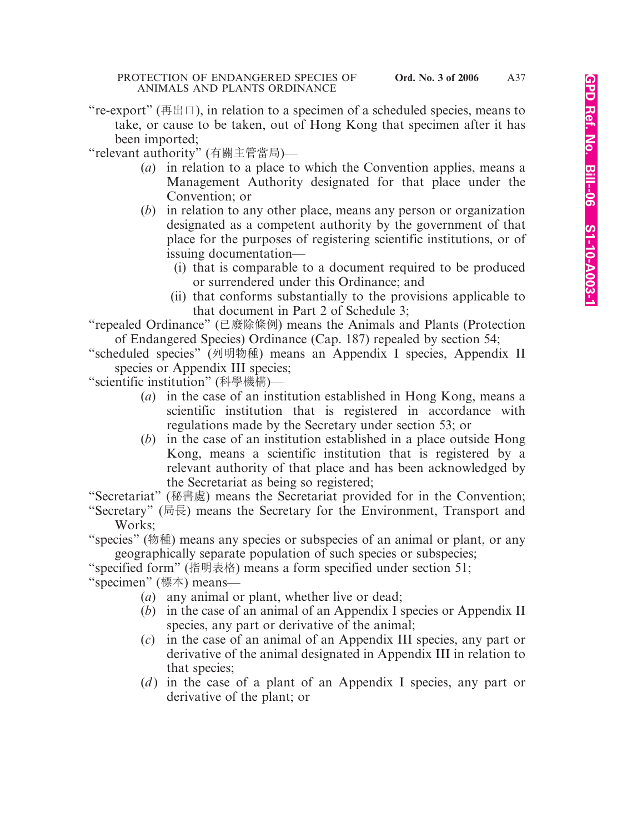"re-export" (再出口), in relation to a specimen of a scheduled species, means to take, or cause to be taken, out of Hong Kong that specimen after it has been imported;

"relevant authority" (有關主管當局)—

- (*a*) in relation to a place to which the Convention applies, means a Management Authority designated for that place under the Convention; or
- (*b*) in relation to any other place, means any person or organization designated as a competent authority by the government of that place for the purposes of registering scientific institutions, or of issuing documentation—
	- (i) that is comparable to a document required to be produced or surrendered under this Ordinance; and
	- (ii) that conforms substantially to the provisions applicable to that document in Part 2 of Schedule 3;

"repealed Ordinance" (已廢除條例) means the Animals and Plants (Protection of Endangered Species) Ordinance (Cap. 187) repealed by section 54;

"scheduled species" (列明物種) means an Appendix I species, Appendix II species or Appendix III species;

"scientific institution" (科學機構)—

- (*a*) in the case of an institution established in Hong Kong, means a scientific institution that is registered in accordance with regulations made by the Secretary under section 53; or
- (*b*) in the case of an institution established in a place outside Hong Kong, means a scientific institution that is registered by a relevant authority of that place and has been acknowledged by the Secretariat as being so registered;

"Secretariat" (秘書處) means the Secretariat provided for in the Convention;

"Secretary" (局長) means the Secretary for the Environment, Transport and Works;

"species" (物種) means any species or subspecies of an animal or plant, or any geographically separate population of such species or subspecies;

"specified form" (指明表格) means a form specified under section 51;

"specimen" (標本) means—

- (*a*) any animal or plant, whether live or dead;
- (*b*) in the case of an animal of an Appendix I species or Appendix II species, any part or derivative of the animal;
- (*c*) in the case of an animal of an Appendix III species, any part or derivative of the animal designated in Appendix III in relation to that species;
- (*d*) in the case of a plant of an Appendix I species, any part or derivative of the plant; or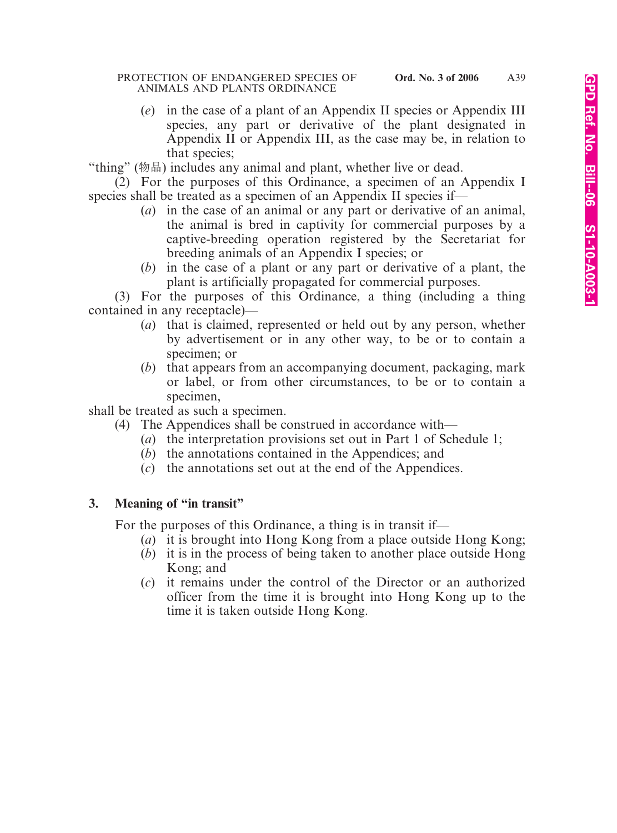#### PROTECTION OF ENDANGERED SPECIES OF **Ord. No. 3 of 2006** ANIMALS AND PLANTS ORDINANCE

(*e*) in the case of a plant of an Appendix II species or Appendix III species, any part or derivative of the plant designated in Appendix II or Appendix III, as the case may be, in relation to that species;

"thing" (物品) includes any animal and plant, whether live or dead.

- (2) For the purposes of this Ordinance, a specimen of an Appendix I species shall be treated as a specimen of an Appendix II species if—
	- (*a*) in the case of an animal or any part or derivative of an animal, the animal is bred in captivity for commercial purposes by a captive-breeding operation registered by the Secretariat for breeding animals of an Appendix I species; or
	- (*b*) in the case of a plant or any part or derivative of a plant, the plant is artificially propagated for commercial purposes.

(3) For the purposes of this Ordinance, a thing (including a thing contained in any receptacle)—

- (*a*) that is claimed, represented or held out by any person, whether by advertisement or in any other way, to be or to contain a specimen; or
- (*b*) that appears from an accompanying document, packaging, mark or label, or from other circumstances, to be or to contain a specimen,

shall be treated as such a specimen.

- (4) The Appendices shall be construed in accordance with—
	- (*a*) the interpretation provisions set out in Part 1 of Schedule 1;
	- (*b*) the annotations contained in the Appendices; and
	- (*c*) the annotations set out at the end of the Appendices.

# **3. Meaning of "in transit"**

For the purposes of this Ordinance, a thing is in transit if—

- (*a*) it is brought into Hong Kong from a place outside Hong Kong;
- (*b*) it is in the process of being taken to another place outside Hong Kong; and
- (*c*) it remains under the control of the Director or an authorized officer from the time it is brought into Hong Kong up to the time it is taken outside Hong Kong.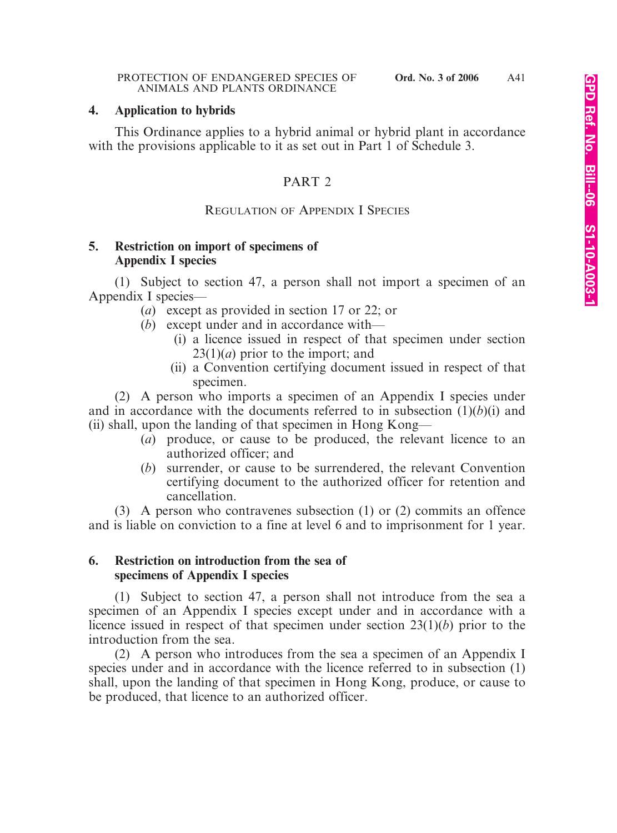### **4. Application to hybrids**

This Ordinance applies to a hybrid animal or hybrid plant in accordance with the provisions applicable to it as set out in Part 1 of Schedule 3.

# PART 2

# REGULATION OF APPENDIX I SPECIES

# **5. Restriction on import of specimens of Appendix I species**

(1) Subject to section 47, a person shall not import a specimen of an Appendix I species—

- (*a*) except as provided in section 17 or 22; or
- (*b*) except under and in accordance with—
	- (i) a licence issued in respect of that specimen under section 23(1)(*a*) prior to the import; and
	- (ii) a Convention certifying document issued in respect of that specimen.

(2) A person who imports a specimen of an Appendix I species under and in accordance with the documents referred to in subsection  $(1)(b)(i)$  and (ii) shall, upon the landing of that specimen in Hong Kong—

- (*a*) produce, or cause to be produced, the relevant licence to an authorized officer; and
- (*b*) surrender, or cause to be surrendered, the relevant Convention certifying document to the authorized officer for retention and cancellation.

(3) A person who contravenes subsection (1) or (2) commits an offence and is liable on conviction to a fine at level 6 and to imprisonment for 1 year.

### **6. Restriction on introduction from the sea of specimens of Appendix I species**

(1) Subject to section 47, a person shall not introduce from the sea a specimen of an Appendix I species except under and in accordance with a licence issued in respect of that specimen under section 23(1)(*b*) prior to the introduction from the sea.

(2) A person who introduces from the sea a specimen of an Appendix I species under and in accordance with the licence referred to in subsection (1) shall, upon the landing of that specimen in Hong Kong, produce, or cause to be produced, that licence to an authorized officer.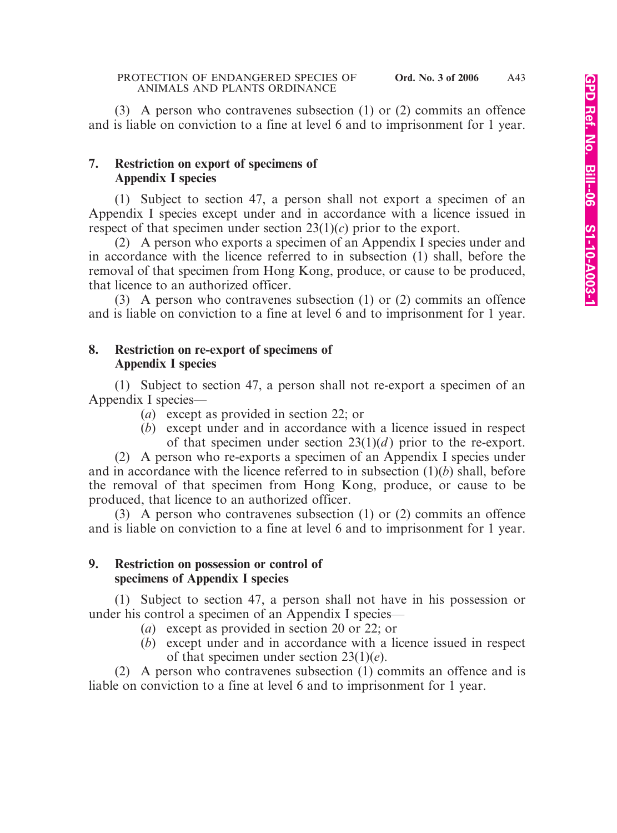(3) A person who contravenes subsection (1) or (2) commits an offence and is liable on conviction to a fine at level 6 and to imprisonment for 1 year.

# **7. Restriction on export of specimens of Appendix I species**

(1) Subject to section 47, a person shall not export a specimen of an Appendix I species except under and in accordance with a licence issued in respect of that specimen under section 23(1)(*c*) prior to the export.

(2) A person who exports a specimen of an Appendix I species under and in accordance with the licence referred to in subsection (1) shall, before the removal of that specimen from Hong Kong, produce, or cause to be produced, that licence to an authorized officer.

(3) A person who contravenes subsection (1) or (2) commits an offence and is liable on conviction to a fine at level 6 and to imprisonment for 1 year.

# **8. Restriction on re-export of specimens of Appendix I species**

(1) Subject to section 47, a person shall not re-export a specimen of an Appendix I species—

- (*a*) except as provided in section 22; or
- (*b*) except under and in accordance with a licence issued in respect of that specimen under section  $23(1)(d)$  prior to the re-export.

(2) A person who re-exports a specimen of an Appendix I species under and in accordance with the licence referred to in subsection (1)(*b*) shall, before the removal of that specimen from Hong Kong, produce, or cause to be produced, that licence to an authorized officer.

(3) A person who contravenes subsection (1) or (2) commits an offence and is liable on conviction to a fine at level 6 and to imprisonment for 1 year.

# **9. Restriction on possession or control of specimens of Appendix I species**

(1) Subject to section 47, a person shall not have in his possession or under his control a specimen of an Appendix I species—

- (*a*) except as provided in section 20 or 22; or
- (*b*) except under and in accordance with a licence issued in respect of that specimen under section 23(1)(*e*).

(2) A person who contravenes subsection (1) commits an offence and is liable on conviction to a fine at level 6 and to imprisonment for 1 year.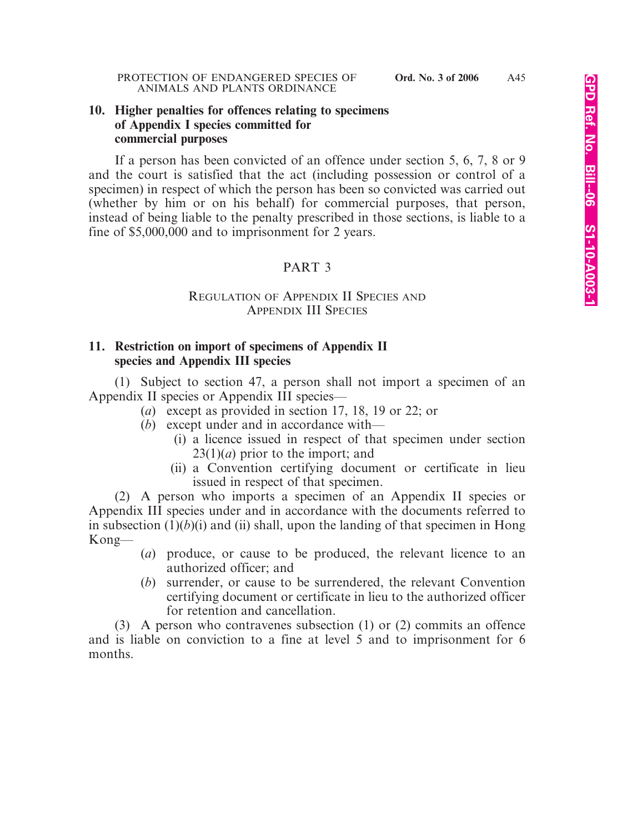### **10. Higher penalties for offences relating to specimens of Appendix I species committed for commercial purposes**

If a person has been convicted of an offence under section 5, 6, 7, 8 or 9 and the court is satisfied that the act (including possession or control of a specimen) in respect of which the person has been so convicted was carried out (whether by him or on his behalf) for commercial purposes, that person, instead of being liable to the penalty prescribed in those sections, is liable to a fine of \$5,000,000 and to imprisonment for 2 years.

# PART 3

### REGULATION OF APPENDIX II SPECIES AND APPENDIX III SPECIES

# **11. Restriction on import of specimens of Appendix II species and Appendix III species**

(1) Subject to section 47, a person shall not import a specimen of an Appendix II species or Appendix III species—

- (*a*) except as provided in section 17, 18, 19 or 22; or
- (*b*) except under and in accordance with—
	- (i) a licence issued in respect of that specimen under section 23(1)(*a*) prior to the import; and
	- (ii) a Convention certifying document or certificate in lieu issued in respect of that specimen.

(2) A person who imports a specimen of an Appendix II species or Appendix III species under and in accordance with the documents referred to in subsection  $(1)(b)(i)$  and  $(ii)$  shall, upon the landing of that specimen in Hong Kong—

- (*a*) produce, or cause to be produced, the relevant licence to an authorized officer; and
- (*b*) surrender, or cause to be surrendered, the relevant Convention certifying document or certificate in lieu to the authorized officer for retention and cancellation.

(3) A person who contravenes subsection (1) or (2) commits an offence and is liable on conviction to a fine at level 5 and to imprisonment for 6 months.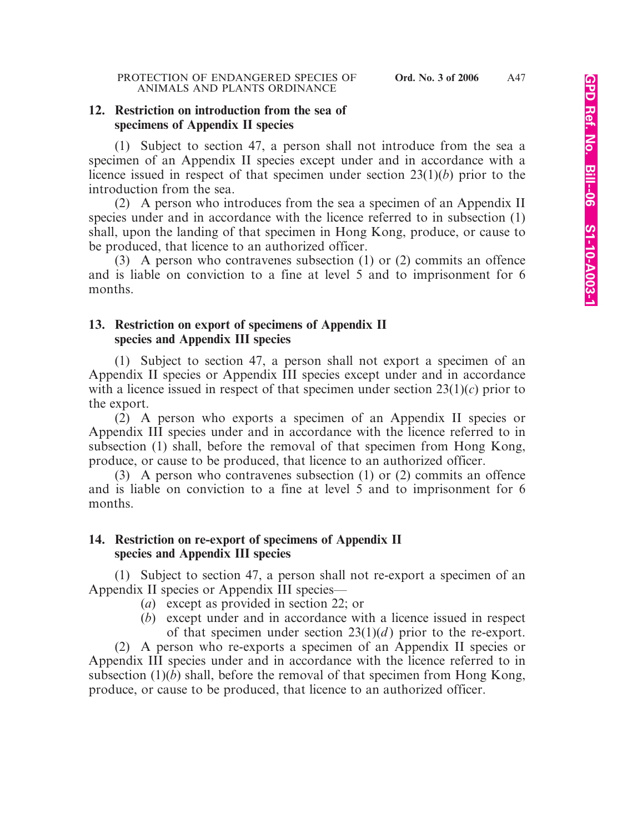### **12. Restriction on introduction from the sea of specimens of Appendix II species**

(1) Subject to section 47, a person shall not introduce from the sea a specimen of an Appendix II species except under and in accordance with a licence issued in respect of that specimen under section 23(1)(*b*) prior to the introduction from the sea.

(2) A person who introduces from the sea a specimen of an Appendix II species under and in accordance with the licence referred to in subsection (1) shall, upon the landing of that specimen in Hong Kong, produce, or cause to be produced, that licence to an authorized officer.

(3) A person who contravenes subsection (1) or (2) commits an offence and is liable on conviction to a fine at level 5 and to imprisonment for 6 months.

# **13. Restriction on export of specimens of Appendix II species and Appendix III species**

(1) Subject to section 47, a person shall not export a specimen of an Appendix II species or Appendix III species except under and in accordance with a licence issued in respect of that specimen under section  $23(1)(c)$  prior to the export.

(2) A person who exports a specimen of an Appendix II species or Appendix III species under and in accordance with the licence referred to in subsection (1) shall, before the removal of that specimen from Hong Kong, produce, or cause to be produced, that licence to an authorized officer.

(3) A person who contravenes subsection (1) or (2) commits an offence and is liable on conviction to a fine at level 5 and to imprisonment for 6 months.

# **14. Restriction on re-export of specimens of Appendix II species and Appendix III species**

(1) Subject to section 47, a person shall not re-export a specimen of an Appendix II species or Appendix III species—

- (*a*) except as provided in section 22; or
- (*b*) except under and in accordance with a licence issued in respect of that specimen under section  $23(1)(d)$  prior to the re-export.

(2) A person who re-exports a specimen of an Appendix II species or Appendix III species under and in accordance with the licence referred to in subsection (1)(*b*) shall, before the removal of that specimen from Hong Kong, produce, or cause to be produced, that licence to an authorized officer.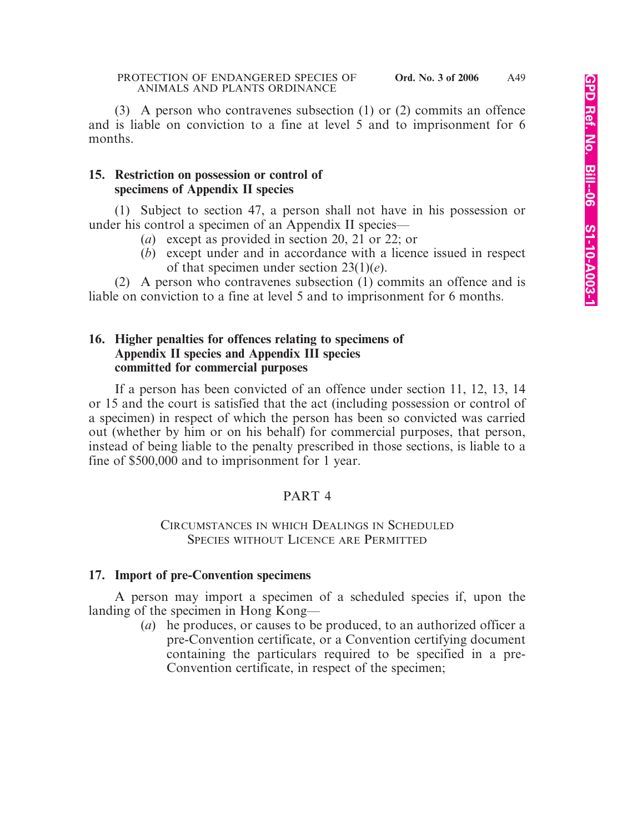(3) A person who contravenes subsection (1) or (2) commits an offence and is liable on conviction to a fine at level 5 and to imprisonment for 6 months.

### **15. Restriction on possession or control of specimens of Appendix II species**

(1) Subject to section 47, a person shall not have in his possession or under his control a specimen of an Appendix II species—

- (*a*) except as provided in section 20, 21 or 22; or
- (*b*) except under and in accordance with a licence issued in respect of that specimen under section 23(1)(*e*).

(2) A person who contravenes subsection (1) commits an offence and is liable on conviction to a fine at level 5 and to imprisonment for 6 months.

# **16. Higher penalties for offences relating to specimens of Appendix II species and Appendix III species committed for commercial purposes**

If a person has been convicted of an offence under section 11, 12, 13, 14 or 15 and the court is satisfied that the act (including possession or control of a specimen) in respect of which the person has been so convicted was carried out (whether by him or on his behalf) for commercial purposes, that person, instead of being liable to the penalty prescribed in those sections, is liable to a fine of \$500,000 and to imprisonment for 1 year.

# PART 4

# CIRCUMSTANCES IN WHICH DEALINGS IN SCHEDULED SPECIES WITHOUT LICENCE ARE PERMITTED

# **17. Import of pre-Convention specimens**

A person may import a specimen of a scheduled species if, upon the landing of the specimen in Hong Kong—

(*a*) he produces, or causes to be produced, to an authorized officer a pre-Convention certificate, or a Convention certifying document containing the particulars required to be specified in a pre-Convention certificate, in respect of the specimen;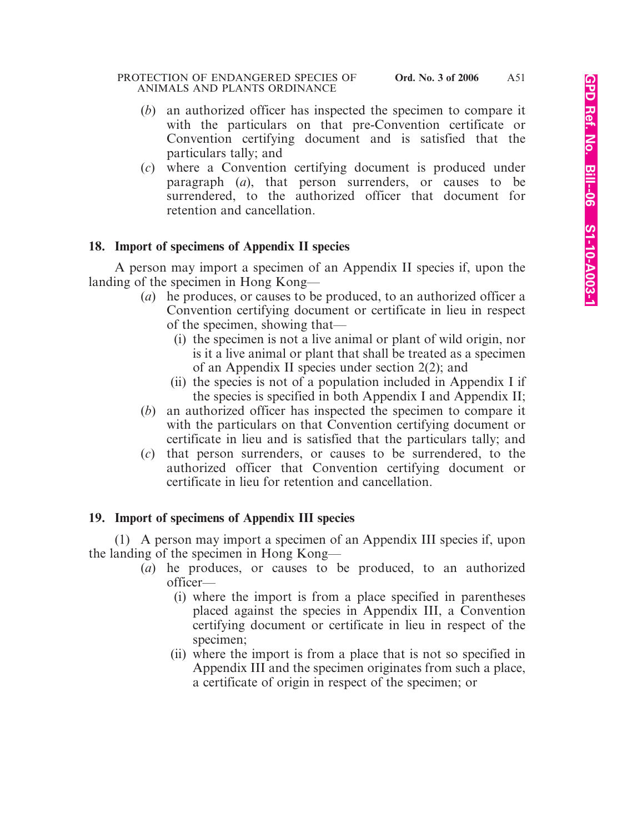#### PROTECTION OF ENDANGERED SPECIES OF **Ord. No. 3 of 2006** ANIMALS AND PLANTS ORDINANCE

- (*b*) an authorized officer has inspected the specimen to compare it with the particulars on that pre-Convention certificate or Convention certifying document and is satisfied that the particulars tally; and
- (*c*) where a Convention certifying document is produced under paragraph (*a*), that person surrenders, or causes to be surrendered, to the authorized officer that document for retention and cancellation.

# **18. Import of specimens of Appendix II species**

A person may import a specimen of an Appendix II species if, upon the landing of the specimen in Hong Kong—

- (*a*) he produces, or causes to be produced, to an authorized officer a Convention certifying document or certificate in lieu in respect of the specimen, showing that—
	- (i) the specimen is not a live animal or plant of wild origin, nor is it a live animal or plant that shall be treated as a specimen of an Appendix II species under section 2(2); and
	- (ii) the species is not of a population included in Appendix I if the species is specified in both Appendix I and Appendix II;
- (*b*) an authorized officer has inspected the specimen to compare it with the particulars on that Convention certifying document or certificate in lieu and is satisfied that the particulars tally; and
- (*c*) that person surrenders, or causes to be surrendered, to the authorized officer that Convention certifying document or certificate in lieu for retention and cancellation.

# **19. Import of specimens of Appendix III species**

(1) A person may import a specimen of an Appendix III species if, upon the landing of the specimen in Hong Kong—

- (*a*) he produces, or causes to be produced, to an authorized officer—
	- (i) where the import is from a place specified in parentheses placed against the species in Appendix III, a Convention certifying document or certificate in lieu in respect of the specimen;
	- (ii) where the import is from a place that is not so specified in Appendix III and the specimen originates from such a place, a certificate of origin in respect of the specimen; or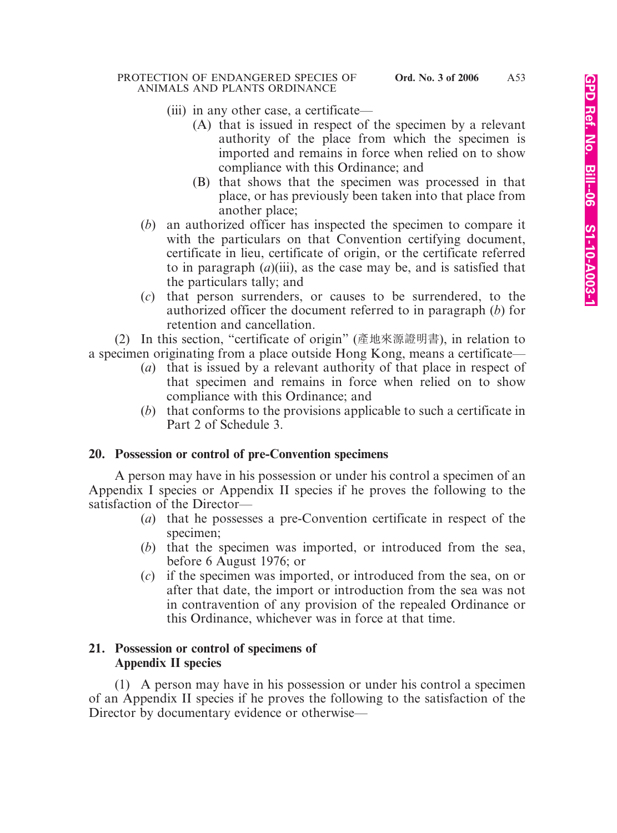- (iii) in any other case, a certificate—
	- (A) that is issued in respect of the specimen by a relevant authority of the place from which the specimen is imported and remains in force when relied on to show compliance with this Ordinance; and
	- (B) that shows that the specimen was processed in that place, or has previously been taken into that place from another place;
- (*b*) an authorized officer has inspected the specimen to compare it with the particulars on that Convention certifying document, certificate in lieu, certificate of origin, or the certificate referred to in paragraph (*a*)(iii), as the case may be, and is satisfied that the particulars tally; and
- (*c*) that person surrenders, or causes to be surrendered, to the authorized officer the document referred to in paragraph (*b*) for retention and cancellation.

(2) In this section, "certificate of origin" (產地來源證明書), in relation to a specimen originating from a place outside Hong Kong, means a certificate—

- (*a*) that is issued by a relevant authority of that place in respect of that specimen and remains in force when relied on to show compliance with this Ordinance; and
- (*b*) that conforms to the provisions applicable to such a certificate in Part 2 of Schedule 3.

# **20. Possession or control of pre-Convention specimens**

A person may have in his possession or under his control a specimen of an Appendix I species or Appendix II species if he proves the following to the satisfaction of the Director—

- (*a*) that he possesses a pre-Convention certificate in respect of the specimen;
- (*b*) that the specimen was imported, or introduced from the sea, before 6 August 1976; or
- (*c*) if the specimen was imported, or introduced from the sea, on or after that date, the import or introduction from the sea was not in contravention of any provision of the repealed Ordinance or this Ordinance, whichever was in force at that time.

# **21. Possession or control of specimens of Appendix II species**

(1) A person may have in his possession or under his control a specimen of an Appendix II species if he proves the following to the satisfaction of the Director by documentary evidence or otherwise—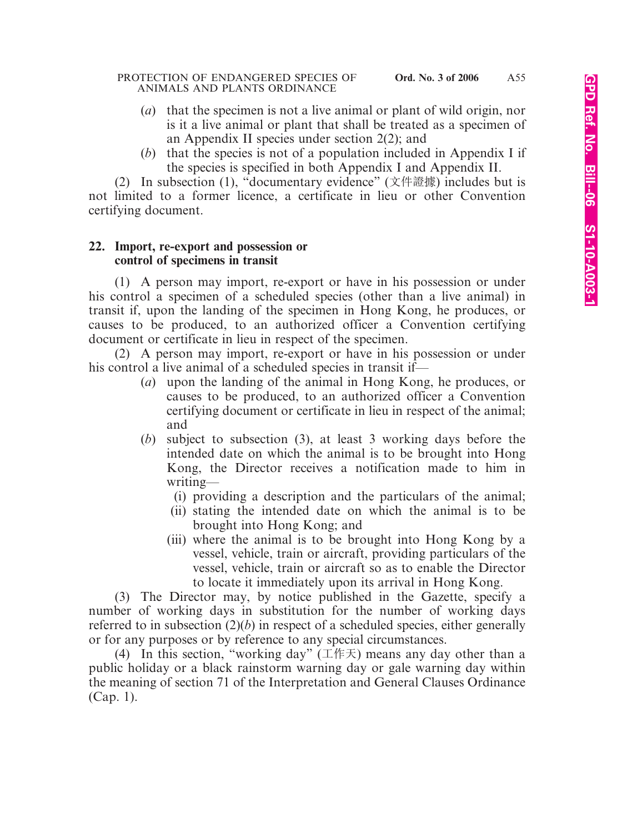- (*a*) that the specimen is not a live animal or plant of wild origin, nor is it a live animal or plant that shall be treated as a specimen of an Appendix II species under section 2(2); and
- (*b*) that the species is not of a population included in Appendix I if the species is specified in both Appendix I and Appendix II.

(2) In subsection (1), "documentary evidence" (文件證據) includes but is not limited to a former licence, a certificate in lieu or other Convention certifying document.

### **22. Import, re-export and possession or control of specimens in transit**

(1) A person may import, re-export or have in his possession or under his control a specimen of a scheduled species (other than a live animal) in transit if, upon the landing of the specimen in Hong Kong, he produces, or causes to be produced, to an authorized officer a Convention certifying document or certificate in lieu in respect of the specimen.

(2) A person may import, re-export or have in his possession or under his control a live animal of a scheduled species in transit if—

- (*a*) upon the landing of the animal in Hong Kong, he produces, or causes to be produced, to an authorized officer a Convention certifying document or certificate in lieu in respect of the animal; and
- (*b*) subject to subsection (3), at least 3 working days before the intended date on which the animal is to be brought into Hong Kong, the Director receives a notification made to him in writing—
	- (i) providing a description and the particulars of the animal;
	- (ii) stating the intended date on which the animal is to be brought into Hong Kong; and
	- (iii) where the animal is to be brought into Hong Kong by a vessel, vehicle, train or aircraft, providing particulars of the vessel, vehicle, train or aircraft so as to enable the Director to locate it immediately upon its arrival in Hong Kong.

(3) The Director may, by notice published in the Gazette, specify a number of working days in substitution for the number of working days referred to in subsection (2)(*b*) in respect of a scheduled species, either generally or for any purposes or by reference to any special circumstances.

(4) In this section, "working day"  $(\pm \text{ }k\text{)}$  means any day other than a public holiday or a black rainstorm warning day or gale warning day within the meaning of section 71 of the Interpretation and General Clauses Ordinance (Cap. 1).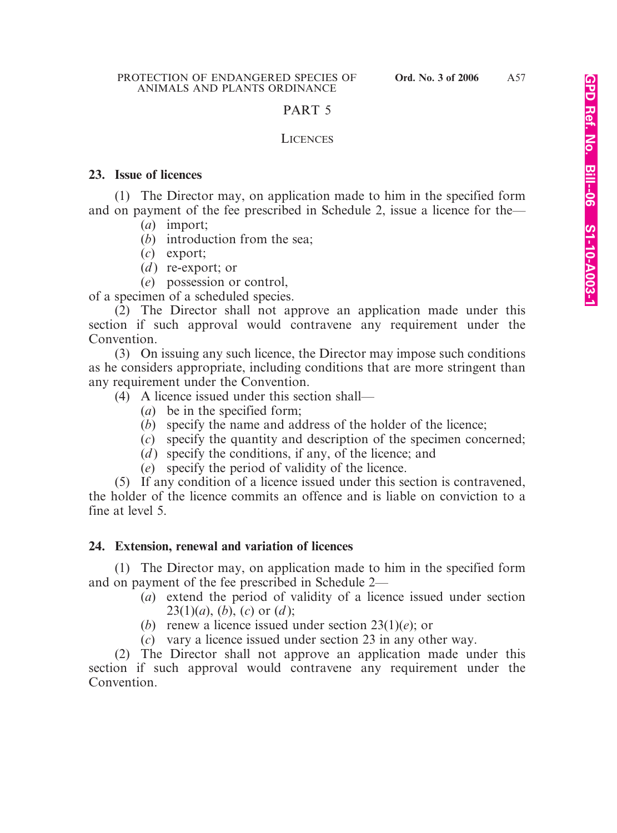# PART 5

### **LICENCES**

### **23. Issue of licences**

(1) The Director may, on application made to him in the specified form and on payment of the fee prescribed in Schedule 2, issue a licence for the—

- (*a*) import;
- (*b*) introduction from the sea;
- (*c*) export;
- (*d*) re-export; or
- (*e*) possession or control,

of a specimen of a scheduled species.

(2) The Director shall not approve an application made under this section if such approval would contravene any requirement under the Convention.

(3) On issuing any such licence, the Director may impose such conditions as he considers appropriate, including conditions that are more stringent than any requirement under the Convention.

- (4) A licence issued under this section shall—
	- (*a*) be in the specified form;
	- (*b*) specify the name and address of the holder of the licence;
	- (*c*) specify the quantity and description of the specimen concerned;
	- (*d*) specify the conditions, if any, of the licence; and
	- (*e*) specify the period of validity of the licence.

(5) If any condition of a licence issued under this section is contravened, the holder of the licence commits an offence and is liable on conviction to a fine at level 5.

# **24. Extension, renewal and variation of licences**

(1) The Director may, on application made to him in the specified form and on payment of the fee prescribed in Schedule 2—

- (*a*) extend the period of validity of a licence issued under section 23(1)(*a*), (*b*), (*c*) or (*d* );
- (*b*) renew a licence issued under section 23(1)(*e*); or
- (*c*) vary a licence issued under section 23 in any other way.

(2) The Director shall not approve an application made under this section if such approval would contravene any requirement under the **Convention**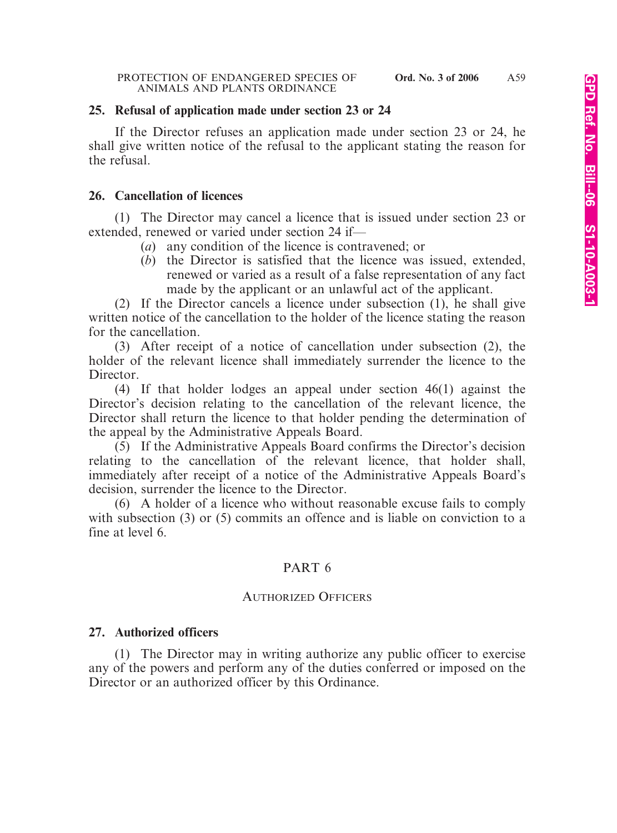#### **25. Refusal of application made under section 23 or 24**

If the Director refuses an application made under section 23 or 24, he shall give written notice of the refusal to the applicant stating the reason for the refusal.

#### **26. Cancellation of licences**

(1) The Director may cancel a licence that is issued under section 23 or extended, renewed or varied under section 24 if—

- (*a*) any condition of the licence is contravened; or
- (*b*) the Director is satisfied that the licence was issued, extended, renewed or varied as a result of a false representation of any fact made by the applicant or an unlawful act of the applicant.

(2) If the Director cancels a licence under subsection (1), he shall give written notice of the cancellation to the holder of the licence stating the reason for the cancellation.

(3) After receipt of a notice of cancellation under subsection (2), the holder of the relevant licence shall immediately surrender the licence to the Director.

(4) If that holder lodges an appeal under section 46(1) against the Director's decision relating to the cancellation of the relevant licence, the Director shall return the licence to that holder pending the determination of the appeal by the Administrative Appeals Board.

(5) If the Administrative Appeals Board confirms the Director's decision relating to the cancellation of the relevant licence, that holder shall, immediately after receipt of a notice of the Administrative Appeals Board's decision, surrender the licence to the Director.

(6) A holder of a licence who without reasonable excuse fails to comply with subsection (3) or (5) commits an offence and is liable on conviction to a fine at level 6.

#### PART 6

### AUTHORIZED OFFICERS

#### **27. Authorized officers**

(1) The Director may in writing authorize any public officer to exercise any of the powers and perform any of the duties conferred or imposed on the Director or an authorized officer by this Ordinance.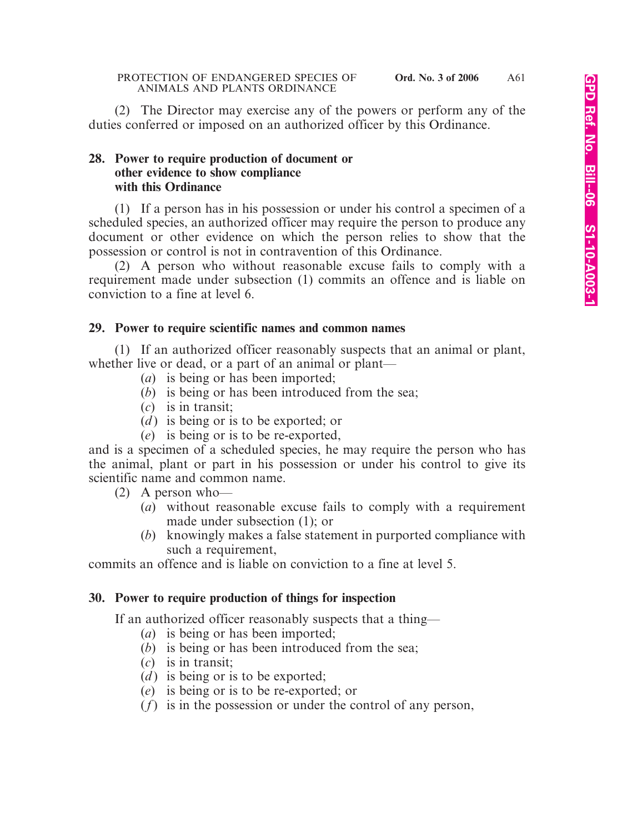(2) The Director may exercise any of the powers or perform any of the duties conferred or imposed on an authorized officer by this Ordinance.

# **28. Power to require production of document or other evidence to show compliance with this Ordinance**

(1) If a person has in his possession or under his control a specimen of a scheduled species, an authorized officer may require the person to produce any document or other evidence on which the person relies to show that the possession or control is not in contravention of this Ordinance.

(2) A person who without reasonable excuse fails to comply with a requirement made under subsection (1) commits an offence and is liable on conviction to a fine at level 6.

### **29. Power to require scientific names and common names**

(1) If an authorized officer reasonably suspects that an animal or plant, whether live or dead, or a part of an animal or plant—

- (*a*) is being or has been imported;
- (*b*) is being or has been introduced from the sea;
- (*c*) is in transit;
- (*d* ) is being or is to be exported; or
- (*e*) is being or is to be re-exported,

and is a specimen of a scheduled species, he may require the person who has the animal, plant or part in his possession or under his control to give its scientific name and common name.

(2) A person who—

- (*a*) without reasonable excuse fails to comply with a requirement made under subsection (1); or
- (*b*) knowingly makes a false statement in purported compliance with such a requirement,

commits an offence and is liable on conviction to a fine at level 5.

### **30. Power to require production of things for inspection**

If an authorized officer reasonably suspects that a thing—

- (*a*) is being or has been imported;
- (*b*) is being or has been introduced from the sea;
- (*c*) is in transit;
- $(d)$  is being or is to be exported;
- (*e*) is being or is to be re-exported; or
- (*f*) is in the possession or under the control of any person,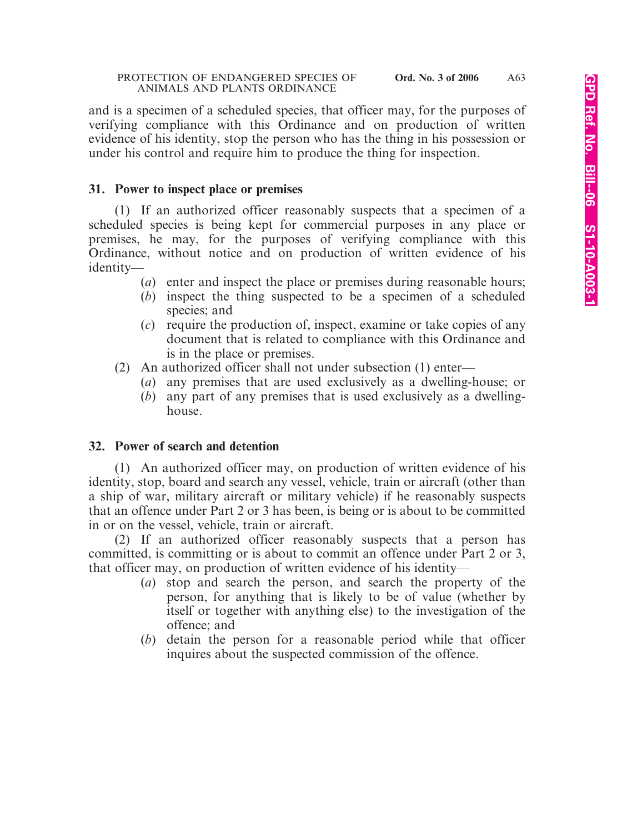and is a specimen of a scheduled species, that officer may, for the purposes of verifying compliance with this Ordinance and on production of written evidence of his identity, stop the person who has the thing in his possession or under his control and require him to produce the thing for inspection.

# **31. Power to inspect place or premises**

(1) If an authorized officer reasonably suspects that a specimen of a scheduled species is being kept for commercial purposes in any place or premises, he may, for the purposes of verifying compliance with this Ordinance, without notice and on production of written evidence of his identity—

- (*a*) enter and inspect the place or premises during reasonable hours;
- (*b*) inspect the thing suspected to be a specimen of a scheduled species; and
- (*c*) require the production of, inspect, examine or take copies of any document that is related to compliance with this Ordinance and is in the place or premises.
- (2) An authorized officer shall not under subsection (1) enter—
	- (*a*) any premises that are used exclusively as a dwelling-house; or
	- (*b*) any part of any premises that is used exclusively as a dwellinghouse.

### **32. Power of search and detention**

(1) An authorized officer may, on production of written evidence of his identity, stop, board and search any vessel, vehicle, train or aircraft (other than a ship of war, military aircraft or military vehicle) if he reasonably suspects that an offence under Part 2 or 3 has been, is being or is about to be committed in or on the vessel, vehicle, train or aircraft.

(2) If an authorized officer reasonably suspects that a person has committed, is committing or is about to commit an offence under Part 2 or 3, that officer may, on production of written evidence of his identity—

- (*a*) stop and search the person, and search the property of the person, for anything that is likely to be of value (whether by itself or together with anything else) to the investigation of the offence; and
- (*b*) detain the person for a reasonable period while that officer inquires about the suspected commission of the offence.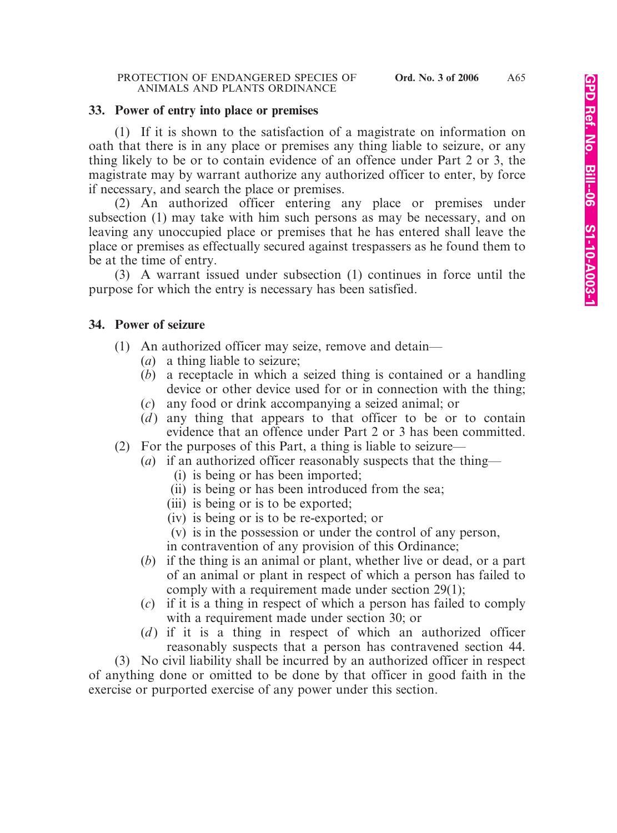#### **33. Power of entry into place or premises**

(1) If it is shown to the satisfaction of a magistrate on information on oath that there is in any place or premises any thing liable to seizure, or any thing likely to be or to contain evidence of an offence under Part 2 or 3, the magistrate may by warrant authorize any authorized officer to enter, by force if necessary, and search the place or premises.

(2) An authorized officer entering any place or premises under subsection (1) may take with him such persons as may be necessary, and on leaving any unoccupied place or premises that he has entered shall leave the place or premises as effectually secured against trespassers as he found them to be at the time of entry.

(3) A warrant issued under subsection (1) continues in force until the purpose for which the entry is necessary has been satisfied.

#### **34. Power of seizure**

- (1) An authorized officer may seize, remove and detain—
	- (*a*) a thing liable to seizure;
	- (*b*) a receptacle in which a seized thing is contained or a handling device or other device used for or in connection with the thing;
	- (*c*) any food or drink accompanying a seized animal; or
	- (*d*) any thing that appears to that officer to be or to contain evidence that an offence under Part 2 or 3 has been committed.
- (2) For the purposes of this Part, a thing is liable to seizure—
	- (*a*) if an authorized officer reasonably suspects that the thing—
		- (i) is being or has been imported;
		- (ii) is being or has been introduced from the sea;
		- (iii) is being or is to be exported;
		- (iv) is being or is to be re-exported; or
		- (v) is in the possession or under the control of any person,
		- in contravention of any provision of this Ordinance;
	- (*b*) if the thing is an animal or plant, whether live or dead, or a part of an animal or plant in respect of which a person has failed to comply with a requirement made under section 29(1);
	- (*c*) if it is a thing in respect of which a person has failed to comply with a requirement made under section 30; or
	- (*d*) if it is a thing in respect of which an authorized officer reasonably suspects that a person has contravened section 44.

(3) No civil liability shall be incurred by an authorized officer in respect of anything done or omitted to be done by that officer in good faith in the exercise or purported exercise of any power under this section.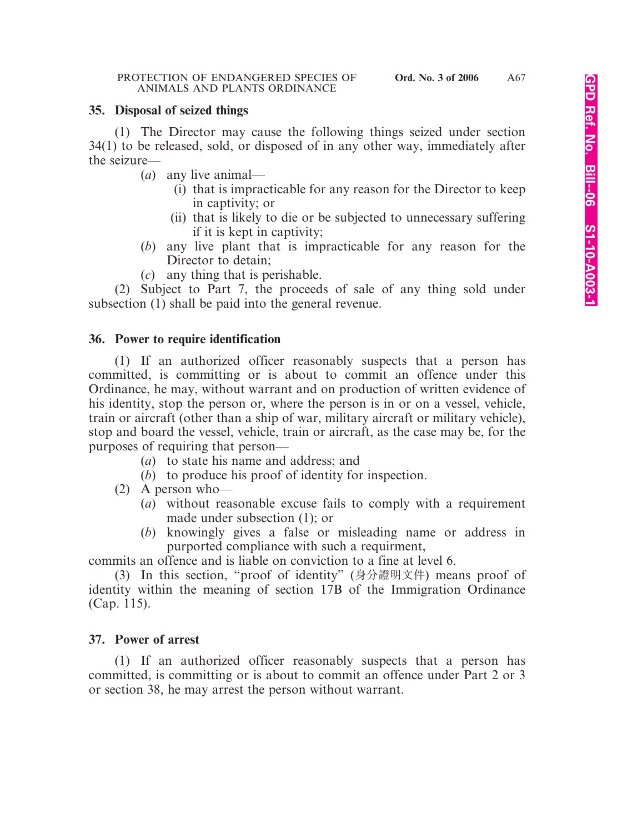### **35. Disposal of seized things**

(1) The Director may cause the following things seized under section 34(1) to be released, sold, or disposed of in any other way, immediately after the seizure—

(*a*) any live animal—

- (i) that is impracticable for any reason for the Director to keep in captivity; or
- (ii) that is likely to die or be subjected to unnecessary suffering if it is kept in captivity;
- (*b*) any live plant that is impracticable for any reason for the Director to detain:
- (*c*) any thing that is perishable.

(2) Subject to Part 7, the proceeds of sale of any thing sold under subsection (1) shall be paid into the general revenue.

# **36. Power to require identification**

(1) If an authorized officer reasonably suspects that a person has committed, is committing or is about to commit an offence under this Ordinance, he may, without warrant and on production of written evidence of his identity, stop the person or, where the person is in or on a vessel, vehicle, train or aircraft (other than a ship of war, military aircraft or military vehicle), stop and board the vessel, vehicle, train or aircraft, as the case may be, for the purposes of requiring that person—

- (*a*) to state his name and address; and
- (*b*) to produce his proof of identity for inspection.
- (2) A person who—
	- (*a*) without reasonable excuse fails to comply with a requirement made under subsection (1); or
	- (*b*) knowingly gives a false or misleading name or address in purported compliance with such a requirment,

commits an offence and is liable on conviction to a fine at level 6.

(3) In this section, "proof of identity" (身分證明文件) means proof of identity within the meaning of section 17B of the Immigration Ordinance (Cap. 115).

# **37. Power of arrest**

(1) If an authorized officer reasonably suspects that a person has committed, is committing or is about to commit an offence under Part 2 or 3 or section 38, he may arrest the person without warrant.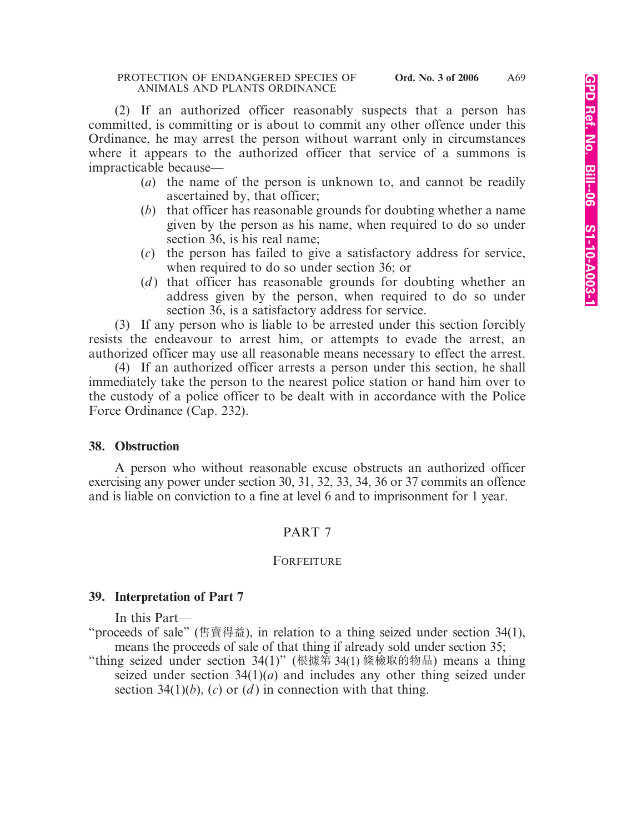(2) If an authorized officer reasonably suspects that a person has committed, is committing or is about to commit any other offence under this Ordinance, he may arrest the person without warrant only in circumstances where it appears to the authorized officer that service of a summons is impracticable because—

- (*a*) the name of the person is unknown to, and cannot be readily ascertained by, that officer;
- (*b*) that officer has reasonable grounds for doubting whether a name given by the person as his name, when required to do so under section 36, is his real name;
- (*c*) the person has failed to give a satisfactory address for service, when required to do so under section 36; or
- (*d*) that officer has reasonable grounds for doubting whether an address given by the person, when required to do so under section 36, is a satisfactory address for service.

(3) If any person who is liable to be arrested under this section forcibly resists the endeavour to arrest him, or attempts to evade the arrest, an authorized officer may use all reasonable means necessary to effect the arrest.

(4) If an authorized officer arrests a person under this section, he shall immediately take the person to the nearest police station or hand him over to the custody of a police officer to be dealt with in accordance with the Police Force Ordinance (Cap. 232).

### **38. Obstruction**

A person who without reasonable excuse obstructs an authorized officer exercising any power under section 30, 31, 32, 33, 34, 36 or 37 commits an offence and is liable on conviction to a fine at level 6 and to imprisonment for 1 year.

# PART 7

### FORFEITURE

### **39. Interpretation of Part 7**

In this Part—

"proceeds of sale" (售賣得益), in relation to a thing seized under section 34(1), means the proceeds of sale of that thing if already sold under section 35;

"thing seized under section 34(1)" (根據第 34(1) 條檢取的物品) means a thing seized under section  $34(1)(a)$  and includes any other thing seized under section 34(1)(*b*), (*c*) or (*d*) in connection with that thing.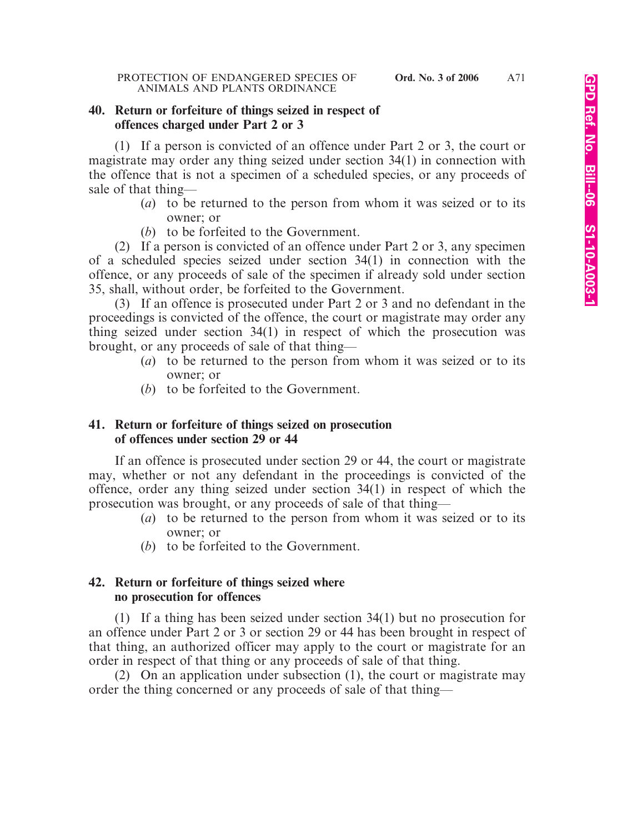### **40. Return or forfeiture of things seized in respect of offences charged under Part 2 or 3**

(1) If a person is convicted of an offence under Part 2 or 3, the court or magistrate may order any thing seized under section 34(1) in connection with the offence that is not a specimen of a scheduled species, or any proceeds of sale of that thing—

- (*a*) to be returned to the person from whom it was seized or to its owner; or
- (*b*) to be forfeited to the Government.

(2) If a person is convicted of an offence under Part 2 or 3, any specimen of a scheduled species seized under section 34(1) in connection with the offence, or any proceeds of sale of the specimen if already sold under section 35, shall, without order, be forfeited to the Government.

(3) If an offence is prosecuted under Part 2 or 3 and no defendant in the proceedings is convicted of the offence, the court or magistrate may order any thing seized under section 34(1) in respect of which the prosecution was brought, or any proceeds of sale of that thing—

- (*a*) to be returned to the person from whom it was seized or to its owner; or
- (*b*) to be forfeited to the Government.

# **41. Return or forfeiture of things seized on prosecution of offences under section 29 or 44**

If an offence is prosecuted under section 29 or 44, the court or magistrate may, whether or not any defendant in the proceedings is convicted of the offence, order any thing seized under section 34(1) in respect of which the prosecution was brought, or any proceeds of sale of that thing—

- (*a*) to be returned to the person from whom it was seized or to its owner; or
- (*b*) to be forfeited to the Government.

# **42. Return or forfeiture of things seized where no prosecution for offences**

(1) If a thing has been seized under section 34(1) but no prosecution for an offence under Part 2 or 3 or section 29 or 44 has been brought in respect of that thing, an authorized officer may apply to the court or magistrate for an order in respect of that thing or any proceeds of sale of that thing.

(2) On an application under subsection (1), the court or magistrate may order the thing concerned or any proceeds of sale of that thing—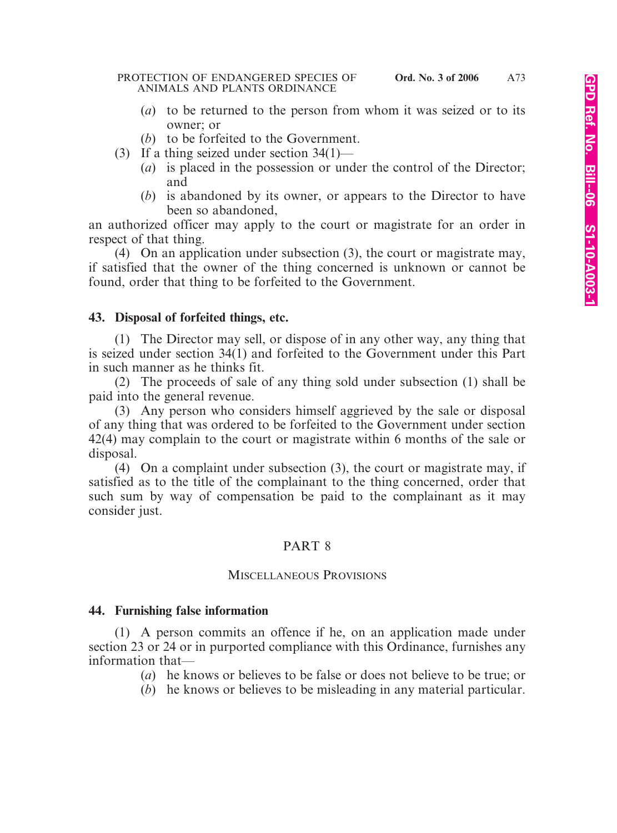- (*a*) to be returned to the person from whom it was seized or to its owner; or
- (*b*) to be forfeited to the Government.
- (3) If a thing seized under section 34(1)—
	- (*a*) is placed in the possession or under the control of the Director; and
	- (*b*) is abandoned by its owner, or appears to the Director to have been so abandoned,

an authorized officer may apply to the court or magistrate for an order in respect of that thing.

(4) On an application under subsection (3), the court or magistrate may, if satisfied that the owner of the thing concerned is unknown or cannot be found, order that thing to be forfeited to the Government.

# **43. Disposal of forfeited things, etc.**

(1) The Director may sell, or dispose of in any other way, any thing that is seized under section 34(1) and forfeited to the Government under this Part in such manner as he thinks fit.

(2) The proceeds of sale of any thing sold under subsection (1) shall be paid into the general revenue.

(3) Any person who considers himself aggrieved by the sale or disposal of any thing that was ordered to be forfeited to the Government under section 42(4) may complain to the court or magistrate within 6 months of the sale or disposal.

(4) On a complaint under subsection (3), the court or magistrate may, if satisfied as to the title of the complainant to the thing concerned, order that such sum by way of compensation be paid to the complainant as it may consider just.

# PART 8

# MISCELLANEOUS PROVISIONS

# **44. Furnishing false information**

(1) A person commits an offence if he, on an application made under section 23 or 24 or in purported compliance with this Ordinance, furnishes any information that—

(*a*) he knows or believes to be false or does not believe to be true; or

(*b*) he knows or believes to be misleading in any material particular.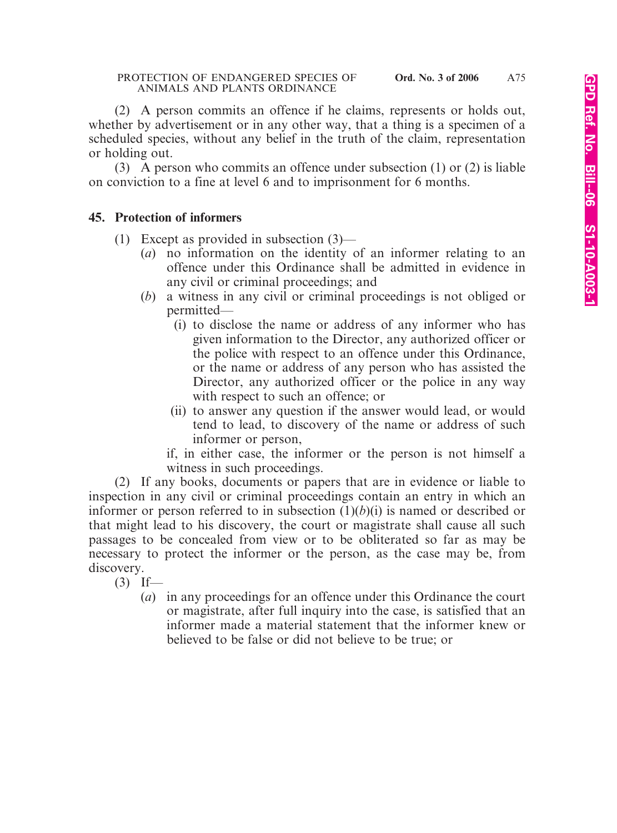(2) A person commits an offence if he claims, represents or holds out, whether by advertisement or in any other way, that a thing is a specimen of a scheduled species, without any belief in the truth of the claim, representation or holding out.

(3) A person who commits an offence under subsection (1) or (2) is liable on conviction to a fine at level 6 and to imprisonment for 6 months.

# **45. Protection of informers**

- (1) Except as provided in subsection (3)—
	- (*a*) no information on the identity of an informer relating to an offence under this Ordinance shall be admitted in evidence in any civil or criminal proceedings; and
	- (*b*) a witness in any civil or criminal proceedings is not obliged or permitted—
		- (i) to disclose the name or address of any informer who has given information to the Director, any authorized officer or the police with respect to an offence under this Ordinance, or the name or address of any person who has assisted the Director, any authorized officer or the police in any way with respect to such an offence; or
		- (ii) to answer any question if the answer would lead, or would tend to lead, to discovery of the name or address of such informer or person,

if, in either case, the informer or the person is not himself a witness in such proceedings.

(2) If any books, documents or papers that are in evidence or liable to inspection in any civil or criminal proceedings contain an entry in which an informer or person referred to in subsection  $(1)(b)(i)$  is named or described or that might lead to his discovery, the court or magistrate shall cause all such passages to be concealed from view or to be obliterated so far as may be necessary to protect the informer or the person, as the case may be, from discovery.

 $(3)$  If—

(*a*) in any proceedings for an offence under this Ordinance the court or magistrate, after full inquiry into the case, is satisfied that an informer made a material statement that the informer knew or believed to be false or did not believe to be true; or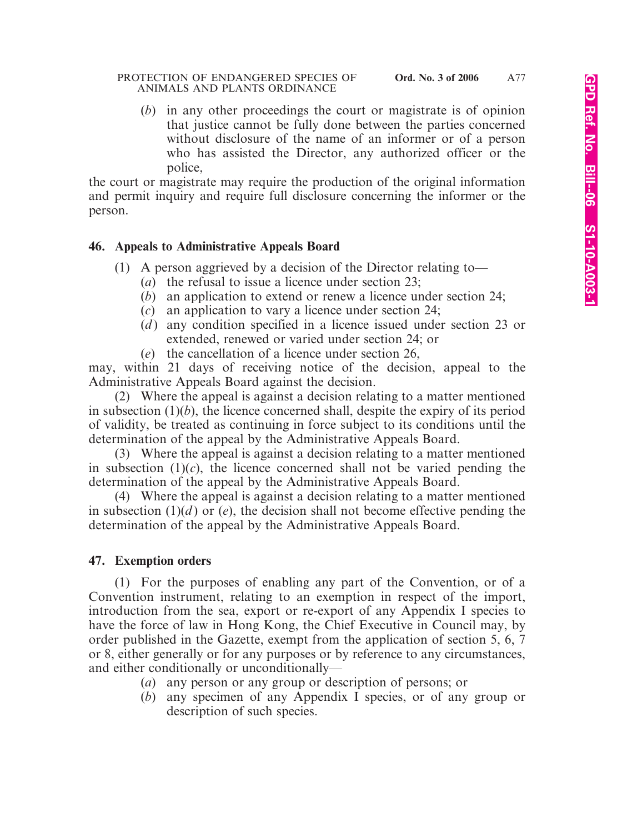#### PROTECTION OF ENDANGERED SPECIES OF **Ord. No. 3 of 2006** ANIMALS AND PLANTS ORDINANCE

(*b*) in any other proceedings the court or magistrate is of opinion that justice cannot be fully done between the parties concerned without disclosure of the name of an informer or of a person who has assisted the Director, any authorized officer or the police,

the court or magistrate may require the production of the original information and permit inquiry and require full disclosure concerning the informer or the person.

# **46. Appeals to Administrative Appeals Board**

- (1) A person aggrieved by a decision of the Director relating to—
	- (*a*) the refusal to issue a licence under section 23;
	- (*b*) an application to extend or renew a licence under section 24;
	- (*c*) an application to vary a licence under section 24;
	- (*d*) any condition specified in a licence issued under section 23 or extended, renewed or varied under section 24; or
	- (*e*) the cancellation of a licence under section 26,

may, within 21 days of receiving notice of the decision, appeal to the Administrative Appeals Board against the decision.

(2) Where the appeal is against a decision relating to a matter mentioned in subsection (1)(*b*), the licence concerned shall, despite the expiry of its period of validity, be treated as continuing in force subject to its conditions until the determination of the appeal by the Administrative Appeals Board.

(3) Where the appeal is against a decision relating to a matter mentioned in subsection  $(1)(c)$ , the licence concerned shall not be varied pending the determination of the appeal by the Administrative Appeals Board.

(4) Where the appeal is against a decision relating to a matter mentioned in subsection  $(1)(d)$  or  $(e)$ , the decision shall not become effective pending the determination of the appeal by the Administrative Appeals Board.

# **47. Exemption orders**

(1) For the purposes of enabling any part of the Convention, or of a Convention instrument, relating to an exemption in respect of the import, introduction from the sea, export or re-export of any Appendix I species to have the force of law in Hong Kong, the Chief Executive in Council may, by order published in the Gazette, exempt from the application of section 5, 6, 7 or 8, either generally or for any purposes or by reference to any circumstances, and either conditionally or unconditionally—

- (*a*) any person or any group or description of persons; or
- (*b*) any specimen of any Appendix I species, or of any group or description of such species.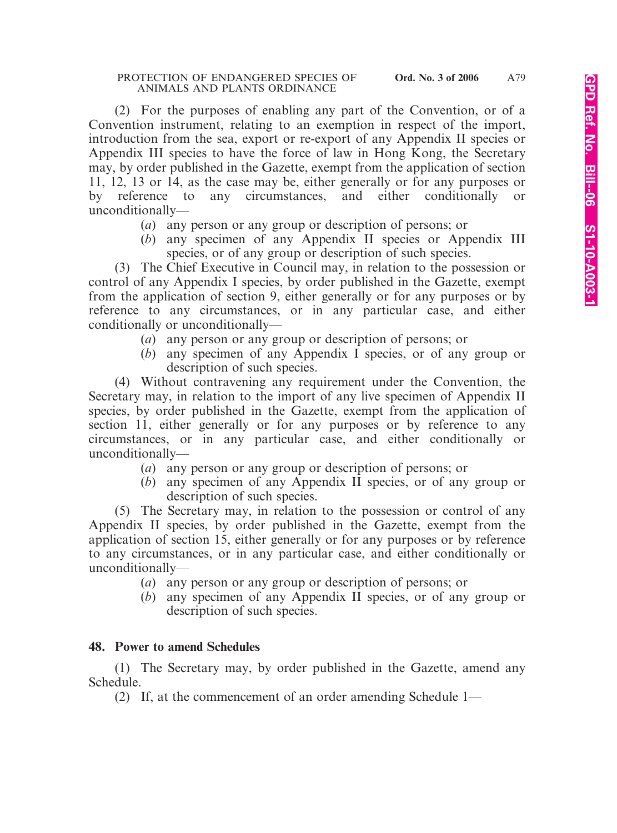(2) For the purposes of enabling any part of the Convention, or of a Convention instrument, relating to an exemption in respect of the import, introduction from the sea, export or re-export of any Appendix II species or Appendix III species to have the force of law in Hong Kong, the Secretary may, by order published in the Gazette, exempt from the application of section 11, 12, 13 or 14, as the case may be, either generally or for any purposes or by reference to any circumstances, and either conditionally or unconditionally—

- (*a*) any person or any group or description of persons; or
- (*b*) any specimen of any Appendix II species or Appendix III species, or of any group or description of such species.

(3) The Chief Executive in Council may, in relation to the possession or control of any Appendix I species, by order published in the Gazette, exempt from the application of section 9, either generally or for any purposes or by reference to any circumstances, or in any particular case, and either conditionally or unconditionally—

- (*a*) any person or any group or description of persons; or
- (*b*) any specimen of any Appendix I species, or of any group or description of such species.

(4) Without contravening any requirement under the Convention, the Secretary may, in relation to the import of any live specimen of Appendix II species, by order published in the Gazette, exempt from the application of section 11, either generally or for any purposes or by reference to any circumstances, or in any particular case, and either conditionally or unconditionally—

- (*a*) any person or any group or description of persons; or
- (*b*) any specimen of any Appendix II species, or of any group or description of such species.

(5) The Secretary may, in relation to the possession or control of any Appendix II species, by order published in the Gazette, exempt from the application of section 15, either generally or for any purposes or by reference to any circumstances, or in any particular case, and either conditionally or unconditionally—

- (*a*) any person or any group or description of persons; or
- (*b*) any specimen of any Appendix II species, or of any group or description of such species.

# **48. Power to amend Schedules**

(1) The Secretary may, by order published in the Gazette, amend any Schedule.

(2) If, at the commencement of an order amending Schedule 1—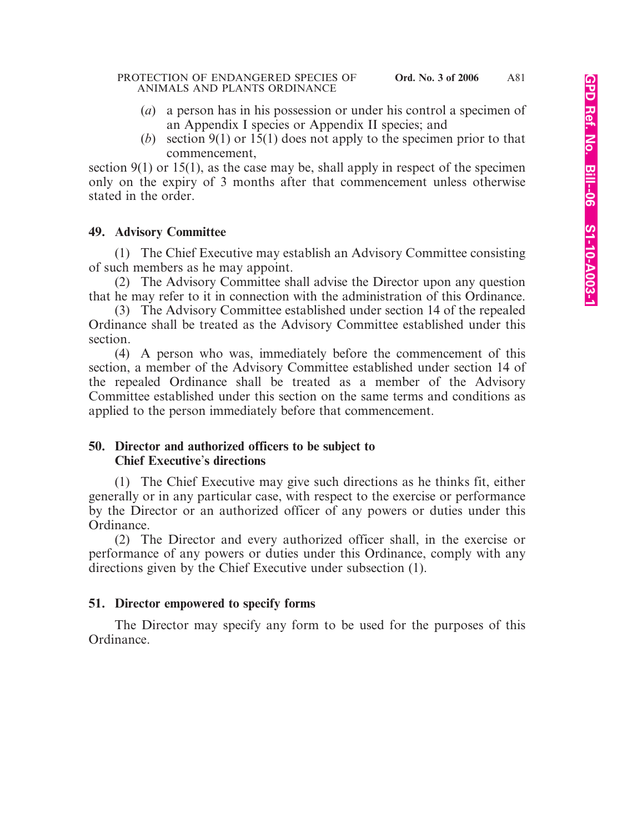- (*a*) a person has in his possession or under his control a specimen of an Appendix I species or Appendix II species; and
- (*b*) section 9(1) or 15(1) does not apply to the specimen prior to that commencement,

section 9(1) or 15(1), as the case may be, shall apply in respect of the specimen only on the expiry of 3 months after that commencement unless otherwise stated in the order.

# **49. Advisory Committee**

(1) The Chief Executive may establish an Advisory Committee consisting of such members as he may appoint.

(2) The Advisory Committee shall advise the Director upon any question that he may refer to it in connection with the administration of this Ordinance.

(3) The Advisory Committee established under section 14 of the repealed Ordinance shall be treated as the Advisory Committee established under this section.

(4) A person who was, immediately before the commencement of this section, a member of the Advisory Committee established under section 14 of the repealed Ordinance shall be treated as a member of the Advisory Committee established under this section on the same terms and conditions as applied to the person immediately before that commencement.

# **50. Director and authorized officers to be subject to Chief Executive**'**s directions**

(1) The Chief Executive may give such directions as he thinks fit, either generally or in any particular case, with respect to the exercise or performance by the Director or an authorized officer of any powers or duties under this Ordinance.

(2) The Director and every authorized officer shall, in the exercise or performance of any powers or duties under this Ordinance, comply with any directions given by the Chief Executive under subsection (1).

# **51. Director empowered to specify forms**

The Director may specify any form to be used for the purposes of this Ordinance.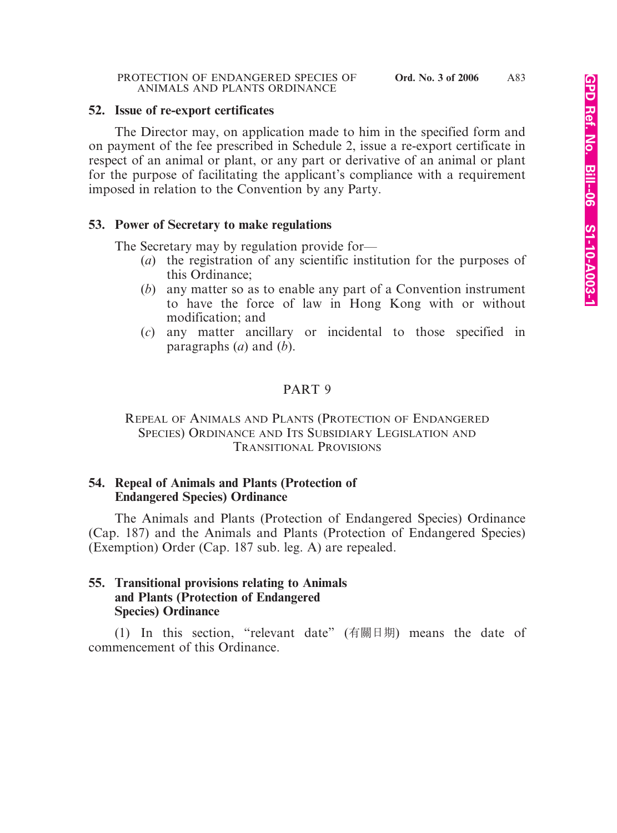#### **52. Issue of re-export certificates**

The Director may, on application made to him in the specified form and on payment of the fee prescribed in Schedule 2, issue a re-export certificate in respect of an animal or plant, or any part or derivative of an animal or plant for the purpose of facilitating the applicant's compliance with a requirement imposed in relation to the Convention by any Party.

#### **53. Power of Secretary to make regulations**

The Secretary may by regulation provide for—

- (*a*) the registration of any scientific institution for the purposes of this Ordinance;
- (*b*) any matter so as to enable any part of a Convention instrument to have the force of law in Hong Kong with or without modification; and
- (*c*) any matter ancillary or incidental to those specified in paragraphs (*a*) and (*b*).

### PART 9

### REPEAL OF ANIMALS AND PLANTS (PROTECTION OF ENDANGERED SPECIES) ORDINANCE AND ITS SUBSIDIARY LEGISLATION AND TRANSITIONAL PROVISIONS

### **54. Repeal of Animals and Plants (Protection of Endangered Species) Ordinance**

The Animals and Plants (Protection of Endangered Species) Ordinance (Cap. 187) and the Animals and Plants (Protection of Endangered Species) (Exemption) Order (Cap. 187 sub. leg. A) are repealed.

# **55. Transitional provisions relating to Animals and Plants (Protection of Endangered Species) Ordinance**

(1) In this section, "relevant date" (有關日期) means the date of commencement of this Ordinance.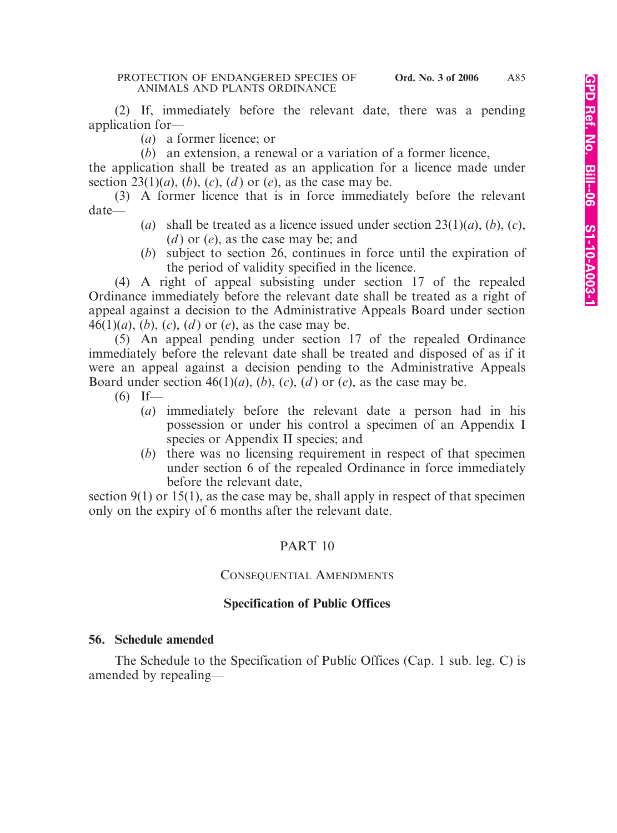(2) If, immediately before the relevant date, there was a pending application for—

(*a*) a former licence; or

(*b*) an extension, a renewal or a variation of a former licence,

the application shall be treated as an application for a licence made under section  $23(1)(a)$ ,  $(b)$ ,  $(c)$ ,  $(d)$  or  $(e)$ , as the case may be.

(3) A former licence that is in force immediately before the relevant date—

- (*a*) shall be treated as a licence issued under section  $23(1)(a)$ ,  $(b)$ ,  $(c)$ , (*d* ) or (*e*), as the case may be; and
- (*b*) subject to section 26, continues in force until the expiration of the period of validity specified in the licence.

(4) A right of appeal subsisting under section 17 of the repealed Ordinance immediately before the relevant date shall be treated as a right of appeal against a decision to the Administrative Appeals Board under section 46(1)(*a*), (*b*), (*c*), (*d* ) or (*e*), as the case may be.

(5) An appeal pending under section 17 of the repealed Ordinance immediately before the relevant date shall be treated and disposed of as if it were an appeal against a decision pending to the Administrative Appeals Board under section  $46(1)(a)$ ,  $(b)$ ,  $(c)$ ,  $(d)$  or  $(e)$ , as the case may be.

- $(6)$  If—
	- (*a*) immediately before the relevant date a person had in his possession or under his control a specimen of an Appendix I species or Appendix II species; and
	- (*b*) there was no licensing requirement in respect of that specimen under section 6 of the repealed Ordinance in force immediately before the relevant date,

section  $9(1)$  or  $15(1)$ , as the case may be, shall apply in respect of that specimen only on the expiry of 6 months after the relevant date.

# PART 10

### CONSEQUENTIAL AMENDMENTS

### **Specification of Public Offices**

### **56. Schedule amended**

The Schedule to the Specification of Public Offices (Cap. 1 sub. leg. C) is amended by repealing—

A85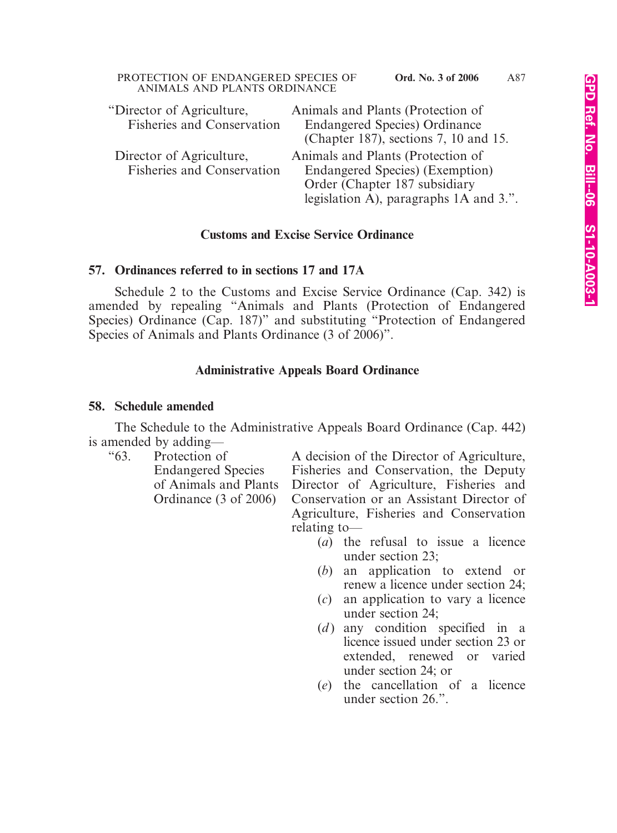| "Director of Agriculture,<br><b>Fisheries and Conservation</b> | Animals and Plants (Protection of<br><b>Endangered Species</b> ) Ordinance<br>(Chapter 187), sections 7, 10 and 15. |
|----------------------------------------------------------------|---------------------------------------------------------------------------------------------------------------------|
| Director of Agriculture,                                       | Animals and Plants (Protection of                                                                                   |
| <b>Fisheries and Conservation</b>                              | Endangered Species) (Exemption)                                                                                     |
|                                                                | Order (Chapter 187 subsidiary                                                                                       |
|                                                                | legislation A), paragraphs 1A and 3.".                                                                              |

### **Customs and Excise Service Ordinance**

### **57. Ordinances referred to in sections 17 and 17A**

ANIMALS AND PLANTS ORDINANCE

Schedule 2 to the Customs and Excise Service Ordinance (Cap. 342) is amended by repealing "Animals and Plants (Protection of Endangered Species) Ordinance (Cap. 187)" and substituting "Protection of Endangered Species of Animals and Plants Ordinance (3 of 2006)".

#### **Administrative Appeals Board Ordinance**

#### **58. Schedule amended**

The Schedule to the Administrative Appeals Board Ordinance (Cap. 442) is amended by adding—

"63. Protection of A decision of the Director of Agriculture, Endangered Species Fisheries and Conservation, the Deputy of Animals and Plants Director of Agriculture, Fisheries and Ordinance (3 of 2006) Conservation or an Assistant Director of Agriculture, Fisheries and Conservation relating to—

- (*a*) the refusal to issue a licence under section 23;
- (*b*) an application to extend or renew a licence under section 24;
- (*c*) an application to vary a licence under section 24;
- (*d*) any condition specified in a licence issued under section 23 or extended, renewed or varied under section 24; or
- (*e*) the cancellation of a licence under section 26.".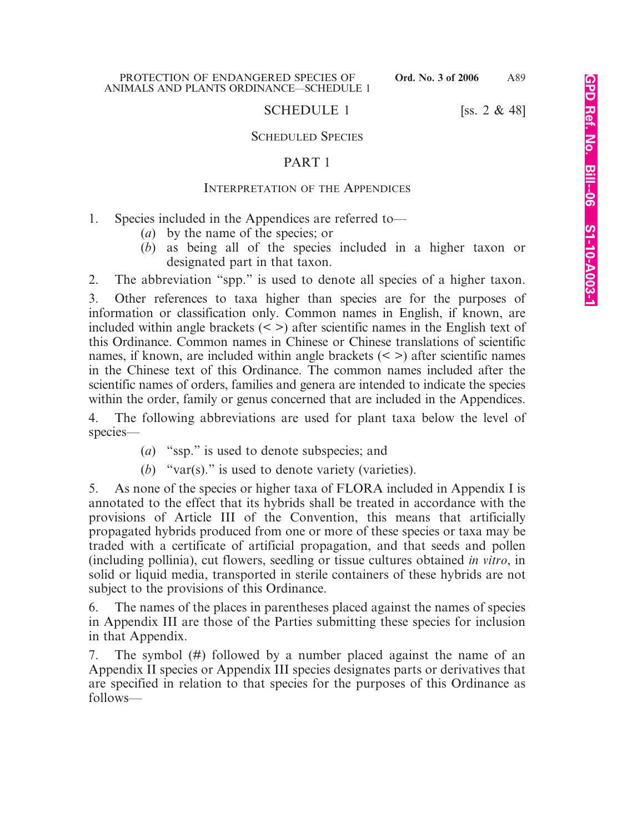# SCHEDULE 1 [ss.  $2 \& 48$ ]

### SCHEDULED SPECIES

# PART 1

# INTERPRETATION OF THE APPENDICES

- 1. Species included in the Appendices are referred to—
	- (*a*) by the name of the species; or
	- (*b*) as being all of the species included in a higher taxon or designated part in that taxon.

2. The abbreviation "spp." is used to denote all species of a higher taxon.

3. Other references to taxa higher than species are for the purposes of information or classification only. Common names in English, if known, are included within angle brackets  $(\leq)$  after scientific names in the English text of this Ordinance. Common names in Chinese or Chinese translations of scientific names, if known, are included within angle brackets  $(\leq)$  after scientific names in the Chinese text of this Ordinance. The common names included after the scientific names of orders, families and genera are intended to indicate the species within the order, family or genus concerned that are included in the Appendices.

4. The following abbreviations are used for plant taxa below the level of species—

- (*a*) "ssp." is used to denote subspecies; and
- (*b*) "var(s)." is used to denote variety (varieties).

5. As none of the species or higher taxa of FLORA included in Appendix I is annotated to the effect that its hybrids shall be treated in accordance with the provisions of Article III of the Convention, this means that artificially propagated hybrids produced from one or more of these species or taxa may be traded with a certificate of artificial propagation, and that seeds and pollen (including pollinia), cut flowers, seedling or tissue cultures obtained *in vitro*, in solid or liquid media, transported in sterile containers of these hybrids are not subject to the provisions of this Ordinance.

6. The names of the places in parentheses placed against the names of species in Appendix III are those of the Parties submitting these species for inclusion in that Appendix.

7. The symbol (#) followed by a number placed against the name of an Appendix II species or Appendix III species designates parts or derivatives that are specified in relation to that species for the purposes of this Ordinance as follows—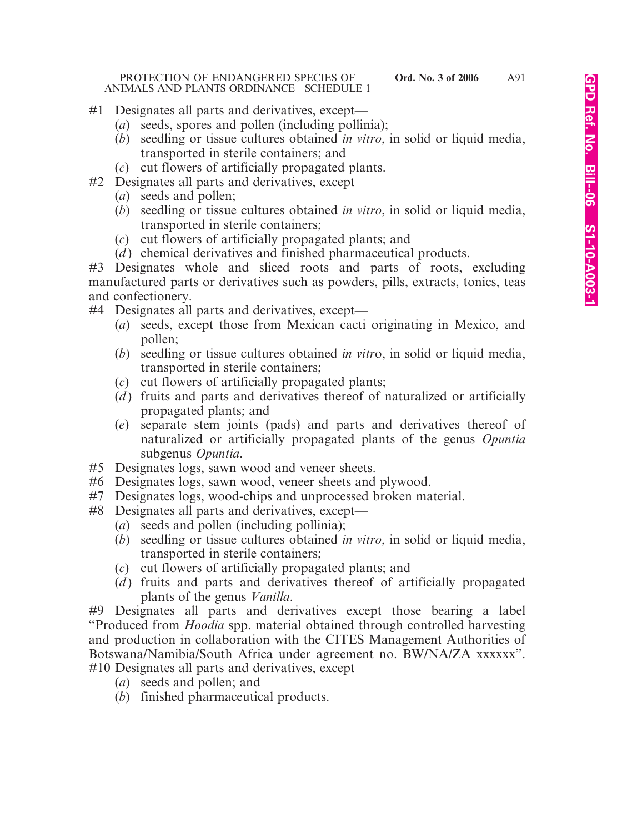#### PROTECTION OF ENDANGERED SPECIES OF **Ord. No. 3 of 2006** ANIMALS AND PLANTS ORDINANCE—SCHEDULE 1

- #1 Designates all parts and derivatives, except—
	- (*a*) seeds, spores and pollen (including pollinia);
	- (*b*) seedling or tissue cultures obtained *in vitro*, in solid or liquid media, transported in sterile containers; and
	- (*c*) cut flowers of artificially propagated plants.
- #2 Designates all parts and derivatives, except—
	- (*a*) seeds and pollen;
	- (*b*) seedling or tissue cultures obtained *in vitro*, in solid or liquid media, transported in sterile containers;
	- (*c*) cut flowers of artificially propagated plants; and
	- (*d*) chemical derivatives and finished pharmaceutical products.
- #3 Designates whole and sliced roots and parts of roots, excluding manufactured parts or derivatives such as powders, pills, extracts, tonics, teas and confectionery.
- #4 Designates all parts and derivatives, except—
	- (*a*) seeds, except those from Mexican cacti originating in Mexico, and pollen;
	- (*b*) seedling or tissue cultures obtained *in vitr*o, in solid or liquid media, transported in sterile containers;
	- (*c*) cut flowers of artificially propagated plants;
	- (*d*) fruits and parts and derivatives thereof of naturalized or artificially propagated plants; and
	- (*e*) separate stem joints (pads) and parts and derivatives thereof of naturalized or artificially propagated plants of the genus *Opuntia* subgenus *Opuntia*.
- #5 Designates logs, sawn wood and veneer sheets.
- #6 Designates logs, sawn wood, veneer sheets and plywood.
- #7 Designates logs, wood-chips and unprocessed broken material.
- #8 Designates all parts and derivatives, except—
	- (*a*) seeds and pollen (including pollinia);
	- (*b*) seedling or tissue cultures obtained *in vitro*, in solid or liquid media, transported in sterile containers;
	- (*c*) cut flowers of artificially propagated plants; and
	- (*d*) fruits and parts and derivatives thereof of artificially propagated plants of the genus *Vanilla*.

#9 Designates all parts and derivatives except those bearing a label "Produced from *Hoodia* spp. material obtained through controlled harvesting and production in collaboration with the CITES Management Authorities of Botswana/Namibia/South Africa under agreement no. BW/NA/ZA xxxxxx". #10 Designates all parts and derivatives, except—

- (*a*) seeds and pollen; and
- (*b*) finished pharmaceutical products.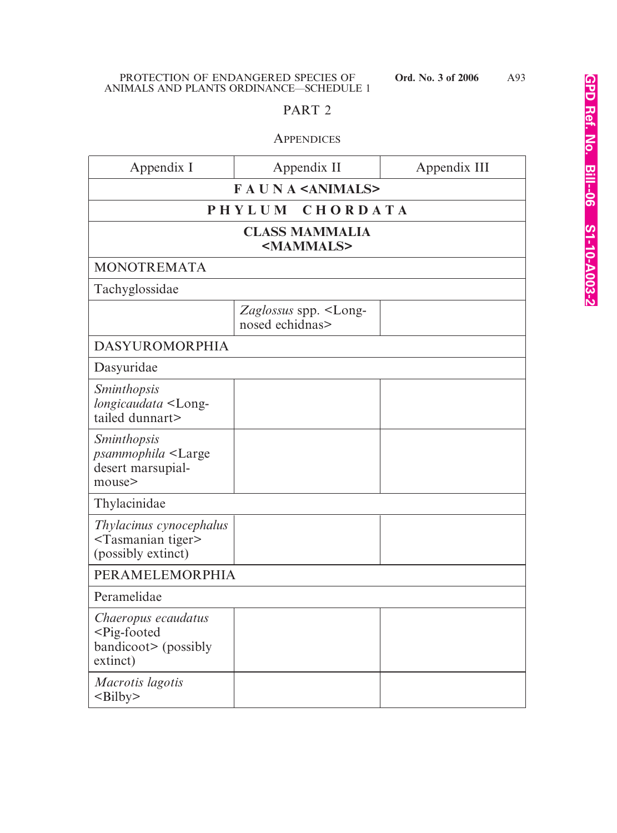# PART 2

# **APPENDICES**

| Appendix I                                                                                    | Appendix II                                            | Appendix III |
|-----------------------------------------------------------------------------------------------|--------------------------------------------------------|--------------|
|                                                                                               | <b>FAUNA</b> <animals></animals>                       |              |
|                                                                                               | CHORDATA<br>PHYLUM                                     |              |
|                                                                                               | <b>CLASS MAMMALIA</b><br><mammals></mammals>           |              |
| <b>MONOTREMATA</b>                                                                            |                                                        |              |
| Tachyglossidae                                                                                |                                                        |              |
|                                                                                               | Zaglossus spp. <long-<br>nosed echidnas&gt;</long-<br> |              |
| <b>DASYUROMORPHIA</b>                                                                         |                                                        |              |
| Dasyuridae                                                                                    |                                                        |              |
| <b>Sminthopsis</b><br>longicaudata <long-<br>tailed dunnart&gt;</long-<br>                    |                                                        |              |
| <i>Sminthopsis</i><br><i>psammophila</i> <large<br>desert marsupial-<br/>mouse&gt;</large<br> |                                                        |              |
| Thylacinidae                                                                                  |                                                        |              |
| Thylacinus cynocephalus<br><tasmanian tiger=""><br/>(possibly extinct)</tasmanian>            |                                                        |              |
| PERAMELEMORPHIA                                                                               |                                                        |              |
| Peramelidae                                                                                   |                                                        |              |
| Chaeropus ecaudatus<br><pig-footed<br>bandicoot&gt; (possibly<br/>extinct)</pig-footed<br>    |                                                        |              |
| Macrotis lagotis<br>$\leq$ Bilby>                                                             |                                                        |              |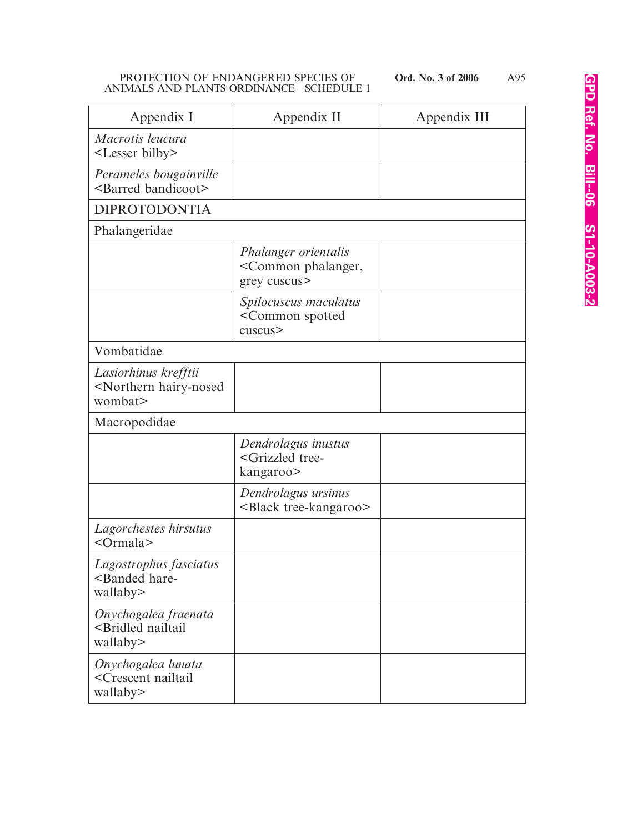| Appendix I                                                                | Appendix II                                                               | Appendix III |
|---------------------------------------------------------------------------|---------------------------------------------------------------------------|--------------|
| Macrotis leucura<br><lesser bilby=""></lesser>                            |                                                                           |              |
| Perameles bougainville<br><barred bandicoot=""></barred>                  |                                                                           |              |
| <b>DIPROTODONTIA</b>                                                      |                                                                           |              |
| Phalangeridae                                                             |                                                                           |              |
|                                                                           | Phalanger orientalis<br><common phalanger,<br="">grey cuscus&gt;</common> |              |
|                                                                           | Spilocuscus maculatus<br><common spotted<br="">cuscus&gt;</common>        |              |
| Vombatidae                                                                |                                                                           |              |
| Lasiorhinus krefftii<br><northern hairy-nosed<br="">wombat&gt;</northern> |                                                                           |              |
| Macropodidae                                                              |                                                                           |              |
|                                                                           | Dendrolagus inustus<br><grizzled tree-<br="">kangaroo&gt;</grizzled>      |              |
|                                                                           | Dendrolagus ursinus<br><black tree-kangaroo=""></black>                   |              |
| Lagorchestes hirsutus<br>$<$ Ormala $>$                                   |                                                                           |              |
| Lagostrophus fasciatus<br><banded hare-<br="">wallaby&gt;</banded>        |                                                                           |              |
| Onychogalea fraenata<br><bridled nailtail<br="">wallaby&gt;</bridled>     |                                                                           |              |
| Onychogalea lunata<br><crescent nailtail<br="">wallaby&gt;</crescent>     |                                                                           |              |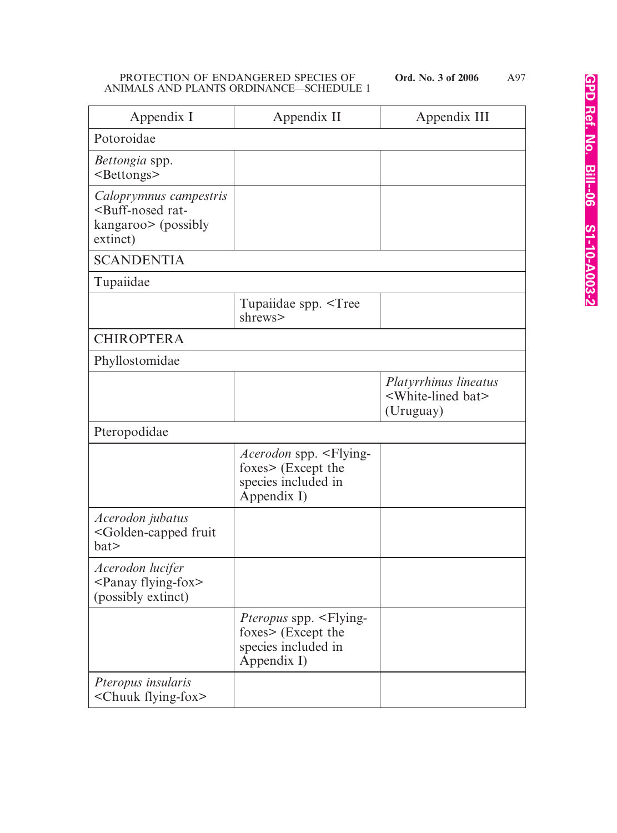| Appendix I                                                                                        | Appendix II                                                                                                 | Appendix III                                                              |
|---------------------------------------------------------------------------------------------------|-------------------------------------------------------------------------------------------------------------|---------------------------------------------------------------------------|
| Potoroidae                                                                                        |                                                                                                             |                                                                           |
| <i>Bettongia</i> spp.<br><bettongs></bettongs>                                                    |                                                                                                             |                                                                           |
| Caloprymnus campestris<br><buff-nosed rat-<br="">kangaroo&gt; (possibly<br/>extinct)</buff-nosed> |                                                                                                             |                                                                           |
| <b>SCANDENTIA</b>                                                                                 |                                                                                                             |                                                                           |
| Tupaiidae                                                                                         |                                                                                                             |                                                                           |
|                                                                                                   | Tupaiidae spp. <tree<br>shrews&gt;</tree<br>                                                                |                                                                           |
| <b>CHIROPTERA</b>                                                                                 |                                                                                                             |                                                                           |
| Phyllostomidae                                                                                    |                                                                                                             |                                                                           |
|                                                                                                   |                                                                                                             | Platyrrhinus lineatus<br><white-lined bat=""><br/>(Uruguay)</white-lined> |
| Pteropodidae                                                                                      |                                                                                                             |                                                                           |
|                                                                                                   | <i>Acerodon</i> spp. <flying-<br>foxes&gt; (Except the<br/>species included in<br/>Appendix I)</flying-<br> |                                                                           |
| Acerodon jubatus<br><golden-capped fruit<br="">bat</golden-capped>                                |                                                                                                             |                                                                           |
| Acerodon lucifer<br>$\epsilon$ Panay flying-fox><br>(possibly extinct)                            |                                                                                                             |                                                                           |
|                                                                                                   | <i>Pteropus</i> spp. <flying-<br>foxes&gt; (Except the<br/>species included in<br/>Appendix I)</flying-<br> |                                                                           |
| Pteropus insularis<br><chuuk flying-fox=""></chuuk>                                               |                                                                                                             |                                                                           |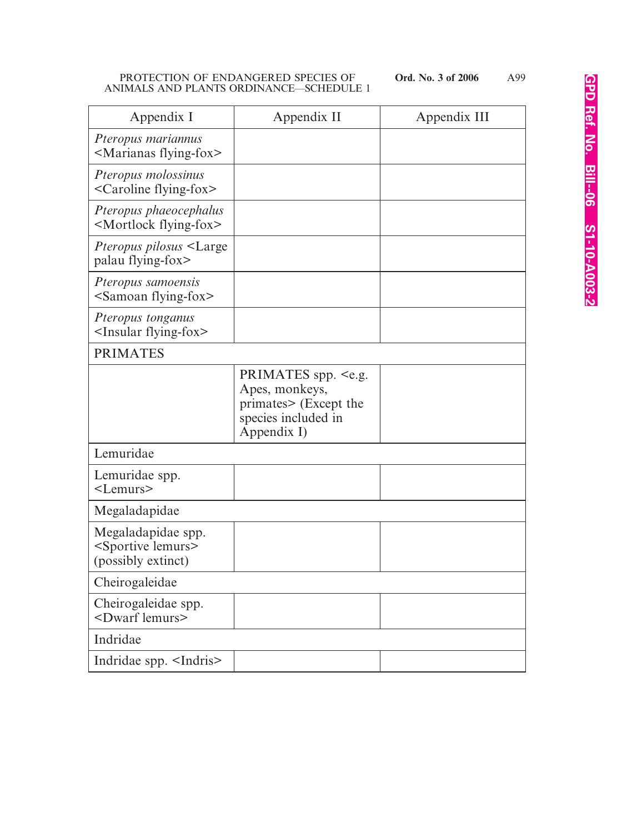| Appendix I                                                                   | Appendix II                                                                                                          | Appendix III |
|------------------------------------------------------------------------------|----------------------------------------------------------------------------------------------------------------------|--------------|
| Pteropus mariannus<br><marianas flying-fox=""></marianas>                    |                                                                                                                      |              |
| Pteropus molossinus<br><caroline flying-fox=""></caroline>                   |                                                                                                                      |              |
| Pteropus phaeocephalus<br><mortlock flying-fox=""></mortlock>                |                                                                                                                      |              |
| <i>Pteropus pilosus</i> <large<br>palau flying-fox&gt;</large<br>            |                                                                                                                      |              |
| Pteropus samoensis<br><samoan flying-fox=""></samoan>                        |                                                                                                                      |              |
| Pteropus tonganus<br><insular flying-fox=""></insular>                       |                                                                                                                      |              |
| <b>PRIMATES</b>                                                              |                                                                                                                      |              |
|                                                                              | PRIMATES spp. <e.g.<br>Apes, monkeys,<br/>primates&gt; (Except the<br/>species included in<br/>Appendix I)</e.g.<br> |              |
| Lemuridae                                                                    |                                                                                                                      |              |
| Lemuridae spp.<br>$<$ Lemurs $>$                                             |                                                                                                                      |              |
| Megaladapidae                                                                |                                                                                                                      |              |
| Megaladapidae spp.<br><sportive lemurs=""><br/>(possibly extinct)</sportive> |                                                                                                                      |              |
| Cheirogaleidae                                                               |                                                                                                                      |              |
| Cheirogaleidae spp.<br><dwarf lemurs=""></dwarf>                             |                                                                                                                      |              |
| Indridae                                                                     |                                                                                                                      |              |
| Indridae spp. <indris></indris>                                              |                                                                                                                      |              |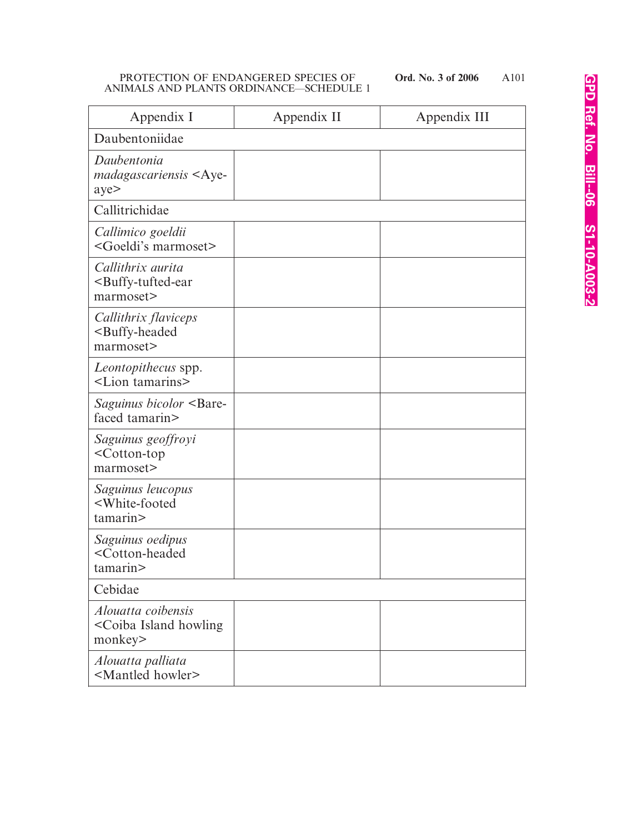A101

| Appendix I                                                                   | Appendix II | Appendix III |
|------------------------------------------------------------------------------|-------------|--------------|
| Daubentoniidae                                                               |             |              |
| Daubentonia<br>madagascariensis <aye-<br>aye&gt;</aye-<br>                   |             |              |
| Callitrichidae                                                               |             |              |
| Callimico goeldii<br><goeldi's marmoset=""></goeldi's>                       |             |              |
| Callithrix aurita<br><buffy-tufted-ear<br>marmoset&gt;</buffy-tufted-ear<br> |             |              |
| Callithrix flaviceps<br><buffy-headed<br>marmoset&gt;</buffy-headed<br>      |             |              |
| Leontopithecus spp.<br><lion tamarins=""></lion>                             |             |              |
| <i>Saguinus bicolor</i> <bare-<br>faced tamarin&gt;</bare-<br>               |             |              |
| Saguinus geoffroyi<br><cotton-top<br>marmoset&gt;</cotton-top<br>            |             |              |
| Saguinus leucopus<br><white-footed<br>tamarin&gt;</white-footed<br>          |             |              |
| Saguinus oedipus<br><cotton-headed<br>tamarin&gt;</cotton-headed<br>         |             |              |
| Cebidae                                                                      |             |              |
| Alouatta coibensis<br><coiba howling<br="" island="">monkey&gt;</coiba>      |             |              |
| Alouatta palliata<br><mantled howler=""></mantled>                           |             |              |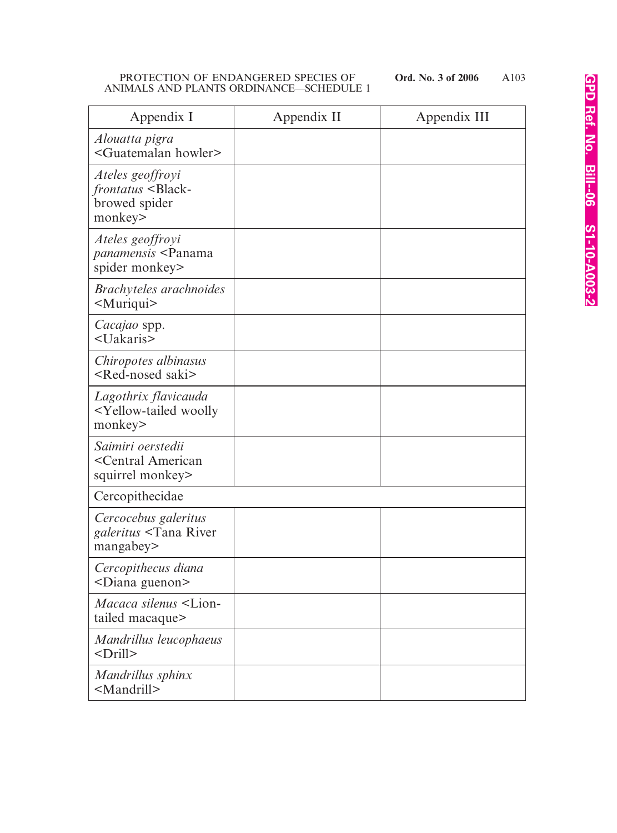A103

| Appendix I                                                                        | Appendix II | Appendix III |
|-----------------------------------------------------------------------------------|-------------|--------------|
| Alouatta pigra<br><guatemalan howler=""></guatemalan>                             |             |              |
| Ateles geoffroyi<br>frontatus <black-<br>browed spider<br/>monkey&gt;</black-<br> |             |              |
| Ateles geoffroyi<br>panamensis <panama<br>spider monkey&gt;</panama<br>           |             |              |
| Brachyteles arachnoides<br><muriqui></muriqui>                                    |             |              |
| Cacajao spp.<br><uakaris></uakaris>                                               |             |              |
| Chiropotes albinasus<br>$\leq$ Red-nosed saki $\geq$                              |             |              |
| Lagothrix flavicauda<br><yellow-tailed woolly<br="">monkey&gt;</yellow-tailed>    |             |              |
| Saimiri oerstedii<br><central american<br="">squirrel monkey&gt;</central>        |             |              |
| Cercopithecidae                                                                   |             |              |
| Cercocebus galeritus<br>galeritus <tana river<br="">mangabey&gt;</tana>           |             |              |
| Cercopithecus diana<br><diana guenon=""></diana>                                  |             |              |
| Macaca silenus <lion-<br>tailed macaque&gt;</lion-<br>                            |             |              |
| Mandrillus leucophaeus<br><drill></drill>                                         |             |              |
| Mandrillus sphinx<br><mandrill></mandrill>                                        |             |              |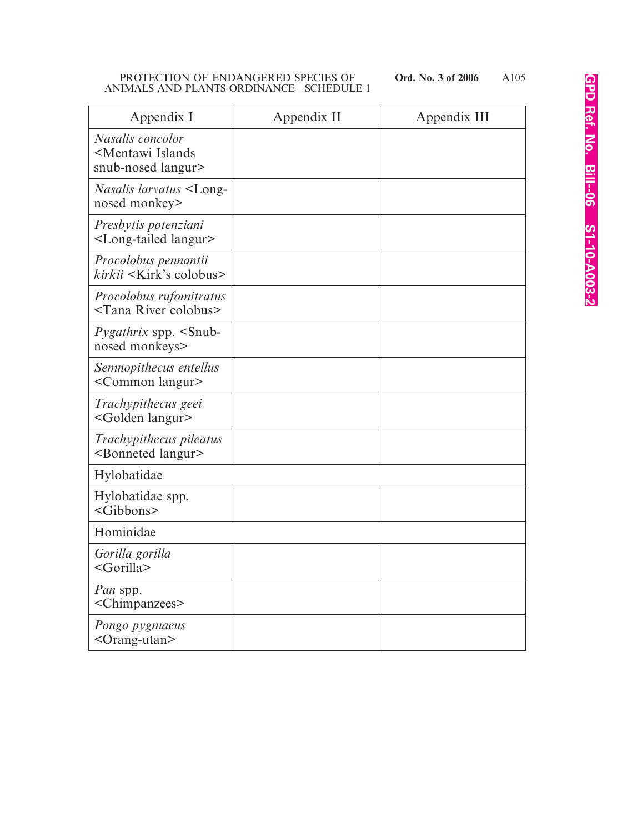| Appendix I                                                                 | Appendix II | Appendix III |
|----------------------------------------------------------------------------|-------------|--------------|
| Nasalis concolor<br><mentawi islands<br="">snub-nosed langur&gt;</mentawi> |             |              |
| <i>Nasalis larvatus</i> <long-<br>nosed monkey&gt;</long-<br>              |             |              |
| Presbytis potenziani<br><long-tailed langur=""></long-tailed>              |             |              |
| Procolobus pennantii<br>$kirkii \leq Kirk's$ colobus>                      |             |              |
| Procolobus rufomitratus<br><tana colobus="" river=""></tana>               |             |              |
| <i>Pygathrix</i> spp. <snub-<br>nosed monkeys&gt;</snub-<br>               |             |              |
| Semnopithecus entellus<br><common langur=""></common>                      |             |              |
| Trachypithecus geei<br><golden langur=""></golden>                         |             |              |
| Trachypithecus pileatus<br><bonneted langur=""></bonneted>                 |             |              |
| Hylobatidae                                                                |             |              |
| Hylobatidae spp.<br><gibbons></gibbons>                                    |             |              |
| Hominidae                                                                  |             |              |
| Gorilla gorilla<br><gorilla></gorilla>                                     |             |              |
| Pan spp.<br><chimpanzees></chimpanzees>                                    |             |              |
| Pongo pygmaeus<br><orang-utan></orang-utan>                                |             |              |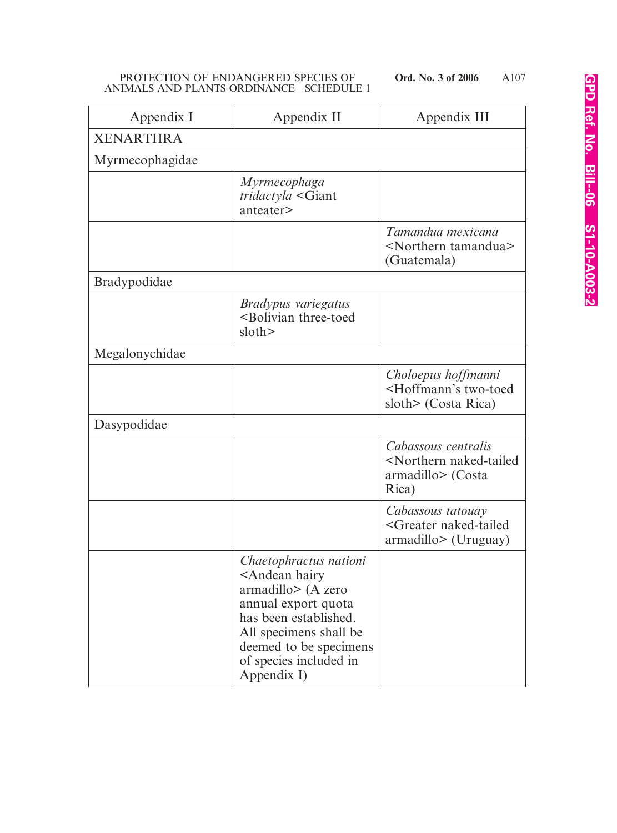| Appendix I          | Appendix II                                                                                                                                                                                                                              | Appendix III                                                                                  |
|---------------------|------------------------------------------------------------------------------------------------------------------------------------------------------------------------------------------------------------------------------------------|-----------------------------------------------------------------------------------------------|
| <b>XENARTHRA</b>    |                                                                                                                                                                                                                                          |                                                                                               |
| Myrmecophagidae     |                                                                                                                                                                                                                                          |                                                                                               |
|                     | <i>Myrmecophaga</i><br>tridactyla <giant<br>anteater&gt;</giant<br>                                                                                                                                                                      |                                                                                               |
|                     |                                                                                                                                                                                                                                          | Tamandua mexicana<br><northern tamandua=""><br/>(Guatemala)</northern>                        |
| <b>Bradypodidae</b> |                                                                                                                                                                                                                                          |                                                                                               |
|                     | Bradypus variegatus<br><bolivian three-toed<br="">slot</bolivian>                                                                                                                                                                        |                                                                                               |
| Megalonychidae      |                                                                                                                                                                                                                                          |                                                                                               |
|                     |                                                                                                                                                                                                                                          | Choloepus hoffmanni<br><hoffmann's two-toed<br="">sloth&gt; (Costa Rica)</hoffmann's>         |
| Dasypodidae         |                                                                                                                                                                                                                                          |                                                                                               |
|                     |                                                                                                                                                                                                                                          | Cabassous centralis<br><northern naked-tailed<br="">armadillo&gt; (Costa<br/>Rica)</northern> |
|                     |                                                                                                                                                                                                                                          | Cabassous tatouay<br><greater naked-tailed<br="">armadillo&gt; (Uruguay)</greater>            |
|                     | Chaetophractus nationi<br><andean hairy<br=""><math>armadillo</math> (A zero<br/>annual export quota<br/>has been established.<br/>All specimens shall be<br/>deemed to be specimens<br/>of species included in<br/>Appendix I)</andean> |                                                                                               |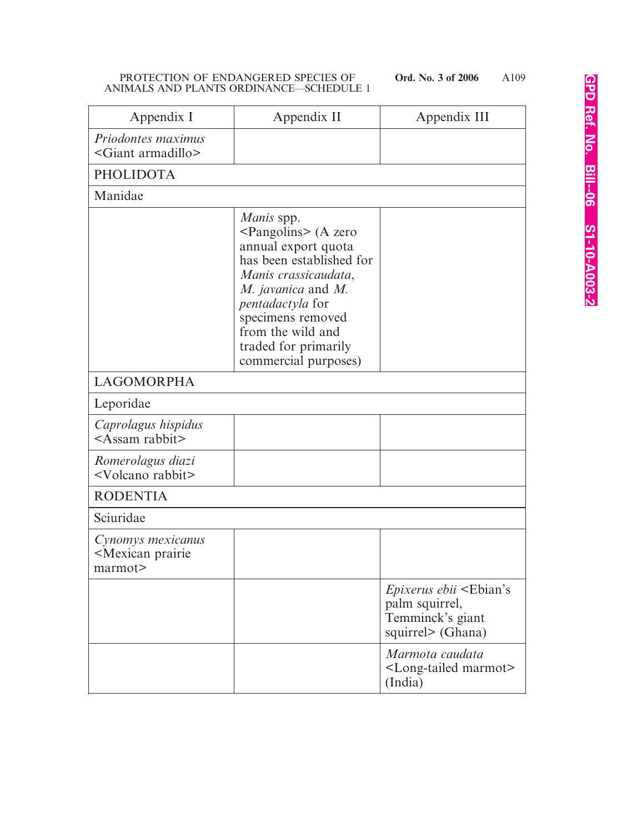| Appendix I                                                       | Appendix II                                                                                                                                                                                                                                                           | Appendix III                                                                                               |
|------------------------------------------------------------------|-----------------------------------------------------------------------------------------------------------------------------------------------------------------------------------------------------------------------------------------------------------------------|------------------------------------------------------------------------------------------------------------|
| Priodontes maximus<br><giant armadillo=""></giant>               |                                                                                                                                                                                                                                                                       |                                                                                                            |
| <b>PHOLIDOTA</b>                                                 |                                                                                                                                                                                                                                                                       |                                                                                                            |
| Manidae                                                          |                                                                                                                                                                                                                                                                       |                                                                                                            |
|                                                                  | Manis spp.<br><pangolins> (A zero<br/>annual export quota<br/>has been established for<br/>Manis crassicaudata,<br/>M. javanica and M.<br/>pentadactyla for<br/>specimens removed<br/>from the wild and<br/>traded for primarily<br/>commercial purposes)</pangolins> |                                                                                                            |
| <b>LAGOMORPHA</b>                                                |                                                                                                                                                                                                                                                                       |                                                                                                            |
| Leporidae                                                        |                                                                                                                                                                                                                                                                       |                                                                                                            |
| Caprolagus hispidus<br><assam rabbit=""></assam>                 |                                                                                                                                                                                                                                                                       |                                                                                                            |
| Romerolagus diazi<br><volcano rabbit=""></volcano>               |                                                                                                                                                                                                                                                                       |                                                                                                            |
| <b>RODENTIA</b>                                                  |                                                                                                                                                                                                                                                                       |                                                                                                            |
| Sciuridae                                                        |                                                                                                                                                                                                                                                                       |                                                                                                            |
| Cynomys mexicanus<br><mexican prairie<br="">marmot&gt;</mexican> |                                                                                                                                                                                                                                                                       |                                                                                                            |
|                                                                  |                                                                                                                                                                                                                                                                       | <i>Epixerus ebii</i> <ebian's<br>palm squirrel,<br/>Temminck's giant<br/>squirrel&gt; (Ghana)</ebian's<br> |
|                                                                  |                                                                                                                                                                                                                                                                       | Marmota caudata<br><long-tailed marmot=""><br/>(India)</long-tailed>                                       |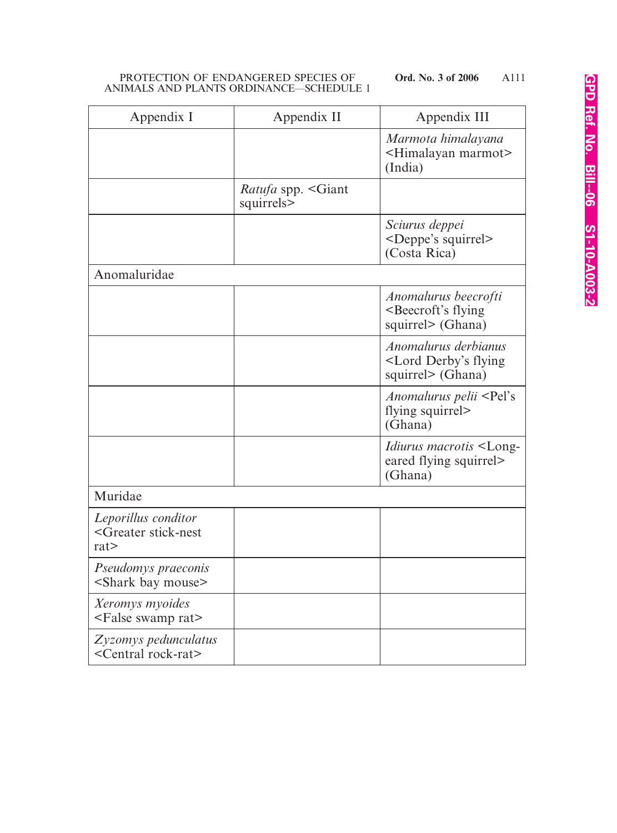| Appendix I                                                     | Appendix II                       | Appendix III                                                                       |
|----------------------------------------------------------------|-----------------------------------|------------------------------------------------------------------------------------|
|                                                                |                                   | Marmota himalayana<br><himalayan marmot=""><br/>(India)</himalayan>                |
|                                                                | Ratufa spp. < Giant<br>squirrels> |                                                                                    |
|                                                                |                                   | Sciurus deppei<br><deppe's squirrel=""><br/>(Costa Rica)</deppe's>                 |
| Anomaluridae                                                   |                                   |                                                                                    |
|                                                                |                                   | Anomalurus beecrofti<br><beecroft's flying<br="">squirrel&gt; (Ghana)</beecroft's> |
|                                                                |                                   | Anomalurus derbianus<br><lord derby's="" flying<br="">squirrel&gt; (Ghana)</lord>  |
|                                                                |                                   | Anomalurus pelii <pel's<br>flying squirrel&gt;<br/>(Ghana)</pel's<br>              |
|                                                                |                                   | <i>Idiurus macrotis</i> <long-<br>eared flying squirrel&gt;<br/>(Ghana)</long-<br> |
| Muridae                                                        |                                   |                                                                                    |
| Leporillus conditor<br><greater stick-nest<br="">rat</greater> |                                   |                                                                                    |
| Pseudomys praeconis<br><shark bay="" mouse=""></shark>         |                                   |                                                                                    |
| Xeromys myoides<br><false rat="" swamp=""></false>             |                                   |                                                                                    |
| Zyzomys pedunculatus<br><central rock-rat=""></central>        |                                   |                                                                                    |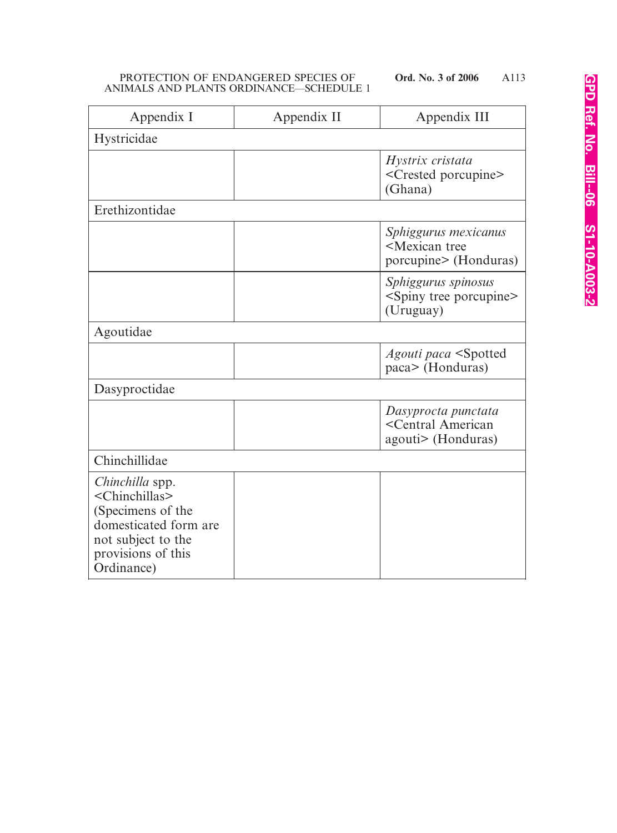| Appendix I                                                                                                                                                  | Appendix II | Appendix III                                                                   |
|-------------------------------------------------------------------------------------------------------------------------------------------------------------|-------------|--------------------------------------------------------------------------------|
| Hystricidae                                                                                                                                                 |             |                                                                                |
|                                                                                                                                                             |             | Hystrix cristata<br><crested porcupine=""><br/>(Ghana)</crested>               |
| Erethizontidae                                                                                                                                              |             |                                                                                |
|                                                                                                                                                             |             | Sphiggurus mexicanus<br><mexican tree<br="">porcupine&gt; (Honduras)</mexican> |
|                                                                                                                                                             |             | Sphiggurus spinosus<br><spiny porcupine="" tree=""><br/>(Uruguay)</spiny>      |
| Agoutidae                                                                                                                                                   |             |                                                                                |
|                                                                                                                                                             |             | Agouti paca <spotted<br>paca&gt; (Honduras)</spotted<br>                       |
| Dasyproctidae                                                                                                                                               |             |                                                                                |
|                                                                                                                                                             |             | Dasyprocta punctata<br><central american<br="">agouti&gt; (Honduras)</central> |
| Chinchillidae                                                                                                                                               |             |                                                                                |
| Chinchilla spp.<br><chinchillas><br/>(Specimens of the<br/>domesticated form are<br/>not subject to the<br/>provisions of this<br/>Ordinance)</chinchillas> |             |                                                                                |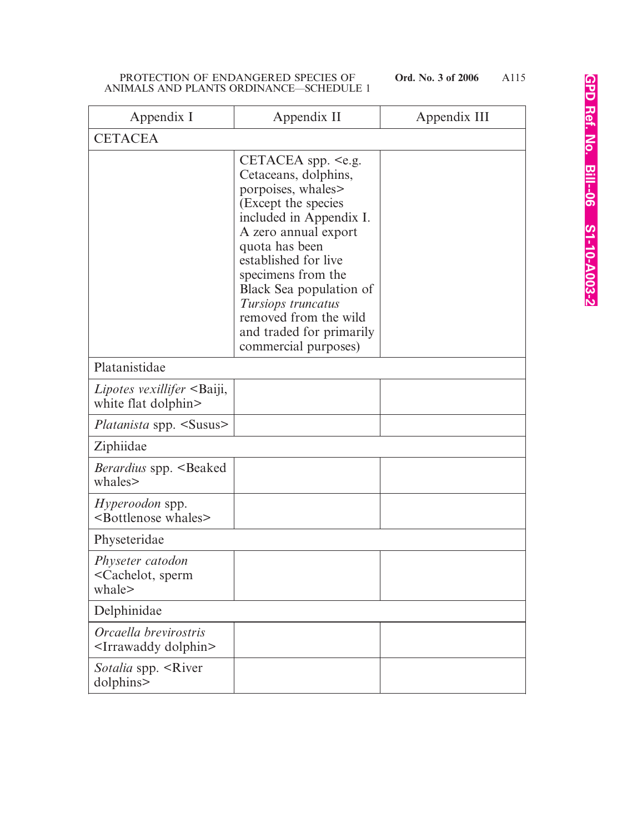| Appendix I                                                       | Appendix II                                                                                                                                                                                                                                                                                                                                   | Appendix III |
|------------------------------------------------------------------|-----------------------------------------------------------------------------------------------------------------------------------------------------------------------------------------------------------------------------------------------------------------------------------------------------------------------------------------------|--------------|
| <b>CETACEA</b>                                                   |                                                                                                                                                                                                                                                                                                                                               |              |
|                                                                  | CETACEA spp. $\leq e.g.$<br>Cetaceans, dolphins,<br>porpoises, whales<br>(Except the species<br>included in Appendix I.<br>A zero annual export<br>quota has been<br>established for live<br>specimens from the<br>Black Sea population of<br>Tursiops truncatus<br>removed from the wild<br>and traded for primarily<br>commercial purposes) |              |
| Platanistidae                                                    |                                                                                                                                                                                                                                                                                                                                               |              |
| Lipotes vexillifer <baiji,<br>white flat dolphin&gt;</baiji,<br> |                                                                                                                                                                                                                                                                                                                                               |              |
| <i>Platanista</i> spp. <susus></susus>                           |                                                                                                                                                                                                                                                                                                                                               |              |
| Ziphiidae                                                        |                                                                                                                                                                                                                                                                                                                                               |              |
| <i>Berardius</i> spp. <beaked<br>whales&gt;</beaked<br>          |                                                                                                                                                                                                                                                                                                                                               |              |
| <i>Hyperoodon</i> spp.<br><bottlenose whales=""></bottlenose>    |                                                                                                                                                                                                                                                                                                                                               |              |
| Physeteridae                                                     |                                                                                                                                                                                                                                                                                                                                               |              |
| Physeter catodon<br><cachelot, sperm<br="">whale&gt;</cachelot,> |                                                                                                                                                                                                                                                                                                                                               |              |
| Delphinidae                                                      |                                                                                                                                                                                                                                                                                                                                               |              |
| Orcaella brevirostris<br><irrawaddy dolphin=""></irrawaddy>      |                                                                                                                                                                                                                                                                                                                                               |              |
| <i>Sotalia</i> spp. <river<br>dolphins&gt;</river<br>            |                                                                                                                                                                                                                                                                                                                                               |              |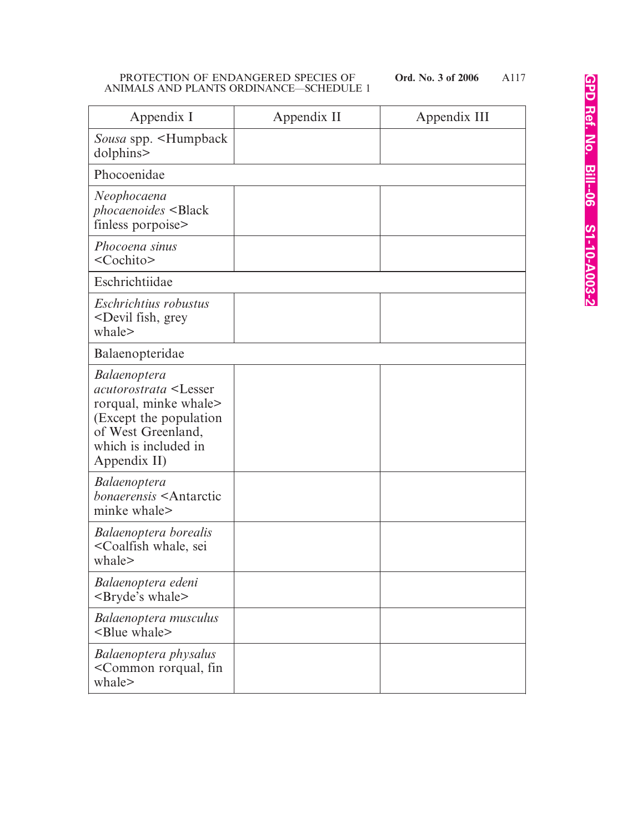| Appendix I                                                                                                                                                                               | Appendix II | Appendix III |
|------------------------------------------------------------------------------------------------------------------------------------------------------------------------------------------|-------------|--------------|
| Sousa spp. <humpback<br>dolphins&gt;</humpback<br>                                                                                                                                       |             |              |
| Phocoenidae                                                                                                                                                                              |             |              |
| Neophocaena<br>phocaenoides <black<br>finless porpoise&gt;</black<br>                                                                                                                    |             |              |
| Phocoena sinus<br><cochito></cochito>                                                                                                                                                    |             |              |
| Eschrichtiidae                                                                                                                                                                           |             |              |
| Eschrichtius robustus<br><devil fish,="" grey<br="">whale&gt;</devil>                                                                                                                    |             |              |
| Balaenopteridae                                                                                                                                                                          |             |              |
| <i>Balaenoptera</i><br><i>acutorostrata</i> <lesser<br>rorqual, minke whale&gt;<br/>(Except the population)<br/>of West Greenland,<br/>which is included in<br/>Appendix II)</lesser<br> |             |              |
| <i>Balaenoptera</i><br><i>bonaerensis</i> <antarctic<br>minke whale&gt;</antarctic<br>                                                                                                   |             |              |
| Balaenoptera borealis<br><coalfish sei<br="" whale,="">whale&gt;</coalfish>                                                                                                              |             |              |
| Balaenoptera edeni<br><bryde's whale=""></bryde's>                                                                                                                                       |             |              |
| Balaenoptera musculus<br><blue whale=""></blue>                                                                                                                                          |             |              |
| Balaenoptera physalus<br><common fin<br="" rorqual,="">whale&gt;</common>                                                                                                                |             |              |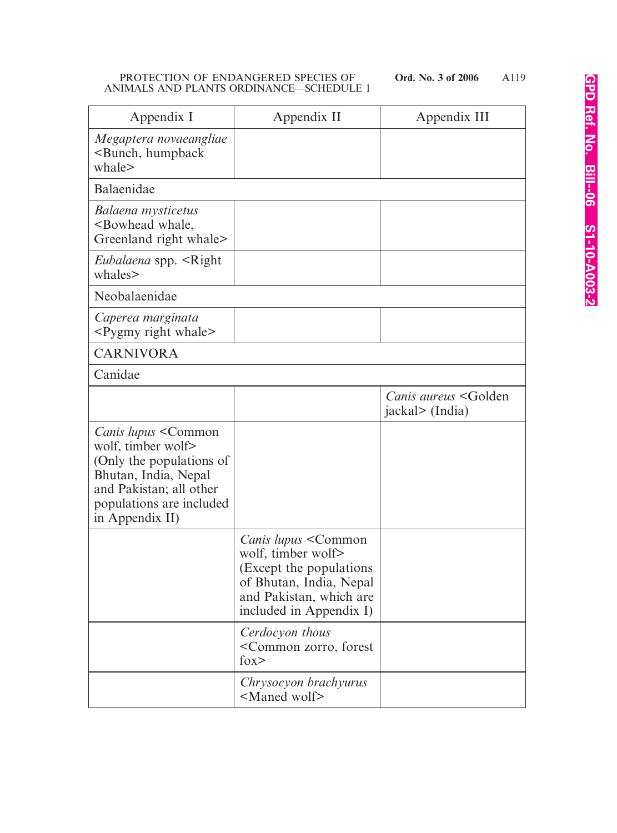| Appendix I                                                                                                                                                                      | Appendix II                                                                                                                                                    | Appendix III                                           |
|---------------------------------------------------------------------------------------------------------------------------------------------------------------------------------|----------------------------------------------------------------------------------------------------------------------------------------------------------------|--------------------------------------------------------|
| Megaptera novaeangliae<br><bunch, humpback<br="">whale&gt;</bunch,>                                                                                                             |                                                                                                                                                                |                                                        |
| Balaenidae                                                                                                                                                                      |                                                                                                                                                                |                                                        |
| Balaena mysticetus<br><bowhead whale,<br="">Greenland right whale&gt;</bowhead>                                                                                                 |                                                                                                                                                                |                                                        |
| <i>Eubalaena</i> spp. <right<br>whales&gt;</right<br>                                                                                                                           |                                                                                                                                                                |                                                        |
| Neobalaenidae                                                                                                                                                                   |                                                                                                                                                                |                                                        |
| Caperea marginata<br><pygmy right="" whale=""></pygmy>                                                                                                                          |                                                                                                                                                                |                                                        |
| <b>CARNIVORA</b>                                                                                                                                                                |                                                                                                                                                                |                                                        |
| Canidae                                                                                                                                                                         |                                                                                                                                                                |                                                        |
|                                                                                                                                                                                 |                                                                                                                                                                | Canis aureus <golden<br>jackal&gt; (India)</golden<br> |
| <i>Canis lupus</i> < Common<br>wolf, timber wolf><br>(Only the populations of<br>Bhutan, India, Nepal<br>and Pakistan; all other<br>populations are included<br>in Appendix II) |                                                                                                                                                                |                                                        |
|                                                                                                                                                                                 | <i>Canis lupus</i> < Common<br>wolf, timber wolf><br>(Except the populations)<br>of Bhutan, India, Nepal<br>and Pakistan, which are<br>included in Appendix I) |                                                        |
|                                                                                                                                                                                 | Cerdocyon thous<br><common forest<br="" zorro,=""><math>f_{OX}</math></common>                                                                                 |                                                        |
|                                                                                                                                                                                 | Chrysocyon brachyurus<br><maned wolf=""></maned>                                                                                                               |                                                        |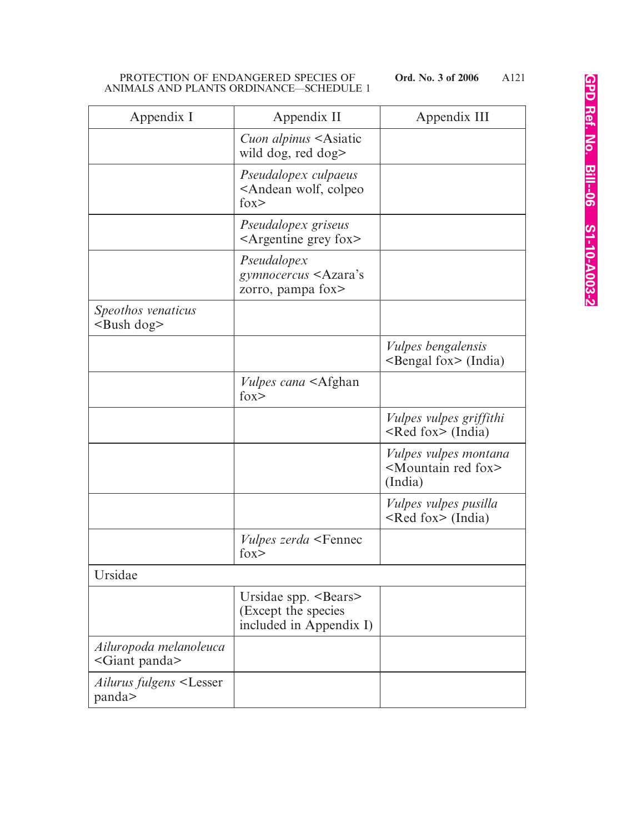| Appendix I                                         | Appendix II                                                                        | Appendix III                                                                    |
|----------------------------------------------------|------------------------------------------------------------------------------------|---------------------------------------------------------------------------------|
|                                                    | Cuon alpinus <asiatic<br>wild dog, red dog&gt;</asiatic<br>                        |                                                                                 |
|                                                    | Pseudalopex culpaeus<br><andean colpeo<br="" wolf,=""><math>f_{OX}</math></andean> |                                                                                 |
|                                                    | Pseudalopex griseus<br>$\leq$ Argentine grey fox $\geq$                            |                                                                                 |
|                                                    | Pseudalopex<br>gymnocercus <azara's<br>zorro, pampa fox&gt;</azara's<br>           |                                                                                 |
| Speothos venaticus<br>$\langle$ Bush dog $\rangle$ |                                                                                    |                                                                                 |
|                                                    |                                                                                    | <i>Vulpes bengalensis</i><br>$\leq$ Bengal fox $\geq$ (India)                   |
|                                                    | <i>Vulpes cana</i> <afghan<br><math>f_{OX}</math></afghan<br>                      |                                                                                 |
|                                                    |                                                                                    | <i>Vulpes vulpes griffithi</i><br>$\leq$ Red fox $\geq$ (India)                 |
|                                                    |                                                                                    | <i>Vulpes vulpes montana</i><br><mountain fox="" red=""><br/>(India)</mountain> |
|                                                    |                                                                                    | <i>Vulpes vulpes pusilla</i><br><red fox=""> (India)</red>                      |
|                                                    | <i>Vulpes zerda</i> <fennec<br><math>f_{OX}</math></fennec<br>                     |                                                                                 |
| Ursidae                                            |                                                                                    |                                                                                 |
|                                                    | Ursidae spp. <bears><br/>(Except the species<br/>included in Appendix I)</bears>   |                                                                                 |
| Ailuropoda melanoleuca<br><giant panda=""></giant> |                                                                                    |                                                                                 |
| Ailurus fulgens <lesser<br>panda&gt;</lesser<br>   |                                                                                    |                                                                                 |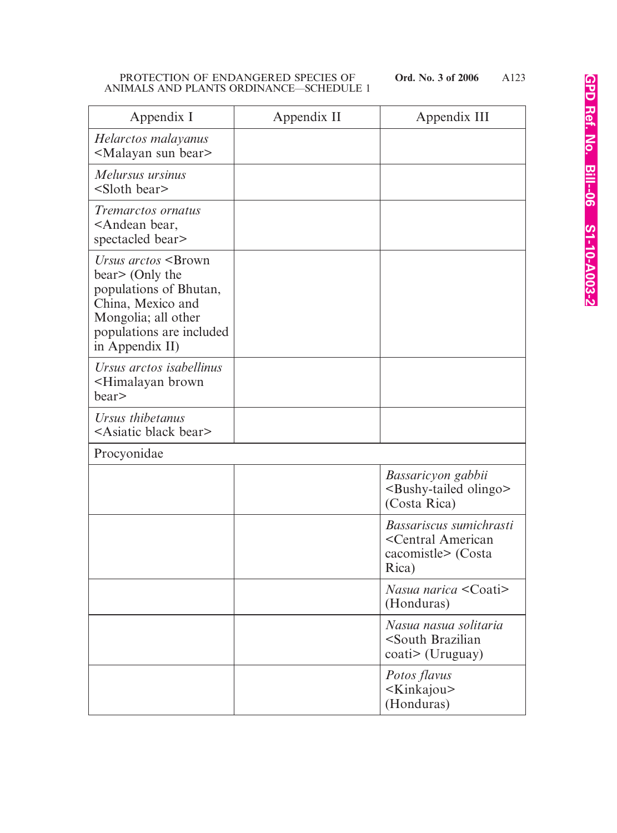| Appendix I                                                                                                                                                                     | Appendix II | Appendix III                                                                                 |
|--------------------------------------------------------------------------------------------------------------------------------------------------------------------------------|-------------|----------------------------------------------------------------------------------------------|
| Helarctos malayanus<br><malayan bear="" sun=""></malayan>                                                                                                                      |             |                                                                                              |
| Melursus ursinus<br><sloth bear=""></sloth>                                                                                                                                    |             |                                                                                              |
| <i>Tremarctos ornatus</i><br><andean bear,<br="">spectacled bear&gt;</andean>                                                                                                  |             |                                                                                              |
| Ursus arctos <brown<br>bear&gt; (Only the<br/>populations of Bhutan,<br/>China, Mexico and<br/>Mongolia; all other<br/>populations are included<br/>in Appendix II)</brown<br> |             |                                                                                              |
| Ursus arctos isabellinus<br>-Himalayan brown<br>bear>                                                                                                                          |             |                                                                                              |
| Ursus thibetanus<br><asiatic bear="" black=""></asiatic>                                                                                                                       |             |                                                                                              |
| Procyonidae                                                                                                                                                                    |             |                                                                                              |
|                                                                                                                                                                                |             | Bassaricyon gabbii<br><bushy-tailed olingo=""><br/>(Costa Rica)</bushy-tailed>               |
|                                                                                                                                                                                |             | Bassariscus sumichrasti<br><central american<br="">cacomistle&gt; (Costa<br/>Rica)</central> |
|                                                                                                                                                                                |             | Nasua narica $\leq$ Coati $>$<br>(Honduras)                                                  |
|                                                                                                                                                                                |             | Nasua nasua solitaria<br><south brazilian<br="">coati&gt; (Uruguay)</south>                  |
|                                                                                                                                                                                |             | Potos flavus<br><kinkajou><br/>(Honduras)</kinkajou>                                         |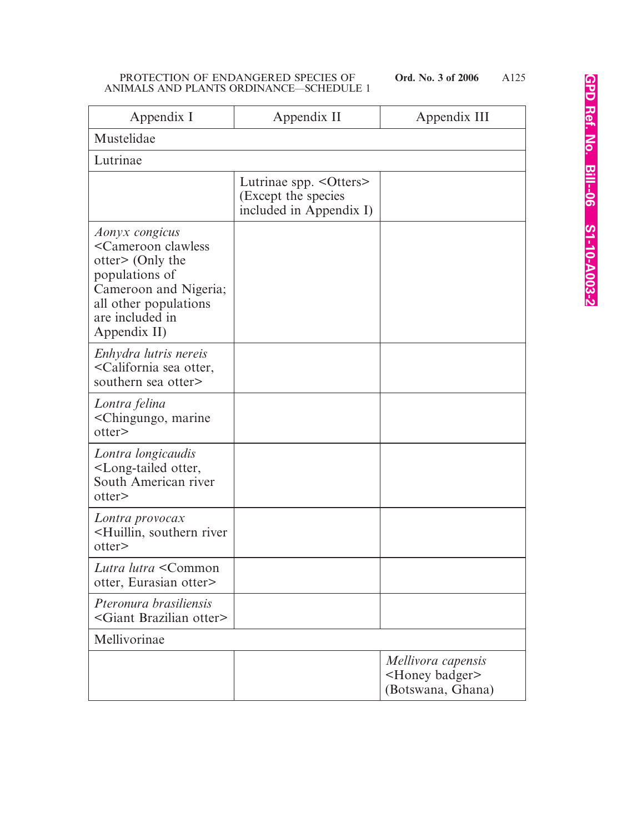| Appendix I                                                                                                                                                                            | Appendix II                                                               | Appendix III                                                          |
|---------------------------------------------------------------------------------------------------------------------------------------------------------------------------------------|---------------------------------------------------------------------------|-----------------------------------------------------------------------|
| Mustelidae                                                                                                                                                                            |                                                                           |                                                                       |
| Lutrinae                                                                                                                                                                              |                                                                           |                                                                       |
|                                                                                                                                                                                       | Lutrinae spp. < Otters><br>(Except the species<br>included in Appendix I) |                                                                       |
| Aonyx congicus<br><cameroon clawless<br="">otter&gt; (Only the<br/>populations of<br/>Cameroon and Nigeria;<br/>all other populations<br/>are included in<br/>Appendix II)</cameroon> |                                                                           |                                                                       |
| Enhydra lutris nereis<br><california otter,<br="" sea="">southern sea otter&gt;</california>                                                                                          |                                                                           |                                                                       |
| Lontra felina<br><chingungo, marine<br="">otter&gt;</chingungo,>                                                                                                                      |                                                                           |                                                                       |
| Lontra longicaudis<br><long-tailed otter,<br="">South American river<br/>otter&gt;</long-tailed>                                                                                      |                                                                           |                                                                       |
| Lontra provocax<br><huillin, river<br="" southern="">otter&gt;</huillin,>                                                                                                             |                                                                           |                                                                       |
| Lutra lutra <common<br>otter, Eurasian otter&gt;</common<br>                                                                                                                          |                                                                           |                                                                       |
| Pteronura brasiliensis<br><giant brazilian="" otter=""></giant>                                                                                                                       |                                                                           |                                                                       |
| Mellivorinae                                                                                                                                                                          |                                                                           |                                                                       |
|                                                                                                                                                                                       |                                                                           | Mellivora capensis<br><honey badger=""><br/>(Botswana, Ghana)</honey> |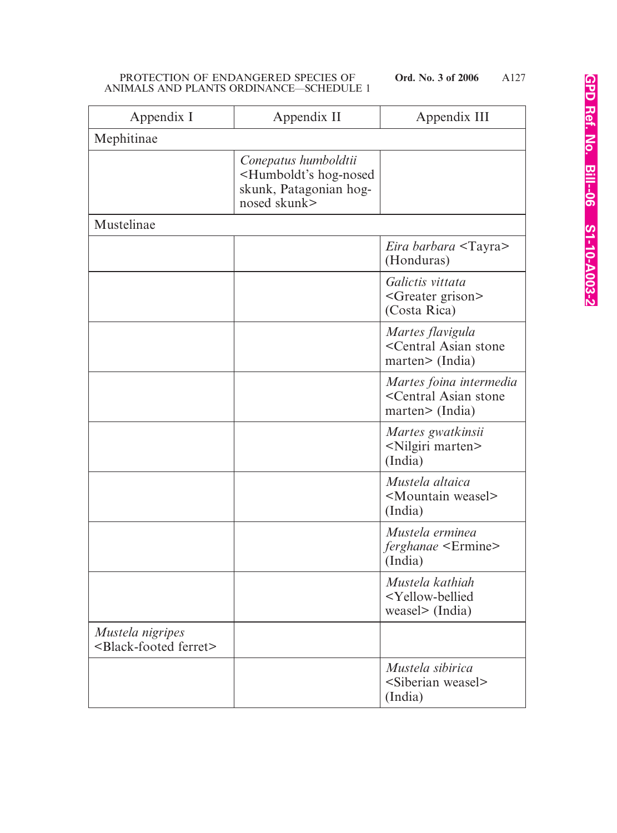| Appendix I                                                  | Appendix II                                                                                                 | Appendix III                                                                         |
|-------------------------------------------------------------|-------------------------------------------------------------------------------------------------------------|--------------------------------------------------------------------------------------|
| Mephitinae                                                  |                                                                                                             |                                                                                      |
|                                                             | Conepatus humboldtii<br><humboldt's hog-nosed<br="">skunk, Patagonian hog-<br/>nosed skunk&gt;</humboldt's> |                                                                                      |
| Mustelinae                                                  |                                                                                                             |                                                                                      |
|                                                             |                                                                                                             | <i>Eira barbara</i> <tayra><br/>(Honduras)</tayra>                                   |
|                                                             |                                                                                                             | Galictis vittata<br><greater grison=""><br/>(Costa Rica)</greater>                   |
|                                                             |                                                                                                             | Martes flavigula<br><central asian="" stone<br="">marten&gt; (India)</central>       |
|                                                             |                                                                                                             | Martes foina intermedia<br><central asian="" stone<br="">marten&gt;(India)</central> |
|                                                             |                                                                                                             | Martes gwatkinsii<br><nilgiri marten=""><br/>(India)</nilgiri>                       |
|                                                             |                                                                                                             | Mustela altaica<br><mountain weasel=""><br/>(India)</mountain>                       |
|                                                             |                                                                                                             | Mustela erminea<br><i>ferghanae</i> <ermine><br/>(India)</ermine>                    |
|                                                             |                                                                                                             | Mustela kathiah<br><yellow-bellied<br>weasel&gt; (India)</yellow-bellied<br>         |
| Mustela nigripes<br><black-footed ferret=""></black-footed> |                                                                                                             |                                                                                      |
|                                                             |                                                                                                             | Mustela sibirica<br><siberian weasel=""><br/>(India)</siberian>                      |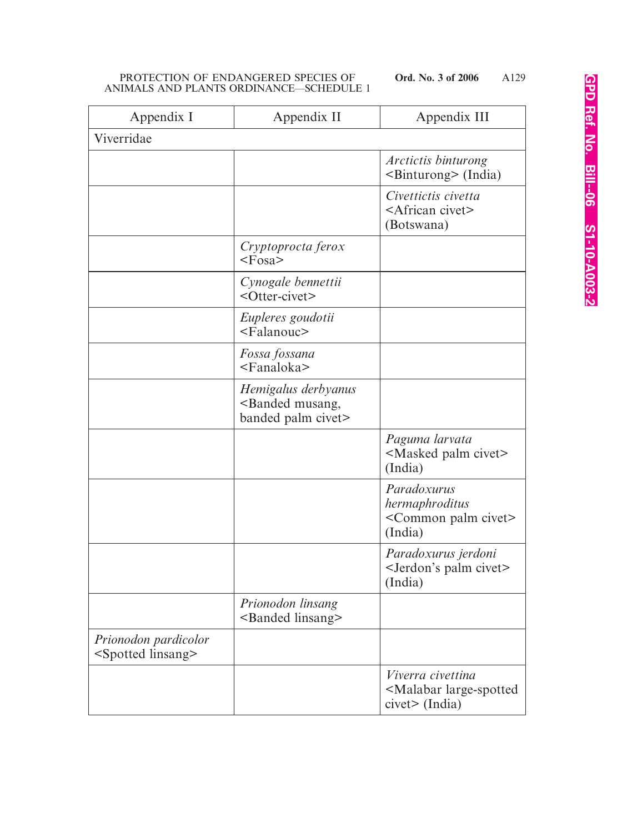| Appendix I                                             | Appendix II                                                                 | Appendix III                                                                           |
|--------------------------------------------------------|-----------------------------------------------------------------------------|----------------------------------------------------------------------------------------|
| Viverridae                                             |                                                                             |                                                                                        |
|                                                        |                                                                             | Arctictis binturong<br><binturong> (India)</binturong>                                 |
|                                                        |                                                                             | Civettictis civetta<br><african civet=""><br/>(Botswana)</african>                     |
|                                                        | Cryptoprocta ferox<br>$<\angle$ Fosa $>$                                    |                                                                                        |
|                                                        | Cynogale bennettii<br><otter-civet></otter-civet>                           |                                                                                        |
|                                                        | Eupleres goudotii<br><falanouc></falanouc>                                  |                                                                                        |
|                                                        | Fossa fossana<br><fanaloka></fanaloka>                                      |                                                                                        |
|                                                        | Hemigalus derbyanus<br><banded musang,<br="">banded palm civet&gt;</banded> |                                                                                        |
|                                                        |                                                                             | Paguma larvata<br><masked civet="" palm=""><br/>(India)</masked>                       |
|                                                        |                                                                             | Paradoxurus<br>hermaphroditus<br><common civet="" palm=""><br/>(India)</common>        |
|                                                        |                                                                             | Paradoxurus jerdoni<br><jerdon's civet="" palm=""><br/>(India)</jerdon's>              |
|                                                        | Prionodon linsang<br><banded linsang=""></banded>                           |                                                                                        |
| Prionodon pardicolor<br><spotted linsang=""></spotted> |                                                                             |                                                                                        |
|                                                        |                                                                             | Viverra civettina<br><malabar large-spotted<br=""><math>civet</math> (India)</malabar> |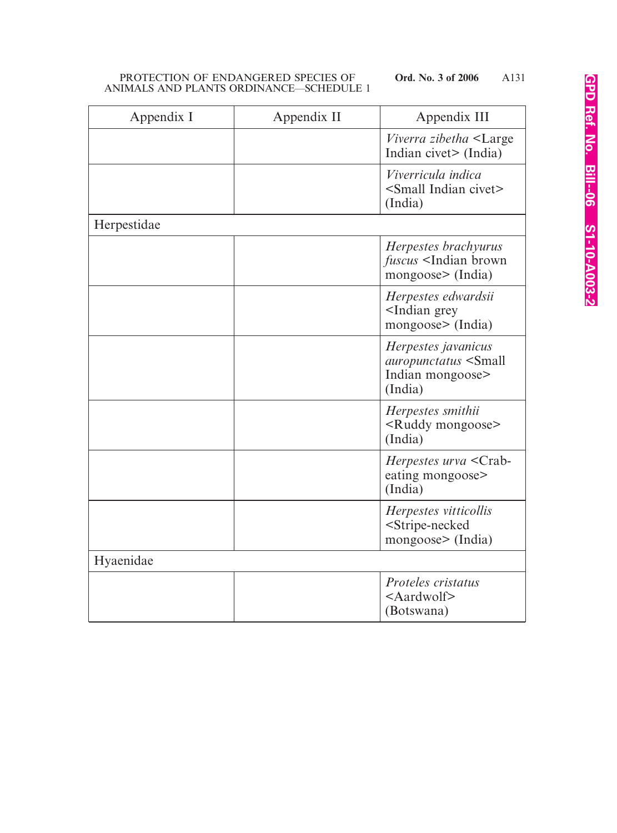| Appendix I  | Appendix II | Appendix III                                                                              |
|-------------|-------------|-------------------------------------------------------------------------------------------|
|             |             | <i>Viverra zibetha</i> <large<br>Indian civet&gt; (India)</large<br>                      |
|             |             | Viverricula indica<br><small civet="" indian=""><br/>(India)</small>                      |
| Herpestidae |             |                                                                                           |
|             |             | Herpestes brachyurus<br><i>fuscus</i> <indian brown<br="">mongoose&gt; (India)</indian>   |
|             |             | Herpestes edwardsii<br><indian grey<br="">mongoose&gt; (India)</indian>                   |
|             |             | Herpestes javanicus<br>auropunctatus <small<br>Indian mongoose&gt;<br/>(India)</small<br> |
|             |             | Herpestes smithii<br><ruddy mongoose=""><br/>(India)</ruddy>                              |
|             |             | Herpestes urva <crab-<br>eating mongoose&gt;<br/>(India)</crab-<br>                       |
|             |             | Herpestes vitticollis<br><stripe-necked<br>mongoose&gt; (India)</stripe-necked<br>        |
| Hyaenidae   |             |                                                                                           |
|             |             | <i>Proteles cristatus</i><br>$\leq$ Aardwolf $\geq$<br>(Botswana)                         |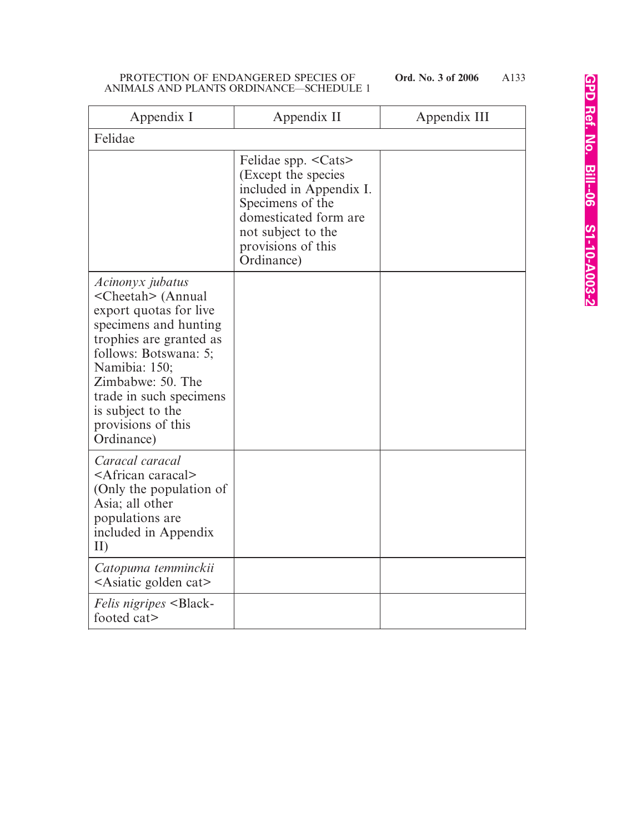| Appendix I                                                                                                                                                                                                                                                                                 | Appendix II                                                                                                                                                                    | Appendix III |
|--------------------------------------------------------------------------------------------------------------------------------------------------------------------------------------------------------------------------------------------------------------------------------------------|--------------------------------------------------------------------------------------------------------------------------------------------------------------------------------|--------------|
| Felidae                                                                                                                                                                                                                                                                                    |                                                                                                                                                                                |              |
|                                                                                                                                                                                                                                                                                            | Felidae spp. < Cats><br>(Except the species)<br>included in Appendix I.<br>Specimens of the<br>domesticated form are<br>not subject to the<br>provisions of this<br>Ordinance) |              |
| Acinonyx jubatus<br><cheetah> (Annual<br/>export quotas for live<br/>specimens and hunting<br/>trophies are granted as<br/>follows: Botswana: 5;<br/>Namibia: 150;<br/>Zimbabwe: 50. The<br/>trade in such specimens<br/>is subject to the<br/>provisions of this<br/>Ordinance)</cheetah> |                                                                                                                                                                                |              |
| Caracal caracal<br><african caracal=""><br/>(Only the population of<br/>Asia; all other<br/>populations are<br/>included in Appendix<br/>II)</african>                                                                                                                                     |                                                                                                                                                                                |              |
| Catopuma temminckii<br>$\leq$ Asiatic golden cat $\geq$                                                                                                                                                                                                                                    |                                                                                                                                                                                |              |
| <i>Felis nigripes</i> <black-<br>footed cat&gt;</black-<br>                                                                                                                                                                                                                                |                                                                                                                                                                                |              |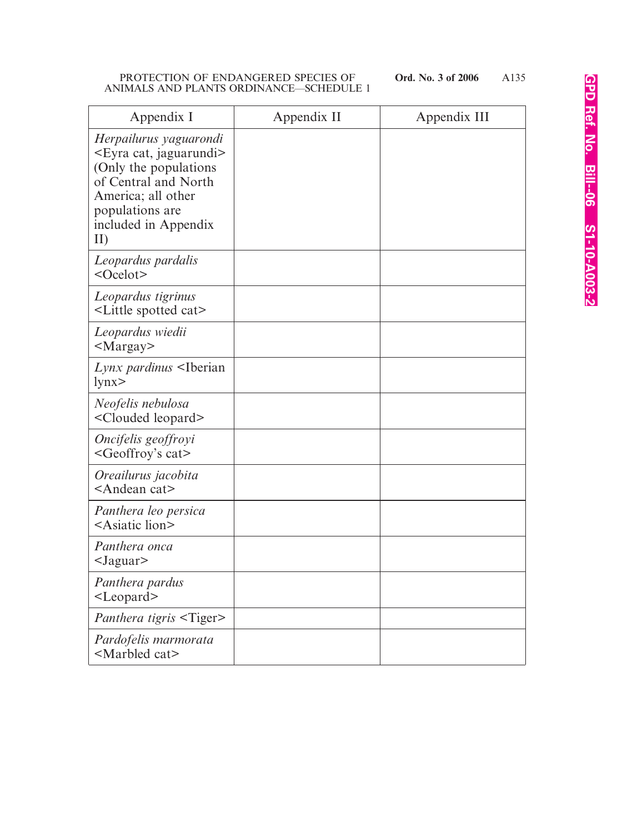| Appendix I                                                                                                                                                                                    | Appendix II | Appendix III |
|-----------------------------------------------------------------------------------------------------------------------------------------------------------------------------------------------|-------------|--------------|
| Herpailurus yaguarondi<br><eyra cat,="" jaguarundi=""><br/>(Only the populations)<br/>of Central and North<br/>America; all other<br/>populations are<br/>included in Appendix<br/>II)</eyra> |             |              |
| Leopardus pardalis<br>$<$ Ocelot $>$                                                                                                                                                          |             |              |
| Leopardus tigrinus<br><little cat="" spotted=""></little>                                                                                                                                     |             |              |
| Leopardus wiedii<br>$<$ Margay $>$                                                                                                                                                            |             |              |
| Lynx pardinus <iberian<br>lynx</iberian<br>                                                                                                                                                   |             |              |
| Neofelis nebulosa<br><clouded leopard=""></clouded>                                                                                                                                           |             |              |
| Oncifelis geoffroyi<br><geoffroy's cat=""></geoffroy's>                                                                                                                                       |             |              |
| Oreailurus jacobita<br><andean cat=""></andean>                                                                                                                                               |             |              |
| Panthera leo persica<br><asiatic lion=""></asiatic>                                                                                                                                           |             |              |
| Panthera onca<br>$<$ Jaguar $>$                                                                                                                                                               |             |              |
| Panthera pardus<br><leopard></leopard>                                                                                                                                                        |             |              |
| Panthera tigris <tiger></tiger>                                                                                                                                                               |             |              |
| Pardofelis marmorata<br><marbled cat=""></marbled>                                                                                                                                            |             |              |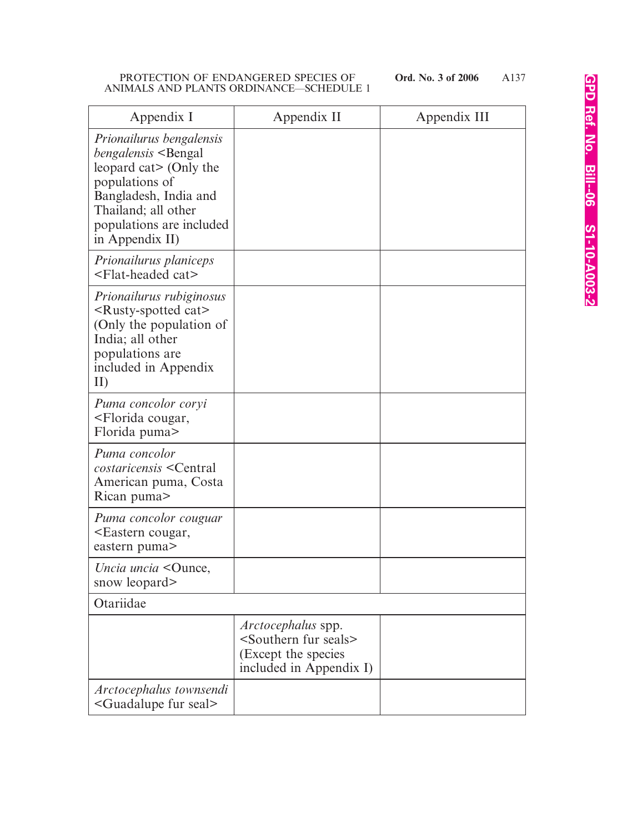| Appendix I                                                                                                                                                                                                            | Appendix II                                                                                                            | Appendix III |
|-----------------------------------------------------------------------------------------------------------------------------------------------------------------------------------------------------------------------|------------------------------------------------------------------------------------------------------------------------|--------------|
| Prionailurus bengalensis<br><i>bengalensis</i> <bengal<br>leopard cat&gt; (Only the<br/>populations of<br/>Bangladesh, India and<br/>Thailand; all other<br/>populations are included<br/>in Appendix II)</bengal<br> |                                                                                                                        |              |
| Prionailurus planiceps<br><flat-headed cat=""></flat-headed>                                                                                                                                                          |                                                                                                                        |              |
| Prionailurus rubiginosus<br><rusty-spotted cat=""><br/>(Only the population of<br/>India; all other<br/>populations are<br/>included in Appendix<br/>II)</rusty-spotted>                                              |                                                                                                                        |              |
| Puma concolor coryi<br><florida cougar,<br="">Florida puma&gt;</florida>                                                                                                                                              |                                                                                                                        |              |
| Puma concolor<br><i>costaricensis</i> <central<br>American puma, Costa<br/>Rican puma</central<br>                                                                                                                    |                                                                                                                        |              |
| Puma concolor couguar<br><eastern cougar,<br="">eastern puma&gt;</eastern>                                                                                                                                            |                                                                                                                        |              |
| Uncia uncia < Ounce,<br>snow leopard>                                                                                                                                                                                 |                                                                                                                        |              |
| Otariidae                                                                                                                                                                                                             |                                                                                                                        |              |
|                                                                                                                                                                                                                       | <i>Arctocephalus</i> spp.<br><southern fur="" seals=""><br/>(Except the species<br/>included in Appendix I)</southern> |              |
| Arctocephalus townsendi<br><guadalupe fur="" seal=""></guadalupe>                                                                                                                                                     |                                                                                                                        |              |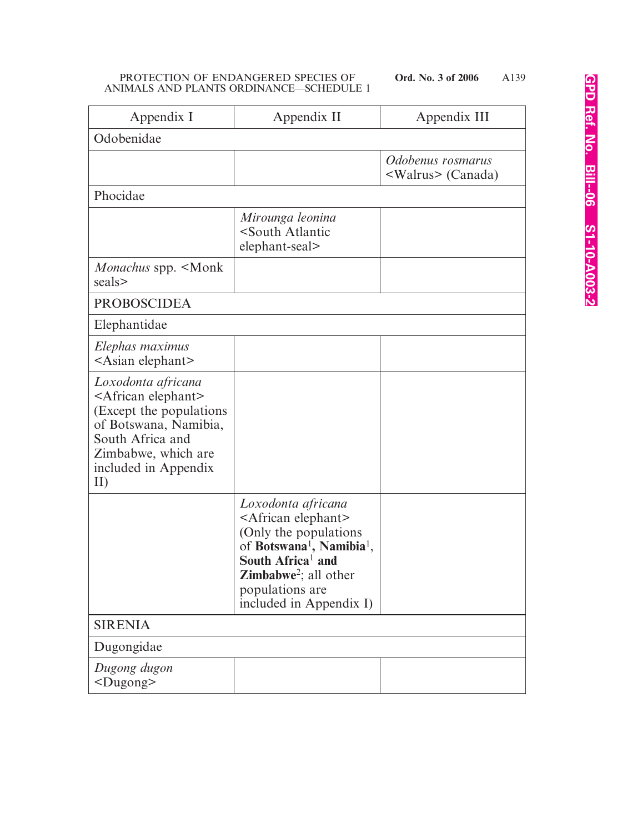| Appendix I                                                                                                                                                                                 | Appendix II                                                                                                                                                                                                                                                   | Appendix III                                    |
|--------------------------------------------------------------------------------------------------------------------------------------------------------------------------------------------|---------------------------------------------------------------------------------------------------------------------------------------------------------------------------------------------------------------------------------------------------------------|-------------------------------------------------|
| Odobenidae                                                                                                                                                                                 |                                                                                                                                                                                                                                                               |                                                 |
|                                                                                                                                                                                            |                                                                                                                                                                                                                                                               | Odobenus rosmarus<br><walrus> (Canada)</walrus> |
| Phocidae                                                                                                                                                                                   |                                                                                                                                                                                                                                                               |                                                 |
|                                                                                                                                                                                            | Mirounga leonina<br><south atlantic<br="">elephant-seal&gt;</south>                                                                                                                                                                                           |                                                 |
| Monachus spp. <monk<br>seals&gt;</monk<br>                                                                                                                                                 |                                                                                                                                                                                                                                                               |                                                 |
| <b>PROBOSCIDEA</b>                                                                                                                                                                         |                                                                                                                                                                                                                                                               |                                                 |
| Elephantidae                                                                                                                                                                               |                                                                                                                                                                                                                                                               |                                                 |
| Elephas maximus<br><asian elephant=""></asian>                                                                                                                                             |                                                                                                                                                                                                                                                               |                                                 |
| Loxodonta africana<br><african elephant=""><br/>(Except the populations)<br/>of Botswana, Namibia,<br/>South Africa and<br/>Zimbabwe, which are<br/>included in Appendix<br/>II)</african> |                                                                                                                                                                                                                                                               |                                                 |
|                                                                                                                                                                                            | Loxodonta africana<br><african elephant=""><br/>(Only the populations<br/>of Botswana<sup>1</sup>, Namibia<sup>1</sup>,<br/>South Africa<sup>1</sup> and<br/><b>Zimbabwe</b><sup>2</sup>; all other<br/>populations are<br/>included in Appendix I)</african> |                                                 |
| <b>SIRENIA</b>                                                                                                                                                                             |                                                                                                                                                                                                                                                               |                                                 |
| Dugongidae                                                                                                                                                                                 |                                                                                                                                                                                                                                                               |                                                 |
| Dugong dugon<br>$<$ Dugong $>$                                                                                                                                                             |                                                                                                                                                                                                                                                               |                                                 |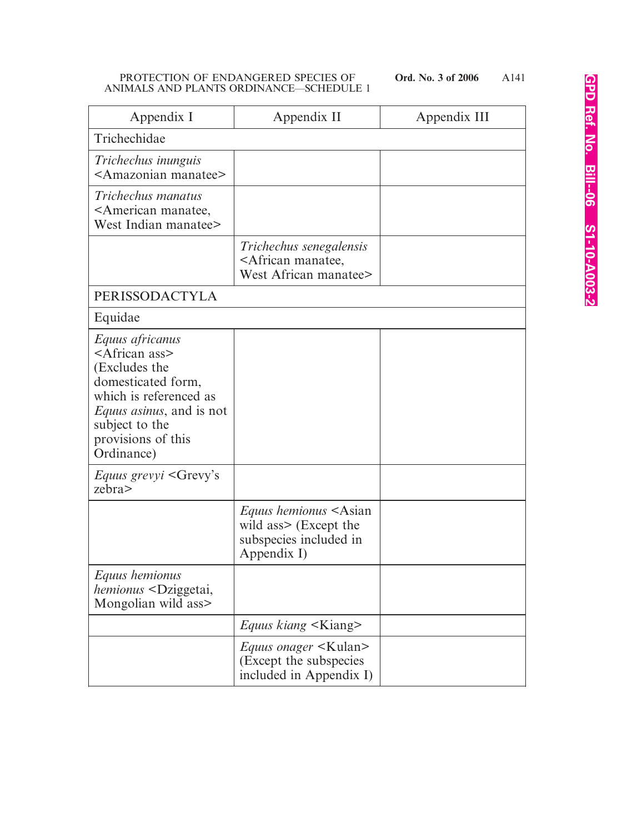A141

| Appendix I                                                                                                                                                                                                     | Appendix II                                                                                                    | Appendix III |
|----------------------------------------------------------------------------------------------------------------------------------------------------------------------------------------------------------------|----------------------------------------------------------------------------------------------------------------|--------------|
| Trichechidae                                                                                                                                                                                                   |                                                                                                                |              |
| Trichechus inunguis<br><amazonian manatee=""></amazonian>                                                                                                                                                      |                                                                                                                |              |
| Trichechus manatus<br><american manatee,<br="">West Indian manatee&gt;</american>                                                                                                                              |                                                                                                                |              |
|                                                                                                                                                                                                                | Trichechus senegalensis<br><african manatee,<br="">West African manatee&gt;</african>                          |              |
| <b>PERISSODACTYLA</b>                                                                                                                                                                                          |                                                                                                                |              |
| Equidae                                                                                                                                                                                                        |                                                                                                                |              |
| Equus africanus<br><african ass=""><br/>(Excludes the<br/>domesticated form,<br/>which is referenced as<br/><i>Equus asinus</i>, and is not<br/>subject to the<br/>provisions of this<br/>Ordinance)</african> |                                                                                                                |              |
| <i>Equus grevyi</i> <grevy's<br>zebra&gt;</grevy's<br>                                                                                                                                                         |                                                                                                                |              |
|                                                                                                                                                                                                                | <i>Equus hemionus</i> <asian<br>wild ass&gt; (Except the<br/>subspecies included in<br/>Appendix I)</asian<br> |              |
| Equus hemionus<br><i>hemionus</i> <dziggetai,<br>Mongolian wild ass&gt;</dziggetai,<br>                                                                                                                        |                                                                                                                |              |
|                                                                                                                                                                                                                | <i>Equus kiang</i> <kiang></kiang>                                                                             |              |
|                                                                                                                                                                                                                | <i>Equus onager</i> <kulan><br/>(Except the subspecies<br/>included in Appendix I)</kulan>                     |              |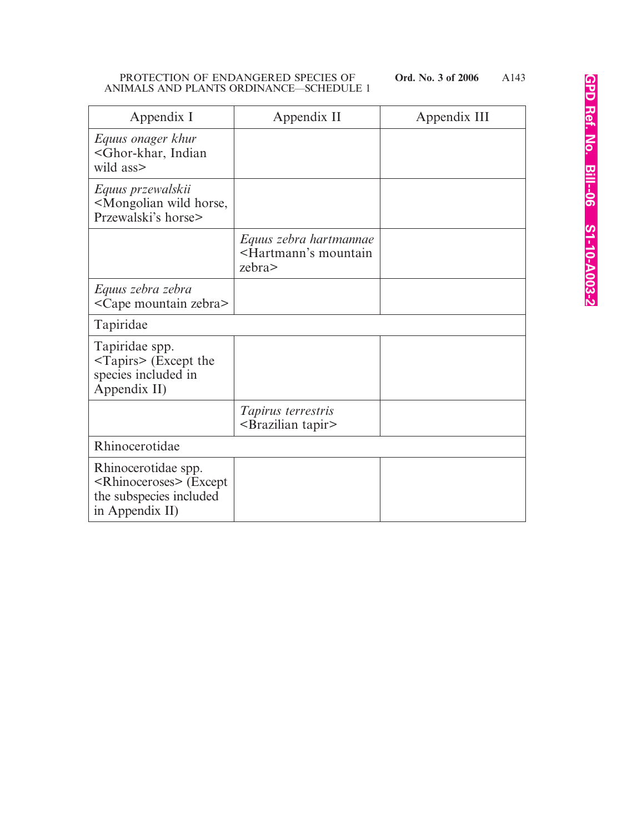| Appendix I                                                                                                   | Appendix II                                                                 | Appendix III |
|--------------------------------------------------------------------------------------------------------------|-----------------------------------------------------------------------------|--------------|
| Equus onager khur<br><ghor-khar, indian<br="">wild ass&gt;</ghor-khar,>                                      |                                                                             |              |
| Equus przewalskii<br><mongolian horse,<br="" wild="">Przewalski's horse&gt;</mongolian>                      |                                                                             |              |
|                                                                                                              | Equus zebra hartmannae<br><hartmann's mountain<br="">zebra&gt;</hartmann's> |              |
| Equus zebra zebra<br><cape mountain="" zebra=""></cape>                                                      |                                                                             |              |
| Tapiridae                                                                                                    |                                                                             |              |
| Tapiridae spp.<br>$\langle$ Tapirs> (Except the<br>species included in<br>Appendix II)                       |                                                                             |              |
|                                                                                                              | Tapirus terrestris<br><brazilian tapir=""></brazilian>                      |              |
| Rhinocerotidae                                                                                               |                                                                             |              |
| Rhinocerotidae spp.<br><rhinoceroses> (Except<br/>the subspecies included<br/>in Appendix II)</rhinoceroses> |                                                                             |              |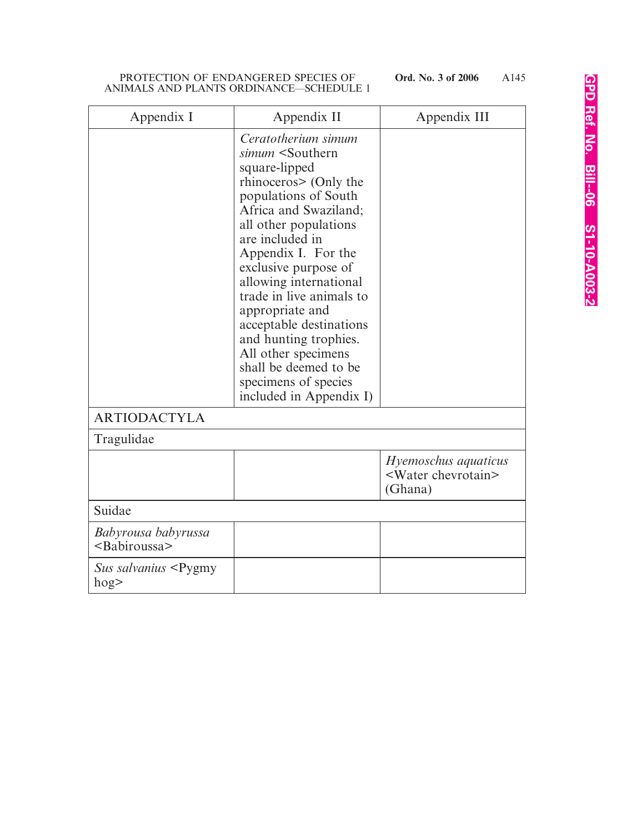# PROTECTION OF ENDANGERED SPECIES OF ANIMALS AND PLANTS ORDINANCE—SCHEDULE 1

| Appendix I                                                           | Appendix II                                                                                                                                                                                                                                                                                                                                                                                                                                                                                   | Appendix III                                                      |
|----------------------------------------------------------------------|-----------------------------------------------------------------------------------------------------------------------------------------------------------------------------------------------------------------------------------------------------------------------------------------------------------------------------------------------------------------------------------------------------------------------------------------------------------------------------------------------|-------------------------------------------------------------------|
|                                                                      | Ceratotherium simum<br>simum <southern<br>square-lipped<br/>rhinoceros&gt; (Only the<br/>populations of South<br/>Africa and Swaziland;<br/>all other populations<br/>are included in<br/>Appendix I. For the<br/>exclusive purpose of<br/>allowing international<br/>trade in live animals to<br/>appropriate and<br/>acceptable destinations<br/>and hunting trophies.<br/>All other specimens<br/>shall be deemed to be<br/>specimens of species<br/>included in Appendix I)</southern<br> |                                                                   |
| <b>ARTIODACTYLA</b>                                                  |                                                                                                                                                                                                                                                                                                                                                                                                                                                                                               |                                                                   |
| Tragulidae                                                           |                                                                                                                                                                                                                                                                                                                                                                                                                                                                                               |                                                                   |
|                                                                      |                                                                                                                                                                                                                                                                                                                                                                                                                                                                                               | Hyemoschus aquaticus<br><water chevrotain=""><br/>(Ghana)</water> |
| Suidae                                                               |                                                                                                                                                                                                                                                                                                                                                                                                                                                                                               |                                                                   |
| Babyrousa babyrussa<br><babiroussa></babiroussa>                     |                                                                                                                                                                                                                                                                                                                                                                                                                                                                                               |                                                                   |
| Sus salvanius <pygmy<br><math>h</math>og<math>&gt;</math></pygmy<br> |                                                                                                                                                                                                                                                                                                                                                                                                                                                                                               |                                                                   |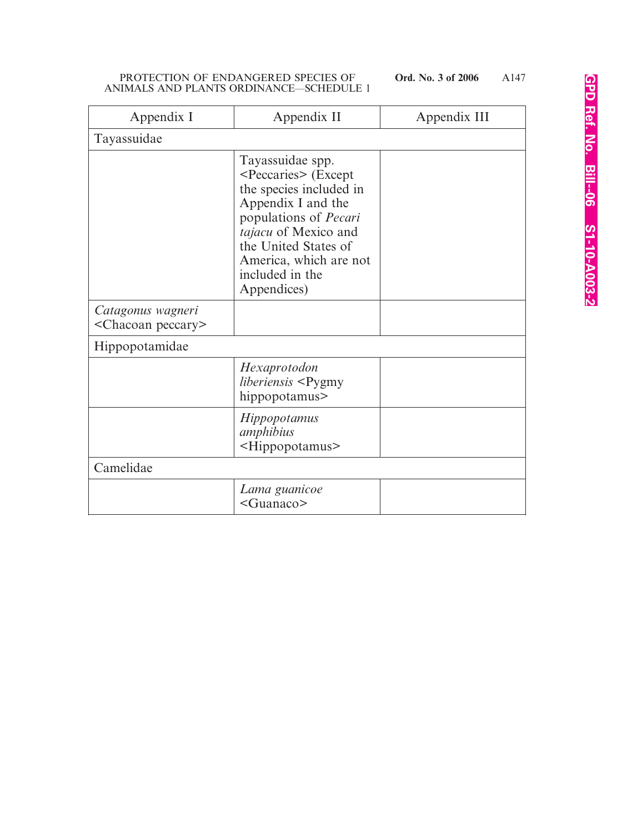| Appendix I                                          | Appendix II                                                                                                                                                                                                                                              | Appendix III |
|-----------------------------------------------------|----------------------------------------------------------------------------------------------------------------------------------------------------------------------------------------------------------------------------------------------------------|--------------|
| Tayassuidae                                         |                                                                                                                                                                                                                                                          |              |
|                                                     | Tayassuidae spp.<br><peccaries> (Except<br/>the species included in<br/>Appendix I and the<br/>populations of <i>Pecari</i><br/>tajacu of Mexico and<br/>the United States of<br/>America, which are not<br/>included in the<br/>Appendices)</peccaries> |              |
| Catagonus wagneri<br><chacoan peccary=""></chacoan> |                                                                                                                                                                                                                                                          |              |
| Hippopotamidae                                      |                                                                                                                                                                                                                                                          |              |
|                                                     | Hexaprotodon<br>liberiensis <pygmy<br>hippopotamus&gt;</pygmy<br>                                                                                                                                                                                        |              |
|                                                     | <i>Hippopotamus</i><br>amphibius<br><hippopotamus></hippopotamus>                                                                                                                                                                                        |              |
| Camelidae                                           |                                                                                                                                                                                                                                                          |              |
|                                                     | Lama guanicoe<br><guanaco></guanaco>                                                                                                                                                                                                                     |              |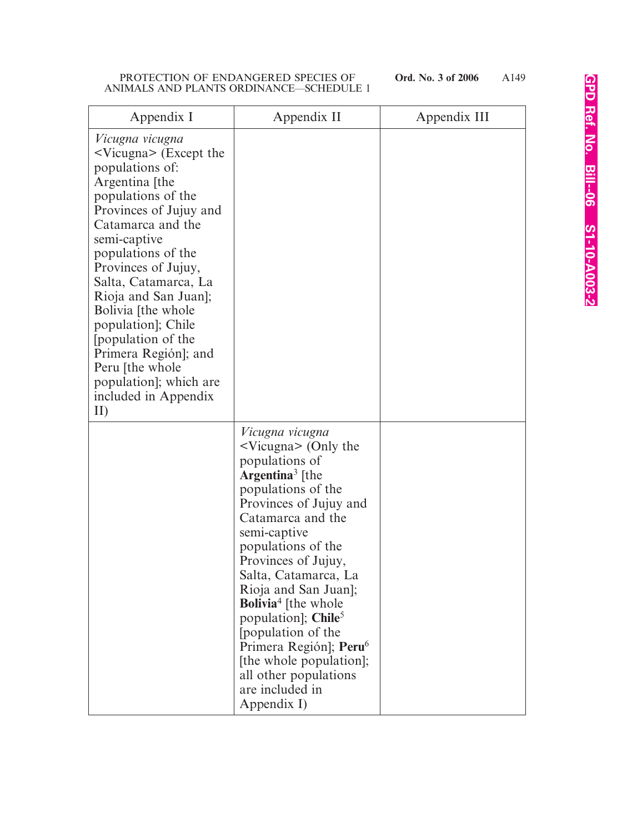| Appendix I                                                                                                                                                                                                                                                                                                                                                                                                                                         | Appendix II                                                                                                                                                                                                                                                                                                                                                                                                                                                                                                          | Appendix III |
|----------------------------------------------------------------------------------------------------------------------------------------------------------------------------------------------------------------------------------------------------------------------------------------------------------------------------------------------------------------------------------------------------------------------------------------------------|----------------------------------------------------------------------------------------------------------------------------------------------------------------------------------------------------------------------------------------------------------------------------------------------------------------------------------------------------------------------------------------------------------------------------------------------------------------------------------------------------------------------|--------------|
| Vicugna vicugna<br>$\leq$ Vicugna $\geq$ (Except the<br>populations of:<br>Argentina [the<br>populations of the<br>Provinces of Jujuy and<br>Catamarca and the<br>semi-captive<br>populations of the<br>Provinces of Jujuy,<br>Salta, Catamarca, La<br>Rioja and San Juan];<br>Bolivia [the whole<br>population]; Chile<br>[population of the<br>Primera Región]; and<br>Peru [the whole]<br>population]; which are<br>included in Appendix<br>II) |                                                                                                                                                                                                                                                                                                                                                                                                                                                                                                                      |              |
|                                                                                                                                                                                                                                                                                                                                                                                                                                                    | Vicugna vicugna<br>$\sim$ Vicugna> (Only the<br>populations of<br><b>Argentina</b> <sup>3</sup> [the<br>populations of the<br>Provinces of Jujuy and<br>Catamarca and the<br>semi-captive<br>populations of the<br>Provinces of Jujuy,<br>Salta, Catamarca, La<br>Rioja and San Juan];<br><b>Bolivia</b> <sup>4</sup> [the whole<br>population]; Chile <sup>5</sup><br>population of the<br>Primera Región]; Peru <sup>6</sup><br>[the whole population];<br>all other populations<br>are included in<br>Appendix I) |              |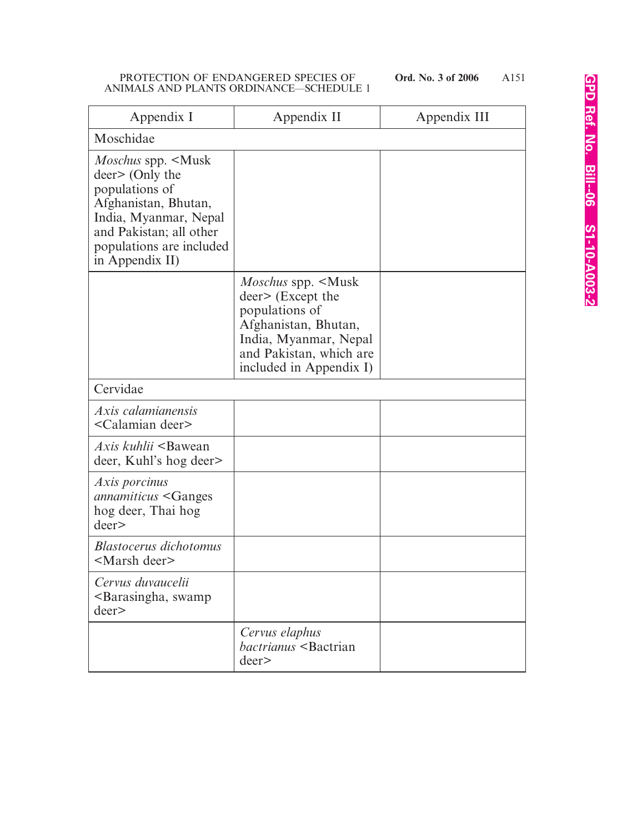| Appendix I                                                                                                                                                                                                   | Appendix II                                                                                                                                                                               | Appendix III |
|--------------------------------------------------------------------------------------------------------------------------------------------------------------------------------------------------------------|-------------------------------------------------------------------------------------------------------------------------------------------------------------------------------------------|--------------|
| Moschidae                                                                                                                                                                                                    |                                                                                                                                                                                           |              |
| <i>Moschus</i> spp. <musk<br>deer&gt; (Only the<br/>populations of<br/>Afghanistan, Bhutan,<br/>India, Myanmar, Nepal<br/>and Pakistan; all other<br/>populations are included<br/>in Appendix II)</musk<br> |                                                                                                                                                                                           |              |
|                                                                                                                                                                                                              | <i>Moschus</i> spp. <musk<br>deer&gt; (Except the<br/>populations of<br/>Afghanistan, Bhutan,<br/>India, Myanmar, Nepal<br/>and Pakistan, which are<br/>included in Appendix I)</musk<br> |              |
| Cervidae                                                                                                                                                                                                     |                                                                                                                                                                                           |              |
| Axis calamianensis<br><calamian deer=""></calamian>                                                                                                                                                          |                                                                                                                                                                                           |              |
| <i>Axis kuhlii</i> <bawean<br>deer, Kuhl's hog deer&gt;</bawean<br>                                                                                                                                          |                                                                                                                                                                                           |              |
| Axis porcinus<br><i>annamiticus</i> <ganges<br>hog deer, Thai hog<br/>deer</ganges<br>                                                                                                                       |                                                                                                                                                                                           |              |
| <b>Blastocerus dichotomus</b><br><marsh deer=""></marsh>                                                                                                                                                     |                                                                                                                                                                                           |              |
| Cervus duvaucelii<br><barasingha, swamp<br="">deer</barasingha,>                                                                                                                                             |                                                                                                                                                                                           |              |
|                                                                                                                                                                                                              | Cervus elaphus<br>bactrianus <bactrian<br>deer</bactrian<br>                                                                                                                              |              |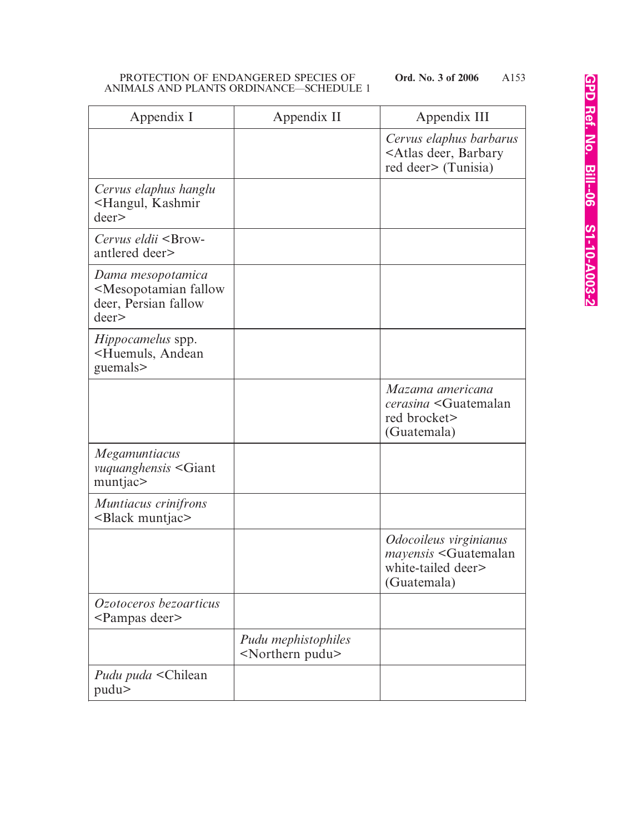| Appendix I                                                                                   | Appendix II                                          | Appendix III                                                                                            |
|----------------------------------------------------------------------------------------------|------------------------------------------------------|---------------------------------------------------------------------------------------------------------|
|                                                                                              |                                                      | Cervus elaphus barbarus<br><atlas barbary<br="" deer,="">red deer&gt; (Tunisia)</atlas>                 |
| Cervus elaphus hanglu<br><hangul, kashmir<br="">deer</hangul,>                               |                                                      |                                                                                                         |
| Cervus eldii <brow-<br>antlered deer&gt;</brow-<br>                                          |                                                      |                                                                                                         |
| Dama mesopotamica<br><mesopotamian fallow<br="">deer, Persian fallow<br/>deer</mesopotamian> |                                                      |                                                                                                         |
| <i>Hippocamelus</i> spp.<br><huemuls, andean<br="">guemals&gt;</huemuls,>                    |                                                      |                                                                                                         |
|                                                                                              |                                                      | Mazama americana<br>cerasina <guatemalan<br>red brocket&gt;<br/>(Guatemala)</guatemalan<br>             |
| <i>Megamuntiacus</i><br>vuquanghensis <giant<br>muntjac&gt;</giant<br>                       |                                                      |                                                                                                         |
| Muntiacus crinifrons<br><black muntjac=""></black>                                           |                                                      |                                                                                                         |
|                                                                                              |                                                      | Odocoileus virginianus<br>mayensis <guatemalan<br>white-tailed deer&gt;<br/>(Guatemala)</guatemalan<br> |
| Ozotoceros bezoarticus<br><pampas deer=""></pampas>                                          |                                                      |                                                                                                         |
|                                                                                              | Pudu mephistophiles<br><northern pudu=""></northern> |                                                                                                         |
| Pudu puda <chilean<br>pudu&gt;</chilean<br>                                                  |                                                      |                                                                                                         |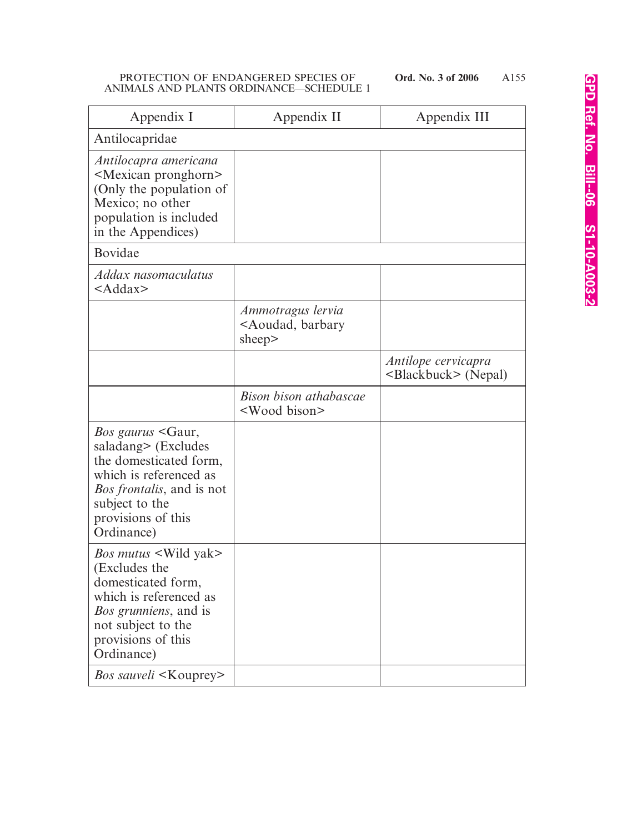| Appendix I                                                                                                                                                                                                                                         | Appendix II                                                                  | Appendix III                                           |
|----------------------------------------------------------------------------------------------------------------------------------------------------------------------------------------------------------------------------------------------------|------------------------------------------------------------------------------|--------------------------------------------------------|
| Antilocapridae                                                                                                                                                                                                                                     |                                                                              |                                                        |
| Antilocapra americana<br><mexican pronghorn=""><br/>(Only the population of<br/>Mexico; no other<br/>population is included<br/>in the Appendices)</mexican>                                                                                       |                                                                              |                                                        |
| Bovidae                                                                                                                                                                                                                                            |                                                                              |                                                        |
| Addax nasomaculatus<br>$<$ Addax>                                                                                                                                                                                                                  |                                                                              |                                                        |
|                                                                                                                                                                                                                                                    | Ammotragus lervia<br><aoudad, barbary<br="">sheep<math>&gt;</math></aoudad,> |                                                        |
|                                                                                                                                                                                                                                                    |                                                                              | Antilope cervicapra<br><blackbuck> (Nepal)</blackbuck> |
|                                                                                                                                                                                                                                                    | Bison bison athabascae<br><wood bison=""></wood>                             |                                                        |
| <i>Bos gaurus</i> <gaur,<br>saladang&gt; (Excludes<br/>the domesticated form,<br/>which is referenced as<br/><i>Bos frontalis</i>, and is not<br/>subject to the<br/>provisions of this<br/>Ordinance)</gaur,<br>                                  |                                                                              |                                                        |
| <i>Bos mutus</i> <wild yak=""><br/>(Excludes the<br/>domesticated form,<br/>which is referenced as<br/><i>Bos grunniens</i>, and is<br/>not subject to the<br/>provisions of this<br/>Ordinance)<br/><i>Bos sauveli</i> <kouprey></kouprey></wild> |                                                                              |                                                        |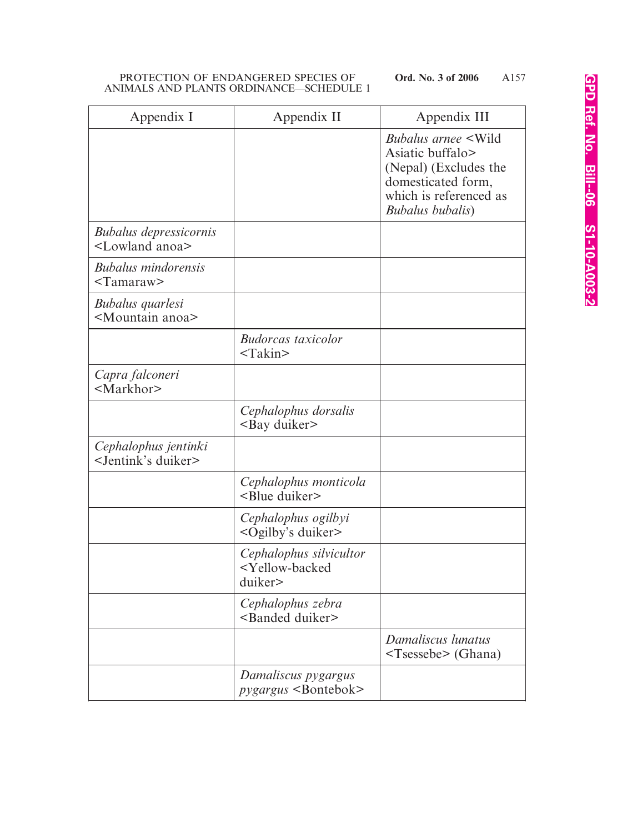| Appendix I                                                   | Appendix II                                                                | Appendix III                                                                                                                                         |
|--------------------------------------------------------------|----------------------------------------------------------------------------|------------------------------------------------------------------------------------------------------------------------------------------------------|
|                                                              |                                                                            | <i>Bubalus arnee</i> < Wild<br>Asiatic buffalo><br>(Nepal) (Excludes the<br>domesticated form,<br>which is referenced as<br><b>Bubalus bubalis</b> ) |
| <b>Bubalus depressicornis</b><br><lowland anoa=""></lowland> |                                                                            |                                                                                                                                                      |
| <b>Bubalus mindorensis</b><br>$<$ Tamaraw $>$                |                                                                            |                                                                                                                                                      |
| Bubalus quarlesi<br><mountain anoa=""></mountain>            |                                                                            |                                                                                                                                                      |
|                                                              | <b>Budorcas</b> taxicolor<br>$<$ Takin $>$                                 |                                                                                                                                                      |
| Capra falconeri<br><markhor></markhor>                       |                                                                            |                                                                                                                                                      |
|                                                              | Cephalophus dorsalis<br><bay duiker=""></bay>                              |                                                                                                                                                      |
| Cephalophus jentinki<br><jentink's duiker=""></jentink's>    |                                                                            |                                                                                                                                                      |
|                                                              | Cephalophus monticola<br><blue duiker=""></blue>                           |                                                                                                                                                      |
|                                                              | Cephalophus ogilbyi<br><ogilby's duiker=""></ogilby's>                     |                                                                                                                                                      |
|                                                              | Cephalophus silvicultor<br><yellow-backed<br>duiker&gt;</yellow-backed<br> |                                                                                                                                                      |
|                                                              | Cephalophus zebra<br><banded duiker=""></banded>                           |                                                                                                                                                      |
|                                                              |                                                                            | Damaliscus lunatus<br><tsessebe> (Ghana)</tsessebe>                                                                                                  |
|                                                              | Damaliscus pygargus<br>$pygargus$ <bontebok></bontebok>                    |                                                                                                                                                      |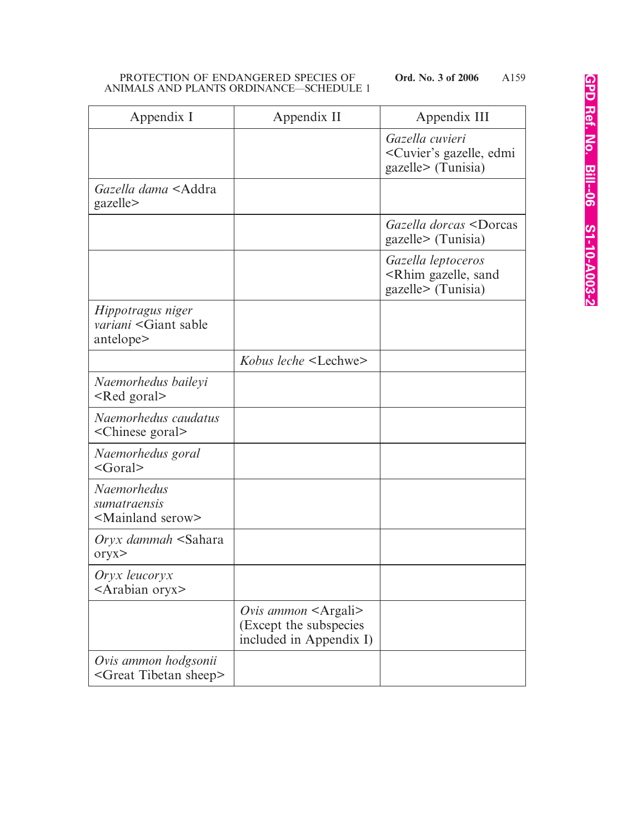| Appendix I                                                                  | Appendix II                                                                                 | Appendix III                                                                         |
|-----------------------------------------------------------------------------|---------------------------------------------------------------------------------------------|--------------------------------------------------------------------------------------|
|                                                                             |                                                                                             | Gazella cuvieri<br><cuvier's edmi<br="" gazelle,="">gazelle&gt; (Tunisia)</cuvier's> |
| Gazella dama <addra<br>gazelle&gt;</addra<br>                               |                                                                                             |                                                                                      |
|                                                                             |                                                                                             | Gazella dorcas <dorcas<br>gazelle&gt; (Tunisia)</dorcas<br>                          |
|                                                                             |                                                                                             | Gazella leptoceros<br><rhim gazelle,="" sand<br="">gazelle&gt; (Tunisia)</rhim>      |
| Hippotragus niger<br><i>variani</i> <giant sable<br="">antelope&gt;</giant> |                                                                                             |                                                                                      |
|                                                                             | Kobus leche <lechwe></lechwe>                                                               |                                                                                      |
| Naemorhedus baileyi<br><red goral=""></red>                                 |                                                                                             |                                                                                      |
| Naemorhedus caudatus<br><chinese goral=""></chinese>                        |                                                                                             |                                                                                      |
| Naemorhedus goral<br>$\leq$ Goral $>$                                       |                                                                                             |                                                                                      |
| <b>Naemorhedus</b><br>sumatraensis<br><mainland serow=""></mainland>        |                                                                                             |                                                                                      |
| <i>Oryx dammah</i> <sahara<br>oryx</sahara<br>                              |                                                                                             |                                                                                      |
| Oryx leucoryx<br><arabian oryx=""></arabian>                                |                                                                                             |                                                                                      |
|                                                                             | <i>Ovis ammon</i> $\leq$ Argali $\geq$<br>(Except the subspecies<br>included in Appendix I) |                                                                                      |
| Ovis ammon hodgsonii<br><great sheep="" tibetan=""></great>                 |                                                                                             |                                                                                      |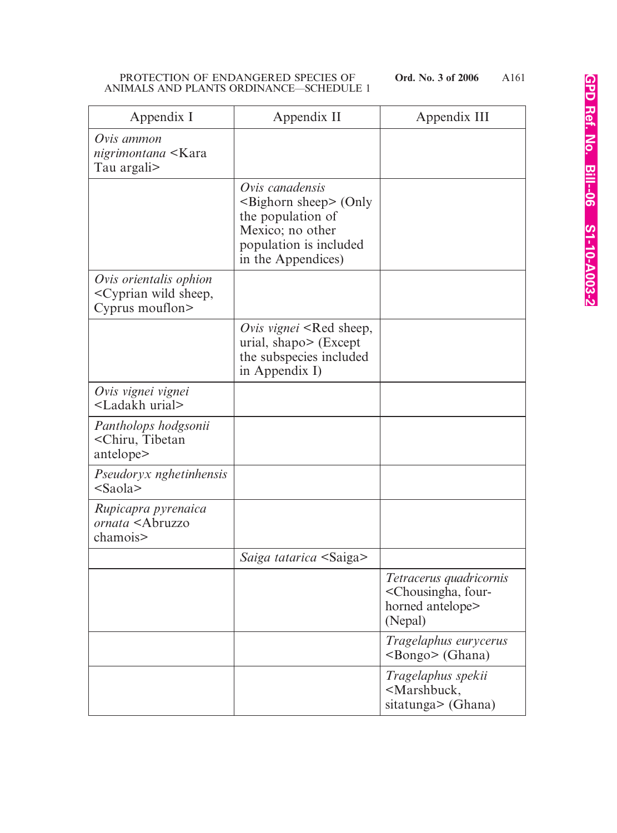| Appendix I                                                                           | Appendix II                                                                                                                                | Appendix III                                                                                      |
|--------------------------------------------------------------------------------------|--------------------------------------------------------------------------------------------------------------------------------------------|---------------------------------------------------------------------------------------------------|
| Ovis ammon<br>nigrimontana <kara<br>Tau argali&gt;</kara<br>                         |                                                                                                                                            |                                                                                                   |
|                                                                                      | Ovis canadensis<br>$\leq$ Bighorn sheep $>$ (Only<br>the population of<br>Mexico; no other<br>population is included<br>in the Appendices) |                                                                                                   |
| Ovis orientalis ophion<br><cyprian sheep,<br="" wild="">Cyprus mouflon&gt;</cyprian> |                                                                                                                                            |                                                                                                   |
|                                                                                      | Ovis vignei <red sheep,<br="">urial, shapo&gt; (Except<br/>the subspecies included<br/>in Appendix I)</red>                                |                                                                                                   |
| Ovis vignei vignei<br><ladakh urial=""></ladakh>                                     |                                                                                                                                            |                                                                                                   |
| Pantholops hodgsonii<br><chiru, tibetan<br="">antelope&gt;</chiru,>                  |                                                                                                                                            |                                                                                                   |
| Pseudoryx nghetinhensis<br>$<$ Saola $>$                                             |                                                                                                                                            |                                                                                                   |
| Rupicapra pyrenaica<br>ornata <abruzzo<br>chamois&gt;</abruzzo<br>                   |                                                                                                                                            |                                                                                                   |
|                                                                                      | Saiga tatarica <saiga></saiga>                                                                                                             |                                                                                                   |
|                                                                                      |                                                                                                                                            | Tetracerus quadricornis<br><chousingha, four-<br="">horned antelope&gt;<br/>(Nepal)</chousingha,> |
|                                                                                      |                                                                                                                                            | Tragelaphus eurycerus<br><bongo> (Ghana)</bongo>                                                  |
|                                                                                      |                                                                                                                                            | Tragelaphus spekii<br><marshbuck,<br>sitatunga&gt; (Ghana)</marshbuck,<br>                        |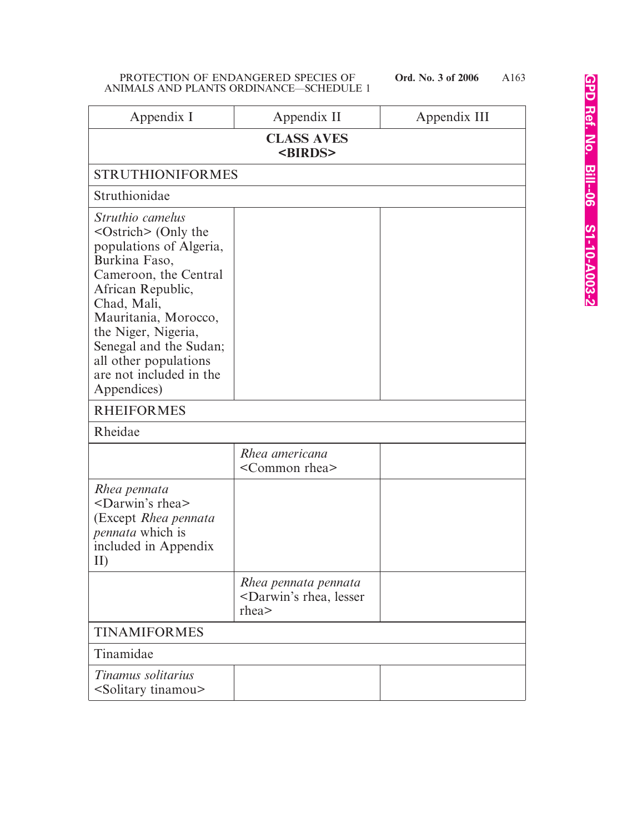| Appendix I                                                                                                                                                                                                                                                                                               | Appendix II                                                                                           | Appendix III |
|----------------------------------------------------------------------------------------------------------------------------------------------------------------------------------------------------------------------------------------------------------------------------------------------------------|-------------------------------------------------------------------------------------------------------|--------------|
| <b>CLASS AVES</b><br><birds></birds>                                                                                                                                                                                                                                                                     |                                                                                                       |              |
| <b>STRUTHIONIFORMES</b>                                                                                                                                                                                                                                                                                  |                                                                                                       |              |
| Struthionidae                                                                                                                                                                                                                                                                                            |                                                                                                       |              |
| Struthio camelus<br>$\leq$ Ostrich $\geq$ (Only the<br>populations of Algeria,<br>Burkina Faso,<br>Cameroon, the Central<br>African Republic,<br>Chad, Mali,<br>Mauritania, Morocco,<br>the Niger, Nigeria,<br>Senegal and the Sudan;<br>all other populations<br>are not included in the<br>Appendices) |                                                                                                       |              |
| <b>RHEIFORMES</b>                                                                                                                                                                                                                                                                                        |                                                                                                       |              |
| Rheidae                                                                                                                                                                                                                                                                                                  |                                                                                                       |              |
|                                                                                                                                                                                                                                                                                                          | Rhea americana<br><common rhea=""></common>                                                           |              |
| Rhea pennata<br><darwin's rhea=""><br/>(Except Rhea pennata<br/>pennata which is<br/>included in Appendix<br/>II)</darwin's>                                                                                                                                                                             |                                                                                                       |              |
|                                                                                                                                                                                                                                                                                                          | Rhea pennata pennata<br><darwin's lesser<br="" rhea,=""><math>r</math>hea<math>&gt;</math></darwin's> |              |
| <b>TINAMIFORMES</b>                                                                                                                                                                                                                                                                                      |                                                                                                       |              |
| Tinamidae                                                                                                                                                                                                                                                                                                |                                                                                                       |              |
| Tinamus solitarius<br><solitary tinamou=""></solitary>                                                                                                                                                                                                                                                   |                                                                                                       |              |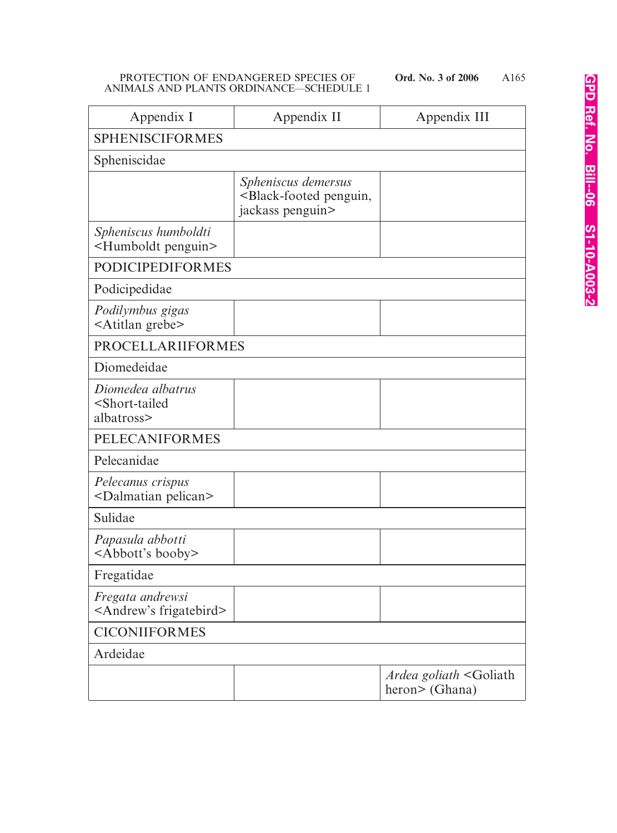| Appendix I                                                            | Appendix II                                                                            | Appendix III                                             |
|-----------------------------------------------------------------------|----------------------------------------------------------------------------------------|----------------------------------------------------------|
| <b>SPHENISCIFORMES</b>                                                |                                                                                        |                                                          |
| Spheniscidae                                                          |                                                                                        |                                                          |
|                                                                       | Spheniscus demersus<br><black-footed penguin,<br="">jackass penguin&gt;</black-footed> |                                                          |
| Spheniscus humboldti<br><humboldt penguin=""></humboldt>              |                                                                                        |                                                          |
| <b>PODICIPEDIFORMES</b>                                               |                                                                                        |                                                          |
| Podicipedidae                                                         |                                                                                        |                                                          |
| Podilymbus gigas<br><atitlan grebe=""></atitlan>                      |                                                                                        |                                                          |
| <b>PROCELLARIIFORMES</b>                                              |                                                                                        |                                                          |
| Diomedeidae                                                           |                                                                                        |                                                          |
| Diomedea albatrus<br><short-tailed<br>albatross&gt;</short-tailed<br> |                                                                                        |                                                          |
| <b>PELECANIFORMES</b>                                                 |                                                                                        |                                                          |
| Pelecanidae                                                           |                                                                                        |                                                          |
| Pelecanus crispus<br><dalmatian pelican=""></dalmatian>               |                                                                                        |                                                          |
| Sulidae                                                               |                                                                                        |                                                          |
| Papasula abbotti<br><abbott's booby=""></abbott's>                    |                                                                                        |                                                          |
| Fregatidae                                                            |                                                                                        |                                                          |
| Fregata andrewsi<br><andrew's frigatebird=""></andrew's>              |                                                                                        |                                                          |
| <b>CICONIIFORMES</b>                                                  |                                                                                        |                                                          |
| Ardeidae                                                              |                                                                                        |                                                          |
|                                                                       |                                                                                        | Ardea goliath <goliath<br>heron&gt; (Ghana)</goliath<br> |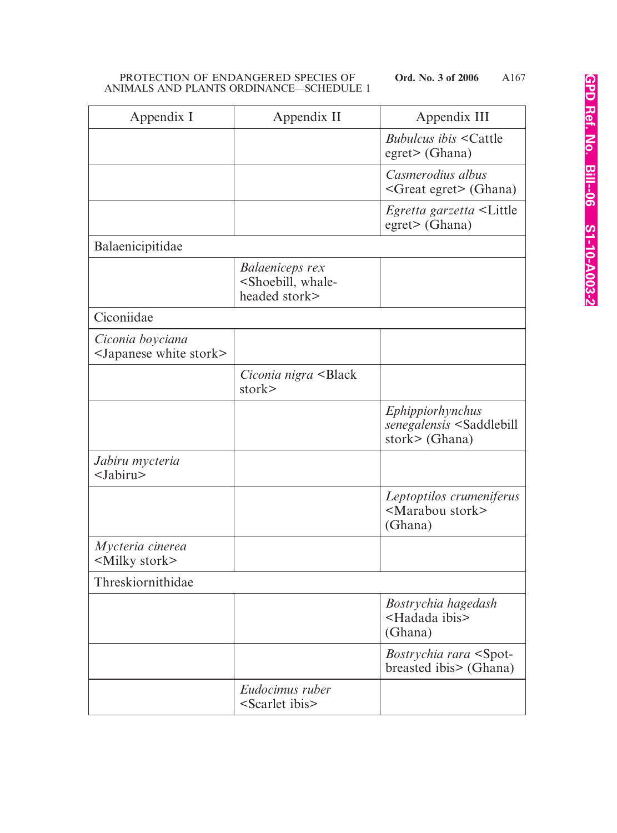| Appendix I                                                  | Appendix II                                                                    | Appendix III                                                                      |
|-------------------------------------------------------------|--------------------------------------------------------------------------------|-----------------------------------------------------------------------------------|
|                                                             |                                                                                | <i>Bubulcus ibis</i> < Cattle<br>$egret$ (Ghana)                                  |
|                                                             |                                                                                | Casmerodius albus<br><great egret=""> (Ghana)</great>                             |
|                                                             |                                                                                | <i>Egretta garzetta</i> <little<br>egret&gt; (Ghana)</little<br>                  |
| Balaenicipitidae                                            |                                                                                |                                                                                   |
|                                                             | <b>Balaeniceps rex</b><br><shoebill, whale-<br="">headed stork&gt;</shoebill,> |                                                                                   |
| Ciconiidae                                                  |                                                                                |                                                                                   |
| Ciconia boyciana<br><japanese stork="" white=""></japanese> |                                                                                |                                                                                   |
|                                                             | Ciconia nigra <black<br>stork&gt;</black<br>                                   |                                                                                   |
|                                                             |                                                                                | Ephippiorhynchus<br>senegalensis <saddlebill<br>stork&gt; (Ghana)</saddlebill<br> |
| Jabiru mycteria<br><jabiru></jabiru>                        |                                                                                |                                                                                   |
|                                                             |                                                                                | Leptoptilos crumeniferus<br><marabou stork=""><br/>(Ghana)</marabou>              |
| Mycteria cinerea<br><milky stork=""></milky>                |                                                                                |                                                                                   |
| Threskiornithidae                                           |                                                                                |                                                                                   |
|                                                             |                                                                                | Bostrychia hagedash<br><hadada ibis=""><br/>(Ghana)</hadada>                      |
|                                                             |                                                                                | <i>Bostrychia rara</i> <spot-<br>breasted ibis&gt; (Ghana)</spot-<br>             |
|                                                             | Eudocimus ruber<br><scarlet ibis=""></scarlet>                                 |                                                                                   |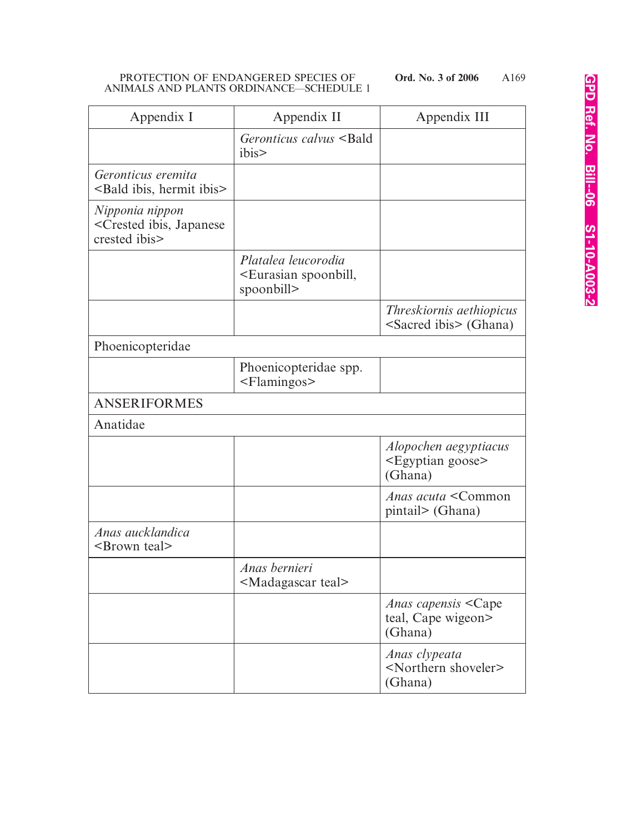| Appendix I                                                                     | Appendix II                                                                | Appendix III                                                         |
|--------------------------------------------------------------------------------|----------------------------------------------------------------------------|----------------------------------------------------------------------|
|                                                                                | Geronticus calvus <bald<br>ibis&gt;</bald<br>                              |                                                                      |
| Geronticus eremita<br><bald hermit="" ibis="" ibis,=""></bald>                 |                                                                            |                                                                      |
| Nipponia nippon<br><crested ibis,="" japanese<br="">crested ibis&gt;</crested> |                                                                            |                                                                      |
|                                                                                | Platalea leucorodia<br><eurasian spoonbill,<br="">spoonbill&gt;</eurasian> |                                                                      |
|                                                                                |                                                                            | <i>Threskiornis aethiopicus</i><br><sacred ibis=""> (Ghana)</sacred> |
| Phoenicopteridae                                                               |                                                                            |                                                                      |
|                                                                                | Phoenicopteridae spp.<br><flamingos></flamingos>                           |                                                                      |
| <b>ANSERIFORMES</b>                                                            |                                                                            |                                                                      |
| Anatidae                                                                       |                                                                            |                                                                      |
|                                                                                |                                                                            | Alopochen aegyptiacus<br><egyptian goose=""><br/>(Ghana)</egyptian>  |
|                                                                                |                                                                            | Anas acuta <common<br>pintail&gt; (Ghana)</common<br>                |
| Anas aucklandica<br>$\leq$ Brown teal $>$                                      |                                                                            |                                                                      |
|                                                                                | Anas bernieri<br><madagascar teal=""></madagascar>                         |                                                                      |
|                                                                                |                                                                            | <i>Anas capensis</i> < Cape<br>teal, Cape wigeon><br>(Ghana)         |
|                                                                                |                                                                            | Anas clypeata<br><northern shoveler=""><br/>(Ghana)</northern>       |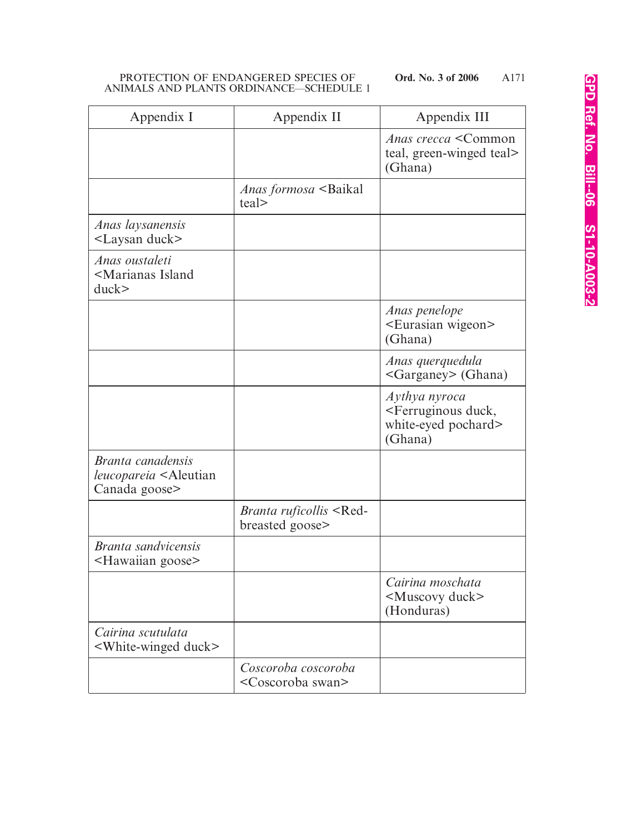| Appendix I                                                                          | Appendix II                                             | Appendix III                                                                               |
|-------------------------------------------------------------------------------------|---------------------------------------------------------|--------------------------------------------------------------------------------------------|
|                                                                                     |                                                         | <i>Anas crecca</i> < Common<br>teal, green-winged teal><br>(Ghana)                         |
|                                                                                     | <i>Anas formosa</i> <baikal<br>teal&gt;</baikal<br>     |                                                                                            |
| Anas laysanensis<br><laysan duck=""></laysan>                                       |                                                         |                                                                                            |
| Anas oustaleti<br><marianas island<br="">duck</marianas>                            |                                                         |                                                                                            |
|                                                                                     |                                                         | Anas penelope<br><eurasian wigeon=""><br/>(Ghana)</eurasian>                               |
|                                                                                     |                                                         | Anas querquedula<br><garganey> (Ghana)</garganey>                                          |
|                                                                                     |                                                         | Aythya nyroca<br><ferruginous duck,<br="">white-eyed pochard&gt;<br/>(Ghana)</ferruginous> |
| Branta canadensis<br><i>leucopareia</i> <aleutian<br>Canada goose&gt;</aleutian<br> |                                                         |                                                                                            |
|                                                                                     | Branta ruficollis <red-<br>breasted goose&gt;</red-<br> |                                                                                            |
| <i>Branta sandvicensis</i><br><hawaiian goose=""></hawaiian>                        |                                                         |                                                                                            |
|                                                                                     |                                                         | Cairina moschata<br><muscovy duck=""><br/>(Honduras)</muscovy>                             |
| Cairina scutulata<br><white-winged duck=""></white-winged>                          |                                                         |                                                                                            |
|                                                                                     | Coscoroba coscoroba<br><coscoroba swan=""></coscoroba>  |                                                                                            |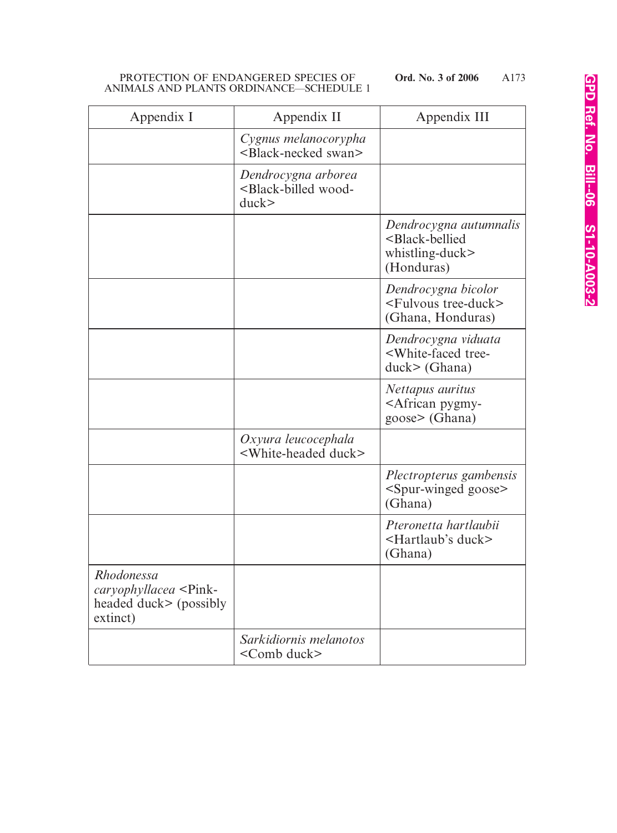| Appendix I                                                                               | Appendix II                                                          | Appendix III                                                                                     |
|------------------------------------------------------------------------------------------|----------------------------------------------------------------------|--------------------------------------------------------------------------------------------------|
|                                                                                          | Cygnus melanocorypha<br><black-necked swan=""></black-necked>        |                                                                                                  |
|                                                                                          | Dendrocygna arborea<br><black-billed wood-<br="">duck</black-billed> |                                                                                                  |
|                                                                                          |                                                                      | Dendrocygna autumnalis<br><black-bellied<br>whistling-duck&gt;<br/>(Honduras)</black-bellied<br> |
|                                                                                          |                                                                      | Dendrocygna bicolor<br><fulvous tree-duck=""><br/>(Ghana, Honduras)</fulvous>                    |
|                                                                                          |                                                                      | Dendrocygna viduata<br><white-faced tree-<br=""><math>duck</math> (Ghana)</white-faced>          |
|                                                                                          |                                                                      | Nettapus auritus<br><african pygmy-<br=""><math>goose</math> (Ghana)</african>                   |
|                                                                                          | Oxyura leucocephala<br><white-headed duck=""></white-headed>         |                                                                                                  |
|                                                                                          |                                                                      | Plectropterus gambensis<br><spur-winged goose=""><br/>(Ghana)</spur-winged>                      |
|                                                                                          |                                                                      | Pteronetta hartlaubii<br><hartlaub's duck=""><br/>(Ghana)</hartlaub's>                           |
| Rhodonessa<br>caryophyllacea <pink-<br>headed duck&gt; (possibly<br/>extinct)</pink-<br> |                                                                      |                                                                                                  |
|                                                                                          | Sarkidiornis melanotos<br><comb duck=""></comb>                      |                                                                                                  |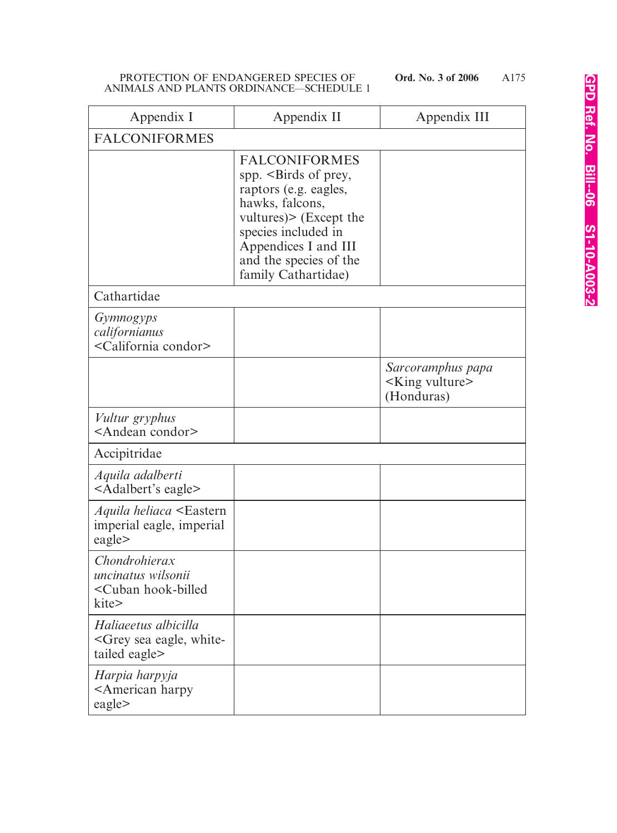| Appendix I                                                                            | Appendix II                                                                                                                                                                                                          | Appendix III                                                 |
|---------------------------------------------------------------------------------------|----------------------------------------------------------------------------------------------------------------------------------------------------------------------------------------------------------------------|--------------------------------------------------------------|
| <b>FALCONIFORMES</b>                                                                  |                                                                                                                                                                                                                      |                                                              |
|                                                                                       | <b>FALCONIFORMES</b><br>spp. < Birds of prey,<br>raptors (e.g. eagles,<br>hawks, falcons,<br>vultures) > (Except the<br>species included in<br>Appendices I and III<br>and the species of the<br>family Cathartidae) |                                                              |
| Cathartidae                                                                           |                                                                                                                                                                                                                      |                                                              |
| <i>Gymnogyps</i><br>californianus<br><california condor=""></california>              |                                                                                                                                                                                                                      |                                                              |
|                                                                                       |                                                                                                                                                                                                                      | Sarcoramphus papa<br><king vulture=""><br/>(Honduras)</king> |
| Vultur gryphus<br><andean condor=""></andean>                                         |                                                                                                                                                                                                                      |                                                              |
| Accipitridae                                                                          |                                                                                                                                                                                                                      |                                                              |
| Aquila adalberti<br><adalbert's eagle=""></adalbert's>                                |                                                                                                                                                                                                                      |                                                              |
| <i>Aquila heliaca</i> <eastern<br>imperial eagle, imperial<br/>eagle&gt;</eastern<br> |                                                                                                                                                                                                                      |                                                              |
| Chondrohierax<br>uncinatus wilsonii<br><cuban hook-billed<br="">kite&gt;</cuban>      |                                                                                                                                                                                                                      |                                                              |
| Haliaeetus albicilla<br><grey eagle,="" sea="" white-<br="">tailed eagle&gt;</grey>   |                                                                                                                                                                                                                      |                                                              |
| Harpia harpyja<br><american harpy<br="">eagle&gt;</american>                          |                                                                                                                                                                                                                      |                                                              |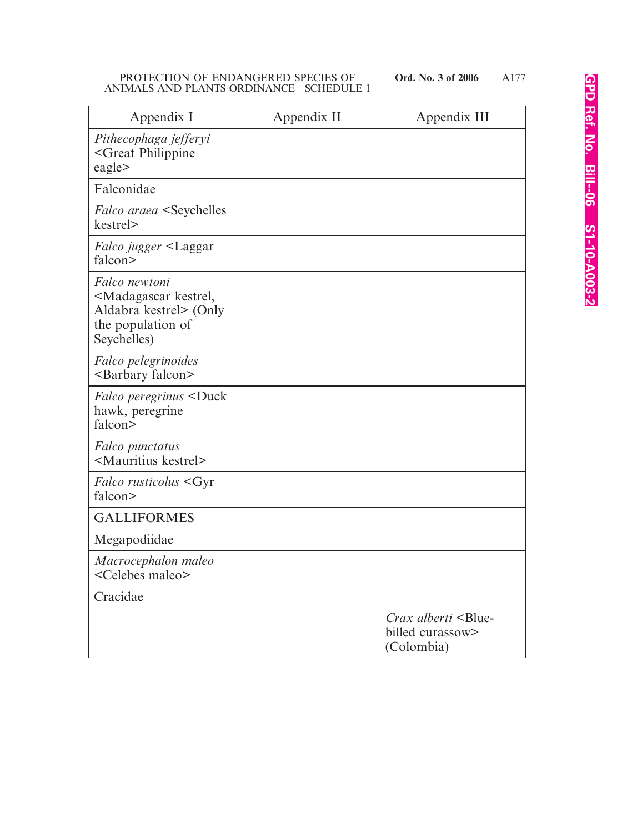| Appendix I                                                                                                               | Appendix II | Appendix III                                                                |
|--------------------------------------------------------------------------------------------------------------------------|-------------|-----------------------------------------------------------------------------|
| Pithecophaga jefferyi<br><great philippine<br="">eagle&gt;</great>                                                       |             |                                                                             |
| Falconidae                                                                                                               |             |                                                                             |
| <i>Falco araea</i> <seychelles<br>kestrel&gt;</seychelles<br>                                                            |             |                                                                             |
| <i>Falco jugger</i> <laggar<br>falcon&gt;</laggar<br>                                                                    |             |                                                                             |
| Falco newtoni<br><madagascar kestrel,<br="">Aldabra kestrel&gt; (Only<br/>the population of<br/>Seychelles)</madagascar> |             |                                                                             |
| Falco pelegrinoides<br><barbary falcon=""></barbary>                                                                     |             |                                                                             |
| <i>Falco peregrinus</i> <duck<br>hawk, peregrine<br/>falcon&gt;</duck<br>                                                |             |                                                                             |
| Falco punctatus<br><mauritius kestrel=""></mauritius>                                                                    |             |                                                                             |
| <i>Falco rusticolus</i> <gyr<br>falcon&gt;</gyr<br>                                                                      |             |                                                                             |
| <b>GALLIFORMES</b>                                                                                                       |             |                                                                             |
| Megapodiidae                                                                                                             |             |                                                                             |
| Macrocephalon maleo<br><celebes maleo=""></celebes>                                                                      |             |                                                                             |
| Cracidae                                                                                                                 |             |                                                                             |
|                                                                                                                          |             | <i>Crax alberti</i> <blue-<br>billed curassow&gt;<br/>(Colombia)</blue-<br> |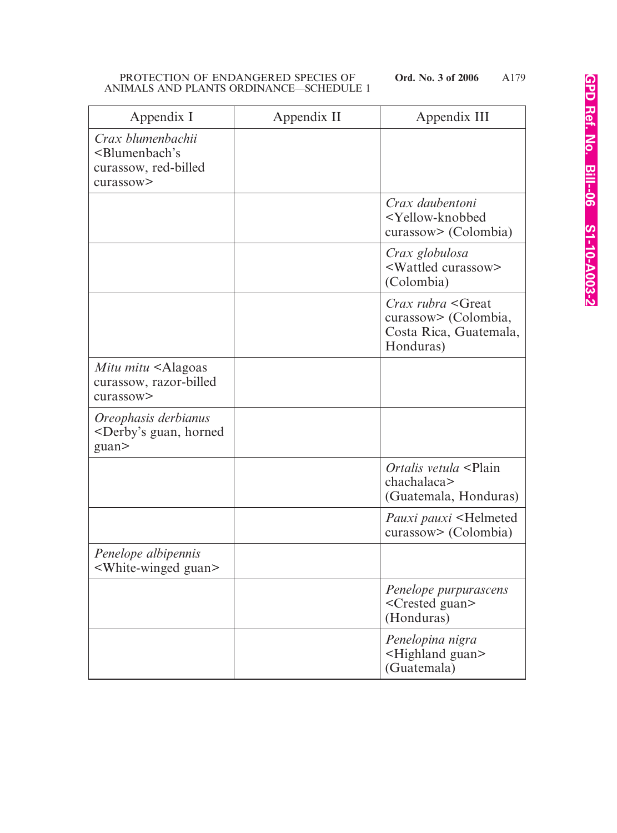| Appendix I                                                                                    | Appendix II | Appendix III                                                                                            |
|-----------------------------------------------------------------------------------------------|-------------|---------------------------------------------------------------------------------------------------------|
| Crax blumenbachii<br><blumenbach's<br>curassow, red-billed<br/>curassow&gt;</blumenbach's<br> |             |                                                                                                         |
|                                                                                               |             | Crax daubentoni<br><yellow-knobbed<br>curassow&gt; (Colombia)</yellow-knobbed<br>                       |
|                                                                                               |             | Crax globulosa<br><wattled curassow=""><br/>(Colombia)</wattled>                                        |
|                                                                                               |             | <i>Crax rubra</i> <great<br>curassow&gt; (Colombia,<br/>Costa Rica, Guatemala,<br/>Honduras)</great<br> |
| Mitu mitu <alagoas<br>curassow, razor-billed<br/>curassow&gt;</alagoas<br>                    |             |                                                                                                         |
| Oreophasis derbianus<br><derby's guan,="" horned<br="">guan&gt;</derby's>                     |             |                                                                                                         |
|                                                                                               |             | Ortalis vetula <plain<br>chachalaca&gt;<br/>(Guatemala, Honduras)</plain<br>                            |
|                                                                                               |             | Pauxi pauxi <helmeted<br>curassow&gt; (Colombia)</helmeted<br>                                          |
| Penelope albipennis<br><white-winged guan=""></white-winged>                                  |             |                                                                                                         |
|                                                                                               |             | Penelope purpurascens<br><crested guan=""><br/>(Honduras)</crested>                                     |
|                                                                                               |             | Penelopina nigra<br><highland guan=""><br/>(Guatemala)</highland>                                       |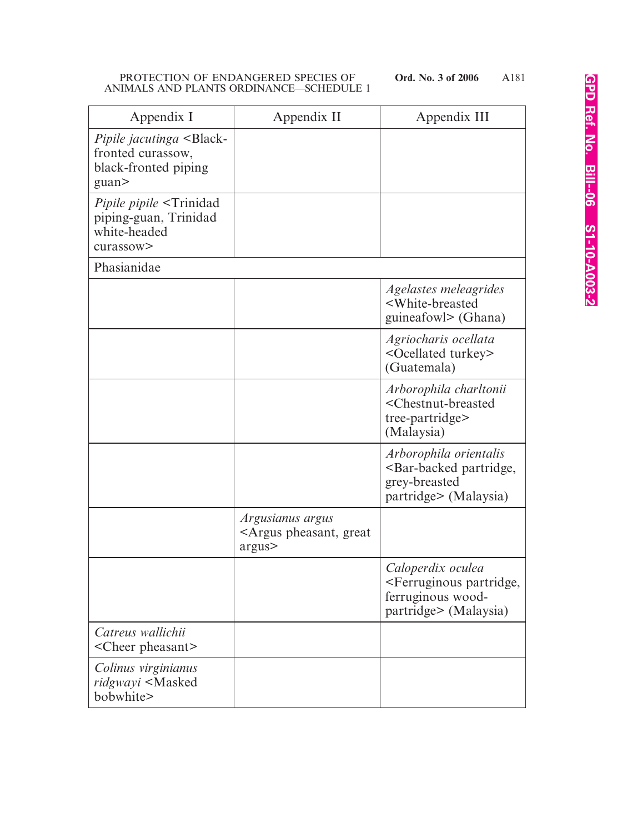| Appendix I                                                                                              | Appendix II                                                           | Appendix III                                                                                                    |
|---------------------------------------------------------------------------------------------------------|-----------------------------------------------------------------------|-----------------------------------------------------------------------------------------------------------------|
| <i>Pipile jacutinga</i> <black-<br>fronted curassow,<br/>black-fronted piping<br/>guan&gt;</black-<br>  |                                                                       |                                                                                                                 |
| <i>Pipile pipile</i> <trinidad<br>piping-guan, Trinidad<br/>white-headed<br/>curassow&gt;</trinidad<br> |                                                                       |                                                                                                                 |
| Phasianidae                                                                                             |                                                                       |                                                                                                                 |
|                                                                                                         |                                                                       | Agelastes meleagrides<br><white-breasted<br>guineafowl&gt; (Ghana)</white-breasted<br>                          |
|                                                                                                         |                                                                       | Agriocharis ocellata<br><ocellated turkey=""><br/>(Guatemala)</ocellated>                                       |
|                                                                                                         |                                                                       | Arborophila charltonii<br><chestnut-breasted<br>tree-partridge&gt;<br/>(Malaysia)</chestnut-breasted<br>        |
|                                                                                                         |                                                                       | Arborophila orientalis<br><bar-backed partridge,<br="">grey-breasted<br/>partridge&gt; (Malaysia)</bar-backed>  |
|                                                                                                         | Argusianus argus<br><argus great<br="" pheasant,="">argus&gt;</argus> |                                                                                                                 |
|                                                                                                         |                                                                       | Caloperdix oculea<br><ferruginous partridge,<br="">ferruginous wood-<br/>partridge&gt; (Malaysia)</ferruginous> |
| Catreus wallichii<br><cheer pheasant=""></cheer>                                                        |                                                                       |                                                                                                                 |
| Colinus virginianus<br>ridgwayi <masked<br>bobwhite&gt;</masked<br>                                     |                                                                       |                                                                                                                 |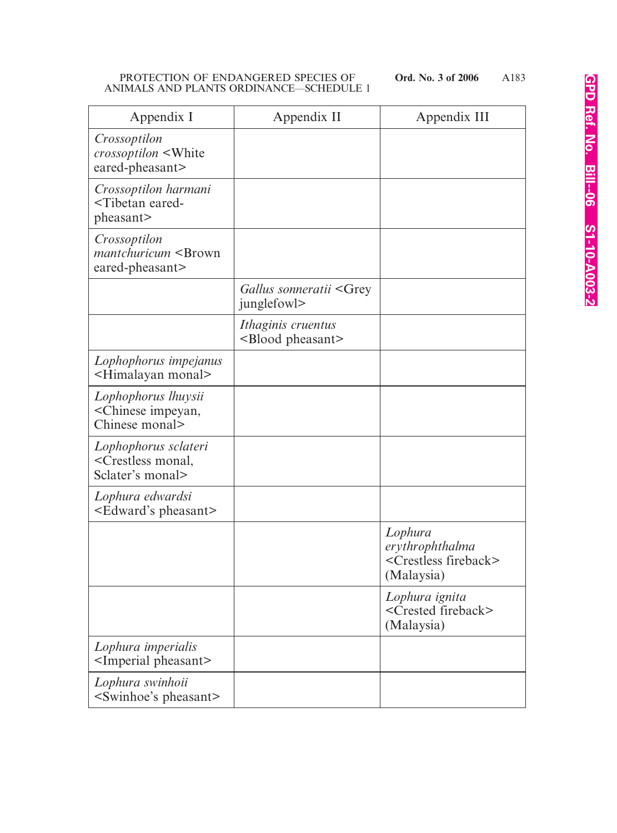| Appendix I                                                                      | Appendix II                                         | Appendix III                                                                     |
|---------------------------------------------------------------------------------|-----------------------------------------------------|----------------------------------------------------------------------------------|
| Crossoptilon<br><i>crossoptilon</i> <white<br>eared-pheasant&gt;</white<br>     |                                                     |                                                                                  |
| Crossoptilon harmani<br><tibetan eared-<br="">pheasant&gt;</tibetan>            |                                                     |                                                                                  |
| Crossoptilon<br>mantchuricum <brown<br>eared-pheasant&gt;</brown<br>            |                                                     |                                                                                  |
|                                                                                 | Gallus sonneratii <grey<br>junglefowl&gt;</grey<br> |                                                                                  |
|                                                                                 | Ithaginis cruentus<br><blood pheasant=""></blood>   |                                                                                  |
| Lophophorus impejanus<br><himalayan monal=""></himalayan>                       |                                                     |                                                                                  |
| Lophophorus lhuysii<br><chinese impeyan,<br="">Chinese monal&gt;</chinese>      |                                                     |                                                                                  |
| Lophophorus sclateri<br><crestless monal,<br="">Sclater's monal&gt;</crestless> |                                                     |                                                                                  |
| Lophura edwardsi<br><edward's pheasant=""></edward's>                           |                                                     |                                                                                  |
|                                                                                 |                                                     | Lophura<br>erythrophthalma<br><crestless fireback=""><br/>(Malaysia)</crestless> |
|                                                                                 |                                                     | Lophura ignita<br><crested fireback=""><br/>(Malaysia)</crested>                 |
| Lophura imperialis<br><imperial pheasant=""></imperial>                         |                                                     |                                                                                  |
| Lophura swinhoii<br><swinhoe's pheasant=""></swinhoe's>                         |                                                     |                                                                                  |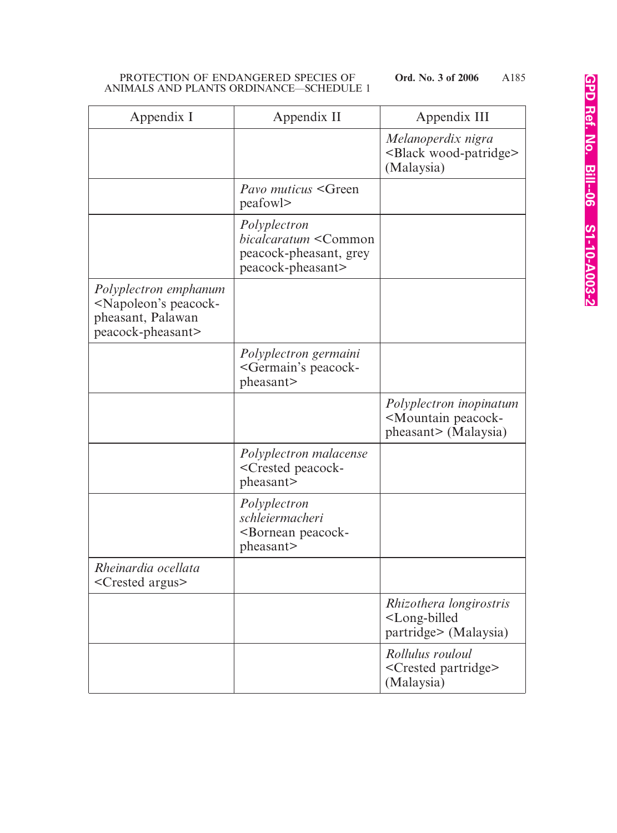| Appendix I                                                                                                  | Appendix II                                                                                         | Appendix III                                                                           |
|-------------------------------------------------------------------------------------------------------------|-----------------------------------------------------------------------------------------------------|----------------------------------------------------------------------------------------|
|                                                                                                             |                                                                                                     | Melanoperdix nigra<br><black wood-patridge=""><br/>(Malaysia)</black>                  |
|                                                                                                             | Pavo muticus <green<br>peafowl&gt;</green<br>                                                       |                                                                                        |
|                                                                                                             | Polyplectron<br>bicalcaratum <common<br>peacock-pheasant, grey<br/>peacock-pheasant&gt;</common<br> |                                                                                        |
| Polyplectron emphanum<br><napoleon's peacock-<br="">pheasant, Palawan<br/>peacock-pheasant&gt;</napoleon's> |                                                                                                     |                                                                                        |
|                                                                                                             | Polyplectron germaini<br><germain's peacock-<br="">pheasant&gt;</germain's>                         |                                                                                        |
|                                                                                                             |                                                                                                     | Polyplectron inopinatum<br><mountain peacock-<br="">pheasant&gt; (Malaysia)</mountain> |
|                                                                                                             | Polyplectron malacense<br><crested peacock-<br="">pheasant&gt;</crested>                            |                                                                                        |
|                                                                                                             | Polyplectron<br>schleiermacheri<br>-Bornean peacock-<br>pheasant>                                   |                                                                                        |
| Rheinardia ocellata<br><crested argus=""></crested>                                                         |                                                                                                     |                                                                                        |
|                                                                                                             |                                                                                                     | Rhizothera longirostris<br><long-billed<br>partridge&gt; (Malaysia)</long-billed<br>   |
|                                                                                                             |                                                                                                     | Rollulus rouloul<br>$\leq$ Crested partridge><br>(Malaysia)                            |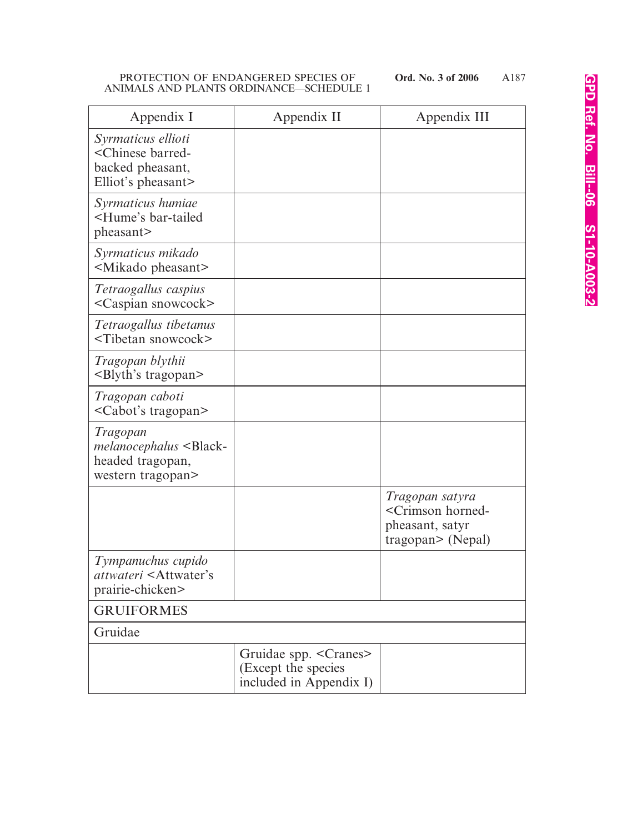| Appendix I                                                                                        | Appendix II                                                              | Appendix III                                                                                        |
|---------------------------------------------------------------------------------------------------|--------------------------------------------------------------------------|-----------------------------------------------------------------------------------------------------|
| Syrmaticus ellioti<br><chinese barred-<br="">backed pheasant,<br/>Elliot's pheasant&gt;</chinese> |                                                                          |                                                                                                     |
| Syrmaticus humiae<br><hume's bar-tailed<br="">pheasant&gt;</hume's>                               |                                                                          |                                                                                                     |
| Syrmaticus mikado<br><mikado pheasant=""></mikado>                                                |                                                                          |                                                                                                     |
| Tetraogallus caspius<br><caspian snowcock=""></caspian>                                           |                                                                          |                                                                                                     |
| Tetraogallus tibetanus<br><tibetan snowcock=""></tibetan>                                         |                                                                          |                                                                                                     |
| Tragopan blythii<br><blyth's tragopan=""></blyth's>                                               |                                                                          |                                                                                                     |
| Tragopan caboti<br><cabot's tragopan=""></cabot's>                                                |                                                                          |                                                                                                     |
| Tragopan<br>melanocephalus <black-<br>headed tragopan,<br/>western tragopan&gt;</black-<br>       |                                                                          |                                                                                                     |
|                                                                                                   |                                                                          | Tragopan satyra<br><crimson horned-<br="">pheasant, satyr<br/><math>tragon</math> (Nepal)</crimson> |
| Tympanuchus cupido<br><i>attwateri</i> <attwater's<br>prairie-chicken&gt;</attwater's<br>         |                                                                          |                                                                                                     |
| <b>GRUIFORMES</b>                                                                                 |                                                                          |                                                                                                     |
| Gruidae                                                                                           |                                                                          |                                                                                                     |
|                                                                                                   | Gruidae spp. < Cranes><br>(Except the species<br>included in Appendix I) |                                                                                                     |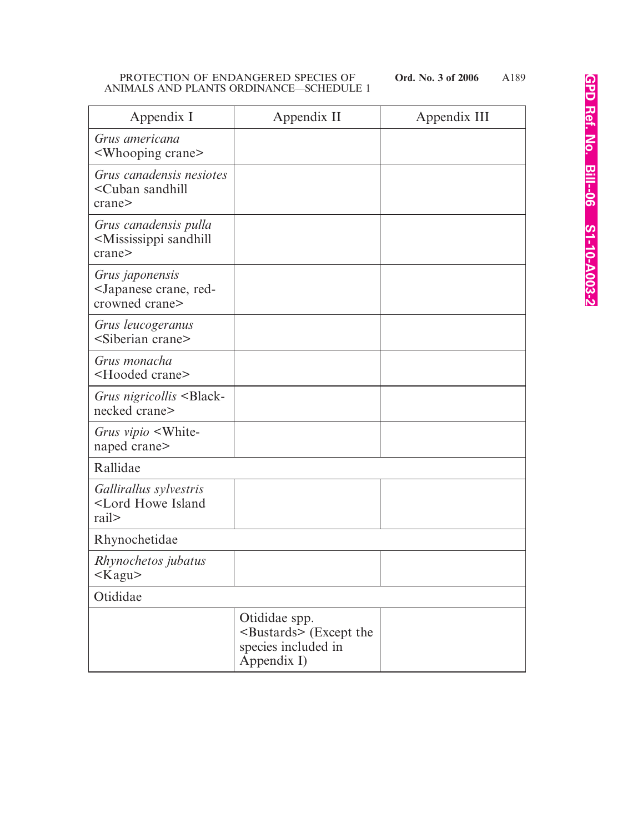A189

| Appendix I                                                                            | Appendix II                                                                              | Appendix III |
|---------------------------------------------------------------------------------------|------------------------------------------------------------------------------------------|--------------|
| Grus americana<br><whooping crane=""></whooping>                                      |                                                                                          |              |
| Grus canadensis nesiotes<br><cuban sandhill<br="">crane&gt;</cuban>                   |                                                                                          |              |
| Grus canadensis pulla<br><mississippi sandhill<br="">crane&gt;</mississippi>          |                                                                                          |              |
| Grus <i>japonensis</i><br><japanese crane,="" red-<br="">crowned crane&gt;</japanese> |                                                                                          |              |
| Grus leucogeranus<br><siberian crane=""></siberian>                                   |                                                                                          |              |
| Grus monacha<br><hooded crane=""></hooded>                                            |                                                                                          |              |
| Grus nigricollis <black-<br>necked crane&gt;</black-<br>                              |                                                                                          |              |
| Grus vipio <white-<br>naped crane&gt;</white-<br>                                     |                                                                                          |              |
| Rallidae                                                                              |                                                                                          |              |
| Gallirallus sylvestris<br><lord howe="" island<br="">rail&gt;</lord>                  |                                                                                          |              |
| Rhynochetidae                                                                         |                                                                                          |              |
| Rhynochetos jubatus<br>$<$ Kagu $>$                                                   |                                                                                          |              |
| Otididae                                                                              |                                                                                          |              |
|                                                                                       | Otididae spp.<br>$\triangle$ Bustards> (Except the<br>species included in<br>Appendix I) |              |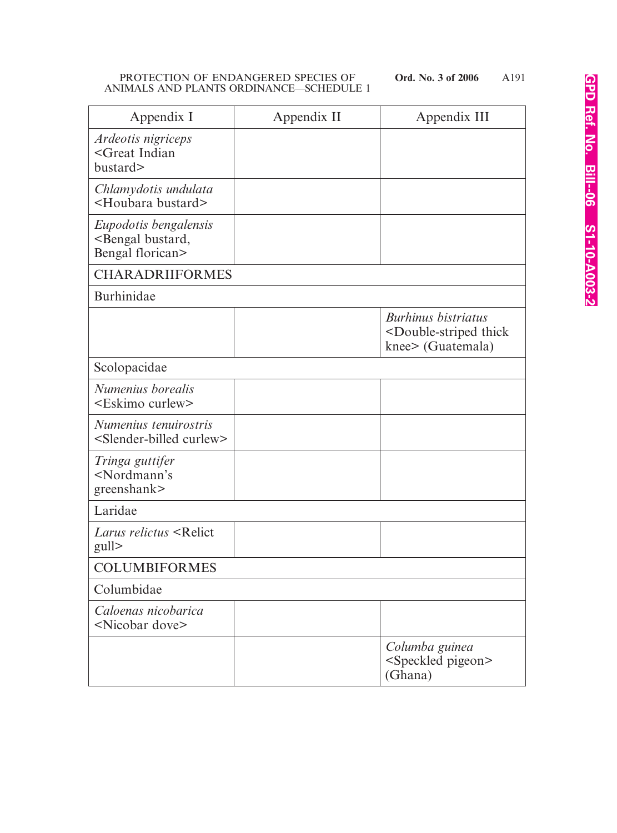| Appendix I                                                                   | Appendix II | Appendix III                                                                                    |
|------------------------------------------------------------------------------|-------------|-------------------------------------------------------------------------------------------------|
| Ardeotis nigriceps<br><great indian<br="">bustard&gt;</great>                |             |                                                                                                 |
| Chlamydotis undulata<br><houbara bustard=""></houbara>                       |             |                                                                                                 |
| Eupodotis bengalensis<br><bengal bustard,<br="">Bengal florican&gt;</bengal> |             |                                                                                                 |
| <b>CHARADRIIFORMES</b>                                                       |             |                                                                                                 |
| Burhinidae                                                                   |             |                                                                                                 |
|                                                                              |             | <b>Burhinus bistriatus</b><br><double-striped thick<br="">knee&gt; (Guatemala)</double-striped> |
| Scolopacidae                                                                 |             |                                                                                                 |
| Numenius borealis<br><eskimo curlew=""></eskimo>                             |             |                                                                                                 |
| Numenius tenuirostris<br><slender-billed curlew=""></slender-billed>         |             |                                                                                                 |
| Tringa guttifer<br><nordmann's<br>greenshank&gt;</nordmann's<br>             |             |                                                                                                 |
| Laridae                                                                      |             |                                                                                                 |
| <i>Larus relictus</i> <relict<br>gull</relict<br>                            |             |                                                                                                 |
| <b>COLUMBIFORMES</b>                                                         |             |                                                                                                 |
| Columbidae                                                                   |             |                                                                                                 |
| Caloenas nicobarica<br><nicobar dove=""></nicobar>                           |             |                                                                                                 |
|                                                                              |             | Columba guinea<br><speckled pigeon=""><br/>(Ghana)</speckled>                                   |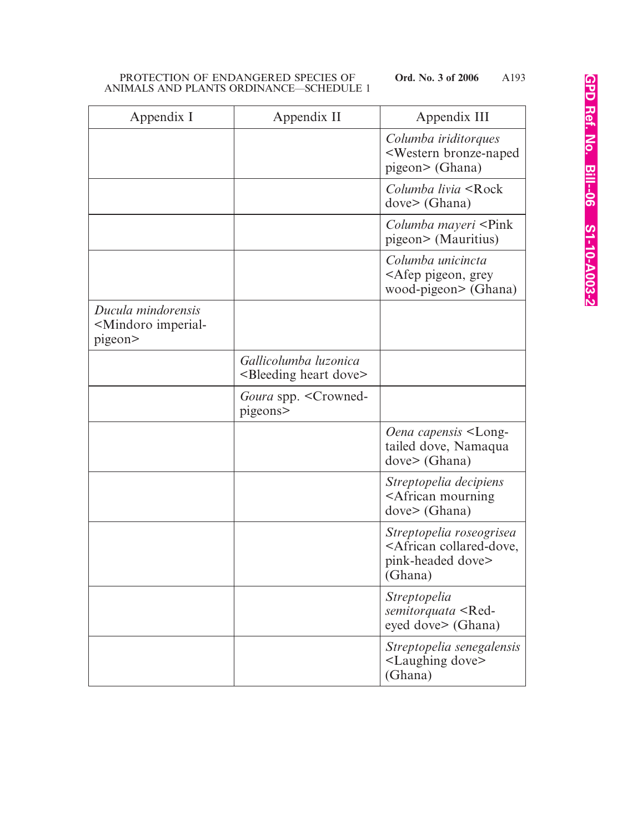| Appendix I                                                          | Appendix II                                                     | Appendix III                                                                                         |
|---------------------------------------------------------------------|-----------------------------------------------------------------|------------------------------------------------------------------------------------------------------|
|                                                                     |                                                                 | Columba iriditorques<br><western bronze-naped<br="">pigeon&gt; (Ghana)</western>                     |
|                                                                     |                                                                 | Columba livia <rock<br>dove &gt; (Ghana)</rock<br>                                                   |
|                                                                     |                                                                 | <i>Columba mayeri</i> <pink<br>pigeon&gt; (Mauritius)</pink<br>                                      |
|                                                                     |                                                                 | Columba unicincta<br><afep grey<br="" pigeon,="">wood-pigeon&gt; (Ghana)</afep>                      |
| Ducula mindorensis<br><mindoro imperial-<br="">pigeon&gt;</mindoro> |                                                                 |                                                                                                      |
|                                                                     | Gallicolumba luzonica<br><bleeding dove="" heart=""></bleeding> |                                                                                                      |
|                                                                     | Goura spp. < Crowned-<br>pigeons>                               |                                                                                                      |
|                                                                     |                                                                 | Oena capensis <long-<br>tailed dove, Namaqua<br/>dove&gt; (Ghana)</long-<br>                         |
|                                                                     |                                                                 | Streptopelia decipiens<br><african mourning<br="">dove &gt; (Ghana)</african>                        |
|                                                                     |                                                                 | Streptopelia roseogrisea<br><african collared-dove,<br="">pink-headed dove&gt;<br/>(Ghana)</african> |
|                                                                     |                                                                 | <i>Streptopelia</i><br>semitorquata <red-<br>eyed dove&gt; (Ghana)</red-<br>                         |
|                                                                     |                                                                 | Streptopelia senegalensis<br><laughing dove=""><br/>(Ghana)</laughing>                               |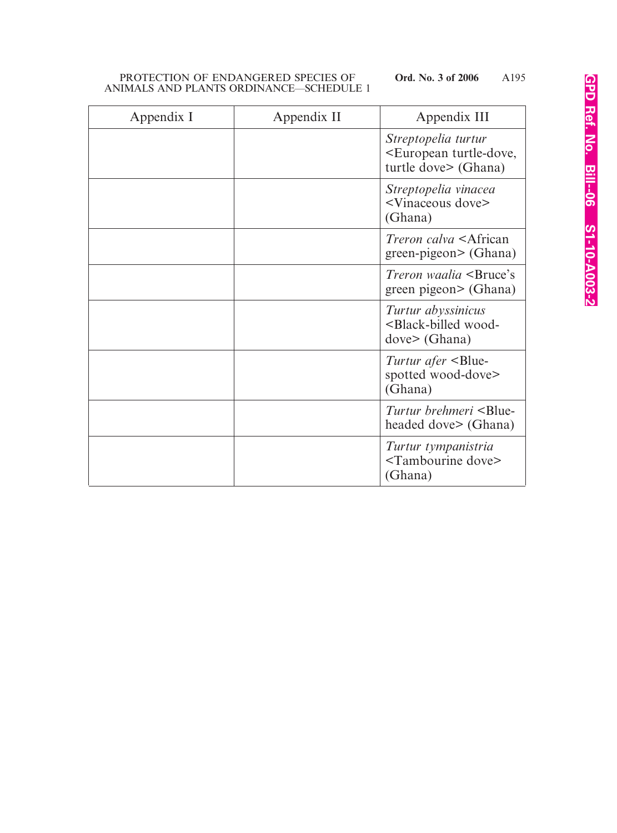| Appendix I | Appendix II | Appendix III                                                                           |
|------------|-------------|----------------------------------------------------------------------------------------|
|            |             | Streptopelia turtur<br><european turtle-dove,<br="">turtle dove&gt; (Ghana)</european> |
|            |             | Streptopelia vinacea<br><vinaceous dove=""><br/>(Ghana)</vinaceous>                    |
|            |             | <i>Treron calva</i> <african<br>green-pigeon&gt; (Ghana)</african<br>                  |
|            |             | Treron waalia <bruce's<br>green pigeon&gt; (Ghana)</bruce's<br>                        |
|            |             | Turtur abyssinicus<br><black-billed wood-<br="">dove&gt; (Ghana)</black-billed>        |
|            |             | Turtur afer <blue-<br>spotted wood-dove&gt;<br/>(Ghana)</blue-<br>                     |
|            |             | Turtur brehmeri <blue-<br>headed dove&gt; (Ghana)</blue-<br>                           |
|            |             | Turtur tympanistria<br><tambourine dove=""><br/>(Ghana)</tambourine>                   |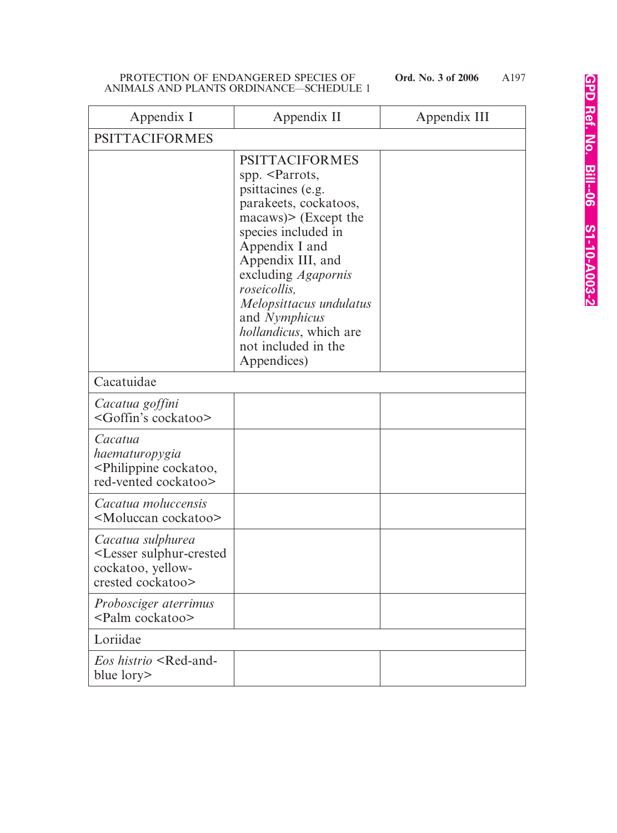| Appendix I                                                                                             | Appendix II                                                                                                                                                                                                                                                                                                                                                                                     | Appendix III |
|--------------------------------------------------------------------------------------------------------|-------------------------------------------------------------------------------------------------------------------------------------------------------------------------------------------------------------------------------------------------------------------------------------------------------------------------------------------------------------------------------------------------|--------------|
| <b>PSITTACIFORMES</b>                                                                                  |                                                                                                                                                                                                                                                                                                                                                                                                 |              |
|                                                                                                        | <b>PSITTACIFORMES</b><br>spp. <parrots,<br>psittacines (e.g.<br/>parakeets, cockatoos,<br/><math>\text{macaws}</math> (Except the<br/>species included in<br/>Appendix I and<br/>Appendix III, and<br/>excluding <i>Agapornis</i><br/><i>roseicollis,</i><br/>Melopsittacus undulatus<br/>and Nymphicus<br/><i>hollandicus</i>, which are<br/>not included in the<br/>Appendices)</parrots,<br> |              |
| Cacatuidae                                                                                             |                                                                                                                                                                                                                                                                                                                                                                                                 |              |
| Cacatua goffini<br><goffin's cockatoo=""></goffin's>                                                   |                                                                                                                                                                                                                                                                                                                                                                                                 |              |
| Cacatua<br>haematuropygia<br><philippine cockatoo,<br="">red-vented cockatoo&gt;</philippine>          |                                                                                                                                                                                                                                                                                                                                                                                                 |              |
| Cacatua moluccensis<br><moluccan cockatoo=""></moluccan>                                               |                                                                                                                                                                                                                                                                                                                                                                                                 |              |
| Cacatua sulphurea<br><lesser sulphur-crested<br="">cockatoo, yellow-<br/>crested cockatoo&gt;</lesser> |                                                                                                                                                                                                                                                                                                                                                                                                 |              |
| Probosciger aterrimus<br><palm cockatoo=""></palm>                                                     |                                                                                                                                                                                                                                                                                                                                                                                                 |              |
| Loriidae                                                                                               |                                                                                                                                                                                                                                                                                                                                                                                                 |              |
| <i>Eos histrio</i> <red-and-<br>blue lory&gt;</red-and-<br>                                            |                                                                                                                                                                                                                                                                                                                                                                                                 |              |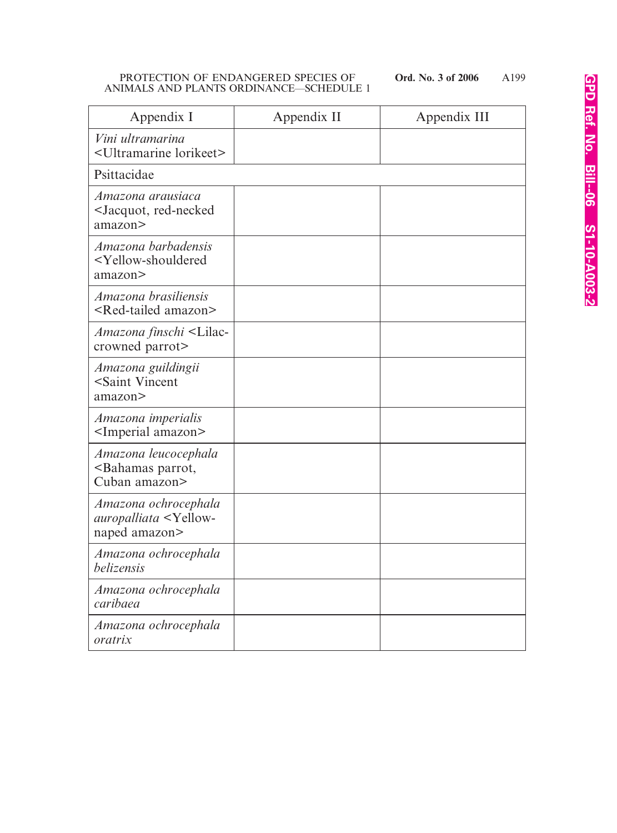| Appendix I                                                                            | Appendix II | Appendix III |
|---------------------------------------------------------------------------------------|-------------|--------------|
| Vini ultramarina<br><ultramarine lorikeet=""></ultramarine>                           |             |              |
| Psittacidae                                                                           |             |              |
| Amazona arausiaca<br><jacquot, red-necked<br="">amazon&gt;</jacquot,>                 |             |              |
| Amazona barbadensis<br><yellow-shouldered<br>amazon&gt;</yellow-shouldered<br>        |             |              |
| Amazona brasiliensis<br><red-tailed amazon=""></red-tailed>                           |             |              |
| Amazona finschi <lilac-<br>crowned parrot&gt;</lilac-<br>                             |             |              |
| Amazona guildingii<br><saint vincent<br="">amazon&gt;</saint>                         |             |              |
| Amazona imperialis<br><imperial amazon=""></imperial>                                 |             |              |
| Amazona leucocephala<br><bahamas parrot,<br="">Cuban amazon&gt;</bahamas>             |             |              |
| Amazona ochrocephala<br><i>auropalliata</i> <yellow-<br>naped amazon&gt;</yellow-<br> |             |              |
| Amazona ochrocephala<br>belizensis                                                    |             |              |
| Amazona ochrocephala<br>caribaea                                                      |             |              |
| Amazona ochrocephala<br>oratrix                                                       |             |              |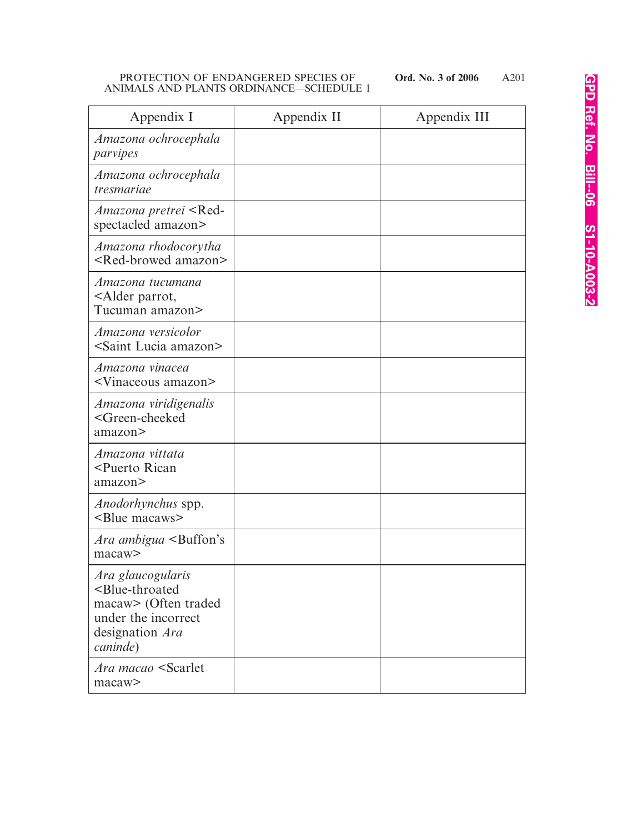| Appendix I                                                                                                                                 | Appendix II | Appendix III |
|--------------------------------------------------------------------------------------------------------------------------------------------|-------------|--------------|
| Amazona ochrocephala<br>parvipes                                                                                                           |             |              |
| Amazona ochrocephala<br>tresmariae                                                                                                         |             |              |
| <i>Amazona pretrei</i> <red-<br>spectacled amazon&gt;</red-<br>                                                                            |             |              |
| Amazona rhodocorytha<br><red-browed amazon=""></red-browed>                                                                                |             |              |
| Amazona tucumana<br><alder parrot,<br="">Tucuman amazon&gt;</alder>                                                                        |             |              |
| Amazona versicolor<br><saint amazon="" lucia=""></saint>                                                                                   |             |              |
| Amazona vinacea<br><vinaceous amazon=""></vinaceous>                                                                                       |             |              |
| Amazona viridigenalis<br><green-cheeked<br>amazon&gt;</green-cheeked<br>                                                                   |             |              |
| Amazona vittata<br><puerto rican<br="">amazon&gt;</puerto>                                                                                 |             |              |
| <i>Anodorhynchus</i> spp.<br><blue macaws=""></blue>                                                                                       |             |              |
| <i>Ara ambigua</i> <buffon's<br>macaw&gt;</buffon's<br>                                                                                    |             |              |
| Ara glaucogularis<br><blue-throated<br>macaw&gt; (Often traded<br/>under the incorrect<br/>designation Ara<br/>caninde)</blue-throated<br> |             |              |
| <i>Ara macao</i> <scarlet<br>macaw&gt;</scarlet<br>                                                                                        |             |              |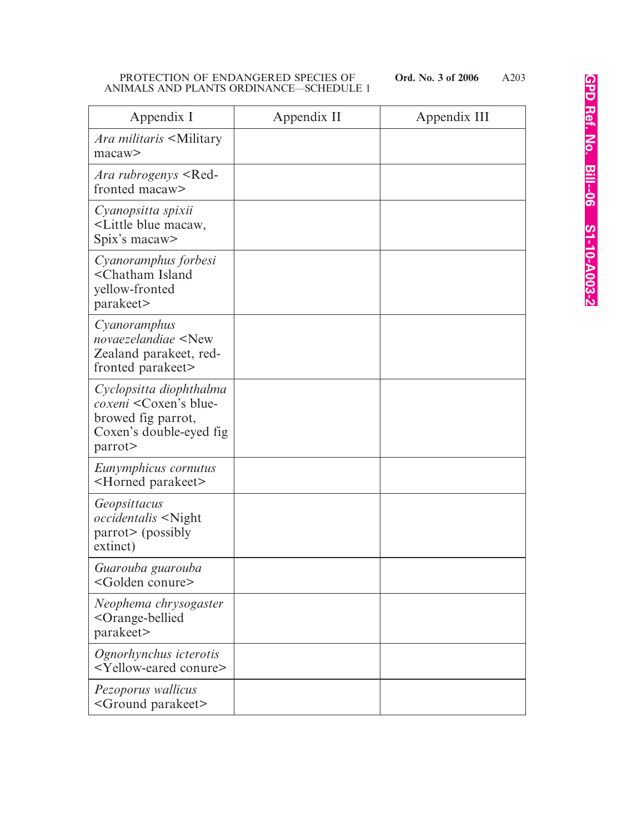| Appendix I                                                                                                           | Appendix II | Appendix III |
|----------------------------------------------------------------------------------------------------------------------|-------------|--------------|
| Ara militaris <military<br>macaw&gt;</military<br>                                                                   |             |              |
| <i>Ara rubrogenys</i> <red-<br>fronted macaw&gt;</red-<br>                                                           |             |              |
| Cyanopsitta spixii<br><little blue="" macaw,<br="">Spix's macaw&gt;</little>                                         |             |              |
| Cyanoramphus forbesi<br><chatham island<br="">yellow-fronted<br/>parakeet&gt;</chatham>                              |             |              |
| Cyanoramphus<br>novaezelandiae <new<br>Zealand parakeet, red-<br/>fronted parakeet&gt;</new<br>                      |             |              |
| Cyclopsitta diophthalma<br><i>coxeni</i> < Coxen's blue-<br>browed fig parrot,<br>Coxen's double-eyed fig<br>parrot> |             |              |
| Eunymphicus cornutus<br><horned parakeet=""></horned>                                                                |             |              |
| Geopsittacus<br><i>occidentalis</i> <night<br>parrot&gt; (possibly<br/>extinct)</night<br>                           |             |              |
| Guarouba guarouba<br><golden conure=""></golden>                                                                     |             |              |
| Neophema chrysogaster<br><orange-bellied<br>parakeet&gt;</orange-bellied<br>                                         |             |              |
| Ognorhynchus icterotis<br><yellow-eared conure=""></yellow-eared>                                                    |             |              |
| Pezoporus wallicus<br><ground parakeet=""></ground>                                                                  |             |              |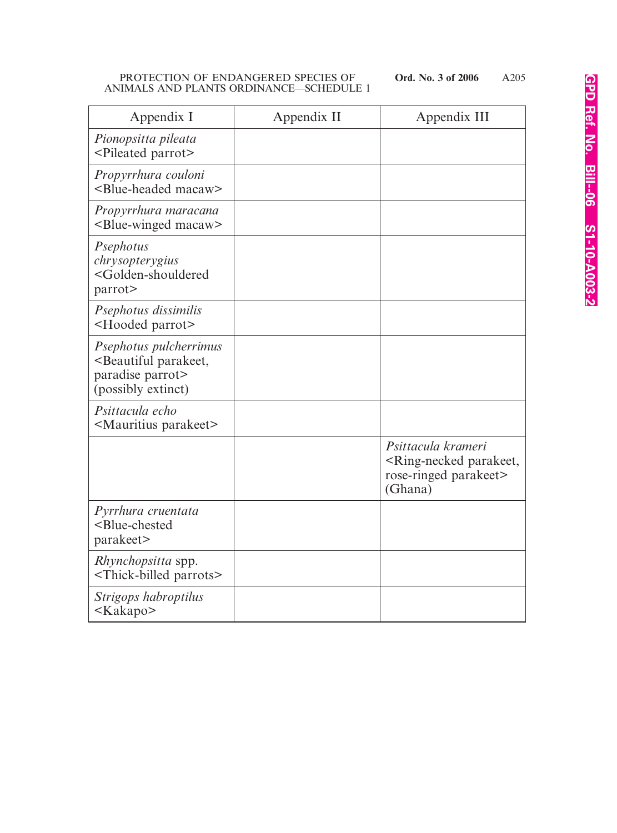| Appendix I                                                                                                  | Appendix II | Appendix III                                                                                          |
|-------------------------------------------------------------------------------------------------------------|-------------|-------------------------------------------------------------------------------------------------------|
| Pionopsitta pileata<br><pileated parrot=""></pileated>                                                      |             |                                                                                                       |
| Propyrrhura couloni<br><blue-headed macaw=""></blue-headed>                                                 |             |                                                                                                       |
| Propyrrhura maracana<br><blue-winged macaw=""></blue-winged>                                                |             |                                                                                                       |
| Psephotus<br>chrysopterygius<br><golden-shouldered<br>parrot&gt;</golden-shouldered<br>                     |             |                                                                                                       |
| Psephotus dissimilis<br><hooded parrot=""></hooded>                                                         |             |                                                                                                       |
| Psephotus pulcherrimus<br><beautiful parakeet,<br="">paradise parrot&gt;<br/>(possibly extinct)</beautiful> |             |                                                                                                       |
| Psittacula echo<br><mauritius parakeet=""></mauritius>                                                      |             |                                                                                                       |
|                                                                                                             |             | Psittacula krameri<br><ring-necked parakeet,<br="">rose-ringed parakeet&gt;<br/>(Ghana)</ring-necked> |
| Pyrrhura cruentata<br><blue-chested<br>parakeet&gt;</blue-chested<br>                                       |             |                                                                                                       |
| Rhynchopsitta spp.<br><thick-billed parrots=""></thick-billed>                                              |             |                                                                                                       |
| Strigops habroptilus<br><kakapo></kakapo>                                                                   |             |                                                                                                       |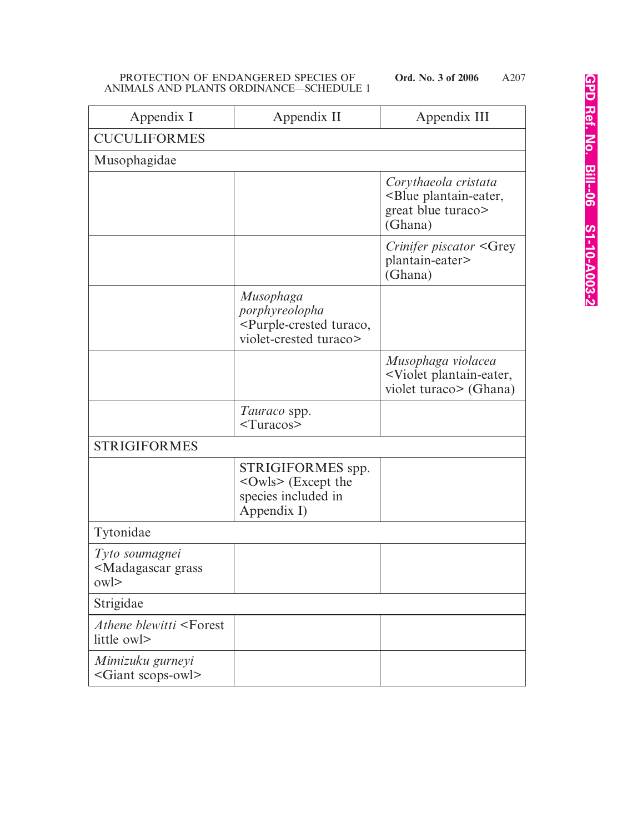| Appendix I                                                                               | Appendix II                                                                                             | Appendix III                                                                                 |
|------------------------------------------------------------------------------------------|---------------------------------------------------------------------------------------------------------|----------------------------------------------------------------------------------------------|
| <b>CUCULIFORMES</b>                                                                      |                                                                                                         |                                                                                              |
| Musophagidae                                                                             |                                                                                                         |                                                                                              |
|                                                                                          |                                                                                                         | Corythaeola cristata<br><blue plantain-eater,<br="">great blue turaco&gt;<br/>(Ghana)</blue> |
|                                                                                          |                                                                                                         | <i>Crinifer piscator</i> <grey<br>plantain-eater&gt;<br/>(Ghana)</grey<br>                   |
|                                                                                          | Musophaga<br>porphyreolopha<br><purple-crested turaco,<br="">violet-crested turaco&gt;</purple-crested> |                                                                                              |
|                                                                                          |                                                                                                         | Musophaga violacea<br><violet plantain-eater,<br="">violet turaco&gt; (Ghana)</violet>       |
|                                                                                          | Tauraco spp.<br>Turas                                                                                   |                                                                                              |
| <b>STRIGIFORMES</b>                                                                      |                                                                                                         |                                                                                              |
|                                                                                          | STRIGIFORMES spp.<br>$<$ Owls> (Except the<br>species included in<br>Appendix I)                        |                                                                                              |
| Tytonidae                                                                                |                                                                                                         |                                                                                              |
| Tyto soumagnei<br><madagascar grass<br=""><math>ow</math> <math>&gt;</math></madagascar> |                                                                                                         |                                                                                              |
| Strigidae                                                                                |                                                                                                         |                                                                                              |
| Athene blewitti <forest<br>little owl&gt;</forest<br>                                    |                                                                                                         |                                                                                              |
| Mimizuku gurneyi<br><giant scops-owl=""></giant>                                         |                                                                                                         |                                                                                              |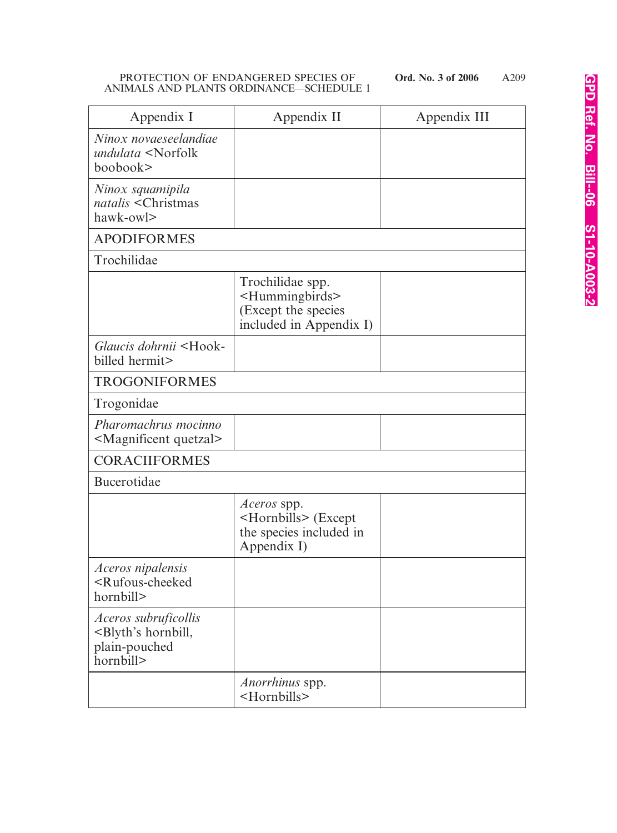| Appendix I                                                                                       | Appendix II                                                                                           | Appendix III |
|--------------------------------------------------------------------------------------------------|-------------------------------------------------------------------------------------------------------|--------------|
| Ninox novaeseelandiae<br>undulata <norfolk<br>boobook&gt;</norfolk<br>                           |                                                                                                       |              |
| Ninox squamipila<br>natalis <christmas<br>hawk-owl&gt;</christmas<br>                            |                                                                                                       |              |
| <b>APODIFORMES</b>                                                                               |                                                                                                       |              |
| Trochilidae                                                                                      |                                                                                                       |              |
|                                                                                                  | Trochilidae spp.<br><hummingbirds><br/>(Except the species<br/>included in Appendix I)</hummingbirds> |              |
| Glaucis dohrnii <hook-<br>billed hermit&gt;</hook-<br>                                           |                                                                                                       |              |
| <b>TROGONIFORMES</b>                                                                             |                                                                                                       |              |
| Trogonidae                                                                                       |                                                                                                       |              |
| Pharomachrus mocinno<br><magnificent quetzal=""></magnificent>                                   |                                                                                                       |              |
| <b>CORACIIFORMES</b>                                                                             |                                                                                                       |              |
| Bucerotidae                                                                                      |                                                                                                       |              |
|                                                                                                  | Aceros spp.<br><hornbills> (Except<br/>the species included in<br/>Appendix I)</hornbills>            |              |
| Aceros nipalensis<br><rufous-cheeked<br>hornbill&gt;</rufous-cheeked<br>                         |                                                                                                       |              |
| <i>Aceros subruficollis</i><br><blyth's hornbill,<br="">plain-pouched<br/>hornbill&gt;</blyth's> |                                                                                                       |              |
|                                                                                                  | <i>Anorrhinus</i> spp.<br><hornbills></hornbills>                                                     |              |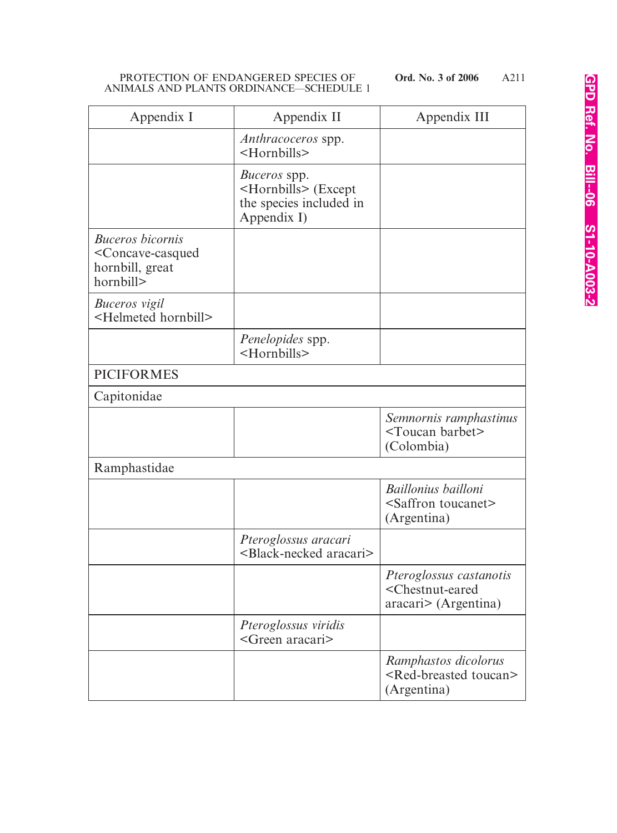| Appendix I                                                                                           | Appendix II                                                                                 | Appendix III                                                                              |
|------------------------------------------------------------------------------------------------------|---------------------------------------------------------------------------------------------|-------------------------------------------------------------------------------------------|
|                                                                                                      | <i>Anthracoceros</i> spp.<br><hornbills></hornbills>                                        |                                                                                           |
|                                                                                                      | Buceros spp.<br><hornbills> (Except<br/>the species included in<br/>Appendix I)</hornbills> |                                                                                           |
| <b>Buceros bicornis</b><br><concave-casqued<br>hornbill, great<br/>hornbill&gt;</concave-casqued<br> |                                                                                             |                                                                                           |
| <b>Buceros</b> vigil<br><helmeted hornbill=""></helmeted>                                            |                                                                                             |                                                                                           |
|                                                                                                      | Penelopides spp.<br><hornbills></hornbills>                                                 |                                                                                           |
| <b>PICIFORMES</b>                                                                                    |                                                                                             |                                                                                           |
| Capitonidae                                                                                          |                                                                                             |                                                                                           |
|                                                                                                      |                                                                                             | Semnornis ramphastinus<br><toucan barbet=""><br/>(Colombia)</toucan>                      |
| Ramphastidae                                                                                         |                                                                                             |                                                                                           |
|                                                                                                      |                                                                                             | Baillonius bailloni<br><saffron toucanet=""><br/>(Argentina)</saffron>                    |
|                                                                                                      | Pteroglossus aracari<br><black-necked aracari=""></black-necked>                            |                                                                                           |
|                                                                                                      |                                                                                             | Pteroglossus castanotis<br><chestnut-eared<br>aracari&gt; (Argentina)</chestnut-eared<br> |
|                                                                                                      | Pteroglossus viridis<br><green aracari=""></green>                                          |                                                                                           |
|                                                                                                      |                                                                                             | Ramphastos dicolorus<br><red-breasted toucan=""><br/>(Argentina)</red-breasted>           |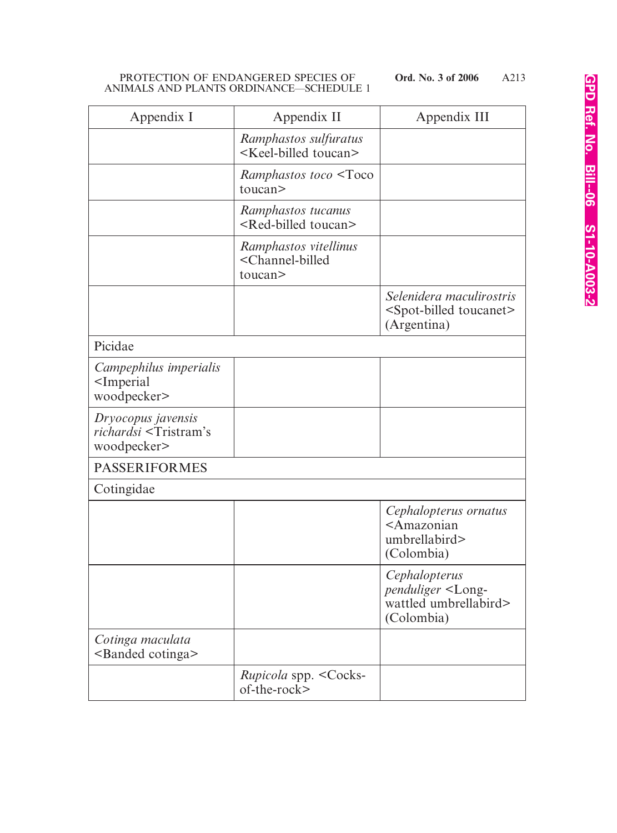| Appendix I                                                                    | Appendix II                                                                | Appendix III                                                                             |
|-------------------------------------------------------------------------------|----------------------------------------------------------------------------|------------------------------------------------------------------------------------------|
|                                                                               | Ramphastos sulfuratus<br><keel-billed toucan=""></keel-billed>             |                                                                                          |
|                                                                               | Ramphastos toco <toco<br>toucan&gt;</toco<br>                              |                                                                                          |
|                                                                               | Ramphastos tucanus<br><red-billed toucan=""></red-billed>                  |                                                                                          |
|                                                                               | Ramphastos vitellinus<br><channel-billed<br>toucan&gt;</channel-billed<br> |                                                                                          |
|                                                                               |                                                                            | Selenidera maculirostris<br><spot-billed toucanet=""><br/>(Argentina)</spot-billed>      |
| Picidae                                                                       |                                                                            |                                                                                          |
| Campephilus imperialis<br><imperial<br>woodpecker&gt;</imperial<br>           |                                                                            |                                                                                          |
| Dryocopus javensis<br>richardsi <tristram's<br>woodpecker&gt;</tristram's<br> |                                                                            |                                                                                          |
| <b>PASSERIFORMES</b>                                                          |                                                                            |                                                                                          |
| Cotingidae                                                                    |                                                                            |                                                                                          |
|                                                                               |                                                                            | Cephalopterus ornatus<br><amazonian<br>umbrellabird&gt;<br/>(Colombia)</amazonian<br>    |
|                                                                               |                                                                            | Cephalopterus<br>penduliger <long-<br>wattled umbrellabird&gt;<br/>(Colombia)</long-<br> |
| Cotinga maculata<br><banded cotinga=""></banded>                              |                                                                            |                                                                                          |
|                                                                               | <i>Rupicola spp.</i> < Cocks-<br>of-the-rock>                              |                                                                                          |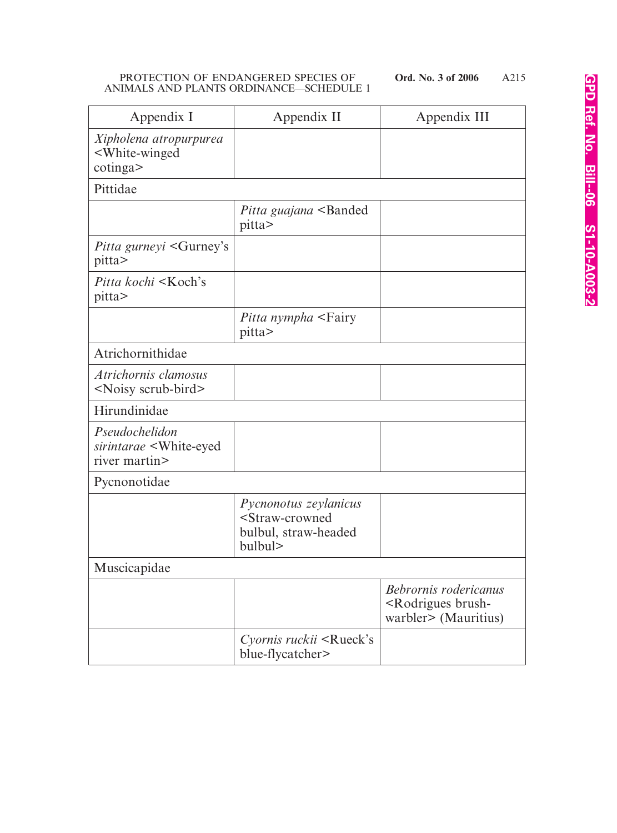| Appendix I                                                                   | Appendix II                                                                                       | Appendix III                                                                         |
|------------------------------------------------------------------------------|---------------------------------------------------------------------------------------------------|--------------------------------------------------------------------------------------|
| Xipholena atropurpurea<br><white-winged<br>cotinga</white-winged<br>         |                                                                                                   |                                                                                      |
| Pittidae                                                                     |                                                                                                   |                                                                                      |
|                                                                              | Pitta guajana <banded<br>pitta&gt;</banded<br>                                                    |                                                                                      |
| Pitta gurneyi <gurney's<br>pitta&gt;</gurney's<br>                           |                                                                                                   |                                                                                      |
| <i>Pitta kochi</i> <koch's<br>pitta&gt;</koch's<br>                          |                                                                                                   |                                                                                      |
|                                                                              | <i>Pitta nympha</i> <fairy<br>pitta&gt;</fairy<br>                                                |                                                                                      |
| Atrichornithidae                                                             |                                                                                                   |                                                                                      |
| Atrichornis clamosus<br><noisy scrub-bird=""></noisy>                        |                                                                                                   |                                                                                      |
| Hirundinidae                                                                 |                                                                                                   |                                                                                      |
| Pseudochelidon<br>sirintarae <white-eyed<br>river martin&gt;</white-eyed<br> |                                                                                                   |                                                                                      |
| Pycnonotidae                                                                 |                                                                                                   |                                                                                      |
|                                                                              | Pycnonotus zeylanicus<br><straw-crowned<br>bulbul, straw-headed<br/>bulbul&gt;</straw-crowned<br> |                                                                                      |
| Muscicapidae                                                                 |                                                                                                   |                                                                                      |
|                                                                              |                                                                                                   | Bebrornis rodericanus<br><rodrigues brush-<br="">warbler&gt; (Mauritius)</rodrigues> |
|                                                                              | Cyornis ruckii <rueck's<br>blue-flycatcher&gt;</rueck's<br>                                       |                                                                                      |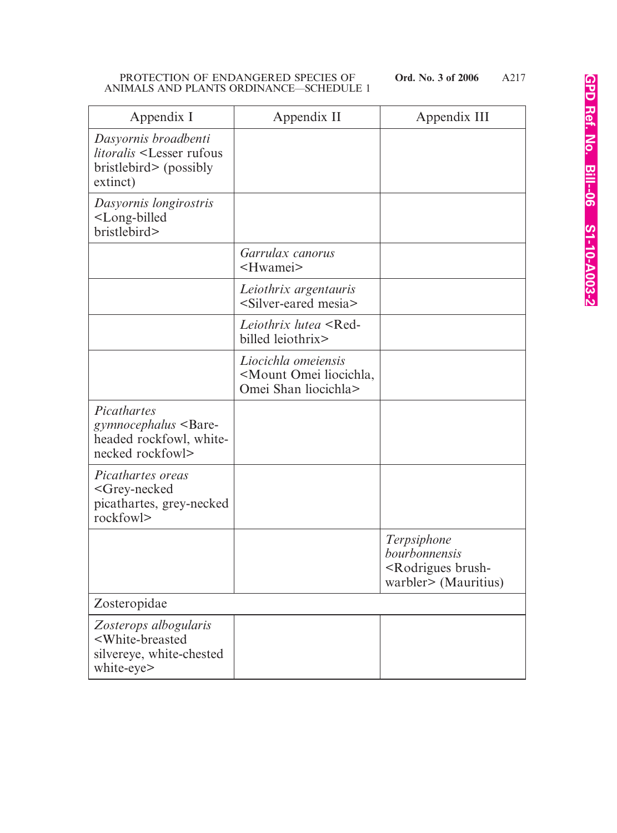| Appendix I                                                                                                    | Appendix II                                                                            | Appendix III                                                                                |
|---------------------------------------------------------------------------------------------------------------|----------------------------------------------------------------------------------------|---------------------------------------------------------------------------------------------|
| Dasyornis broadbenti<br><i>litoralis</i> <lesser rufous<br="">bristlebird&gt; (possibly<br/>extinct)</lesser> |                                                                                        |                                                                                             |
| Dasyornis longirostris<br><long-billed<br>bristlebird&gt;</long-billed<br>                                    |                                                                                        |                                                                                             |
|                                                                                                               | Garrulax canorus<br><hwamei></hwamei>                                                  |                                                                                             |
|                                                                                                               | Leiothrix argentauris<br><silver-eared mesia=""></silver-eared>                        |                                                                                             |
|                                                                                                               | Leiothrix lutea <red-<br>billed leiothrix&gt;</red-<br>                                |                                                                                             |
|                                                                                                               | Liocichla omeiensis<br><mount liocichla,<br="" omei="">Omei Shan liocichla&gt;</mount> |                                                                                             |
| Picathartes<br>gymnocephalus <bare-<br>headed rockfowl, white-<br/>necked rockfowl&gt;</bare-<br>             |                                                                                        |                                                                                             |
| Picathartes oreas<br><grey-necked<br>picathartes, grey-necked<br/>rockfowl&gt;</grey-necked<br>               |                                                                                        |                                                                                             |
|                                                                                                               |                                                                                        | Terpsiphone<br>bourbonnensis<br><rodrigues brush-<br="">warbler&gt; (Mauritius)</rodrigues> |
| Zosteropidae                                                                                                  |                                                                                        |                                                                                             |
| Zosterops albogularis<br><white-breasted<br>silvereye, white-chested<br/>white-eye&gt;</white-breasted<br>    |                                                                                        |                                                                                             |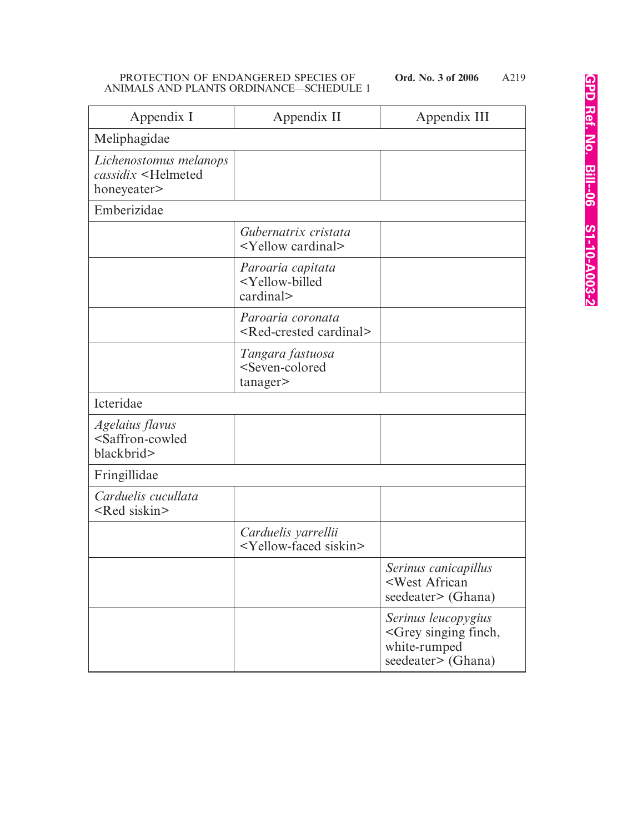| Appendix I                                                                   | Appendix II                                                            | Appendix III                                                                                       |
|------------------------------------------------------------------------------|------------------------------------------------------------------------|----------------------------------------------------------------------------------------------------|
| Meliphagidae                                                                 |                                                                        |                                                                                                    |
| Lichenostomus melanops<br>cassidix <helmeted<br>honeyeater&gt;</helmeted<br> |                                                                        |                                                                                                    |
| Emberizidae                                                                  |                                                                        |                                                                                                    |
|                                                                              | Gubernatrix cristata<br><yellow cardinal=""></yellow>                  |                                                                                                    |
|                                                                              | Paroaria capitata<br><yellow-billed<br>cardinal&gt;</yellow-billed<br> |                                                                                                    |
|                                                                              | Paroaria coronata<br><red-crested cardinal=""></red-crested>           |                                                                                                    |
|                                                                              | Tangara fastuosa<br><seven-colored<br>tanager&gt;</seven-colored<br>   |                                                                                                    |
| Icteridae                                                                    |                                                                        |                                                                                                    |
| Agelaius flavus<br><saffron-cowled<br>blackbrid&gt;</saffron-cowled<br>      |                                                                        |                                                                                                    |
| Fringillidae                                                                 |                                                                        |                                                                                                    |
| Carduelis cucullata<br><red siskin=""></red>                                 |                                                                        |                                                                                                    |
|                                                                              | Carduelis yarrellii<br><yellow-faced siskin=""></yellow-faced>         |                                                                                                    |
|                                                                              |                                                                        | Serinus canicapillus<br><west african<br="">seedeater&gt; (Ghana)</west>                           |
|                                                                              |                                                                        | Serinus leucopygius<br><grey finch,<br="" singing="">white-rumped<br/>seedeater&gt; (Ghana)</grey> |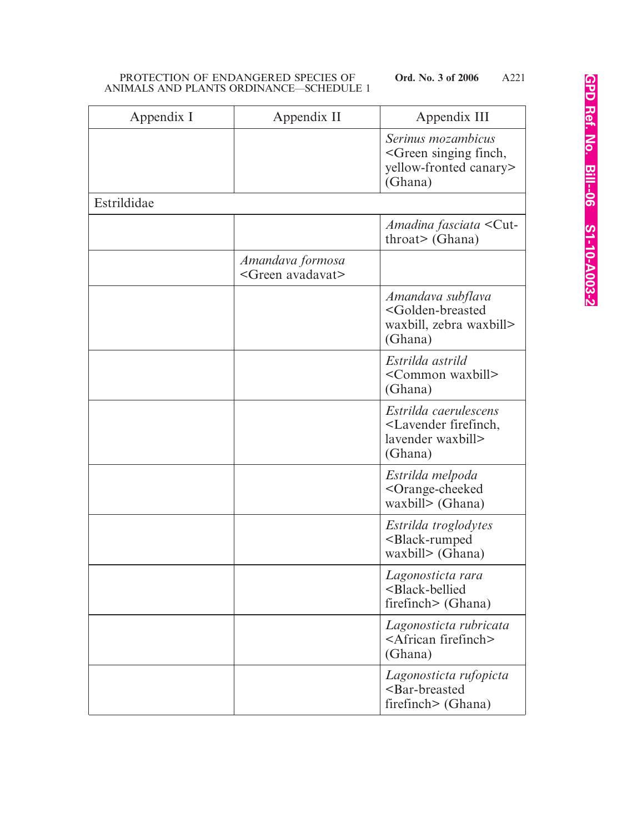| Appendix I  | Appendix II                                     | Appendix III                                                                                         |
|-------------|-------------------------------------------------|------------------------------------------------------------------------------------------------------|
|             |                                                 | Serinus mozambicus<br><green finch,<br="" singing="">yellow-fronted canary&gt;<br/>(Ghana)</green>   |
| Estrildidae |                                                 |                                                                                                      |
|             |                                                 | Amadina fasciata <cut-<br><math>through</math> (Ghana)</cut-<br>                                     |
|             | Amandava formosa<br><green avadavat=""></green> |                                                                                                      |
|             |                                                 | Amandava subflava<br><golden-breasted<br>waxbill, zebra waxbill&gt;<br/>(Ghana)</golden-breasted<br> |
|             |                                                 | Estrilda astrild<br><common waxbill=""><br/>(Ghana)</common>                                         |
|             |                                                 | Estrilda caerulescens<br><lavender firefinch,<br="">lavender waxbill&gt;<br/>(Ghana)</lavender>      |
|             |                                                 | Estrilda melpoda<br><orange-cheeked<br>waxbill&gt; (Ghana)</orange-cheeked<br>                       |
|             |                                                 | Estrilda troglodytes<br><black-rumped<br>waxbill&gt; (Ghana)</black-rumped<br>                       |
|             |                                                 | Lagonosticta rara<br><black-bellied<br>firefinch&gt; (Ghana)</black-bellied<br>                      |
|             |                                                 | Lagonosticta rubricata<br><african firefinch=""><br/>(Ghana)</african>                               |
|             |                                                 | Lagonosticta rufopicta<br><bar-breasted<br>firefinch&gt; (Ghana)</bar-breasted<br>                   |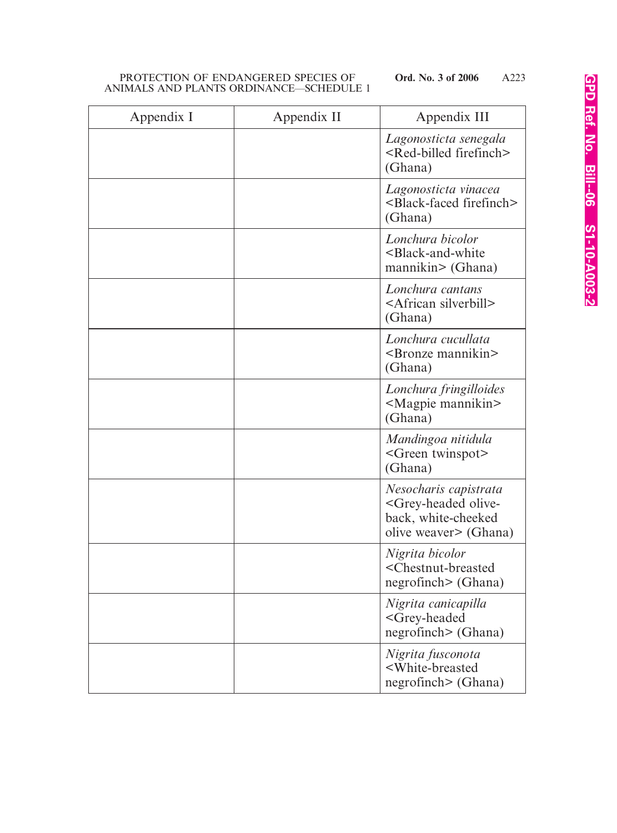| Appendix I | Appendix II | Appendix III                                                                                                      |
|------------|-------------|-------------------------------------------------------------------------------------------------------------------|
|            |             | Lagonosticta senegala<br><red-billed firefinch=""><br/>(Ghana)</red-billed>                                       |
|            |             | Lagonosticta vinacea<br><black-faced firefinch=""><br/>(Ghana)</black-faced>                                      |
|            |             | Lonchura bicolor<br><black-and-white<br>mannikin&gt; (Ghana)</black-and-white<br>                                 |
|            |             | Lonchura cantans<br><african silverbill=""><br/>(Ghana)</african>                                                 |
|            |             | Lonchura cucullata<br><bronze mannikin=""><br/>(Ghana)</bronze>                                                   |
|            |             | Lonchura fringilloides<br><magpie mannikin=""><br/>(Ghana)</magpie>                                               |
|            |             | Mandingoa nitidula<br><green twinspot=""><br/>(Ghana)</green>                                                     |
|            |             | Nesocharis capistrata<br><grey-headed olive-<br="">back, white-cheeked<br/>olive weaver&gt; (Ghana)</grey-headed> |
|            |             | Nigrita bicolor<br><chestnut-breasted<br>negrofinch&gt; (Ghana)</chestnut-breasted<br>                            |
|            |             | Nigrita canicapilla<br><grey-headed<br>negrofinch&gt; (Ghana)</grey-headed<br>                                    |
|            |             | Nigrita fusconota<br><white-breasted<br>negrofinch&gt; (Ghana)</white-breasted<br>                                |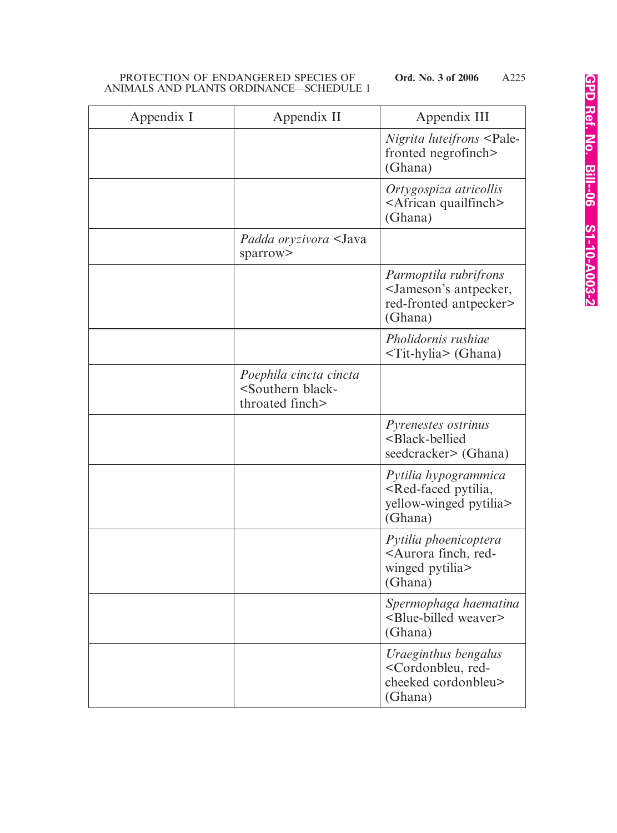| Appendix I | Appendix II                                                                    | Appendix III                                                                                           |
|------------|--------------------------------------------------------------------------------|--------------------------------------------------------------------------------------------------------|
|            |                                                                                | <i>Nigrita luteifrons</i> <pale-<br>fronted negrofinch&gt;<br/>(Ghana)</pale-<br>                      |
|            |                                                                                | Ortygospiza atricollis<br><african quailfinch=""><br/>(Ghana)</african>                                |
|            | Padda oryzivora <java<br>sparrow&gt;</java<br>                                 |                                                                                                        |
|            |                                                                                | Parmoptila rubrifrons<br><jameson's antpecker,<br="">red-fronted antpecker&gt;<br/>(Ghana)</jameson's> |
|            |                                                                                | Pholidornis rushiae<br>$\overline{\text{Tit-hylia}}$ (Ghana)                                           |
|            | Poephila cincta cincta<br><southern black-<br="">throated finch&gt;</southern> |                                                                                                        |
|            |                                                                                | Pyrenestes ostrinus<br><black-bellied<br>seedcracker&gt; (Ghana)</black-bellied<br>                    |
|            |                                                                                | Pytilia hypogrammica<br><red-faced pytilia,<br="">yellow-winged pytilia&gt;<br/>(Ghana)</red-faced>    |
|            |                                                                                | Pytilia phoenicoptera<br><aurora finch,="" red-<br="">winged pytilia&gt;<br/>(Ghana)</aurora>          |
|            |                                                                                | Spermophaga haematina<br><blue-billed weaver=""><br/>(Ghana)</blue-billed>                             |
|            |                                                                                | Uraeginthus bengalus<br><cordonbleu, red-<br="">cheeked cordonbleu&gt;<br/>(Ghana)</cordonbleu,>       |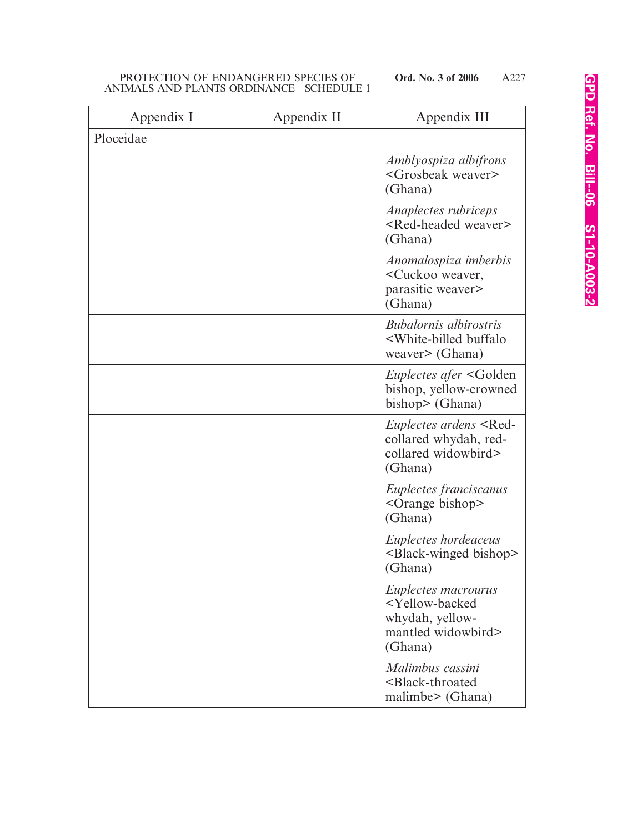| Appendix I | Appendix II | Appendix III                                                                                                      |
|------------|-------------|-------------------------------------------------------------------------------------------------------------------|
| Ploceidae  |             |                                                                                                                   |
|            |             | Amblyospiza albifrons<br><grosbeak weaver=""><br/>(Ghana)</grosbeak>                                              |
|            |             | Anaplectes rubriceps<br><red-headed weaver=""><br/>(Ghana)</red-headed>                                           |
|            |             | Anomalospiza imberbis<br><cuckoo weaver,<br="">parasitic weaver&gt;<br/>(Ghana)</cuckoo>                          |
|            |             | <b>Bubalornis albirostris</b><br><white-billed buffalo<br="">weaver&gt; (Ghana)</white-billed>                    |
|            |             | <i>Euplectes afer</i> <golden<br>bishop, yellow-crowned<br/>bishop<math>&gt;</math> (Ghana)</golden<br>           |
|            |             | Euplectes ardens <red-<br>collared whydah, red-<br/>collared widowbird&gt;<br/>(Ghana)</red-<br>                  |
|            |             | Euplectes franciscanus<br><orange bishop=""><br/>(Ghana)</orange>                                                 |
|            |             | Euplectes hordeaceus<br><black-winged bishop=""><br/>(Ghana)</black-winged>                                       |
|            |             | Euplectes macrourus<br><yellow-backed<br>whydah, yellow-<br/>mantled widowbird&gt;<br/>(Ghana)</yellow-backed<br> |
|            |             | Malimbus cassini<br><black-throated<br>malimbe&gt; (Ghana)</black-throated<br>                                    |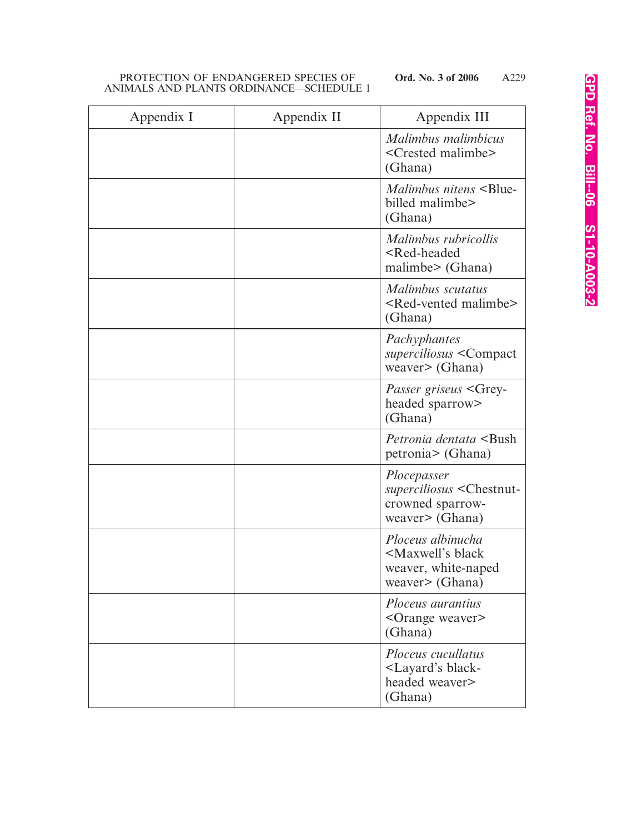| Appendix I | Appendix II | Appendix III                                                                                       |
|------------|-------------|----------------------------------------------------------------------------------------------------|
|            |             | Malimbus malimbicus<br><crested malimbe=""><br/>(Ghana)</crested>                                  |
|            |             | Malimbus nitens <blue-<br>billed malimbe&gt;<br/>(Ghana)</blue-<br>                                |
|            |             | Malimbus rubricollis<br><red-headed<br>malimbe&gt; (Ghana)</red-headed<br>                         |
|            |             | Malimbus scutatus<br><red-vented malimbe=""><br/>(Ghana)</red-vented>                              |
|            |             | Pachyphantes<br>superciliosus <compact<br>weaver&gt; (Ghana)</compact<br>                          |
|            |             | <i>Passer griseus</i> <grey-<br>headed sparrow&gt;<br/>(Ghana)</grey-<br>                          |
|            |             | <i>Petronia dentata</i> <bush<br>petronia&gt; (Ghana)</bush<br>                                    |
|            |             | Plocepasser<br>superciliosus <chestnut-<br>crowned sparrow-<br/>weaver&gt; (Ghana)</chestnut-<br>  |
|            |             | Ploceus albinucha<br><maxwell's black<br="">weaver, white-naped<br/>weaver&gt; (Ghana)</maxwell's> |
|            |             | Ploceus aurantius<br><orange weaver=""><br/>(Ghana)</orange>                                       |
|            |             | Ploceus cucullatus<br>-Layard's black-<br>headed weaver><br>(Ghana)                                |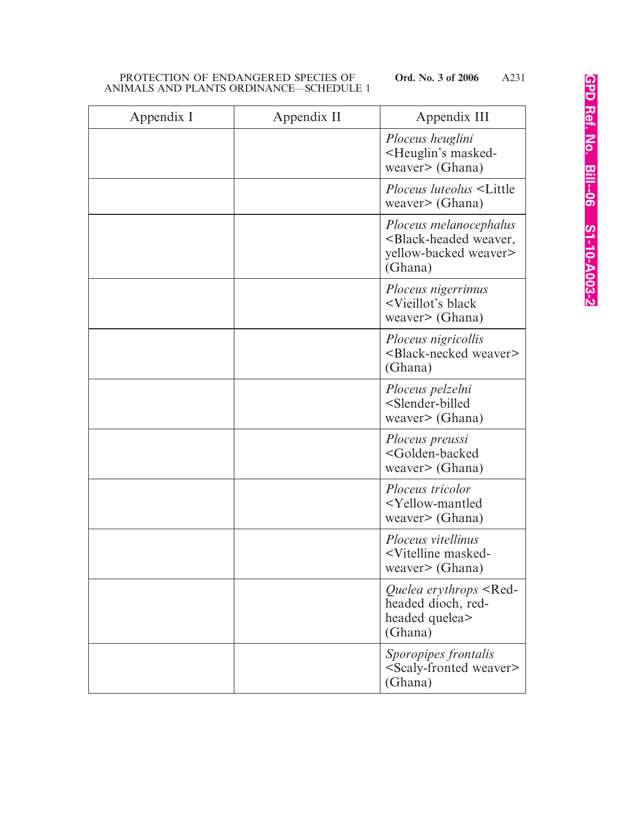| Appendix I | Appendix II | Appendix III                                                                                              |
|------------|-------------|-----------------------------------------------------------------------------------------------------------|
|            |             | Ploceus heuglini<br><heuglin's masked-<br="">weaver&gt; (Ghana)</heuglin's>                               |
|            |             | <i>Ploceus luteolus</i> <little<br>weaver&gt; <math>(Ghana)</math></little<br>                            |
|            |             | Ploceus melanocephalus<br><black-headed weaver,<br="">yellow-backed weaver&gt;<br/>(Ghana)</black-headed> |
|            |             | Ploceus nigerrimus<br><vieillot's black<br="">weaver&gt; (Ghana)</vieillot's>                             |
|            |             | Ploceus nigricollis<br><black-necked weaver=""><br/>(Ghana)</black-necked>                                |
|            |             | Ploceus pelzelni<br><slender-billed<br>weaver&gt; (Ghana)</slender-billed<br>                             |
|            |             | Ploceus preussi<br><golden-backed<br>weaver&gt; (Ghana)</golden-backed<br>                                |
|            |             | Ploceus tricolor<br><yellow-mantled<br>weaver&gt; (Ghana)</yellow-mantled<br>                             |
|            |             | Ploceus vitellinus<br><vitelline masked-<br="">weaver&gt; (Ghana)</vitelline>                             |
|            |             | Quelea erythrops <red-<br>headed dioch, red-<br/>headed quelea&gt;<br/>(Ghana)</red-<br>                  |
|            |             | Sporopipes frontalis<br><scaly-fronted weaver=""><br/>(Ghana)</scaly-fronted>                             |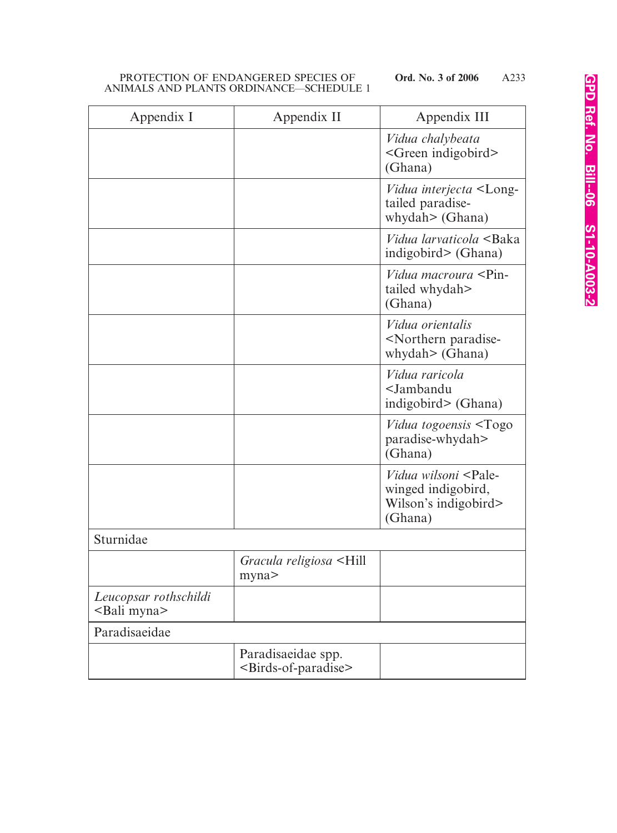| Appendix I                                     | Appendix II                                                   | Appendix III                                                                                         |
|------------------------------------------------|---------------------------------------------------------------|------------------------------------------------------------------------------------------------------|
|                                                |                                                               | Vidua chalybeata<br><green indigobird=""><br/>(Ghana)</green>                                        |
|                                                |                                                               | Vidua interjecta <long-<br>tailed paradise-<br/>whydah&gt; (Ghana)</long-<br>                        |
|                                                |                                                               | <i>Vidua larvaticola</i> <baka<br>indigobird&gt; (Ghana)</baka<br>                                   |
|                                                |                                                               | <i>Vidua macroura</i> <pin-<br>tailed whydah&gt;<br/>(Ghana)</pin-<br>                               |
|                                                |                                                               | Vidua orientalis<br><northern paradise-<br="">whydah&gt; (Ghana)</northern>                          |
|                                                |                                                               | Vidua raricola<br><jambandu<br>indigobird&gt; (Ghana)</jambandu<br>                                  |
|                                                |                                                               | <i>Vidua togoensis</i> <togo<br>paradise-whydah&gt;<br/>(Ghana)</togo<br>                            |
|                                                |                                                               | <i>Vidua wilsoni</i> <pale-<br>winged indigobird,<br/>Wilson's indigobird&gt;<br/>(Ghana)</pale-<br> |
| Sturnidae                                      |                                                               |                                                                                                      |
|                                                | Gracula religiosa <hill<br>myna&gt;</hill<br>                 |                                                                                                      |
| Leucopsar rothschildi<br><bali myna=""></bali> |                                                               |                                                                                                      |
| Paradisaeidae                                  |                                                               |                                                                                                      |
|                                                | Paradisaeidae spp.<br><birds-of-paradise></birds-of-paradise> |                                                                                                      |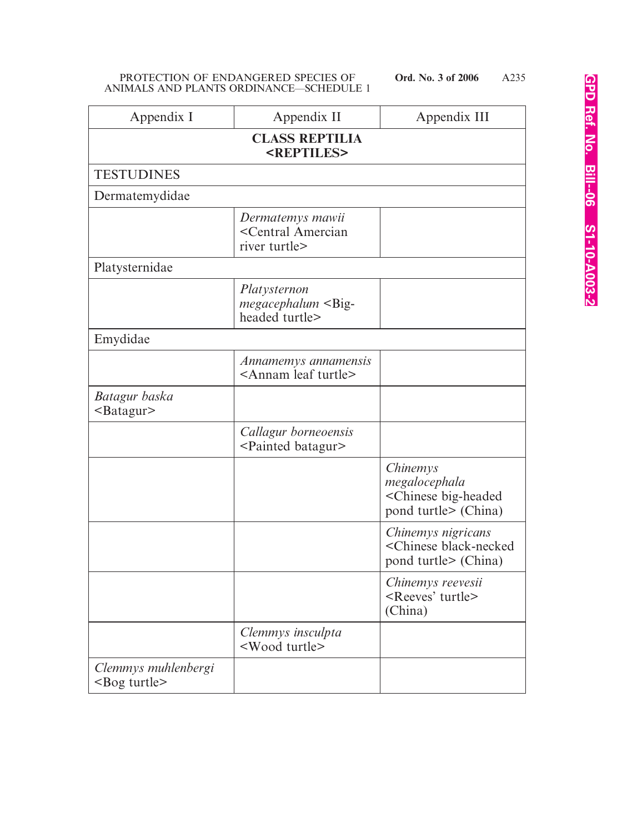| Appendix I                                     | Appendix II                                                            | Appendix III                                                                             |
|------------------------------------------------|------------------------------------------------------------------------|------------------------------------------------------------------------------------------|
| <b>CLASS REPTILIA</b><br><reptiles></reptiles> |                                                                        |                                                                                          |
| <b>TESTUDINES</b>                              |                                                                        |                                                                                          |
| Dermatemydidae                                 |                                                                        |                                                                                          |
|                                                | Dermatemys mawii<br><central amercian<br="">river turtle&gt;</central> |                                                                                          |
| Platysternidae                                 |                                                                        |                                                                                          |
|                                                | Platysternon<br>$megacephalum <$ Big-<br>headed turtle>                |                                                                                          |
| Emydidae                                       |                                                                        |                                                                                          |
|                                                | Annamemys annamensis<br><annam leaf="" turtle=""></annam>              |                                                                                          |
| Batagur baska<br>$<$ Batagur $>$               |                                                                        |                                                                                          |
|                                                | Callagur borneoensis<br><painted batagur=""></painted>                 |                                                                                          |
|                                                |                                                                        | Chinemys<br>megalocephala<br><chinese big-headed<br="">pond turtle&gt; (China)</chinese> |
|                                                |                                                                        | Chinemys nigricans<br><chinese black-necked<br="">pond turtle&gt; (China)</chinese>      |
|                                                |                                                                        | Chinemys reevesii<br><reeves' turtle=""><br/>(China)</reeves'>                           |
|                                                | Clemmys insculpta<br><wood turtle=""></wood>                           |                                                                                          |
| Clemmys muhlenbergi<br>$<$ Bog turtle $>$      |                                                                        |                                                                                          |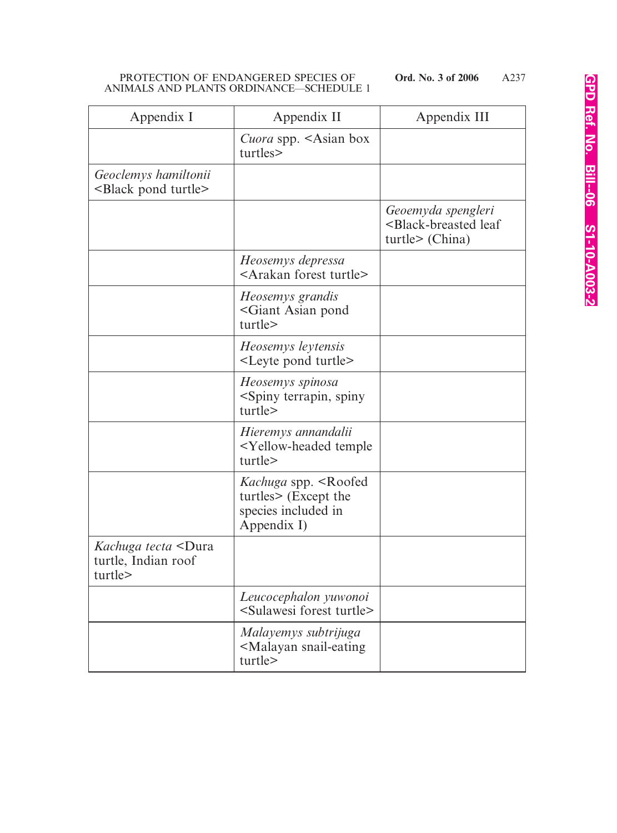| Appendix I                                                                 | Appendix II                                                                                         | Appendix III                                                                         |
|----------------------------------------------------------------------------|-----------------------------------------------------------------------------------------------------|--------------------------------------------------------------------------------------|
|                                                                            | Cuora spp. <asian box<br="">turtles&gt;</asian>                                                     |                                                                                      |
| Geoclemys hamiltonii<br><black pond="" turtle=""></black>                  |                                                                                                     |                                                                                      |
|                                                                            |                                                                                                     | Geoemyda spengleri<br><black-breasted leaf<br="">turtle&gt; (China)</black-breasted> |
|                                                                            | Heosemys depressa<br><arakan forest="" turtle=""></arakan>                                          |                                                                                      |
|                                                                            | Heosemys grandis<br><giant asian="" pond<br="">turtle&gt;</giant>                                   |                                                                                      |
|                                                                            | Heosemys leytensis<br><leyte pond="" turtle=""></leyte>                                             |                                                                                      |
|                                                                            | Heosemys spinosa<br><spiny spiny<br="" terrapin,="">turtle&gt;</spiny>                              |                                                                                      |
|                                                                            | Hieremys annandalii<br><yellow-headed temple<br="">turtle&gt;</yellow-headed>                       |                                                                                      |
|                                                                            | Kachuga spp. <roofed<br>turtles&gt; (Except the<br/>species included in<br/>Appendix I)</roofed<br> |                                                                                      |
| <i>Kachuga tecta</i> <dura<br>turtle, Indian roof<br/>turtle&gt;</dura<br> |                                                                                                     |                                                                                      |
|                                                                            | Leucocephalon yuwonoi<br><sulawesi forest="" turtle=""></sulawesi>                                  |                                                                                      |
|                                                                            | Malayemys subtrijuga<br><malayan snail-eating<br="">turtle&gt;</malayan>                            |                                                                                      |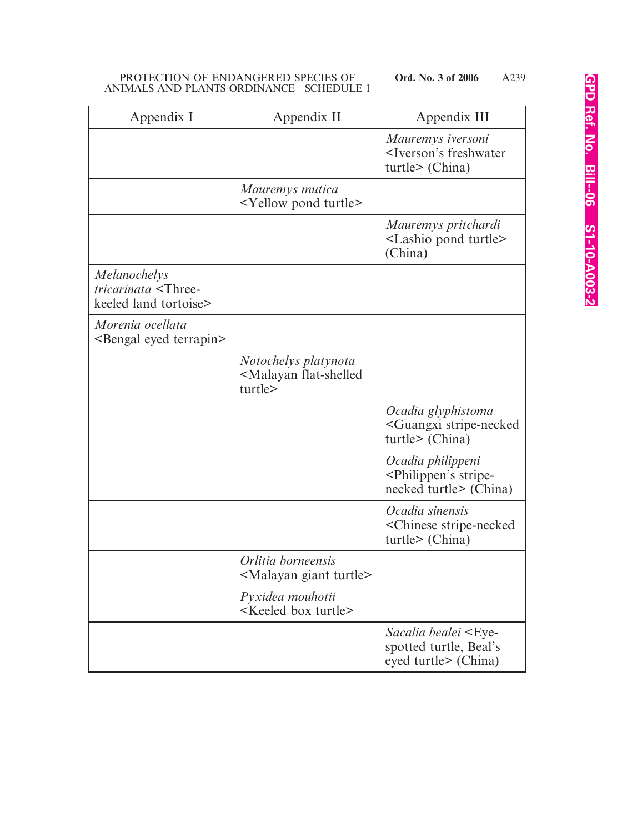| Appendix I                                                                         | Appendix II                                                              | Appendix III                                                                            |
|------------------------------------------------------------------------------------|--------------------------------------------------------------------------|-----------------------------------------------------------------------------------------|
|                                                                                    |                                                                          | Mauremys iversoni<br><iverson's freshwater<br="">turtle &gt; (China)</iverson's>        |
|                                                                                    | Mauremys mutica<br><yellow pond="" turtle=""></yellow>                   |                                                                                         |
|                                                                                    |                                                                          | Mauremys pritchardi<br><lashio pond="" turtle=""><br/>(China)</lashio>                  |
| <i>Melanochelys</i><br>tricarinata <three-<br>keeled land tortoise&gt;</three-<br> |                                                                          |                                                                                         |
| Morenia ocellata<br><bengal eyed="" terrapin=""></bengal>                          |                                                                          |                                                                                         |
|                                                                                    | Notochelys platynota<br><malayan flat-shelled<br="">turtle&gt;</malayan> |                                                                                         |
|                                                                                    |                                                                          | Ocadia glyphistoma<br><guangxi stripe-necked<br="">turtle&gt; (China)</guangxi>         |
|                                                                                    |                                                                          | Ocadia philippeni<br><philippen's stripe-<br="">necked turtle&gt; (China)</philippen's> |
|                                                                                    |                                                                          | Ocadia sinensis<br><chinese stripe-necked<br="">turtle &gt; (China)</chinese>           |
|                                                                                    | Orlitia borneensis<br><malayan giant="" turtle=""></malayan>             |                                                                                         |
|                                                                                    | Pyxidea mouhotii<br><keeled box="" turtle=""></keeled>                   |                                                                                         |
|                                                                                    |                                                                          | Sacalia bealei <eye-<br>spotted turtle, Beal's<br/>eyed turtle&gt; (China)</eye-<br>    |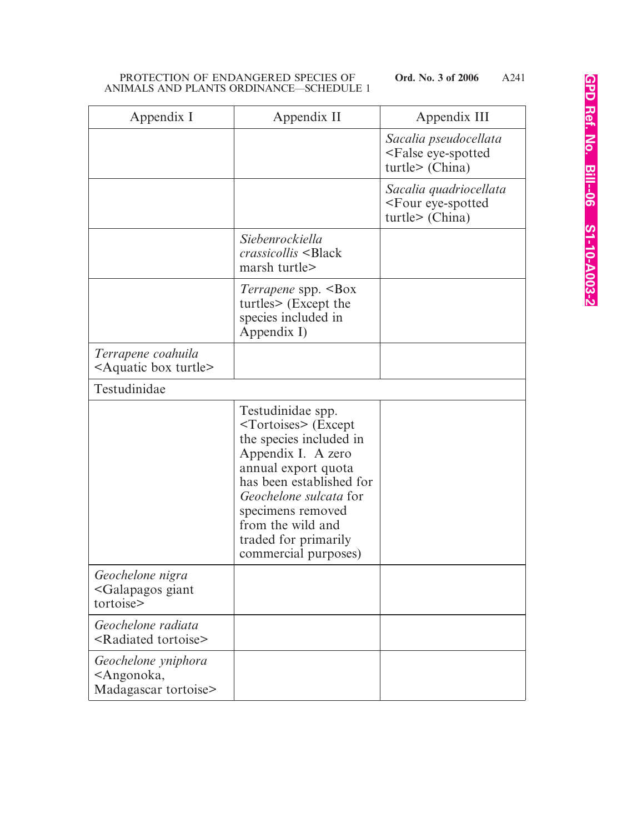| Appendix I                                                                  | Appendix II                                                                                                                                                                                                                                                                           | Appendix III                                                                  |
|-----------------------------------------------------------------------------|---------------------------------------------------------------------------------------------------------------------------------------------------------------------------------------------------------------------------------------------------------------------------------------|-------------------------------------------------------------------------------|
|                                                                             |                                                                                                                                                                                                                                                                                       | Sacalia pseudocellata<br><false eye-spotted<br="">turtle &gt; (China)</false> |
|                                                                             |                                                                                                                                                                                                                                                                                       | Sacalia quadriocellata<br><four eye-spotted<br="">turtle &gt; (China)</four>  |
|                                                                             | Siebenrockiella<br><i>crassicollis</i> <black<br>marsh turtle&gt;</black<br>                                                                                                                                                                                                          |                                                                               |
|                                                                             | <i>Terrapene</i> spp. <box<br>turtles&gt; (Except the<br/>species included in<br/>Appendix I)</box<br>                                                                                                                                                                                |                                                                               |
| Terrapene coahuila<br>$\leq$ Aquatic box turtle $\geq$                      |                                                                                                                                                                                                                                                                                       |                                                                               |
| Testudinidae                                                                |                                                                                                                                                                                                                                                                                       |                                                                               |
|                                                                             | Testudinidae spp.<br><tortoises> (Except<br/>the species included in<br/>Appendix I. A zero<br/>annual export quota<br/>has been established for<br/>Geochelone sulcata for<br/>specimens removed<br/>from the wild and<br/>traded for primarily<br/>commercial purposes)</tortoises> |                                                                               |
| Geochelone nigra<br><galapagos giant<br="">tortoise&gt;</galapagos>         |                                                                                                                                                                                                                                                                                       |                                                                               |
| Geochelone radiata<br><radiated tortoise=""></radiated>                     |                                                                                                                                                                                                                                                                                       |                                                                               |
| Geochelone yniphora<br><angonoka,<br>Madagascar tortoise&gt;</angonoka,<br> |                                                                                                                                                                                                                                                                                       |                                                                               |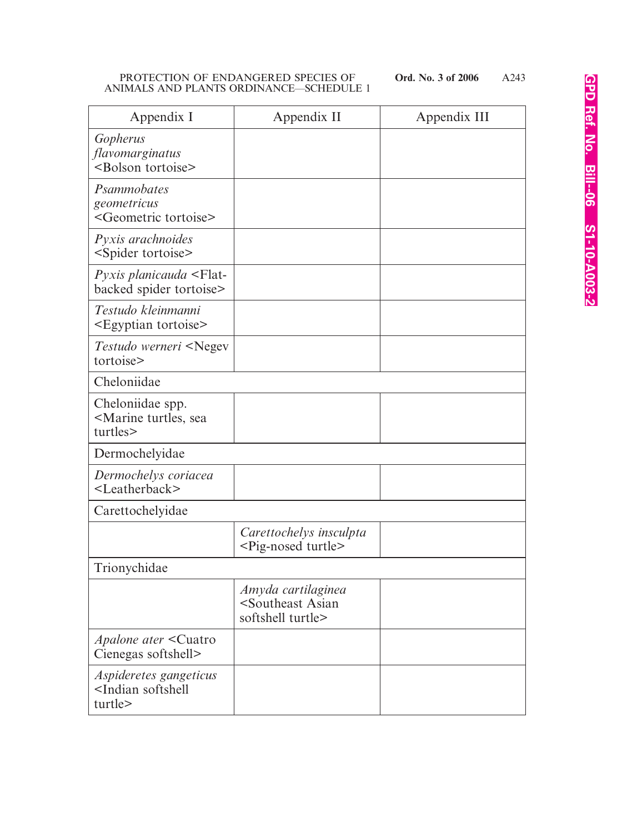| Appendix I                                                             | Appendix II                                                                   | Appendix III |
|------------------------------------------------------------------------|-------------------------------------------------------------------------------|--------------|
| Gopherus<br>flavomarginatus<br><bolson tortoise=""></bolson>           |                                                                               |              |
| Psammobates<br>geometricus<br><geometric tortoise=""></geometric>      |                                                                               |              |
| Pyxis arachnoides<br><spider tortoise=""></spider>                     |                                                                               |              |
| Pyxis planicauda <flat-<br>backed spider tortoise&gt;</flat-<br>       |                                                                               |              |
| Testudo kleinmanni<br><egyptian tortoise=""></egyptian>                |                                                                               |              |
| Testudo werneri <negev<br>tortoise&gt;</negev<br>                      |                                                                               |              |
| Cheloniidae                                                            |                                                                               |              |
| Cheloniidae spp.<br><marine sea<br="" turtles,="">turtles&gt;</marine> |                                                                               |              |
| Dermochelyidae                                                         |                                                                               |              |
| Dermochelys coriacea<br><leatherback></leatherback>                    |                                                                               |              |
| Carettochelyidae                                                       |                                                                               |              |
|                                                                        | Carettochelys insculpta<br><pig-nosed turtle=""></pig-nosed>                  |              |
| Trionychidae                                                           |                                                                               |              |
|                                                                        | Amyda cartilaginea<br><southeast asian<br="">softshell turtle&gt;</southeast> |              |
| <i>Apalone ater</i> < Cuatro<br>Cienegas softshell>                    |                                                                               |              |
| Aspideretes gangeticus<br><indian softshell<br="">turtle&gt;</indian>  |                                                                               |              |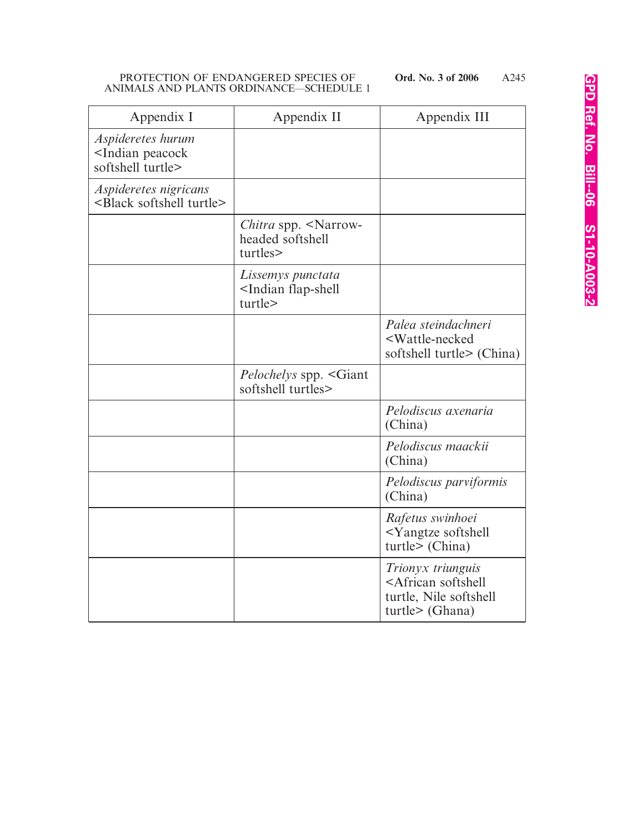| Appendix I                                                               | Appendix II                                                           | Appendix III                                                                                          |
|--------------------------------------------------------------------------|-----------------------------------------------------------------------|-------------------------------------------------------------------------------------------------------|
| Aspideretes hurum<br><indian peacock<br="">softshell turtle&gt;</indian> |                                                                       |                                                                                                       |
| Aspideretes nigricans<br><black softshell="" turtle=""></black>          |                                                                       |                                                                                                       |
|                                                                          | Chitra spp. <narrow-<br>headed softshell<br/>turtles&gt;</narrow-<br> |                                                                                                       |
|                                                                          | Lissemys punctata<br><indian flap-shell<br="">turtle&gt;</indian>     |                                                                                                       |
|                                                                          |                                                                       | Palea steindachneri<br><wattle-necked<br>softshell turtle&gt; (China)</wattle-necked<br>              |
|                                                                          | <i>Pelochelys</i> spp. <giant<br>softshell turtles&gt;</giant<br>     |                                                                                                       |
|                                                                          |                                                                       | Pelodiscus axenaria<br>(China)                                                                        |
|                                                                          |                                                                       | Pelodiscus maackii<br>(China)                                                                         |
|                                                                          |                                                                       | Pelodiscus parviformis<br>(China)                                                                     |
|                                                                          |                                                                       | Rafetus swinhoei<br><yangtze softshell<br="">turtle &gt; (China)</yangtze>                            |
|                                                                          |                                                                       | Trionyx triunguis<br><african softshell<br="">turtle, Nile softshell<br/>turtle&gt; (Ghana)</african> |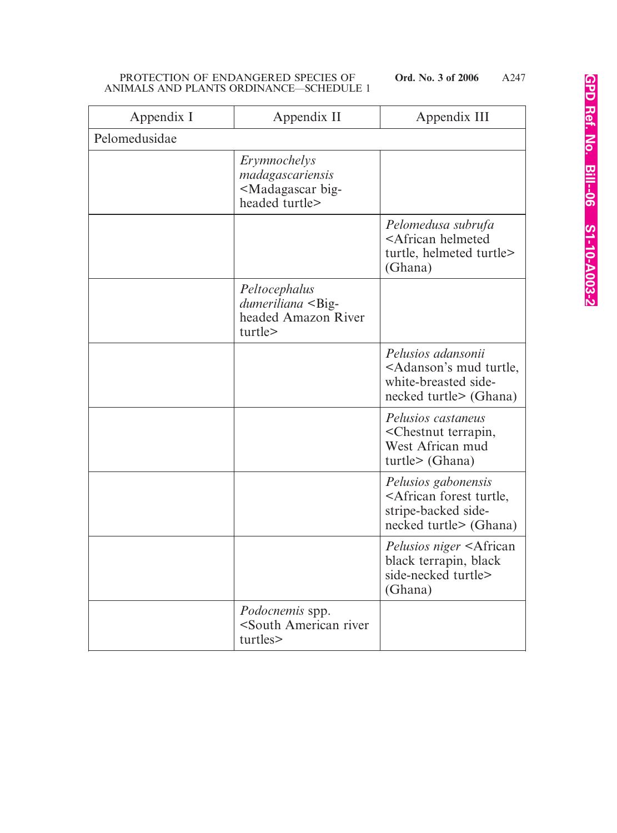| Appendix I    | Appendix II                                                                               | Appendix III                                                                                                         |
|---------------|-------------------------------------------------------------------------------------------|----------------------------------------------------------------------------------------------------------------------|
| Pelomedusidae |                                                                                           |                                                                                                                      |
|               | Erymnochelys<br>madagascariensis<br><madagascar big-<br="">headed turtle&gt;</madagascar> |                                                                                                                      |
|               |                                                                                           | Pelomedusa subrufa<br><african helmeted<br="">turtle, helmeted turtle&gt;<br/>(Ghana)</african>                      |
|               | Peltocephalus<br>dumeriliana <big-<br>headed Amazon River<br/>turtle&gt;</big-<br>        |                                                                                                                      |
|               |                                                                                           | Pelusios adansonii<br><adanson's mud="" turtle,<br="">white-breasted side-<br/>necked turtle&gt; (Ghana)</adanson's> |
|               |                                                                                           | Pelusios castaneus<br><chestnut terrapin,<br="">West African mud<br/>turtle &gt; (Ghana)</chestnut>                  |
|               |                                                                                           | Pelusios gabonensis<br><african forest="" turtle,<br="">stripe-backed side-<br/>necked turtle&gt; (Ghana)</african>  |
|               |                                                                                           | <i>Pelusios niger</i> <african<br>black terrapin, black<br/>side-necked turtle&gt;<br/>(Ghana)</african<br>          |
|               | Podocnemis spp.<br><south american="" river<br="">turtles&gt;</south>                     |                                                                                                                      |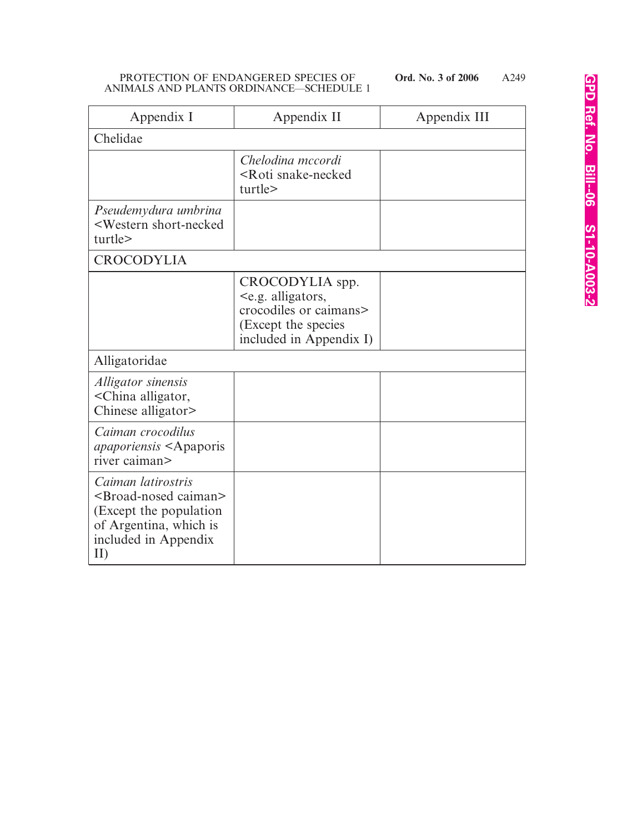| Appendix I                                                                                                                                          | Appendix II                                                                                                                     | Appendix III |
|-----------------------------------------------------------------------------------------------------------------------------------------------------|---------------------------------------------------------------------------------------------------------------------------------|--------------|
| Chelidae                                                                                                                                            |                                                                                                                                 |              |
|                                                                                                                                                     | Chelodina mccordi<br><roti snake-necked<br="">turtle&gt;</roti>                                                                 |              |
| Pseudemydura umbrina<br><western short-necked<br="">turtle&gt;</western>                                                                            |                                                                                                                                 |              |
| <b>CROCODYLIA</b>                                                                                                                                   |                                                                                                                                 |              |
|                                                                                                                                                     | CROCODYLIA spp.<br><e.g. alligators,<br="">crocodiles or caimans&gt;<br/>(Except the species<br/>included in Appendix I)</e.g.> |              |
| Alligatoridae                                                                                                                                       |                                                                                                                                 |              |
| Alligator sinensis<br><china alligator,<br="">Chinese alligator&gt;</china>                                                                         |                                                                                                                                 |              |
| Caiman crocodilus<br><i>apaporiensis</i> <apaporis<br>river caiman&gt;</apaporis<br>                                                                |                                                                                                                                 |              |
| Caiman latirostris<br><broad-nosed caiman=""><br/>(Except the population)<br/>of Argentina, which is<br/>included in Appendix<br/>II)</broad-nosed> |                                                                                                                                 |              |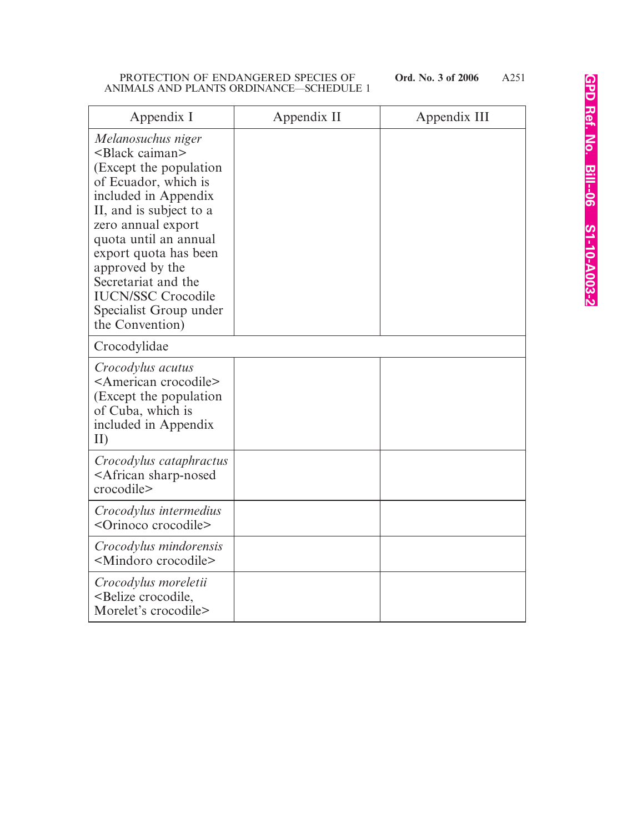| Appendix I                                                                                                                                                                                                                                                                                                                                         | Appendix II | Appendix III |
|----------------------------------------------------------------------------------------------------------------------------------------------------------------------------------------------------------------------------------------------------------------------------------------------------------------------------------------------------|-------------|--------------|
| Melanosuchus niger<br>$\leq$ Black caiman $\geq$<br>(Except the population)<br>of Ecuador, which is<br>included in Appendix<br>II, and is subject to a<br>zero annual export<br>quota until an annual<br>export quota has been<br>approved by the<br>Secretariat and the<br><b>IUCN/SSC Crocodile</b><br>Specialist Group under<br>the Convention) |             |              |
| Crocodylidae                                                                                                                                                                                                                                                                                                                                       |             |              |
| Crocodylus acutus<br><american crocodile=""><br/>(Except the population)<br/>of Cuba, which is<br/>included in Appendix<br/>II)</american>                                                                                                                                                                                                         |             |              |
| Crocodylus cataphractus<br><african sharp-nosed<br="">crocodile&gt;</african>                                                                                                                                                                                                                                                                      |             |              |
| Crocodylus intermedius<br><orinoco crocodile=""></orinoco>                                                                                                                                                                                                                                                                                         |             |              |
| Crocodylus mindorensis<br><mindoro crocodile=""></mindoro>                                                                                                                                                                                                                                                                                         |             |              |
| Crocodylus moreletii<br><belize crocodile,<br="">Morelet's crocodile&gt;</belize>                                                                                                                                                                                                                                                                  |             |              |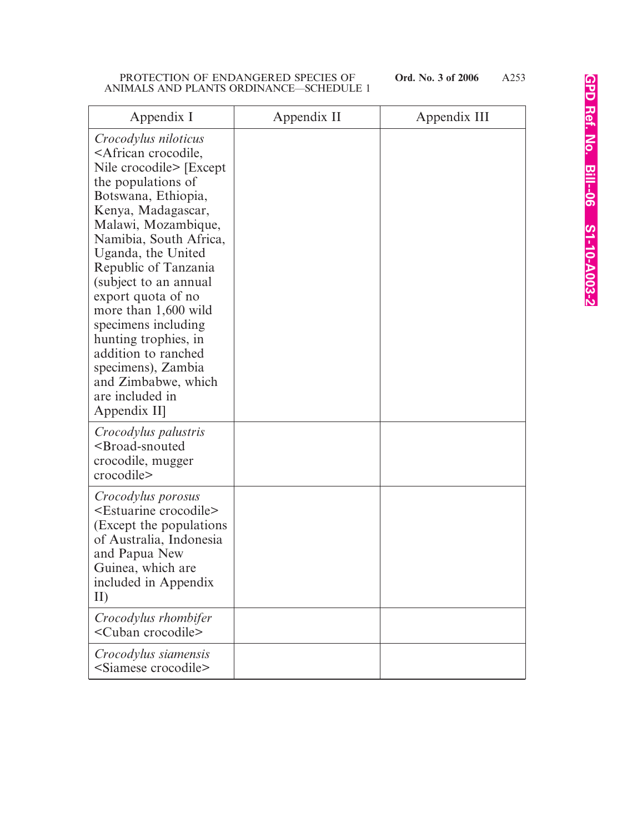| Appendix I                                                                                                                                                                                                                                                                                                                                                                                                                                                                                              | Appendix II | Appendix III |
|---------------------------------------------------------------------------------------------------------------------------------------------------------------------------------------------------------------------------------------------------------------------------------------------------------------------------------------------------------------------------------------------------------------------------------------------------------------------------------------------------------|-------------|--------------|
| Crocodylus niloticus<br><african crocodile,<br="">Nile crocodile&gt; [Except]<br/>the populations of<br/>Botswana, Ethiopia,<br/>Kenya, Madagascar,<br/>Malawi, Mozambique,<br/>Namibia, South Africa,<br/>Uganda, the United<br/>Republic of Tanzania<br/>(subject to an annual<br/>export quota of no<br/>more than 1,600 wild<br/>specimens including<br/>hunting trophies, in<br/>addition to ranched<br/>specimens), Zambia<br/>and Zimbabwe, which<br/>are included in<br/>Appendix II]</african> |             |              |
| Crocodylus palustris<br><broad-snouted<br>crocodile, mugger<br/>crocodile&gt;</broad-snouted<br>                                                                                                                                                                                                                                                                                                                                                                                                        |             |              |
| Crocodylus porosus<br><estuarine crocodile=""><br/>(Except the populations)<br/>of Australia, Indonesia<br/>and Papua New<br/>Guinea, which are<br/>included in Appendix<br/>II)</estuarine>                                                                                                                                                                                                                                                                                                            |             |              |
| Crocodylus rhombifer<br><cuban crocodile=""></cuban>                                                                                                                                                                                                                                                                                                                                                                                                                                                    |             |              |
| Crocodylus siamensis<br><siamese crocodile=""></siamese>                                                                                                                                                                                                                                                                                                                                                                                                                                                |             |              |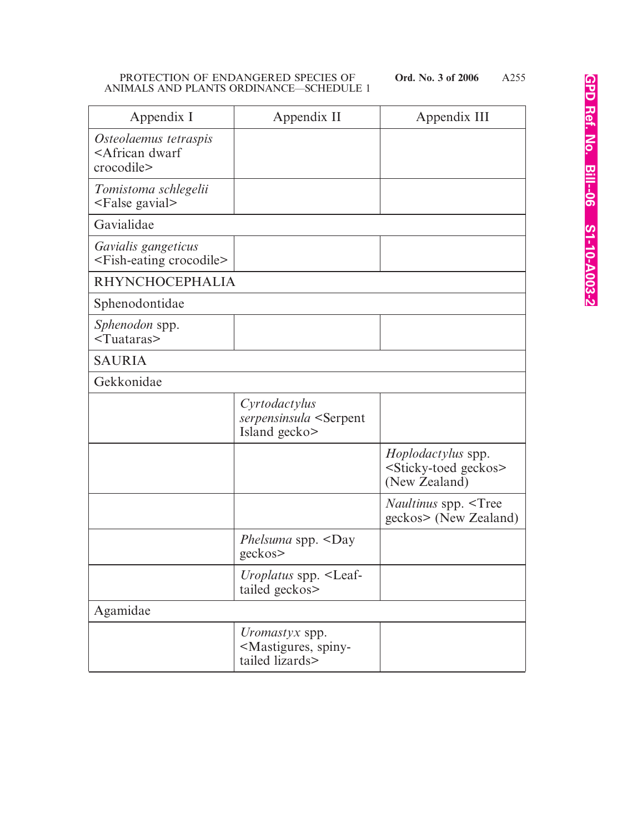| Appendix I                                                            | Appendix II                                                                         | Appendix III                                                                         |
|-----------------------------------------------------------------------|-------------------------------------------------------------------------------------|--------------------------------------------------------------------------------------|
| Osteolaemus tetraspis<br><african dwarf<br="">crocodile&gt;</african> |                                                                                     |                                                                                      |
| Tomistoma schlegelii<br><false gavial=""></false>                     |                                                                                     |                                                                                      |
| Gavialidae                                                            |                                                                                     |                                                                                      |
| Gavialis gangeticus<br><fish-eating crocodile=""></fish-eating>       |                                                                                     |                                                                                      |
| <b>RHYNCHOCEPHALIA</b>                                                |                                                                                     |                                                                                      |
| Sphenodontidae                                                        |                                                                                     |                                                                                      |
| Sphenodon spp.<br>$<$ Tuataras $>$                                    |                                                                                     |                                                                                      |
| <b>SAURIA</b>                                                         |                                                                                     |                                                                                      |
| Gekkonidae                                                            |                                                                                     |                                                                                      |
|                                                                       | Cyrtodactylus<br>serpensinsula <serpent<br>Island gecko&gt;</serpent<br>            |                                                                                      |
|                                                                       |                                                                                     | <i>Hoplodactylus</i> spp.<br><sticky-toed geckos=""><br/>(New Zealand)</sticky-toed> |
|                                                                       |                                                                                     | <i>Naultinus</i> spp. <tree<br>geckos&gt; (New Zealand)</tree<br>                    |
|                                                                       | Phelsuma spp. <day<br>geckos&gt;</day<br>                                           |                                                                                      |
|                                                                       | <i>Uroplatus</i> spp. <leaf-<br>tailed geckos&gt;</leaf-<br>                        |                                                                                      |
| Agamidae                                                              |                                                                                     |                                                                                      |
|                                                                       | <i>Uromastyx</i> spp.<br><mastigures, spiny-<br="">tailed lizards&gt;</mastigures,> |                                                                                      |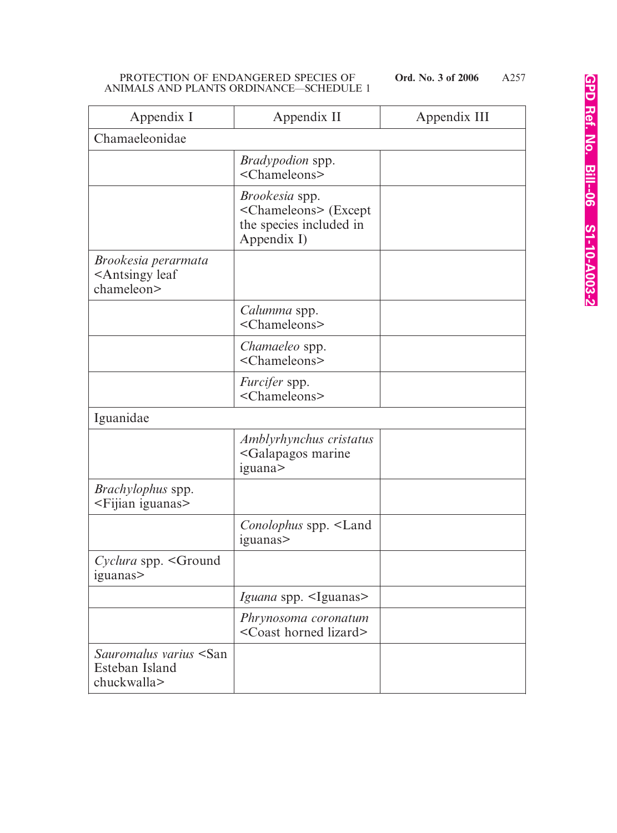| Appendix I                                                           | Appendix II                                                                                            | Appendix III |  |
|----------------------------------------------------------------------|--------------------------------------------------------------------------------------------------------|--------------|--|
| Chamaeleonidae                                                       |                                                                                                        |              |  |
|                                                                      | <i>Bradypodion</i> spp.<br><chameleons></chameleons>                                                   |              |  |
|                                                                      | <i>Brookesia</i> spp.<br><chameleons> (Except<br/>the species included in<br/>Appendix I)</chameleons> |              |  |
| Brookesia perarmata<br><antsingy leaf<br="">chameleon&gt;</antsingy> |                                                                                                        |              |  |
|                                                                      | Calumma spp.<br><chameleons></chameleons>                                                              |              |  |
|                                                                      | <i>Chamaeleo</i> spp.<br><chameleons></chameleons>                                                     |              |  |
|                                                                      | <i>Furcifer</i> spp.<br><chameleons></chameleons>                                                      |              |  |
| Iguanidae                                                            |                                                                                                        |              |  |
|                                                                      | Amblyrhynchus cristatus<br><galapagos marine<br="">iguana</galapagos>                                  |              |  |
| Brachylophus spp.<br><fijian iguanas=""></fijian>                    |                                                                                                        |              |  |
|                                                                      | Conolophus spp. <land<br>iguanas</land<br>                                                             |              |  |
| Cyclura spp. <ground<br>iguanas</ground<br>                          |                                                                                                        |              |  |
|                                                                      | Iguana spp. <iguanas></iguanas>                                                                        |              |  |
|                                                                      | Phrynosoma coronatum<br><coast horned="" lizard=""></coast>                                            |              |  |
| Sauromalus varius <san<br>Esteban Island<br/>chuckwalla&gt;</san<br> |                                                                                                        |              |  |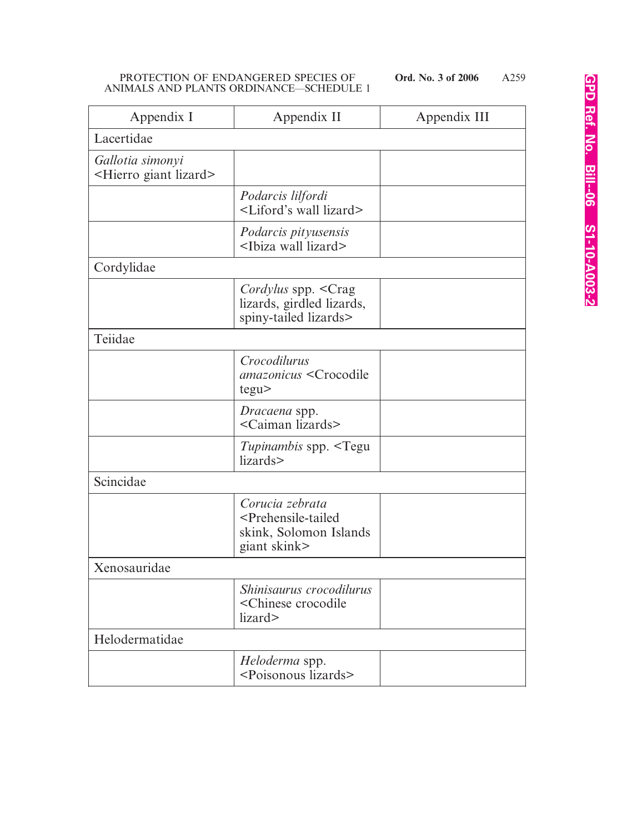| Appendix I                                               | Appendix II                                                                                                | Appendix III |
|----------------------------------------------------------|------------------------------------------------------------------------------------------------------------|--------------|
| Lacertidae                                               |                                                                                                            |              |
| Gallotia simonyi<br><hierro giant="" lizard=""></hierro> |                                                                                                            |              |
|                                                          | Podarcis lilfordi<br><liford's lizard="" wall=""></liford's>                                               |              |
|                                                          | Podarcis pityusensis<br><ibiza lizard="" wall=""></ibiza>                                                  |              |
| Cordylidae                                               |                                                                                                            |              |
|                                                          | Cordylus spp. < Crag<br>lizards, girdled lizards,<br>spiny-tailed lizards>                                 |              |
| Teiidae                                                  |                                                                                                            |              |
|                                                          | Crocodilurus<br>amazonicus <crocodile<br>tegu</crocodile<br>                                               |              |
|                                                          | Dracaena spp.<br><caiman lizards=""></caiman>                                                              |              |
|                                                          | <i>Tupinambis</i> spp. <tegu<br>lizards&gt;</tegu<br>                                                      |              |
| Scincidae                                                |                                                                                                            |              |
|                                                          | Corucia zebrata<br><prehensile-tailed<br>skink, Solomon Islands<br/>giant skink&gt;</prehensile-tailed<br> |              |
| Xenosauridae                                             |                                                                                                            |              |
|                                                          | Shinisaurus crocodilurus<br><chinese crocodile<br="">lizard&gt;</chinese>                                  |              |
| Helodermatidae                                           |                                                                                                            |              |
|                                                          | Heloderma spp.<br><poisonous lizards=""></poisonous>                                                       |              |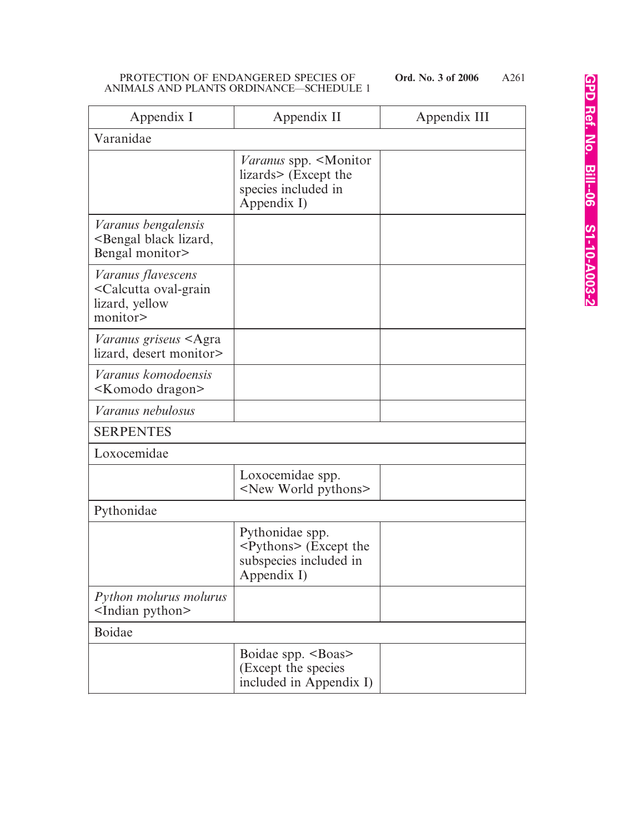| Appendix I                                                                                        | Appendix II                                                                                                  | Appendix III |
|---------------------------------------------------------------------------------------------------|--------------------------------------------------------------------------------------------------------------|--------------|
| Varanidae                                                                                         |                                                                                                              |              |
|                                                                                                   | <i>Varanus</i> spp. <monitor<br>lizards&gt; (Except the<br/>species included in<br/>Appendix I)</monitor<br> |              |
| Varanus bengalensis<br><bengal black="" lizard,<br="">Bengal monitor&gt;</bengal>                 |                                                                                                              |              |
| <i>Varanus flavescens</i><br><calcutta oval-grain<br="">lizard, yellow<br/>monitor&gt;</calcutta> |                                                                                                              |              |
| Varanus griseus <agra<br>lizard, desert monitor&gt;</agra<br>                                     |                                                                                                              |              |
| Varanus komodoensis<br><komodo dragon=""></komodo>                                                |                                                                                                              |              |
| Varanus nebulosus                                                                                 |                                                                                                              |              |
| <b>SERPENTES</b>                                                                                  |                                                                                                              |              |
| Loxocemidae                                                                                       |                                                                                                              |              |
|                                                                                                   | Loxocemidae spp.<br><new pythons="" world=""></new>                                                          |              |
| Pythonidae                                                                                        |                                                                                                              |              |
|                                                                                                   | Pythonidae spp.<br><pythons> (Except the<br/>subspecies included in<br/>Appendix I)</pythons>                |              |
| Python molurus molurus<br><indian python=""></indian>                                             |                                                                                                              |              |
| <b>Boidae</b>                                                                                     |                                                                                                              |              |
|                                                                                                   | Boidae spp. <boas><br/>(Except the species<br/>included in Appendix I)</boas>                                |              |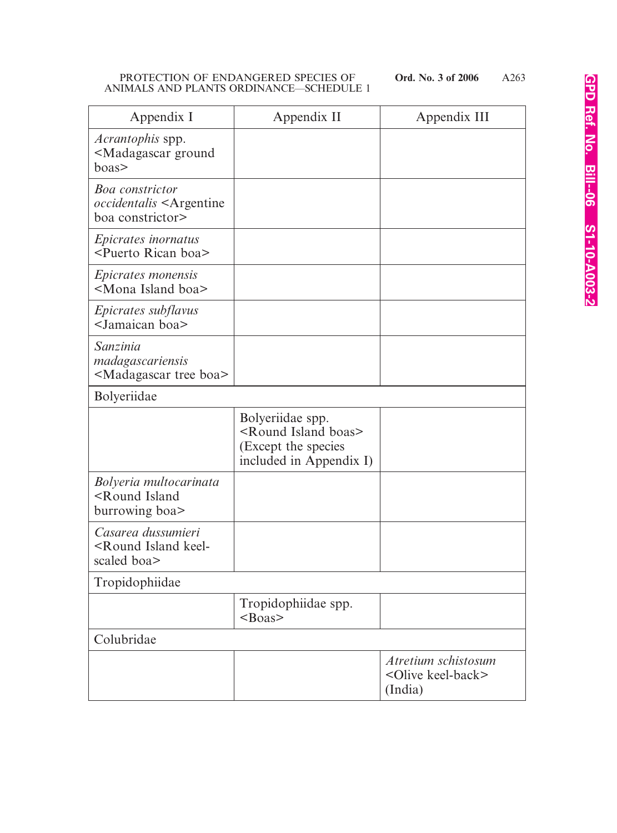| Appendix I                                                                                     | Appendix II                                                                                               | Appendix III                                                    |
|------------------------------------------------------------------------------------------------|-----------------------------------------------------------------------------------------------------------|-----------------------------------------------------------------|
| <i>Acrantophis</i> spp.<br><madagascar ground<br="">boas&gt;</madagascar>                      |                                                                                                           |                                                                 |
| <b>Boa</b> constrictor<br><i>occidentalis</i> <argentine<br>boa constrictor&gt;</argentine<br> |                                                                                                           |                                                                 |
| <i>Epicrates inornatus</i><br><puerto boa="" rican=""></puerto>                                |                                                                                                           |                                                                 |
| <i>Epicrates monensis</i><br><mona boa="" island=""></mona>                                    |                                                                                                           |                                                                 |
| <i>Epicrates subflavus</i><br><jamaican boa=""></jamaican>                                     |                                                                                                           |                                                                 |
| Sanzinia<br>madagascariensis<br><madagascar boa="" tree=""></madagascar>                       |                                                                                                           |                                                                 |
| Bolyeriidae                                                                                    |                                                                                                           |                                                                 |
|                                                                                                | Bolyeriidae spp.<br><round boas="" island=""><br/>(Except the species<br/>included in Appendix I)</round> |                                                                 |
| Bolyeria multocarinata<br><round island<br="">burrowing boa&gt;</round>                        |                                                                                                           |                                                                 |
| Casarea dussumieri<br><round island="" keel-<br="">scaled boa&gt;</round>                      |                                                                                                           |                                                                 |
| Tropidophiidae                                                                                 |                                                                                                           |                                                                 |
|                                                                                                | Tropidophiidae spp.<br>$<$ Boas>                                                                          |                                                                 |
| Colubridae                                                                                     |                                                                                                           |                                                                 |
|                                                                                                |                                                                                                           | Atretium schistosum<br><olive keel-back=""><br/>(India)</olive> |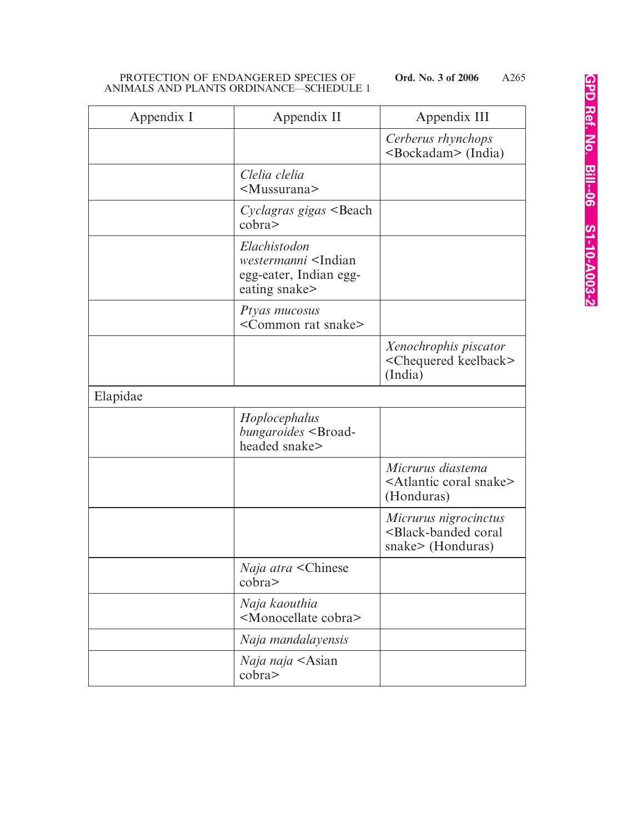| Appendix I | Appendix II                                                                                    | Appendix III                                                                           |
|------------|------------------------------------------------------------------------------------------------|----------------------------------------------------------------------------------------|
|            |                                                                                                | Cerberus rhynchops<br><bockadam> (India)</bockadam>                                    |
|            | Clelia clelia<br><mussurana></mussurana>                                                       |                                                                                        |
|            | Cyclagras gigas <beach<br>cobra</beach<br>                                                     |                                                                                        |
|            | Elachistodon<br>westermanni <indian<br>egg-eater, Indian egg-<br/>eating snake&gt;</indian<br> |                                                                                        |
|            | Ptyas mucosus<br><common rat="" snake=""></common>                                             |                                                                                        |
|            |                                                                                                | Xenochrophis piscator<br><chequered keelback=""><br/>(India)</chequered>               |
| Elapidae   |                                                                                                |                                                                                        |
|            | Hoplocephalus<br>bungaroides <broad-<br>headed snake&gt;</broad-<br>                           |                                                                                        |
|            |                                                                                                | Micrurus diastema<br><atlantic coral="" snake=""><br/>(Honduras)</atlantic>            |
|            |                                                                                                | Micrurus nigrocinctus<br><black-banded coral<br="">snake&gt; (Honduras)</black-banded> |
|            | <i>Naja atra</i> <chinese<br>cobra</chinese<br>                                                |                                                                                        |
|            | Naja kaouthia<br><monocellate cobra=""></monocellate>                                          |                                                                                        |
|            | Naja mandalayensis                                                                             |                                                                                        |
|            | <i>Naja naja</i> <asian<br><math>\text{cobra}</math></asian<br>                                |                                                                                        |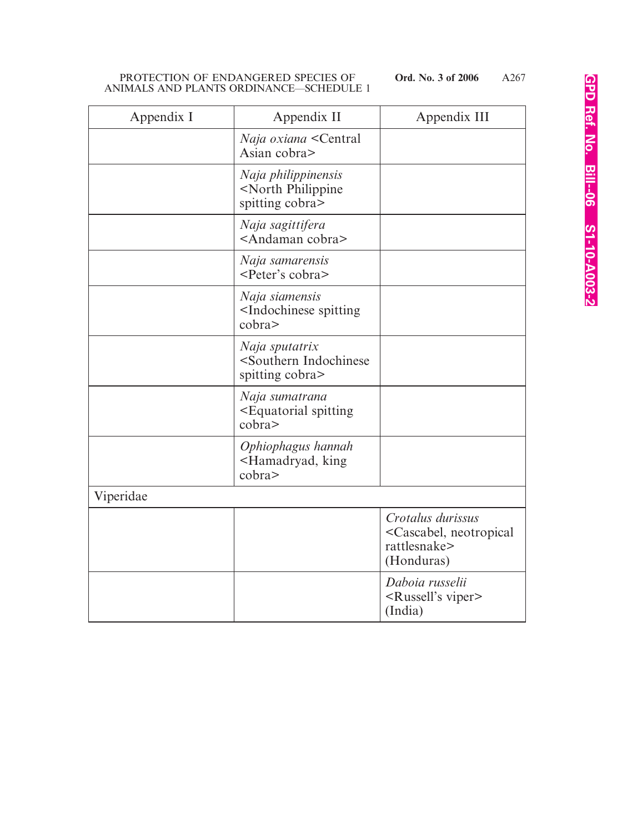| Appendix I | Appendix II                                                                         | Appendix III                                                                                 |
|------------|-------------------------------------------------------------------------------------|----------------------------------------------------------------------------------------------|
|            | <i>Naja oxiana</i> <central<br>Asian cobra&gt;</central<br>                         |                                                                                              |
|            | Naja philippinensis<br><north philippine<br="">spitting cobra&gt;</north>           |                                                                                              |
|            | Naja sagittifera<br><andaman cobra=""></andaman>                                    |                                                                                              |
|            | Naja samarensis<br><peter's cobra=""></peter's>                                     |                                                                                              |
|            | Naja siamensis<br><indochinese spitting<br="">cobra</indochinese>                   |                                                                                              |
|            | Naja sputatrix<br><southern indochinese<br="">spitting cobra&gt;</southern>         |                                                                                              |
|            | Naja sumatrana<br><equatorial spitting<br=""><math>\text{cobra}</math></equatorial> |                                                                                              |
|            | Ophiophagus hannah<br><hamadryad, king<br=""><math>\text{cobra}</math></hamadryad,> |                                                                                              |
| Viperidae  |                                                                                     |                                                                                              |
|            |                                                                                     | Crotalus durissus<br><cascabel, neotropical<br="">rattlesnake&gt;<br/>(Honduras)</cascabel,> |
|            |                                                                                     | Daboia russelii<br><russell's viper=""><br/>(India)</russell's>                              |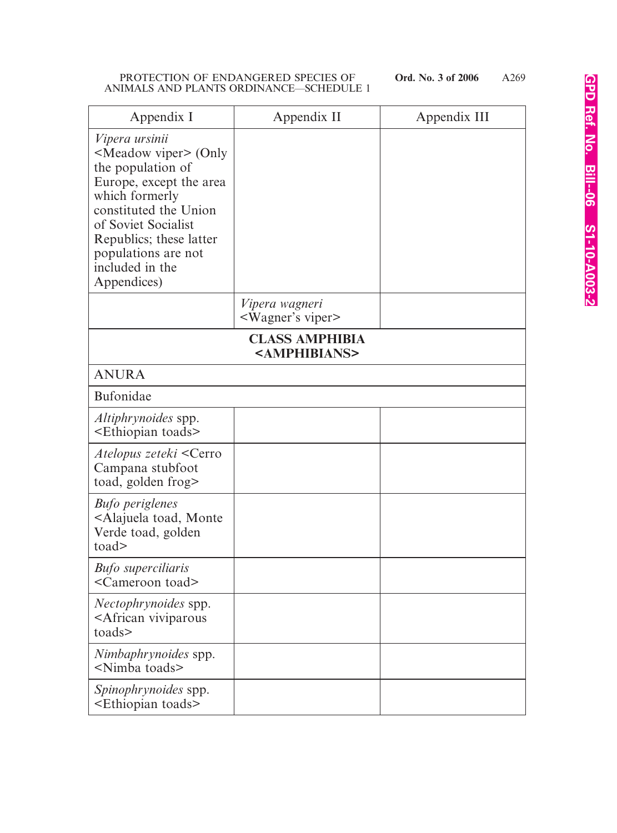| Appendix I                                                                                                                                                                                                                                                               | Appendix II                                        | Appendix III |
|--------------------------------------------------------------------------------------------------------------------------------------------------------------------------------------------------------------------------------------------------------------------------|----------------------------------------------------|--------------|
| <i>Vipera ursinii</i><br><meadow viper=""> (Only<br/>the population of<br/>Europe, except the area<br/>which formerly<br/>constituted the Union<br/>of Soviet Socialist<br/>Republics; these latter<br/>populations are not<br/>included in the<br/>Appendices)</meadow> |                                                    |              |
|                                                                                                                                                                                                                                                                          | Vipera wagneri<br><wagner's viper=""></wagner's>   |              |
|                                                                                                                                                                                                                                                                          | <b>CLASS AMPHIBIA</b><br><amphibians></amphibians> |              |
| <b>ANURA</b>                                                                                                                                                                                                                                                             |                                                    |              |
| <b>Bufonidae</b>                                                                                                                                                                                                                                                         |                                                    |              |
| <i>Altiphrynoides</i> spp.<br><ethiopian toads=""></ethiopian>                                                                                                                                                                                                           |                                                    |              |
| Atelopus zeteki <cerro<br>Campana stubfoot<br/>toad, golden frog&gt;</cerro<br>                                                                                                                                                                                          |                                                    |              |
| <b>Bufo</b> periglenes<br><alajuela monte<br="" toad,="">Verde toad, golden<br/>to ad</alajuela>                                                                                                                                                                         |                                                    |              |
| <b>Bufo</b> superciliaris<br><cameroon toad=""></cameroon>                                                                                                                                                                                                               |                                                    |              |
| <i>Nectophrynoides</i> spp.<br><african viviparous<br="">toads&gt;</african>                                                                                                                                                                                             |                                                    |              |
| Nimbaphrynoides spp.<br><nimba toads=""></nimba>                                                                                                                                                                                                                         |                                                    |              |
| <i>Spinophrynoides</i> spp.<br><ethiopian toads=""></ethiopian>                                                                                                                                                                                                          |                                                    |              |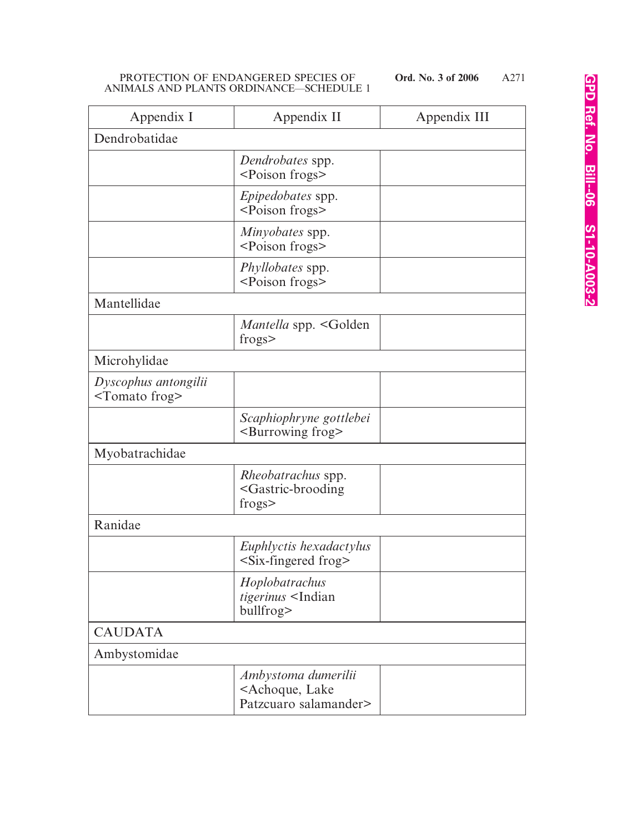| Appendix I                                        | Appendix II                                                                     | Appendix III |
|---------------------------------------------------|---------------------------------------------------------------------------------|--------------|
| Dendrobatidae                                     |                                                                                 |              |
|                                                   | Dendrobates spp.<br><poison frogs=""></poison>                                  |              |
|                                                   | <i>Epipedobates</i> spp.<br><poison frogs=""></poison>                          |              |
|                                                   | Minyobates spp.<br><poison frogs=""></poison>                                   |              |
|                                                   | <i>Phyllobates</i> spp.<br><poison frogs=""></poison>                           |              |
| Mantellidae                                       |                                                                                 |              |
|                                                   | Mantella spp. <golden<br>frogs</golden<br>                                      |              |
| Microhylidae                                      |                                                                                 |              |
| Dyscophus antongilii<br><tomato frog=""></tomato> |                                                                                 |              |
|                                                   | Scaphiophryne gottlebei<br><burrowing frog=""></burrowing>                      |              |
| Myobatrachidae                                    |                                                                                 |              |
|                                                   | <i>Rheobatrachus</i> spp.<br><gastric-brooding<br>frogs</gastric-brooding<br>   |              |
| Ranidae                                           |                                                                                 |              |
|                                                   | Euphlyctis hexadactylus<br>$\le$ Six-fingered frog>                             |              |
|                                                   | Hoplobatrachus<br>tigerinus <indian<br>bullfrog&gt;</indian<br>                 |              |
| <b>CAUDATA</b>                                    |                                                                                 |              |
| Ambystomidae                                      |                                                                                 |              |
|                                                   | Ambystoma dumerilii<br><achoque, lake<br="">Patzcuaro salamander&gt;</achoque,> |              |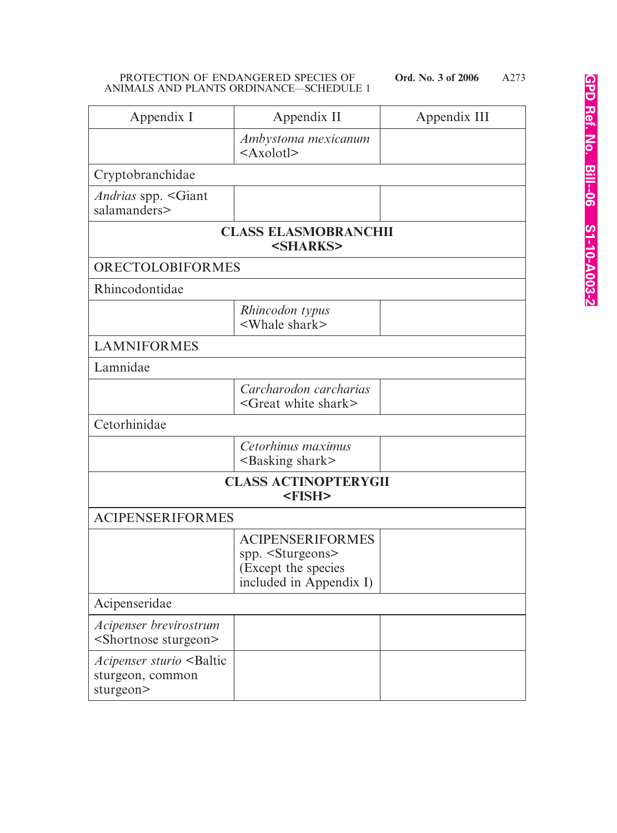| Appendix I                                                                       | Appendix II                                                                                                 | Appendix III |
|----------------------------------------------------------------------------------|-------------------------------------------------------------------------------------------------------------|--------------|
|                                                                                  | Ambystoma mexicanum<br>$<$ Axolotl $>$                                                                      |              |
| Cryptobranchidae                                                                 |                                                                                                             |              |
| <i>Andrias</i> spp. <giant<br>salamanders&gt;</giant<br>                         |                                                                                                             |              |
|                                                                                  | <b>CLASS ELASMOBRANCHII</b><br><sharks></sharks>                                                            |              |
| <b>ORECTOLOBIFORMES</b>                                                          |                                                                                                             |              |
| Rhincodontidae                                                                   |                                                                                                             |              |
|                                                                                  | Rhincodon typus<br><whale shark=""></whale>                                                                 |              |
| <b>LAMNIFORMES</b>                                                               |                                                                                                             |              |
| Lamnidae                                                                         |                                                                                                             |              |
|                                                                                  | Carcharodon carcharias<br><great shark="" white=""></great>                                                 |              |
| Cetorhinidae                                                                     |                                                                                                             |              |
|                                                                                  | Cetorhinus maximus<br><basking shark=""></basking>                                                          |              |
| <b>CLASS ACTINOPTERYGII</b><br><fish></fish>                                     |                                                                                                             |              |
| <b>ACIPENSERIFORMES</b>                                                          |                                                                                                             |              |
|                                                                                  | <b>ACIPENSERIFORMES</b><br>spp. <sturgeons><br/>(Except the species<br/>included in Appendix I)</sturgeons> |              |
| Acipenseridae                                                                    |                                                                                                             |              |
| Acipenser brevirostrum<br><shortnose sturgeon=""></shortnose>                    |                                                                                                             |              |
| <i>Acipenser sturio</i> <baltic<br>sturgeon, common<br/>sturgeon&gt;</baltic<br> |                                                                                                             |              |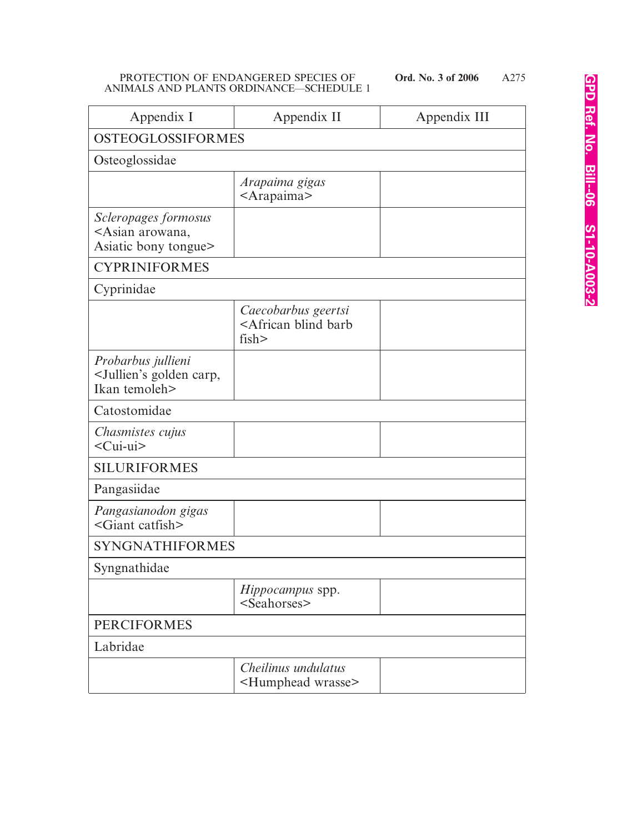A275

| Appendix I                                                                          | Appendix II                                                        | Appendix III |
|-------------------------------------------------------------------------------------|--------------------------------------------------------------------|--------------|
| <b>OSTEOGLOSSIFORMES</b>                                                            |                                                                    |              |
| Osteoglossidae                                                                      |                                                                    |              |
|                                                                                     | Arapaima gigas<br><arapaima></arapaima>                            |              |
| Scleropages formosus<br><asian arowana,<br="">Asiatic bony tongue&gt;</asian>       |                                                                    |              |
| <b>CYPRINIFORMES</b>                                                                |                                                                    |              |
| Cyprinidae                                                                          |                                                                    |              |
|                                                                                     | Caecobarbus geertsi<br><african barb<br="" blind="">fish</african> |              |
| Probarbus jullieni<br><jullien's carp,<br="" golden="">Ikan temoleh&gt;</jullien's> |                                                                    |              |
| Catostomidae                                                                        |                                                                    |              |
| Chasmistes cujus<br><cui-ui></cui-ui>                                               |                                                                    |              |
| <b>SILURIFORMES</b>                                                                 |                                                                    |              |
| Pangasiidae                                                                         |                                                                    |              |
| Pangasianodon gigas<br>$\leq$ Giant catfish $>$                                     |                                                                    |              |
| <b>SYNGNATHIFORMES</b>                                                              |                                                                    |              |
| Syngnathidae                                                                        |                                                                    |              |
|                                                                                     | <i>Hippocampus</i> spp.<br><seahorses></seahorses>                 |              |
| <b>PERCIFORMES</b>                                                                  |                                                                    |              |
| Labridae                                                                            |                                                                    |              |
|                                                                                     | Cheilinus undulatus<br><humphead wrasse=""></humphead>             |              |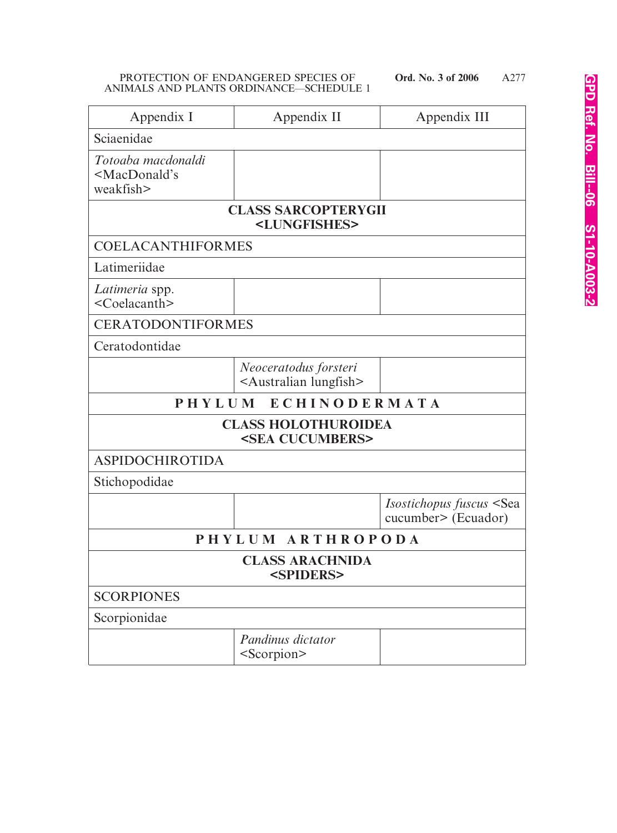| Appendix I                                                          | Appendix II                                                    | Appendix III                                                       |
|---------------------------------------------------------------------|----------------------------------------------------------------|--------------------------------------------------------------------|
| Sciaenidae                                                          |                                                                |                                                                    |
| Totoaba macdonaldi<br><macdonald's<br>weakfish&gt;</macdonald's<br> |                                                                |                                                                    |
|                                                                     | <b>CLASS SARCOPTERYGII</b><br><lungfishes></lungfishes>        |                                                                    |
| <b>COELACANTHIFORMES</b>                                            |                                                                |                                                                    |
| Latimeriidae                                                        |                                                                |                                                                    |
| Latimeria spp.<br><coelacanth></coelacanth>                         |                                                                |                                                                    |
| <b>CERATODONTIFORMES</b>                                            |                                                                |                                                                    |
| Ceratodontidae                                                      |                                                                |                                                                    |
|                                                                     | Neoceratodus forsteri<br><australian lungfish=""></australian> |                                                                    |
| ECHINODERMATA<br>PHYLUM                                             |                                                                |                                                                    |
| <b>CLASS HOLOTHUROIDEA</b><br><sea cucumbers=""></sea>              |                                                                |                                                                    |
| <b>ASPIDOCHIROTIDA</b>                                              |                                                                |                                                                    |
| Stichopodidae                                                       |                                                                |                                                                    |
|                                                                     |                                                                | <i>Isostichopus fuscus</i> <sea<br>cucumber&gt; (Ecuador)</sea<br> |
| PHYLUM ARTHROPODA                                                   |                                                                |                                                                    |
| <b>CLASS ARACHNIDA</b><br><spiders></spiders>                       |                                                                |                                                                    |
| <b>SCORPIONES</b>                                                   |                                                                |                                                                    |
| Scorpionidae                                                        |                                                                |                                                                    |
|                                                                     | Pandinus dictator<br><scorpion></scorpion>                     |                                                                    |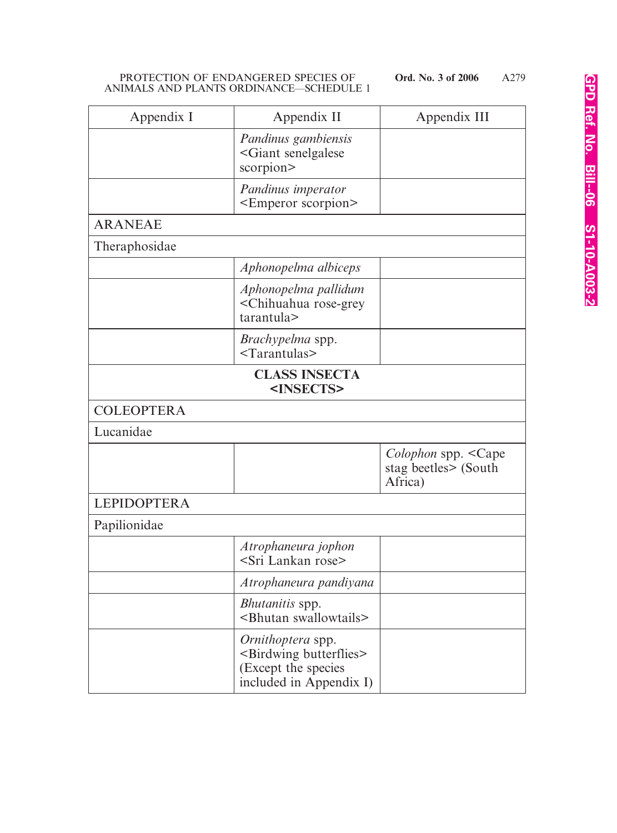| Appendix I         | Appendix II                                                                                                          | Appendix III                                                                |
|--------------------|----------------------------------------------------------------------------------------------------------------------|-----------------------------------------------------------------------------|
|                    | Pandinus gambiensis<br><giant senelgalese<br="">scorpion&gt;</giant>                                                 |                                                                             |
|                    | Pandinus imperator<br><emperor scorpion=""></emperor>                                                                |                                                                             |
| <b>ARANEAE</b>     |                                                                                                                      |                                                                             |
| Theraphosidae      |                                                                                                                      |                                                                             |
|                    | Aphonopelma albiceps                                                                                                 |                                                                             |
|                    | Aphonopelma pallidum<br><chihuahua rose-grey<br="">tarantula&gt;</chihuahua>                                         |                                                                             |
|                    | <i>Brachypelma</i> spp.<br>$<$ Tarantulas>                                                                           |                                                                             |
|                    | <b>CLASS INSECTA</b><br><insects></insects>                                                                          |                                                                             |
| <b>COLEOPTERA</b>  |                                                                                                                      |                                                                             |
| Lucanidae          |                                                                                                                      |                                                                             |
|                    |                                                                                                                      | <i>Colophon</i> spp. <cape<br>stag beetles&gt; (South<br/>Africa)</cape<br> |
| <b>LEPIDOPTERA</b> |                                                                                                                      |                                                                             |
| Papilionidae       |                                                                                                                      |                                                                             |
|                    | Atrophaneura jophon<br><sri lankan="" rose=""></sri>                                                                 |                                                                             |
|                    | Atrophaneura pandiyana                                                                                               |                                                                             |
|                    | Bhutanitis spp.<br><bhutan swallowtails=""></bhutan>                                                                 |                                                                             |
|                    | <i>Ornithoptera</i> spp.<br><birdwing butterflies=""><br/>(Except the species<br/>included in Appendix I)</birdwing> |                                                                             |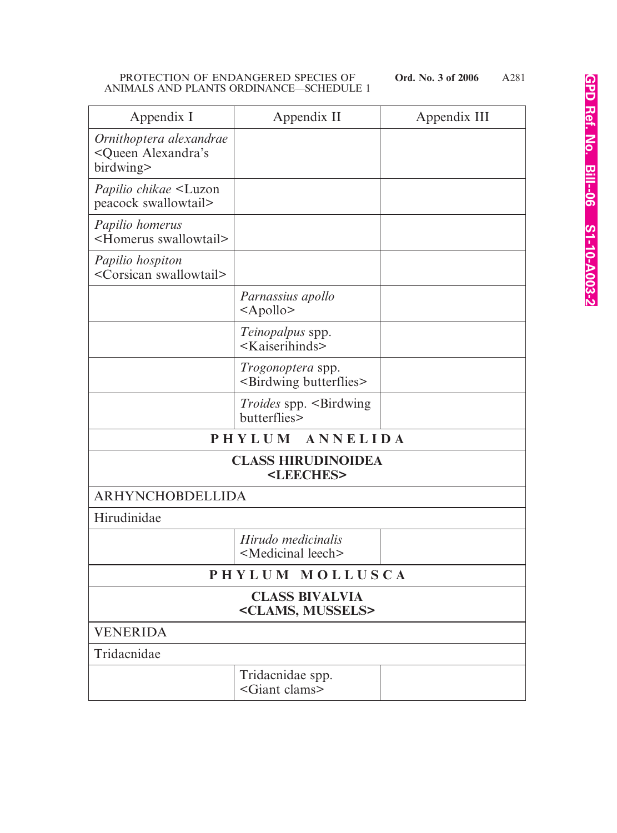| Appendix I                                                               | Appendix II                                                      | Appendix III |
|--------------------------------------------------------------------------|------------------------------------------------------------------|--------------|
| Ornithoptera alexandrae<br><queen alexandra's<br="">birdwing&gt;</queen> |                                                                  |              |
| <i>Papilio chikae</i> <luzon<br>peacock swallowtail&gt;</luzon<br>       |                                                                  |              |
| Papilio homerus<br><homerus swallowtail=""></homerus>                    |                                                                  |              |
| Papilio hospiton<br><corsican swallowtail=""></corsican>                 |                                                                  |              |
|                                                                          | Parnassius apollo<br>$\langle$ Apollo>                           |              |
|                                                                          | Teinopalpus spp.<br><kaiserihinds></kaiserihinds>                |              |
|                                                                          | <i>Trogonoptera</i> spp.<br><birdwing butterflies=""></birdwing> |              |
|                                                                          | <i>Troides</i> spp. <birdwing<br>butterflies&gt;</birdwing<br>   |              |
|                                                                          | ANNELIDA<br>PHYLUM                                               |              |
| <b>CLASS HIRUDINOIDEA</b><br><leeches></leeches>                         |                                                                  |              |
| ARHYNCHOBDELLIDA                                                         |                                                                  |              |
| Hirudinidae                                                              |                                                                  |              |
|                                                                          | Hirudo medicinalis<br><medicinal leech=""></medicinal>           |              |
|                                                                          | PHYLUM MOLLUSCA                                                  |              |
| <b>CLASS BIVALVIA</b><br><clams, mussels=""></clams,>                    |                                                                  |              |
| <b>VENERIDA</b>                                                          |                                                                  |              |
| Tridacnidae                                                              |                                                                  |              |
|                                                                          | Tridacnidae spp.<br><giant clams=""></giant>                     |              |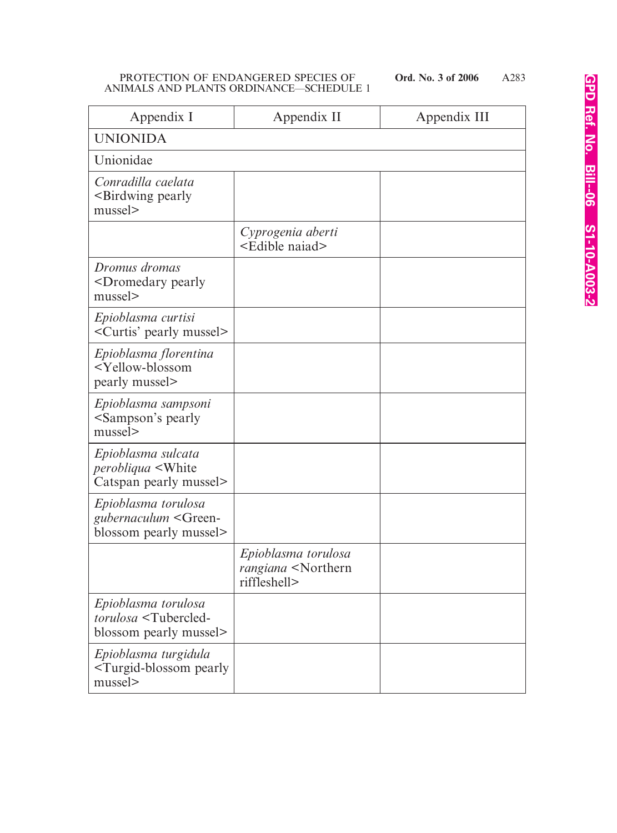A283

| Appendix I                                                                               | Appendix II                                                                | Appendix III |
|------------------------------------------------------------------------------------------|----------------------------------------------------------------------------|--------------|
| <b>UNIONIDA</b>                                                                          |                                                                            |              |
| Unionidae                                                                                |                                                                            |              |
| Conradilla caelata<br>-Birdwing pearly<br>mussel>                                        |                                                                            |              |
|                                                                                          | Cyprogenia aberti<br><edible naiad=""></edible>                            |              |
| Dromus dromas<br><dromedary pearly<br="">mussel&gt;</dromedary>                          |                                                                            |              |
| Epioblasma curtisi<br><curtis' mussel="" pearly=""></curtis'>                            |                                                                            |              |
| Epioblasma florentina<br><yellow-blossom<br>pearly mussel&gt;</yellow-blossom<br>        |                                                                            |              |
| Epioblasma sampsoni<br><sampson's pearly<br="">mussel&gt;</sampson's>                    |                                                                            |              |
| Epioblasma sulcata<br><i>perobliqua</i> <white<br>Catspan pearly mussel&gt;</white<br>   |                                                                            |              |
| Epioblasma torulosa<br>gubernaculum <green-<br>blossom pearly mussel&gt;</green-<br>     |                                                                            |              |
|                                                                                          | Epioblasma torulosa<br>rangiana <northern<br>riffleshell&gt;</northern<br> |              |
| Epioblasma torulosa<br>torulosa <tubercled-<br>blossom pearly mussel&gt;</tubercled-<br> |                                                                            |              |
| Epioblasma turgidula<br><turgid-blossom pearly<br="">mussel&gt;</turgid-blossom>         |                                                                            |              |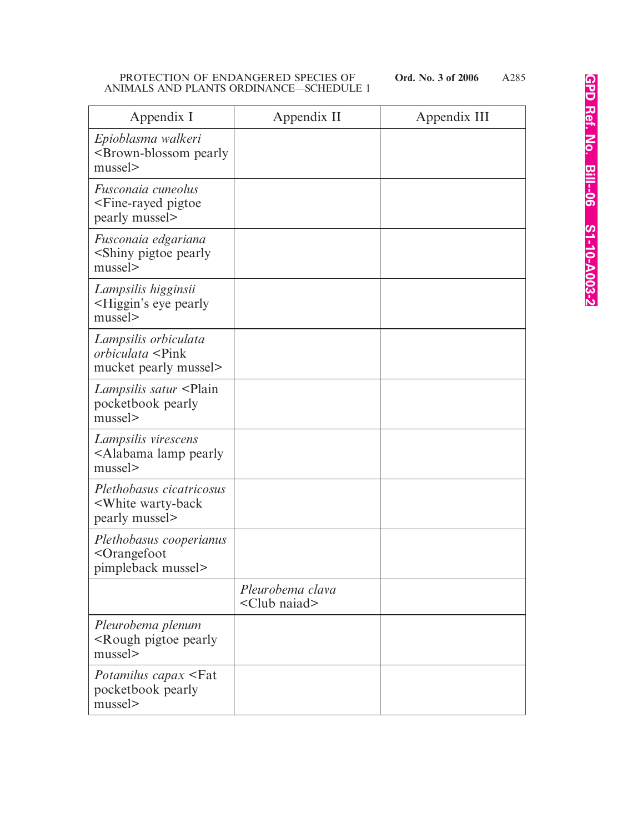A285

| Appendix I                                                                            | Appendix II                                | Appendix III |
|---------------------------------------------------------------------------------------|--------------------------------------------|--------------|
| Epioblasma walkeri<br><brown-blossom pearly<br="">mussel&gt;</brown-blossom>          |                                            |              |
| Fusconaia cuneolus<br><fine-rayed pigtoe<br="">pearly mussel&gt;</fine-rayed>         |                                            |              |
| Fusconaia edgariana<br><shiny pearly<br="" pigtoe="">mussel&gt;</shiny>               |                                            |              |
| Lampsilis higginsii<br><higgin's eye="" pearly<br="">mussel&gt;</higgin's>            |                                            |              |
| Lampsilis orbiculata<br><i>orbiculata</i> <pink<br>mucket pearly mussel&gt;</pink<br> |                                            |              |
| <i>Lampsilis satur</i> <plain<br>pocketbook pearly<br/>mussel&gt;</plain<br>          |                                            |              |
| Lampsilis virescens<br><alabama lamp="" pearly<br="">mussel&gt;</alabama>             |                                            |              |
| Plethobasus cicatricosus<br><white warty-back<br="">pearly mussel&gt;</white>         |                                            |              |
| Plethobasus cooperianus<br><orangefoot<br>pimpleback mussel&gt;</orangefoot<br>       |                                            |              |
|                                                                                       | Pleurobema clava<br><club naiad=""></club> |              |
| Pleurobema plenum<br><rough pearly<br="" pigtoe="">mussel&gt;</rough>                 |                                            |              |
| <i>Potamilus capax</i> <fat<br>pocketbook pearly<br/>mussel&gt;</fat<br>              |                                            |              |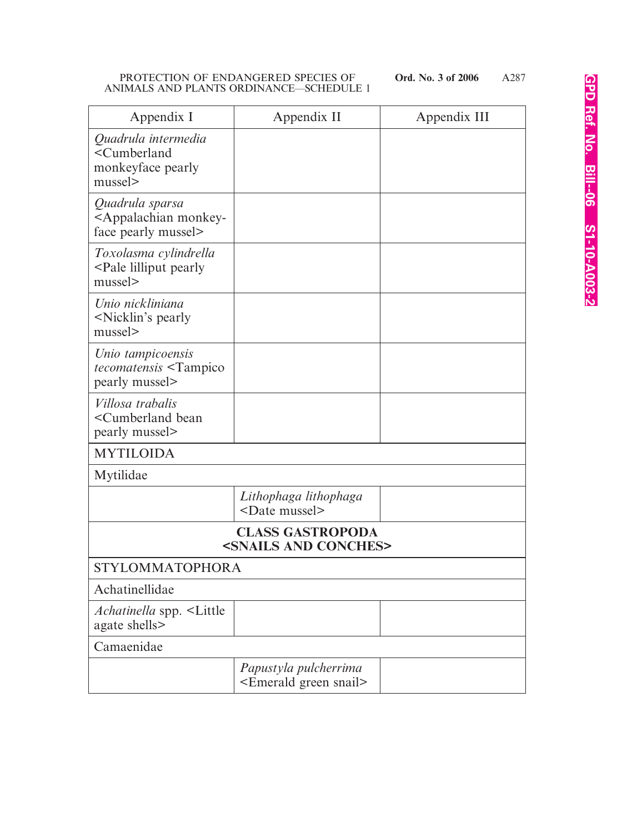| Appendix I                                                                          | Appendix II                                                    | Appendix III |
|-------------------------------------------------------------------------------------|----------------------------------------------------------------|--------------|
| Quadrula intermedia<br><cumberland<br>monkeyface pearly<br/>mussel</cumberland<br>  |                                                                |              |
| Quadrula sparsa<br><appalachian monkey-<br="">face pearly mussel&gt;</appalachian>  |                                                                |              |
| Toxolasma cylindrella<br><pale lilliput="" pearly<br="">mussel</pale>               |                                                                |              |
| Unio nickliniana<br><nicklin's pearly<br="">mussel&gt;</nicklin's>                  |                                                                |              |
| Unio tampicoensis<br><i>tecomatensis</i> <tampico<br>pearly mussel&gt;</tampico<br> |                                                                |              |
| Villosa trabalis<br><cumberland bean<br="">pearly mussel&gt;</cumberland>           |                                                                |              |
| <b>MYTILOIDA</b>                                                                    |                                                                |              |
| Mytilidae                                                                           |                                                                |              |
|                                                                                     | Lithophaga lithophaga<br><date mussel=""></date>               |              |
| <b>CLASS GASTROPODA</b><br><snails and="" conches=""></snails>                      |                                                                |              |
| <b>STYLOMMATOPHORA</b>                                                              |                                                                |              |
| Achatinellidae                                                                      |                                                                |              |
| <i>Achatinella</i> spp. <little<br>agate shells&gt;</little<br>                     |                                                                |              |
| Camaenidae                                                                          |                                                                |              |
|                                                                                     | Papustyla pulcherrima<br><emerald green="" snail=""></emerald> |              |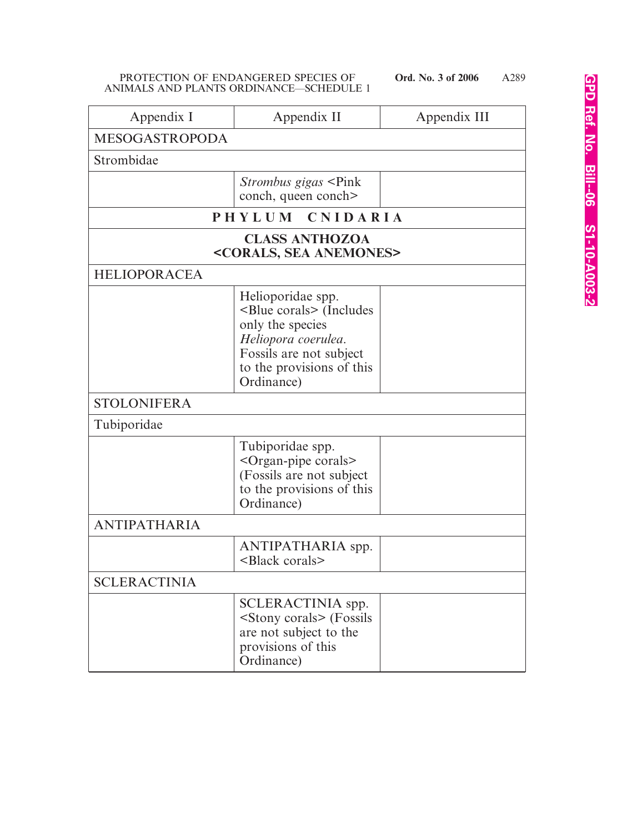| Appendix I            | Appendix II                                                                                                                                                                  | Appendix III |
|-----------------------|------------------------------------------------------------------------------------------------------------------------------------------------------------------------------|--------------|
| <b>MESOGASTROPODA</b> |                                                                                                                                                                              |              |
| Strombidae            |                                                                                                                                                                              |              |
|                       | <i>Strombus gigas</i> <pink<br>conch, queen conch&gt;</pink<br>                                                                                                              |              |
|                       | PHYLUM CNIDARIA                                                                                                                                                              |              |
|                       | <b>CLASS ANTHOZOA</b><br><corals, anemones="" sea=""></corals,>                                                                                                              |              |
| <b>HELIOPORACEA</b>   |                                                                                                                                                                              |              |
|                       | Helioporidae spp.<br><blue corals=""> (Includes<br/>only the species<br/>Heliopora coerulea.<br/>Fossils are not subject<br/>to the provisions of this<br/>Ordinance)</blue> |              |
| <b>STOLONIFERA</b>    |                                                                                                                                                                              |              |
| Tubiporidae           |                                                                                                                                                                              |              |
|                       | Tubiporidae spp.<br><organ-pipe corals=""><br/>(Fossils are not subject<br/>to the provisions of this<br/>Ordinance)</organ-pipe>                                            |              |
| <b>ANTIPATHARIA</b>   |                                                                                                                                                                              |              |
|                       | ANTIPATHARIA spp.<br><black corals=""></black>                                                                                                                               |              |
| <b>SCLERACTINIA</b>   |                                                                                                                                                                              |              |
|                       | SCLERACTINIA spp.<br><stony corals=""> (Fossils<br/>are not subject to the<br/>provisions of this<br/>Ordinance)</stony>                                                     |              |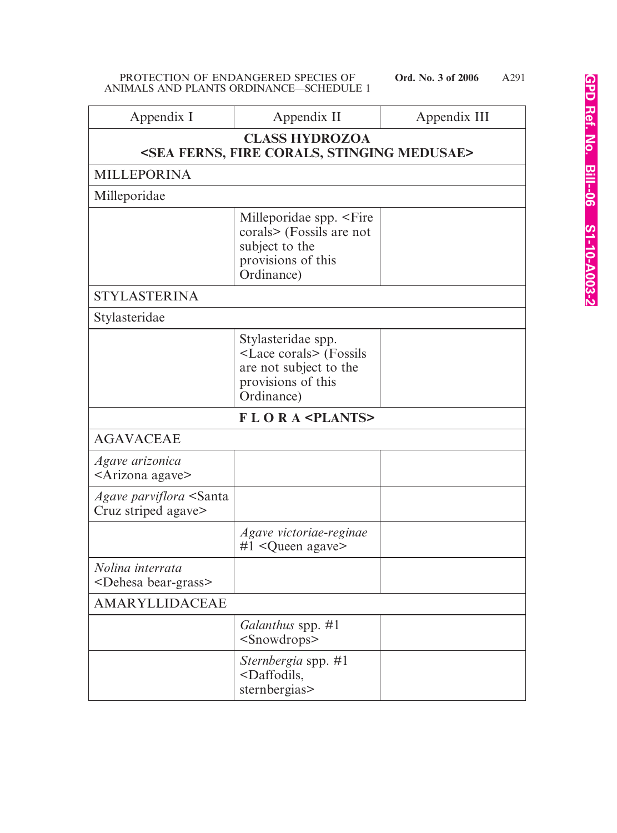| Appendix I                                                   | Appendix II                                                                                                               | Appendix III |
|--------------------------------------------------------------|---------------------------------------------------------------------------------------------------------------------------|--------------|
|                                                              | <b>CLASS HYDROZOA</b>                                                                                                     |              |
|                                                              | <sea corals,="" ferns,="" fire="" medusae="" stinging=""></sea>                                                           |              |
| <b>MILLEPORINA</b>                                           |                                                                                                                           |              |
| Milleporidae                                                 |                                                                                                                           |              |
|                                                              | Milleporidae spp. <fire<br>corals&gt; (Fossils are not<br/>subject to the<br/>provisions of this<br/>Ordinance)</fire<br> |              |
| <b>STYLASTERINA</b>                                          |                                                                                                                           |              |
| Stylasteridae                                                |                                                                                                                           |              |
|                                                              | Stylasteridae spp.<br><lace corals=""> (Fossils<br/>are not subject to the<br/>provisions of this<br/>Ordinance)</lace>   |              |
|                                                              | <b>FLORA <plants></plants></b>                                                                                            |              |
| <b>AGAVACEAE</b>                                             |                                                                                                                           |              |
| Agave arizonica<br><arizona agave=""></arizona>              |                                                                                                                           |              |
| Agave parviflora <santa<br>Cruz striped agave&gt;</santa<br> |                                                                                                                           |              |
|                                                              | Agave victoriae-reginae<br>$#1$ <queen agave=""></queen>                                                                  |              |
| Nolina interrata<br><dehesa bear-grass=""></dehesa>          |                                                                                                                           |              |
| AMARYLLIDACEAE                                               |                                                                                                                           |              |
|                                                              | Galanthus spp. #1<br><snowdrops></snowdrops>                                                                              |              |
|                                                              | <i>Sternbergia</i> spp. #1<br><daffodils,<br>sternbergias&gt;</daffodils,<br>                                             |              |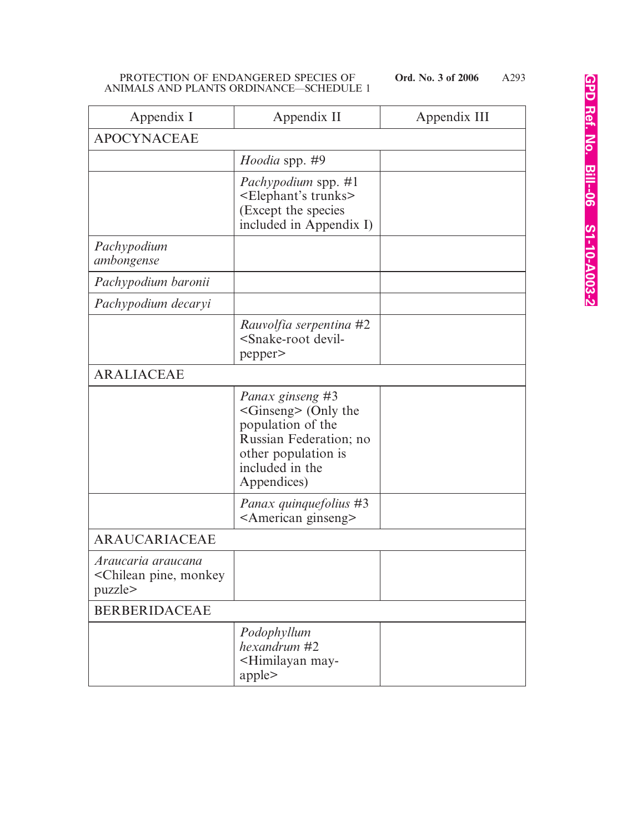| Appendix I                                                                | Appendix II                                                                                                                                          | Appendix III |
|---------------------------------------------------------------------------|------------------------------------------------------------------------------------------------------------------------------------------------------|--------------|
| <b>APOCYNACEAE</b>                                                        |                                                                                                                                                      |              |
|                                                                           | <i>Hoodia</i> spp. #9                                                                                                                                |              |
|                                                                           | <i>Pachypodium</i> spp. #1<br><elephant's trunks=""><br/>(Except the species<br/>included in Appendix I)</elephant's>                                |              |
| Pachypodium<br>ambongense                                                 |                                                                                                                                                      |              |
| Pachypodium baronii                                                       |                                                                                                                                                      |              |
| Pachypodium decaryi                                                       |                                                                                                                                                      |              |
|                                                                           | Rauvolfia serpentina #2<br><snake-root devil-<br="">pepper&gt;</snake-root>                                                                          |              |
| <b>ARALIACEAE</b>                                                         |                                                                                                                                                      |              |
|                                                                           | Panax ginseng #3<br>$\le$ Ginseng> (Only the<br>population of the<br>Russian Federation; no<br>other population is<br>included in the<br>Appendices) |              |
|                                                                           | <i>Panax quinquefolius</i> #3<br><american ginseng=""></american>                                                                                    |              |
| ARAUCARIACEAE                                                             |                                                                                                                                                      |              |
| Araucaria araucana<br><chilean monkey<br="" pine,="">puzzle&gt;</chilean> |                                                                                                                                                      |              |
| <b>BERBERIDACEAE</b>                                                      |                                                                                                                                                      |              |
|                                                                           | Podophyllum<br>hexandrum #2<br><himilayan may-<br="">apple</himilayan>                                                                               |              |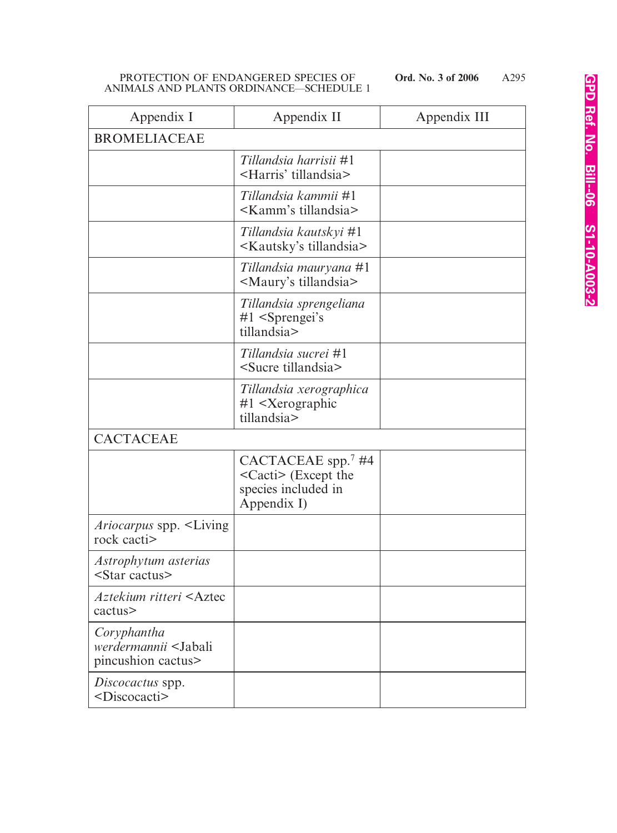| Appendix I                                                               | Appendix II                                                                                  | Appendix III |
|--------------------------------------------------------------------------|----------------------------------------------------------------------------------------------|--------------|
| <b>BROMELIACEAE</b>                                                      |                                                                                              |              |
|                                                                          | Tillandsia harrisii #1<br><harris' tillandsia=""></harris'>                                  |              |
|                                                                          | Tillandsia kammii #1<br><kamm's tillandsia=""></kamm's>                                      |              |
|                                                                          | Tillandsia kautskyi #1<br><kautsky's tillandsia=""></kautsky's>                              |              |
|                                                                          | Tillandsia mauryana #1<br><maury's tillandsia=""></maury's>                                  |              |
|                                                                          | Tillandsia sprengeliana<br>$#1$ <sprengei's<br>tillandsia&gt;</sprengei's<br>                |              |
|                                                                          | Tillandsia sucrei #1<br><sucre tillandsia=""></sucre>                                        |              |
|                                                                          | Tillandsia xerographica<br>$#1$ <xerographic<br>tillandsia&gt;</xerographic<br>              |              |
| <b>CACTACEAE</b>                                                         |                                                                                              |              |
|                                                                          | CACTACEAE spp. $7$ #4<br><cacti> (Except the<br/>species included in<br/>Appendix I)</cacti> |              |
| <i>Ariocarpus</i> spp. <living<br>rock cacti&gt;</living<br>             |                                                                                              |              |
| Astrophytum asterias<br>$\leq$ Star cactus>                              |                                                                                              |              |
| Aztekium ritteri <aztec<br>cactus&gt;</aztec<br>                         |                                                                                              |              |
| Coryphantha<br>werdermannii <jabali<br>pincushion cactus&gt;</jabali<br> |                                                                                              |              |
| Discocactus spp.<br><discocacti></discocacti>                            |                                                                                              |              |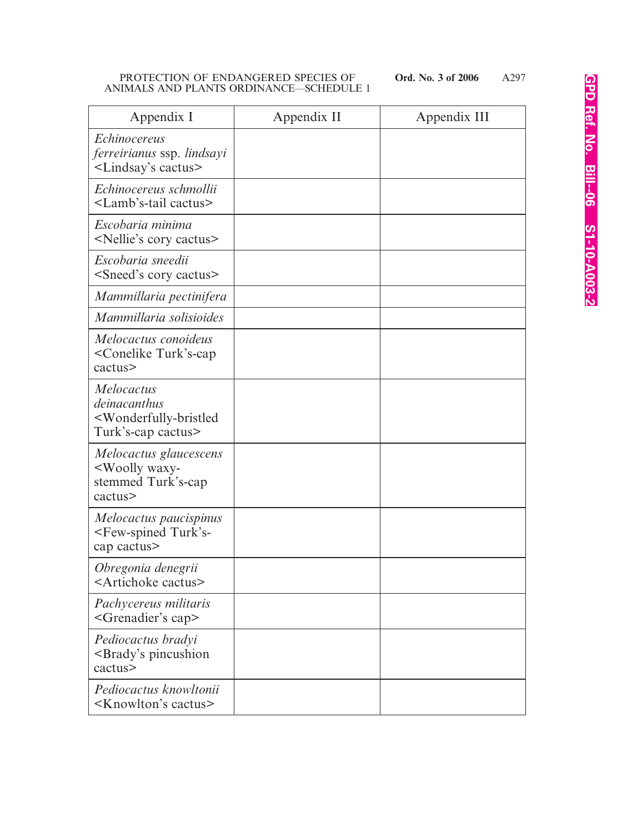A297

| Appendix I                                                                                                    | Appendix II | Appendix III |
|---------------------------------------------------------------------------------------------------------------|-------------|--------------|
| <i>Echinocereus</i><br>ferreirianus ssp. lindsayi<br><lindsay's cactus=""></lindsay's>                        |             |              |
| Echinocereus schmollii<br><lamb's-tail cactus=""></lamb's-tail>                                               |             |              |
| Escobaria minima<br><nellie's cactus="" cory=""></nellie's>                                                   |             |              |
| Escobaria sneedii<br><sneed's cactus="" cory=""></sneed's>                                                    |             |              |
| Mammillaria pectinifera                                                                                       |             |              |
| Mammillaria solisioides                                                                                       |             |              |
| Melocactus conoideus<br><conelike turk's-cap<br="">cactus&gt;</conelike>                                      |             |              |
| <i>Melocactus</i><br>deinacanthus<br><wonderfully-bristled<br>Turk's-cap cactus&gt;</wonderfully-bristled<br> |             |              |
| Melocactus glaucescens<br><woolly waxy-<br="">stemmed Turk's-cap<br/>cactus&gt;</woolly>                      |             |              |
| Melocactus paucispinus<br><few-spined turk's-<br="">cap cactus&gt;</few-spined>                               |             |              |
| Obregonia denegrii<br><artichoke cactus=""></artichoke>                                                       |             |              |
| Pachycereus militaris<br><grenadier's cap=""></grenadier's>                                                   |             |              |
| Pediocactus bradyi<br><brady's pincushion<br="">cactus&gt;</brady's>                                          |             |              |
| Pediocactus knowltonii<br><knowlton's cactus=""></knowlton's>                                                 |             |              |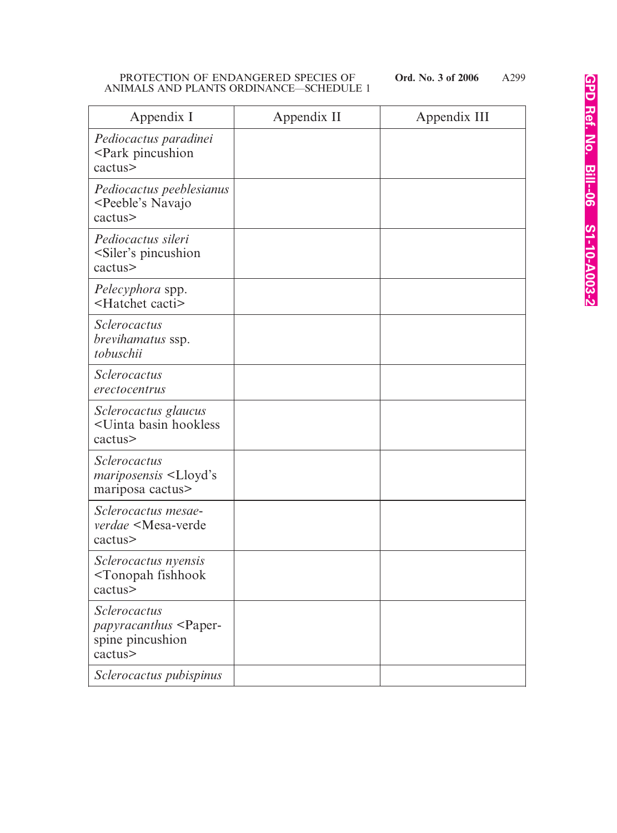A299

| Appendix I                                                                                  | Appendix II | Appendix III |
|---------------------------------------------------------------------------------------------|-------------|--------------|
| Pediocactus paradinei<br><park pincushion<br="">cactus&gt;</park>                           |             |              |
| Pediocactus peeblesianus<br><peeble's navajo<br="">cactus&gt;</peeble's>                    |             |              |
| Pediocactus sileri<br><siler's pincushion<br="">cactus&gt;</siler's>                        |             |              |
| Pelecyphora spp.<br><hatchet cacti=""></hatchet>                                            |             |              |
| <i><u>Sclerocactus</u></i><br>brevihamatus ssp.<br>tobuschii                                |             |              |
| Sclerocactus<br>erectocentrus                                                               |             |              |
| Sclerocactus glaucus<br><uinta basin="" hookless<br="">cactus&gt;</uinta>                   |             |              |
| <b>Sclerocactus</b><br><i>mariposensis</i> <lloyd's<br>mariposa cactus&gt;</lloyd's<br>     |             |              |
| Sclerocactus mesae-<br><i>verdae</i> <mesa-verde<br>cactus&gt;</mesa-verde<br>              |             |              |
| Sclerocactus nyensis<br><tonopah fishhook<br="">cactus&gt;</tonopah>                        |             |              |
| <i>Sclerocactus</i><br>papyracanthus <paper-<br>spine pincushion<br/>cactus&gt;</paper-<br> |             |              |
| Sclerocactus pubispinus                                                                     |             |              |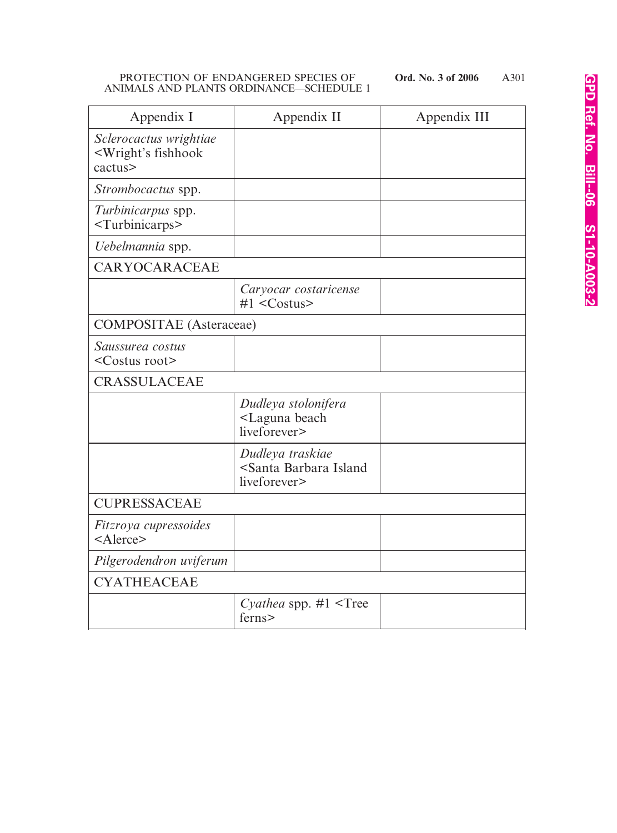| Appendix I                                                               | Appendix II                                                                | Appendix III |
|--------------------------------------------------------------------------|----------------------------------------------------------------------------|--------------|
| Sclerocactus wrightiae<br><wright's fishhook<br="">cactus&gt;</wright's> |                                                                            |              |
| Strombocactus spp.                                                       |                                                                            |              |
| Turbinicarpus spp.<br><turbinicarps></turbinicarps>                      |                                                                            |              |
| Uebelmannia spp.                                                         |                                                                            |              |
| CARYOCARACEAE                                                            |                                                                            |              |
|                                                                          | Caryocar costaricense<br>$#1 <$ Costus>                                    |              |
| <b>COMPOSITAE</b> (Asteraceae)                                           |                                                                            |              |
| Saussurea costus<br><costus root=""></costus>                            |                                                                            |              |
| <b>CRASSULACEAE</b>                                                      |                                                                            |              |
|                                                                          | Dudleya stolonifera<br><laguna beach<br="">liveforever&gt;</laguna>        |              |
|                                                                          | Dudleya traskiae<br><santa barbara="" island<br="">liveforever&gt;</santa> |              |
| <b>CUPRESSACEAE</b>                                                      |                                                                            |              |
| Fitzroya cupressoides<br><alerce></alerce>                               |                                                                            |              |
| Pilgerodendron uviferum                                                  |                                                                            |              |
| <b>CYATHEACEAE</b>                                                       |                                                                            |              |
|                                                                          | Cyathea spp. $#1$ <tree<br>ferns&gt;</tree<br>                             |              |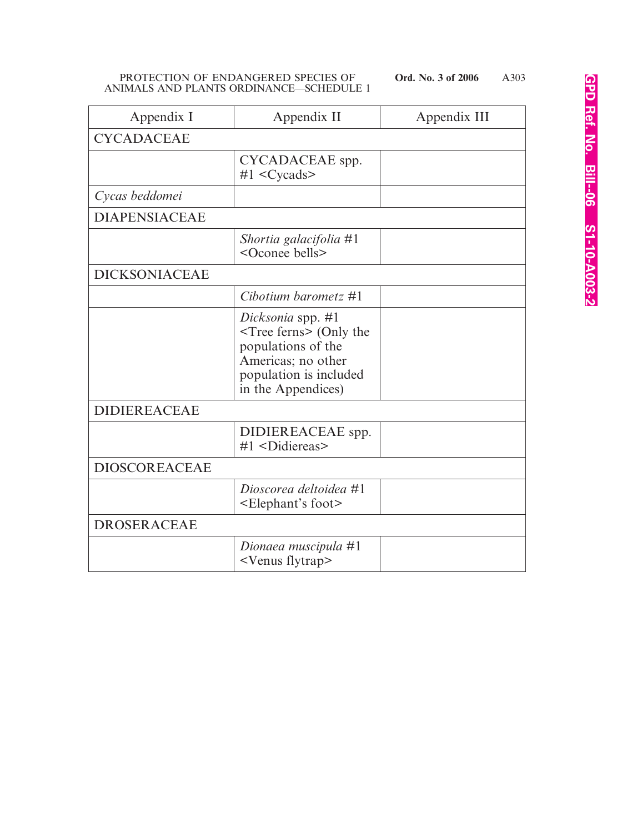| Appendix I           | Appendix II                                                                                                                              | Appendix III |
|----------------------|------------------------------------------------------------------------------------------------------------------------------------------|--------------|
| <b>CYCADACEAE</b>    |                                                                                                                                          |              |
|                      | CYCADACEAE spp.<br>$#1 <$ Cycads>                                                                                                        |              |
| Cycas beddomei       |                                                                                                                                          |              |
| <b>DIAPENSIACEAE</b> |                                                                                                                                          |              |
|                      | Shortia galacifolia #1<br><oconee bells=""></oconee>                                                                                     |              |
| <b>DICKSONIACEAE</b> |                                                                                                                                          |              |
|                      | Cibotium barometz $#1$                                                                                                                   |              |
|                      | Dicksonia spp. #1<br>$Tree$ ferns> (Only the<br>populations of the<br>Americas; no other<br>population is included<br>in the Appendices) |              |
| <b>DIDIEREACEAE</b>  |                                                                                                                                          |              |
|                      | DIDIEREACEAE spp.<br>#1 <didiereas></didiereas>                                                                                          |              |
| <b>DIOSCOREACEAE</b> |                                                                                                                                          |              |
|                      | Dioscorea deltoidea #1<br><elephant's foot=""></elephant's>                                                                              |              |
| <b>DROSERACEAE</b>   |                                                                                                                                          |              |
|                      | Dionaea muscipula #1<br><venus flytrap=""></venus>                                                                                       |              |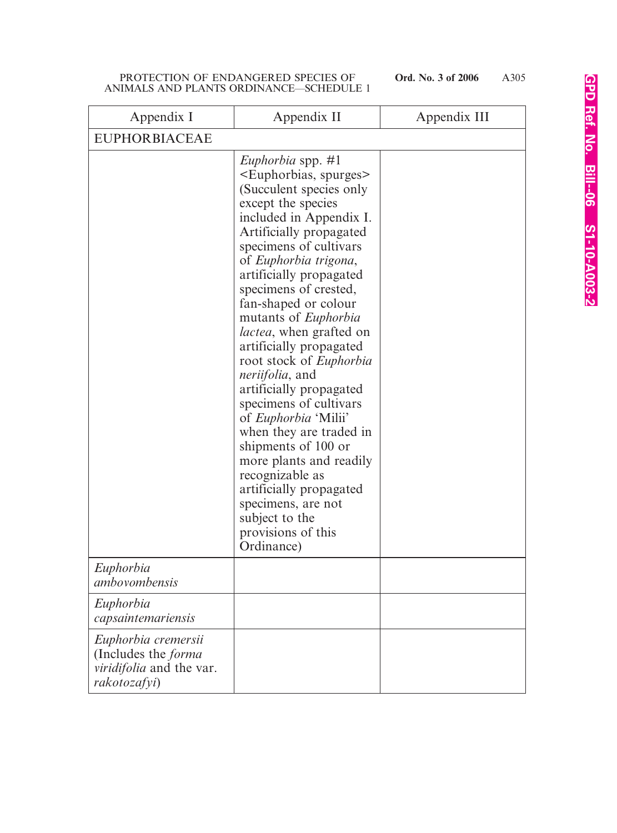| Appendix I                                                                                           | Appendix II                                                                                                                                                                                                                                                                                                                                                                                                                                                                                                                                                                                                                                                                                                                                                                     | Appendix III |
|------------------------------------------------------------------------------------------------------|---------------------------------------------------------------------------------------------------------------------------------------------------------------------------------------------------------------------------------------------------------------------------------------------------------------------------------------------------------------------------------------------------------------------------------------------------------------------------------------------------------------------------------------------------------------------------------------------------------------------------------------------------------------------------------------------------------------------------------------------------------------------------------|--------------|
| <b>EUPHORBIACEAE</b>                                                                                 |                                                                                                                                                                                                                                                                                                                                                                                                                                                                                                                                                                                                                                                                                                                                                                                 |              |
|                                                                                                      | <i>Euphorbia</i> spp. #1<br><euphorbias, spurges=""><br/>(Succulent species only)<br/>except the species<br/>included in Appendix I.<br/>Artificially propagated<br/>specimens of cultivars<br/>of Euphorbia trigona,<br/>artificially propagated<br/>specimens of crested,<br/>fan-shaped or colour<br/>mutants of <i>Euphorbia</i><br/><i>lactea</i>, when grafted on<br/>artificially propagated<br/>root stock of <i>Euphorbia</i><br/><i>neriifolia</i>, and<br/>artificially propagated<br/>specimens of cultivars<br/>of Euphorbia 'Milii'<br/>when they are traded in<br/>shipments of 100 or<br/>more plants and readily<br/>recognizable as<br/>artificially propagated<br/>specimens, are not<br/>subject to the<br/>provisions of this<br/>Ordinance)</euphorbias,> |              |
| Euphorbia<br>ambovombensis                                                                           |                                                                                                                                                                                                                                                                                                                                                                                                                                                                                                                                                                                                                                                                                                                                                                                 |              |
| Euphorbia<br>capsaintemariensis                                                                      |                                                                                                                                                                                                                                                                                                                                                                                                                                                                                                                                                                                                                                                                                                                                                                                 |              |
| Euphorbia cremersii<br>(Includes the <i>forma</i><br><i>viridifolia</i> and the var.<br>rakotozafyi) |                                                                                                                                                                                                                                                                                                                                                                                                                                                                                                                                                                                                                                                                                                                                                                                 |              |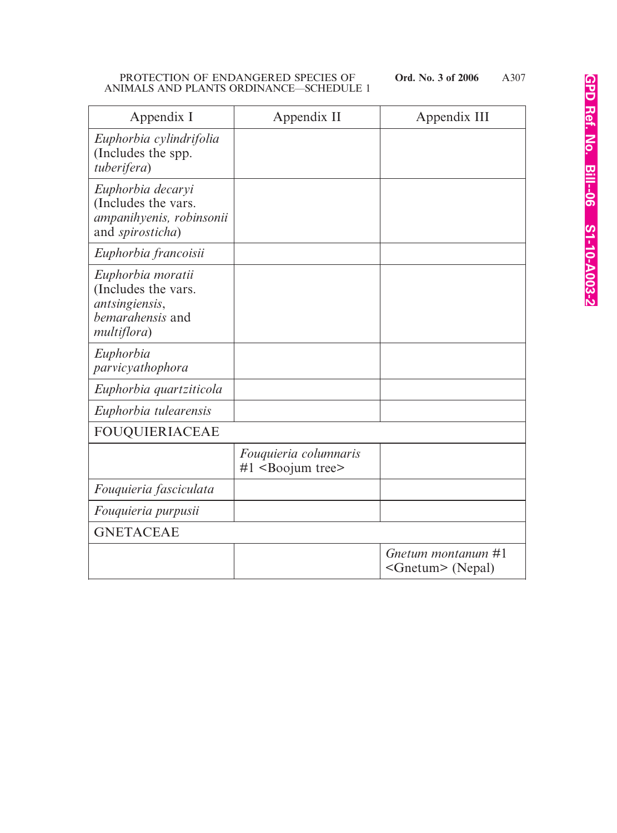| Appendix I                                                                                    | Appendix II                                             | Appendix III                                 |
|-----------------------------------------------------------------------------------------------|---------------------------------------------------------|----------------------------------------------|
| Euphorbia cylindrifolia<br>(Includes the spp.<br>tuberifera)                                  |                                                         |                                              |
| Euphorbia decaryi<br>(Includes the vars.<br>ampanihyenis, robinsonii<br>and spirosticha)      |                                                         |                                              |
| Euphorbia francoisii                                                                          |                                                         |                                              |
| Euphorbia moratii<br>(Includes the vars.<br>antsingiensis,<br>bemarahensis and<br>multiflora) |                                                         |                                              |
| Euphorbia<br>parvicyathophora                                                                 |                                                         |                                              |
| Euphorbia quartziticola                                                                       |                                                         |                                              |
| Euphorbia tulearensis                                                                         |                                                         |                                              |
| <b>FOUQUIERIACEAE</b>                                                                         |                                                         |                                              |
|                                                                                               | Fouquieria columnaris<br>$#1$ <boojum tree=""></boojum> |                                              |
| Fouquieria fasciculata                                                                        |                                                         |                                              |
| Fouquieria purpusii                                                                           |                                                         |                                              |
| <b>GNETACEAE</b>                                                                              |                                                         |                                              |
|                                                                                               |                                                         | Gnetum montanum #1<br>$\leq$ Gnetum> (Nepal) |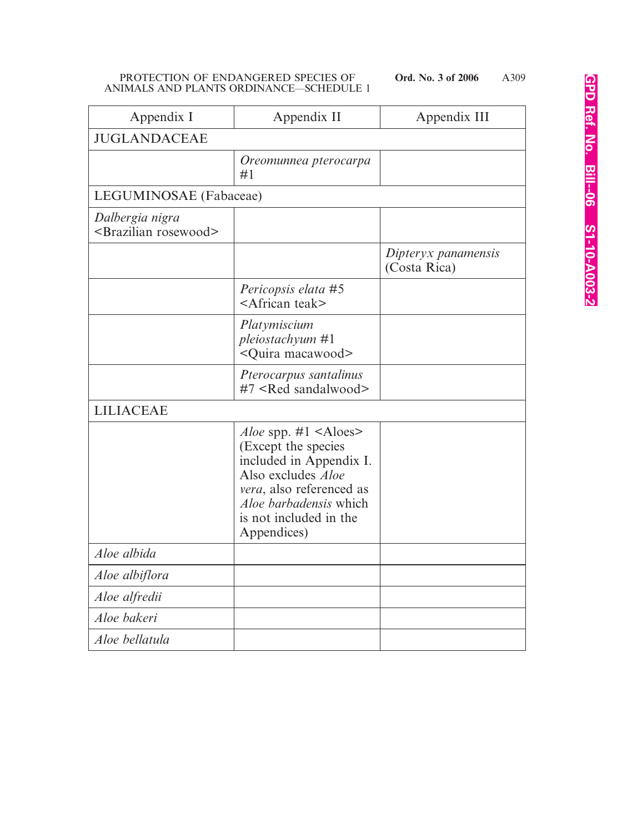| Appendix I                                             | Appendix II                                                                                                                                                                                                                         | Appendix III                        |
|--------------------------------------------------------|-------------------------------------------------------------------------------------------------------------------------------------------------------------------------------------------------------------------------------------|-------------------------------------|
| <b>JUGLANDACEAE</b>                                    |                                                                                                                                                                                                                                     |                                     |
|                                                        | Oreomunnea pterocarpa<br>#1                                                                                                                                                                                                         |                                     |
| LEGUMINOSAE (Fabaceae)                                 |                                                                                                                                                                                                                                     |                                     |
| Dalbergia nigra<br><brazilian rosewood=""></brazilian> |                                                                                                                                                                                                                                     |                                     |
|                                                        |                                                                                                                                                                                                                                     | Dipteryx panamensis<br>(Costa Rica) |
|                                                        | Pericopsis elata #5<br><african teak=""></african>                                                                                                                                                                                  |                                     |
|                                                        | Platymiscium<br>pleiostachyum #1<br><quira macawood=""></quira>                                                                                                                                                                     |                                     |
|                                                        | Pterocarpus santalinus<br>#7 <red sandalwood=""></red>                                                                                                                                                                              |                                     |
| <b>LILIACEAE</b>                                       |                                                                                                                                                                                                                                     |                                     |
|                                                        | <i>Aloe</i> spp. $\#1$ <aloes><br/>(Except the species)<br/>included in Appendix I.<br/>Also excludes <i>Aloe</i><br/>vera, also referenced as<br/><i>Aloe barbadensis</i> which<br/>is not included in the<br/>Appendices)</aloes> |                                     |
| Aloe albida                                            |                                                                                                                                                                                                                                     |                                     |
| Aloe albiflora                                         |                                                                                                                                                                                                                                     |                                     |
| Aloe alfredii                                          |                                                                                                                                                                                                                                     |                                     |
| Aloe bakeri                                            |                                                                                                                                                                                                                                     |                                     |
| Aloe bellatula                                         |                                                                                                                                                                                                                                     |                                     |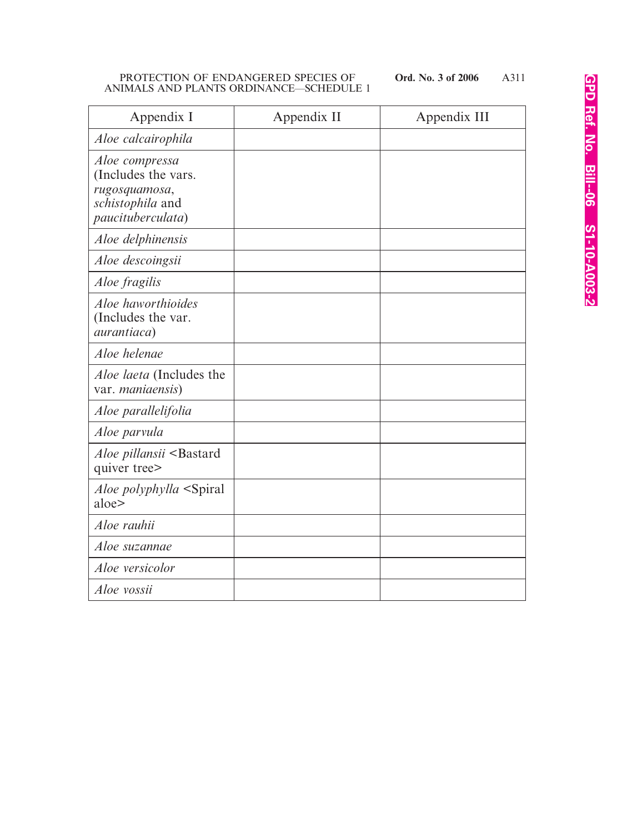| Appendix I                                                                                      | Appendix II | Appendix III |
|-------------------------------------------------------------------------------------------------|-------------|--------------|
| Aloe calcairophila                                                                              |             |              |
| Aloe compressa<br>(Includes the vars.<br>rugosquamosa,<br>schistophila and<br>paucituberculata) |             |              |
| Aloe delphinensis                                                                               |             |              |
| Aloe descoingsii                                                                                |             |              |
| <i>Aloe fragilis</i>                                                                            |             |              |
| Aloe haworthioides<br>(Includes the var.<br><i>aurantiaca</i> )                                 |             |              |
| Aloe helenae                                                                                    |             |              |
| <i>Aloe laeta</i> (Includes the<br>var. maniaensis)                                             |             |              |
| Aloe parallelifolia                                                                             |             |              |
| Aloe parvula                                                                                    |             |              |
| Aloe pillansii <bastard<br>quiver tree&gt;</bastard<br>                                         |             |              |
| <i>Aloe polyphylla</i> <spiral<br>aloe&gt;</spiral<br>                                          |             |              |
| Aloe rauhii                                                                                     |             |              |
| Aloe suzannae                                                                                   |             |              |
| Aloe versicolor                                                                                 |             |              |
| Aloe vossii                                                                                     |             |              |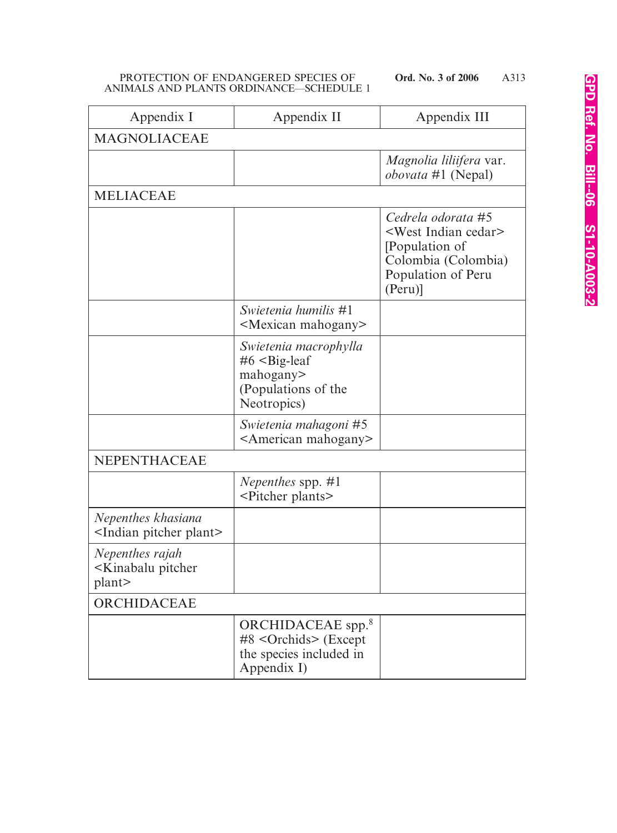| Appendix I                                                      | Appendix II                                                                                         | Appendix III                                                                                                                                      |
|-----------------------------------------------------------------|-----------------------------------------------------------------------------------------------------|---------------------------------------------------------------------------------------------------------------------------------------------------|
| <b>MAGNOLIACEAE</b>                                             |                                                                                                     |                                                                                                                                                   |
|                                                                 |                                                                                                     | <i>Magnolia liliifera var.</i><br><i>obovata</i> #1 (Nepal)                                                                                       |
| <b>MELIACEAE</b>                                                |                                                                                                     |                                                                                                                                                   |
|                                                                 |                                                                                                     | Cedrela odorata #5<br><west cedar="" indian=""><br/>[Population of<br/>Colombia (Colombia)<br/>Population of Peru<br/><math>(Peru)</math>]</west> |
|                                                                 | Swietenia humilis #1<br><mexican mahogany=""></mexican>                                             |                                                                                                                                                   |
|                                                                 | Swietenia macrophylla<br>$#6$ < Big-leaf<br>mahogany><br>(Populations of the<br>Neotropics)         |                                                                                                                                                   |
|                                                                 | Swietenia mahagoni #5<br><american mahogany=""></american>                                          |                                                                                                                                                   |
| NEPENTHACEAE                                                    |                                                                                                     |                                                                                                                                                   |
|                                                                 | Nepenthes spp. #1<br><pitcher plants=""></pitcher>                                                  |                                                                                                                                                   |
| Nepenthes khasiana<br><indian pitcher="" plant=""></indian>     |                                                                                                     |                                                                                                                                                   |
| Nepenthes rajah<br><kinabalu pitcher<br="">plant&gt;</kinabalu> |                                                                                                     |                                                                                                                                                   |
| ORCHIDACEAE                                                     |                                                                                                     |                                                                                                                                                   |
|                                                                 | ORCHIDACEAE spp. <sup>8</sup><br>$#8$ < Orchids > (Except<br>the species included in<br>Appendix I) |                                                                                                                                                   |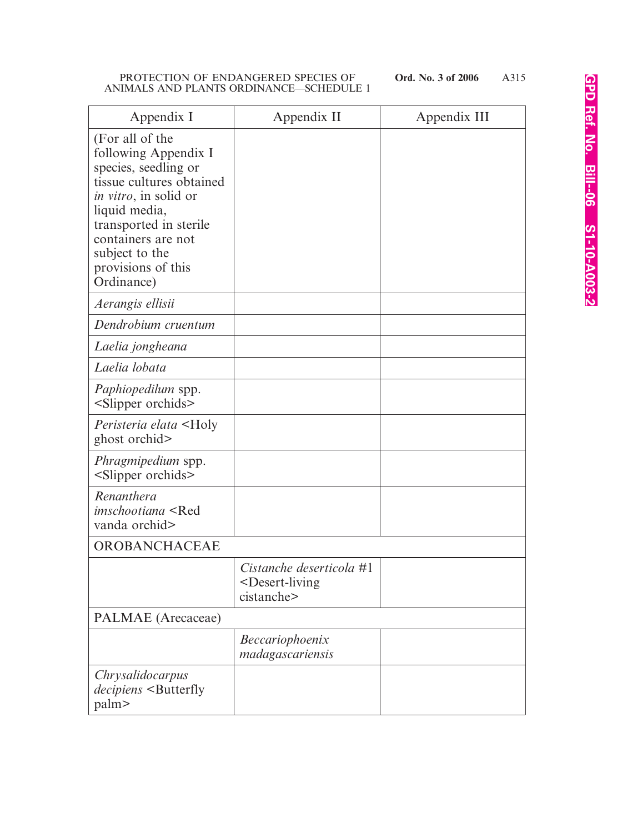| Appendix I                                                                                                                                                                                                                                          | Appendix II                                                                    | Appendix III |
|-----------------------------------------------------------------------------------------------------------------------------------------------------------------------------------------------------------------------------------------------------|--------------------------------------------------------------------------------|--------------|
| (For all of the<br>following Appendix I<br>species, seedling or<br>tissue cultures obtained<br><i>in vitro</i> , in solid or<br>liquid media,<br>transported in sterile<br>containers are not<br>subject to the<br>provisions of this<br>Ordinance) |                                                                                |              |
| Aerangis ellisii                                                                                                                                                                                                                                    |                                                                                |              |
| Dendrobium cruentum                                                                                                                                                                                                                                 |                                                                                |              |
| Laelia jongheana                                                                                                                                                                                                                                    |                                                                                |              |
| Laelia lobata                                                                                                                                                                                                                                       |                                                                                |              |
| <i>Paphiopedilum</i> spp.<br><slipper orchids=""></slipper>                                                                                                                                                                                         |                                                                                |              |
| <i>Peristeria elata</i> <holy<br>ghost orchid&gt;</holy<br>                                                                                                                                                                                         |                                                                                |              |
| <i>Phragmipedium</i> spp.<br><slipper orchids=""></slipper>                                                                                                                                                                                         |                                                                                |              |
| Renanthera<br><i>imschootiana</i> <red<br>vanda orchid&gt;</red<br>                                                                                                                                                                                 |                                                                                |              |
| OROBANCHACEAE                                                                                                                                                                                                                                       |                                                                                |              |
|                                                                                                                                                                                                                                                     | Cistanche deserticola #1<br><desert-living<br>cistanche&gt;</desert-living<br> |              |
| PALMAE (Arecaceae)                                                                                                                                                                                                                                  |                                                                                |              |
|                                                                                                                                                                                                                                                     | Beccariophoenix<br>madagascariensis                                            |              |
| <i>Chrysalidocarpus</i><br>decipiens <butterfly<br>palm&gt;</butterfly<br>                                                                                                                                                                          |                                                                                |              |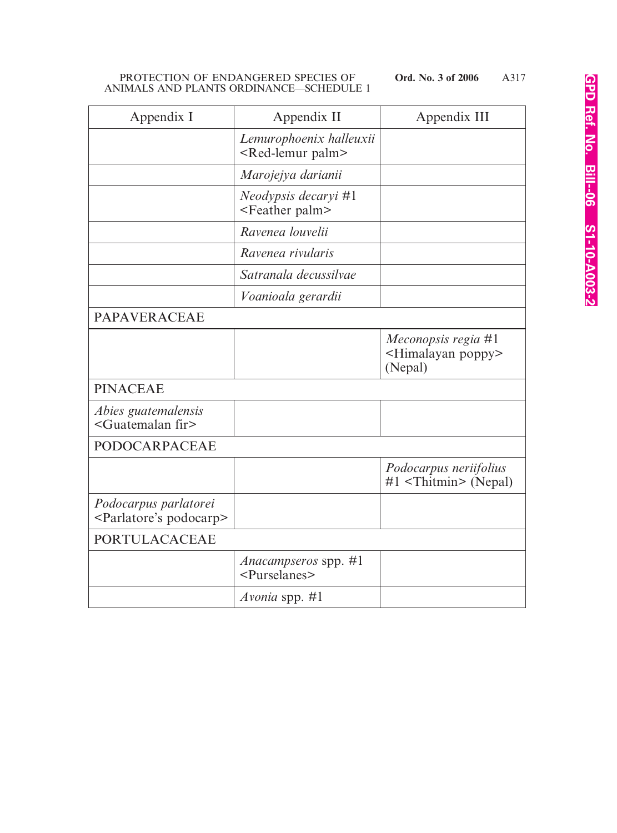| Appendix I                                                       | Appendix II                                                | Appendix III                                                        |
|------------------------------------------------------------------|------------------------------------------------------------|---------------------------------------------------------------------|
|                                                                  | Lemurophoenix halleuxii<br><red-lemur palm=""></red-lemur> |                                                                     |
|                                                                  | Marojejya darianii                                         |                                                                     |
|                                                                  | Neodypsis decaryi #1<br><feather palm=""></feather>        |                                                                     |
|                                                                  | Ravenea louvelii                                           |                                                                     |
|                                                                  | Ravenea rivularis                                          |                                                                     |
|                                                                  | Satranala decussilvae                                      |                                                                     |
|                                                                  | Voanioala gerardii                                         |                                                                     |
| <b>PAPAVERACEAE</b>                                              |                                                            |                                                                     |
|                                                                  |                                                            | Meconopsis regia #1<br><himalayan poppy=""><br/>(Nepal)</himalayan> |
| <b>PINACEAE</b>                                                  |                                                            |                                                                     |
| Abies guatemalensis<br><guatemalan fir=""></guatemalan>          |                                                            |                                                                     |
| PODOCARPACEAE                                                    |                                                            |                                                                     |
|                                                                  |                                                            | Podocarpus neriifolius<br>$#1$ <thitmin> (Nepal)</thitmin>          |
| Podocarpus parlatorei<br><parlatore's podocarp=""></parlatore's> |                                                            |                                                                     |
| PORTULACACEAE                                                    |                                                            |                                                                     |
|                                                                  | Anacampseros spp. #1<br><purselanes></purselanes>          |                                                                     |
|                                                                  | Avonia spp. $#1$                                           |                                                                     |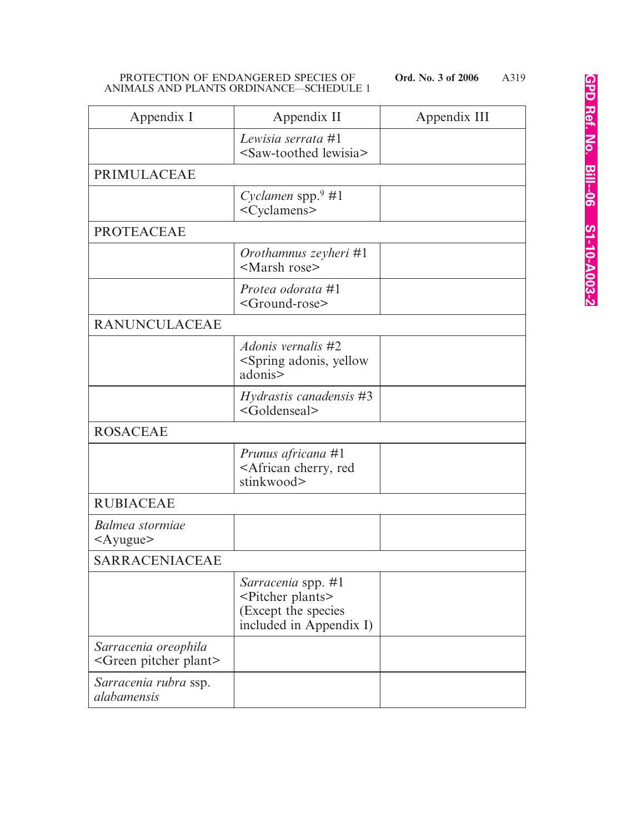| Appendix I                                                  | Appendix II                                                                                                    | Appendix III |
|-------------------------------------------------------------|----------------------------------------------------------------------------------------------------------------|--------------|
|                                                             | Lewisia serrata #1<br><saw-toothed lewisia=""></saw-toothed>                                                   |              |
| <b>PRIMULACEAE</b>                                          |                                                                                                                |              |
|                                                             | Cyclamen spp. $9#1$<br><cyclamens></cyclamens>                                                                 |              |
| <b>PROTEACEAE</b>                                           |                                                                                                                |              |
|                                                             | Orothamnus zeyheri #1<br><marsh rose=""></marsh>                                                               |              |
|                                                             | Protea odorata #1<br><ground-rose></ground-rose>                                                               |              |
| <b>RANUNCULACEAE</b>                                        |                                                                                                                |              |
|                                                             | <i>Adonis vernalis</i> #2<br><spring adonis,="" yellow<br="">adonis&gt;</spring>                               |              |
|                                                             | <i>Hydrastis canadensis</i> #3<br><goldenseal></goldenseal>                                                    |              |
| <b>ROSACEAE</b>                                             |                                                                                                                |              |
|                                                             | Prunus africana #1<br><african cherry,="" red<br="">stinkwood&gt;</african>                                    |              |
| <b>RUBIACEAE</b>                                            |                                                                                                                |              |
| Balmea stormiae<br>$\langle$ Ayugue $\rangle$               |                                                                                                                |              |
| SARRACENIACEAE                                              |                                                                                                                |              |
|                                                             | <i>Sarracenia</i> spp. #1<br><pitcher plants=""><br/>(Except the species<br/>included in Appendix I)</pitcher> |              |
| Sarracenia oreophila<br><green pitcher="" plant=""></green> |                                                                                                                |              |
| Sarracenia rubra ssp.<br>alabamensis                        |                                                                                                                |              |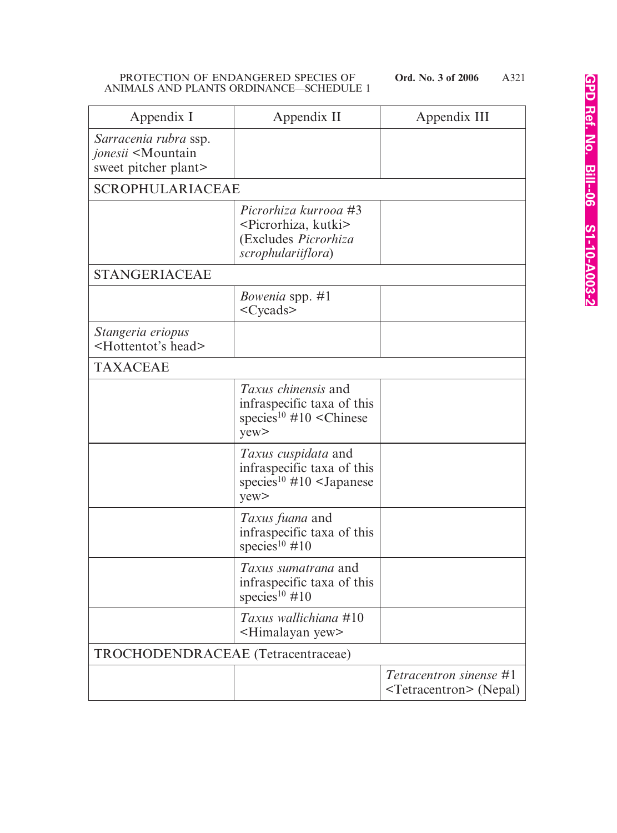| Appendix I                                                                          | Appendix II                                                                                                              | Appendix III                                                            |
|-------------------------------------------------------------------------------------|--------------------------------------------------------------------------------------------------------------------------|-------------------------------------------------------------------------|
| Sarracenia rubra ssp.<br>jonesii <mountain<br>sweet pitcher plant&gt;</mountain<br> |                                                                                                                          |                                                                         |
| <b>SCROPHULARIACEAE</b>                                                             |                                                                                                                          |                                                                         |
|                                                                                     | Picrorhiza kurrooa #3<br><picrorhiza, kutki=""><br/>(Excludes Picrorhiza<br/>scrophulariiflora)</picrorhiza,>            |                                                                         |
| <b>STANGERIACEAE</b>                                                                |                                                                                                                          |                                                                         |
|                                                                                     | <i>Bowenia</i> spp. #1<br>$<$ Cycads $>$                                                                                 |                                                                         |
| Stangeria eriopus<br><hottentot's head=""></hottentot's>                            |                                                                                                                          |                                                                         |
| <b>TAXACEAE</b>                                                                     |                                                                                                                          |                                                                         |
|                                                                                     | <i>Taxus chinensis</i> and<br>infraspecific taxa of this<br>species <sup>10</sup> #10 <chinese<br>yew</chinese<br>       |                                                                         |
|                                                                                     | <i>Taxus cuspidata</i> and<br>infraspecific taxa of this<br>species <sup>10</sup> #10 <japanese<br>yew&gt;</japanese<br> |                                                                         |
|                                                                                     | Taxus fuana and<br>infraspecific taxa of this<br>species <sup>10</sup> #10                                               |                                                                         |
|                                                                                     | <i>Taxus sumatrana</i> and<br>infraspecific taxa of this<br>species <sup>10</sup> #10                                    |                                                                         |
|                                                                                     | Taxus wallichiana #10<br><himalayan yew=""></himalayan>                                                                  |                                                                         |
| TROCHODENDRACEAE (Tetracentraceae)                                                  |                                                                                                                          |                                                                         |
|                                                                                     |                                                                                                                          | <i>Tetracentron sinense</i> #1<br><tetracentron> (Nepal)</tetracentron> |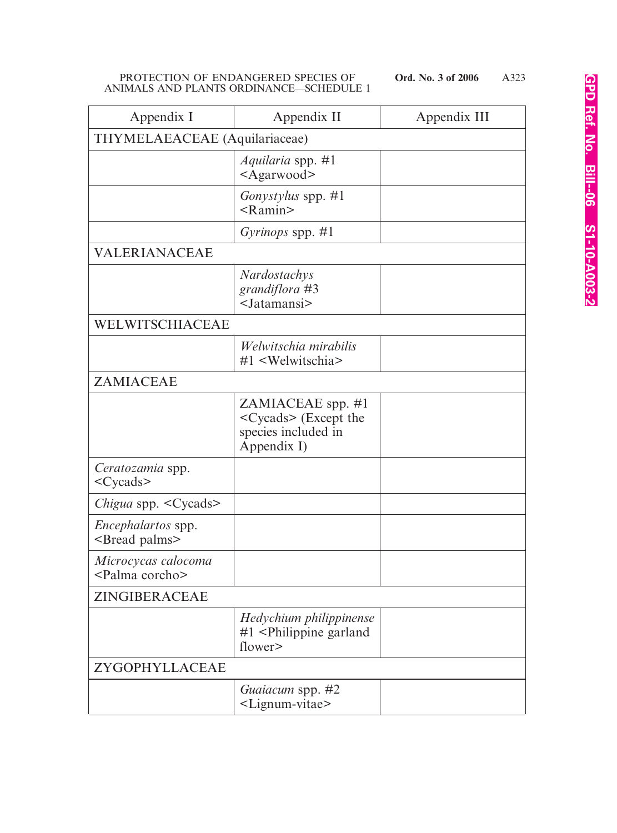| Appendix I                                            | Appendix II                                                                                | Appendix III |  |
|-------------------------------------------------------|--------------------------------------------------------------------------------------------|--------------|--|
| THYMELAEACEAE (Aquilariaceae)                         |                                                                                            |              |  |
|                                                       | <i>Aquilaria</i> spp. #1<br>$<$ Agarwood>                                                  |              |  |
|                                                       | <i>Gonystylus</i> spp. #1<br>$<$ Ramin $>$                                                 |              |  |
|                                                       | Gyrinops spp. $\#1$                                                                        |              |  |
| VALERIANACEAE                                         |                                                                                            |              |  |
|                                                       | <b>Nardostachys</b><br>grandiflora #3<br>$<$ Jatamansi $>$                                 |              |  |
| WELWITSCHIACEAE                                       |                                                                                            |              |  |
|                                                       | Welwitschia mirabilis<br>#1 <welwitschia></welwitschia>                                    |              |  |
| ZAMIACEAE                                             |                                                                                            |              |  |
|                                                       | ZAMIACEAE spp. #1<br><cycads> (Except the<br/>species included in<br/>Appendix I)</cycads> |              |  |
| Ceratozamia spp.<br>$<$ Cycads $>$                    |                                                                                            |              |  |
| Chigua spp. < Cycads>                                 |                                                                                            |              |  |
| <i>Encephalartos</i> spp.<br><bread palms=""></bread> |                                                                                            |              |  |
| Microcycas calocoma<br><palma corcho=""></palma>      |                                                                                            |              |  |
| ZINGIBERACEAE                                         |                                                                                            |              |  |
|                                                       | Hedychium philippinense<br>#1 <philippine garland<br="">flower</philippine>                |              |  |
| ZYGOPHYLLACEAE                                        |                                                                                            |              |  |
|                                                       | Guaiacum spp. #2<br><lignum-vitae></lignum-vitae>                                          |              |  |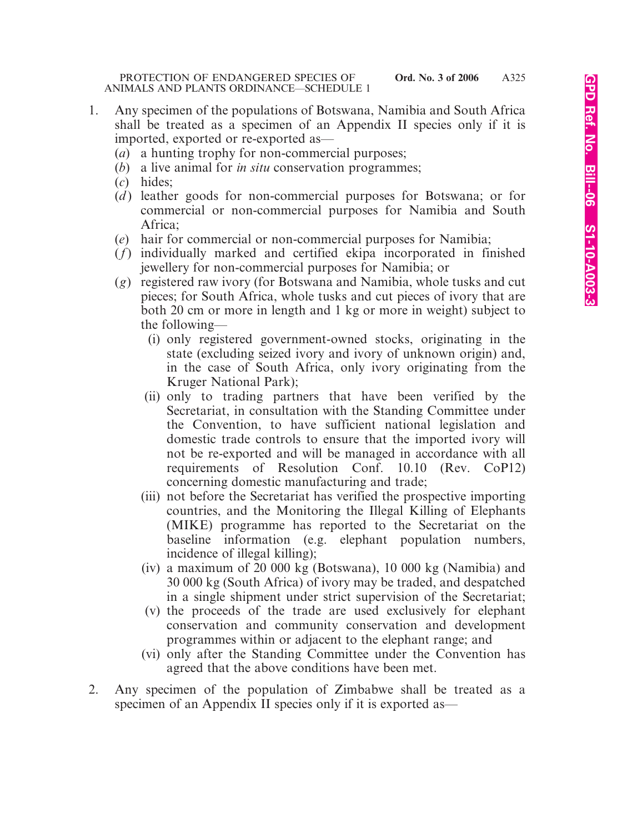- 1. Any specimen of the populations of Botswana, Namibia and South Africa shall be treated as a specimen of an Appendix II species only if it is imported, exported or re-exported as—
	- (*a*) a hunting trophy for non-commercial purposes;
	- (*b*) a live animal for *in situ* conservation programmes;
	- (*c*) hides;
	- (*d*) leather goods for non-commercial purposes for Botswana; or for commercial or non-commercial purposes for Namibia and South Africa;
	- (*e*) hair for commercial or non-commercial purposes for Namibia;
	- (*f*) individually marked and certified ekipa incorporated in finished jewellery for non-commercial purposes for Namibia; or
	- (*g*) registered raw ivory (for Botswana and Namibia, whole tusks and cut pieces; for South Africa, whole tusks and cut pieces of ivory that are both 20 cm or more in length and 1 kg or more in weight) subject to the following—
		- (i) only registered government-owned stocks, originating in the state (excluding seized ivory and ivory of unknown origin) and, in the case of South Africa, only ivory originating from the Kruger National Park);
		- (ii) only to trading partners that have been verified by the Secretariat, in consultation with the Standing Committee under the Convention, to have sufficient national legislation and domestic trade controls to ensure that the imported ivory will not be re-exported and will be managed in accordance with all requirements of Resolution Conf. 10.10 (Rev. CoP12) concerning domestic manufacturing and trade;
		- (iii) not before the Secretariat has verified the prospective importing countries, and the Monitoring the Illegal Killing of Elephants (MIKE) programme has reported to the Secretariat on the baseline information (e.g. elephant population numbers, incidence of illegal killing);
		- (iv) a maximum of 20 000 kg (Botswana), 10 000 kg (Namibia) and 30 000 kg (South Africa) of ivory may be traded, and despatched in a single shipment under strict supervision of the Secretariat;
		- (v) the proceeds of the trade are used exclusively for elephant conservation and community conservation and development programmes within or adjacent to the elephant range; and
		- (vi) only after the Standing Committee under the Convention has agreed that the above conditions have been met.
- 2. Any specimen of the population of Zimbabwe shall be treated as a specimen of an Appendix II species only if it is exported as—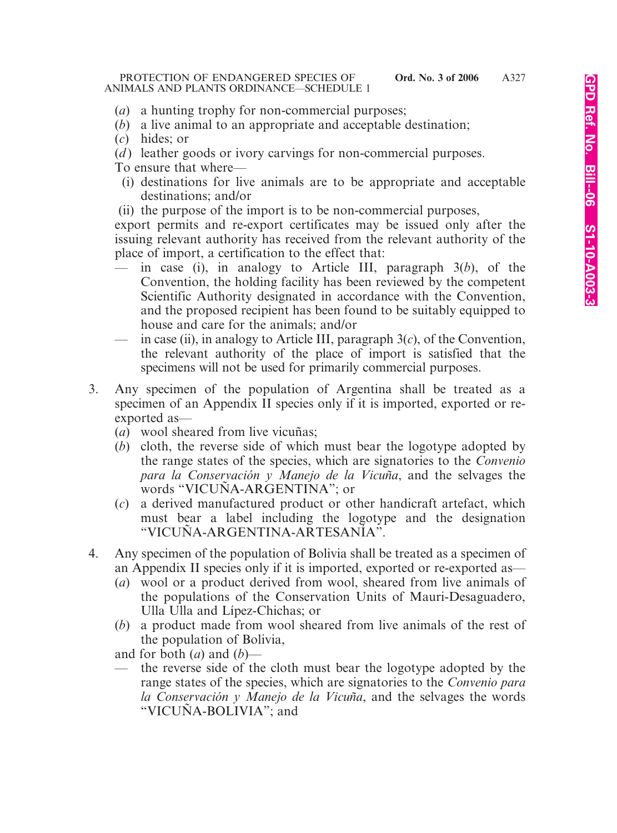- (*a*) a hunting trophy for non-commercial purposes;
- (*b*) a live animal to an appropriate and acceptable destination;
- (*c*) hides; or
- (*d*) leather goods or ivory carvings for non-commercial purposes.
- To ensure that where—
	- (i) destinations for live animals are to be appropriate and acceptable destinations; and/or
- (ii) the purpose of the import is to be non-commercial purposes,
- export permits and re-export certificates may be issued only after the issuing relevant authority has received from the relevant authority of the place of import, a certification to the effect that:
	- in case (i), in analogy to Article III, paragraph 3(*b*), of the Convention, the holding facility has been reviewed by the competent Scientific Authority designated in accordance with the Convention, and the proposed recipient has been found to be suitably equipped to house and care for the animals; and/or
- in case (ii), in analogy to Article III, paragraph  $3(c)$ , of the Convention, the relevant authority of the place of import is satisfied that the specimens will not be used for primarily commercial purposes.
- 3. Any specimen of the population of Argentina shall be treated as a specimen of an Appendix II species only if it is imported, exported or reexported as—
	- (*a*) wool sheared from live vicuñas;
	- (*b*) cloth, the reverse side of which must bear the logotype adopted by the range states of the species, which are signatories to the *Convenio para la Conservación y Manejo de la Vicuña*, and the selvages the words "VICUÑA-ARGENTINA"; or
	- (*c*) a derived manufactured product or other handicraft artefact, which must bear a label including the logotype and the designation "VICUÑA-ARGENTINA-ARTESANÍA".
- 4. Any specimen of the population of Bolivia shall be treated as a specimen of an Appendix II species only if it is imported, exported or re-exported as—
	- (*a*) wool or a product derived from wool, sheared from live animals of the populations of the Conservation Units of Mauri-Desaguadero, Ulla Ulla and Lípez-Chichas; or
	- (*b*) a product made from wool sheared from live animals of the rest of the population of Bolivia,
	- and for both  $(a)$  and  $(b)$ —
	- the reverse side of the cloth must bear the logotype adopted by the range states of the species, which are signatories to the *Convenio para la Conservación y Manejo de la Vicuña*, and the selvages the words "VICUÑA-BOLIVIA"; and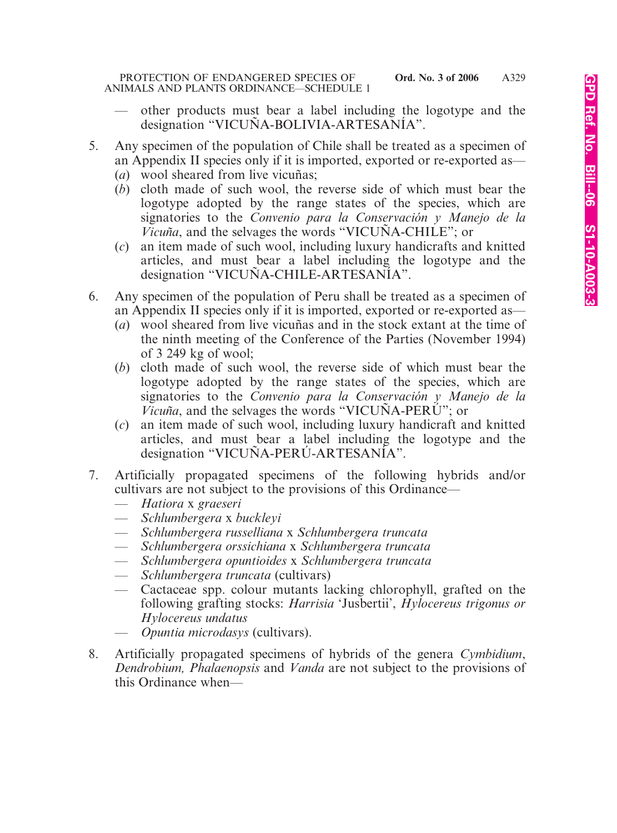- other products must bear a label including the logotype and the designation "VICUÑA-BOLIVIA-ARTESANÍA".
- 5. Any specimen of the population of Chile shall be treated as a specimen of an Appendix II species only if it is imported, exported or re-exported as—
	- (*a*) wool sheared from live vicuñas;
	- (*b*) cloth made of such wool, the reverse side of which must bear the logotype adopted by the range states of the species, which are signatories to the *Convenio para la Conservación y Manejo de la Vicuña*, and the selvages the words "VICUÑA-CHILE"; or
	- (*c*) an item made of such wool, including luxury handicrafts and knitted articles, and must bear a label including the logotype and the designation "VICUÑA-CHILE-ARTESANÍA".
- 6. Any specimen of the population of Peru shall be treated as a specimen of an Appendix II species only if it is imported, exported or re-exported as—
	- (*a*) wool sheared from live vicuñas and in the stock extant at the time of the ninth meeting of the Conference of the Parties (November 1994) of 3 249 kg of wool;
	- (*b*) cloth made of such wool, the reverse side of which must bear the logotype adopted by the range states of the species, which are signatories to the *Convenio para la Conservación y Manejo de la Vicuña*, and the selvages the words "VICUÑA-PERÚ"; or
	- (*c*) an item made of such wool, including luxury handicraft and knitted articles, and must bear a label including the logotype and the designation "VICUÑA-PERÚ-ARTESANÍA".
- 7. Artificially propagated specimens of the following hybrids and/or cultivars are not subject to the provisions of this Ordinance—
	- *Hatiora* x *graeseri*
	- *Schlumbergera* x *buckleyi*
	- *Schlumbergera russelliana* x *Schlumbergera truncata*
	- *Schlumbergera orssichiana* x *Schlumbergera truncata*
	- *Schlumbergera opuntioides* x *Schlumbergera truncata*
	- *Schlumbergera truncata* (cultivars)
	- Cactaceae spp. colour mutants lacking chlorophyll, grafted on the following grafting stocks: *Harrisia* 'Jusbertii', *Hylocereus trigonus or Hylocereus undatus*
	- *Opuntia microdasys* (cultivars).
- 8. Artificially propagated specimens of hybrids of the genera *Cymbidium*, *Dendrobium, Phalaenopsis* and *Vanda* are not subject to the provisions of this Ordinance when—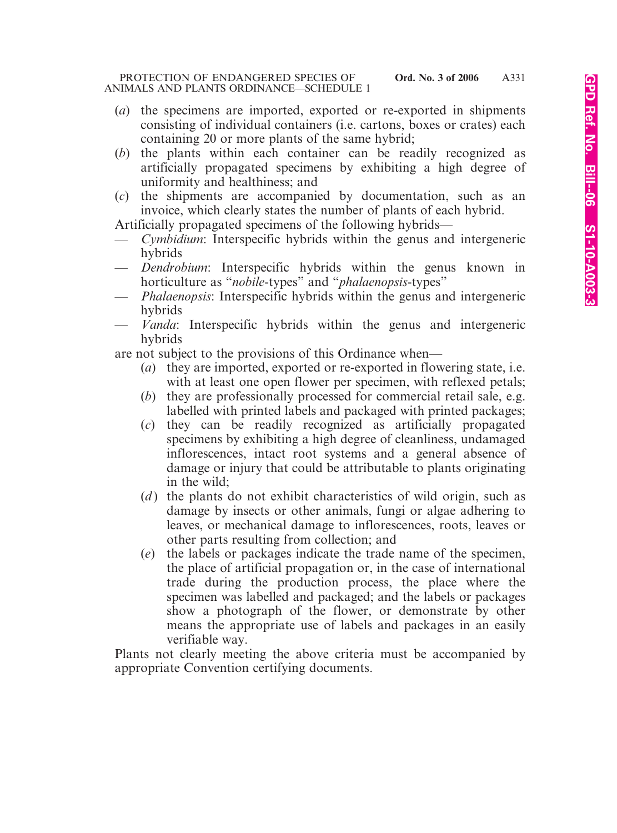- (*a*) the specimens are imported, exported or re-exported in shipments consisting of individual containers (i.e. cartons, boxes or crates) each containing 20 or more plants of the same hybrid;
- (*b*) the plants within each container can be readily recognized as artificially propagated specimens by exhibiting a high degree of uniformity and healthiness; and
- (*c*) the shipments are accompanied by documentation, such as an invoice, which clearly states the number of plants of each hybrid.

Artificially propagated specimens of the following hybrids—

- *Cymbidium*: Interspecific hybrids within the genus and intergeneric hybrids
- *Dendrobium*: Interspecific hybrids within the genus known in horticulture as "*nobile-*types" and "*phalaenopsis-*types"
- *Phalaenopsis*: Interspecific hybrids within the genus and intergeneric hybrids
- *Vanda*: Interspecific hybrids within the genus and intergeneric hybrids

are not subject to the provisions of this Ordinance when—

- (*a*) they are imported, exported or re-exported in flowering state, i.e. with at least one open flower per specimen, with reflexed petals;
- (*b*) they are professionally processed for commercial retail sale, e.g. labelled with printed labels and packaged with printed packages;
- (*c*) they can be readily recognized as artificially propagated specimens by exhibiting a high degree of cleanliness, undamaged inflorescences, intact root systems and a general absence of damage or injury that could be attributable to plants originating in the wild;
- (*d*) the plants do not exhibit characteristics of wild origin, such as damage by insects or other animals, fungi or algae adhering to leaves, or mechanical damage to inflorescences, roots, leaves or other parts resulting from collection; and
- (*e*) the labels or packages indicate the trade name of the specimen, the place of artificial propagation or, in the case of international trade during the production process, the place where the specimen was labelled and packaged; and the labels or packages show a photograph of the flower, or demonstrate by other means the appropriate use of labels and packages in an easily verifiable way.

Plants not clearly meeting the above criteria must be accompanied by appropriate Convention certifying documents.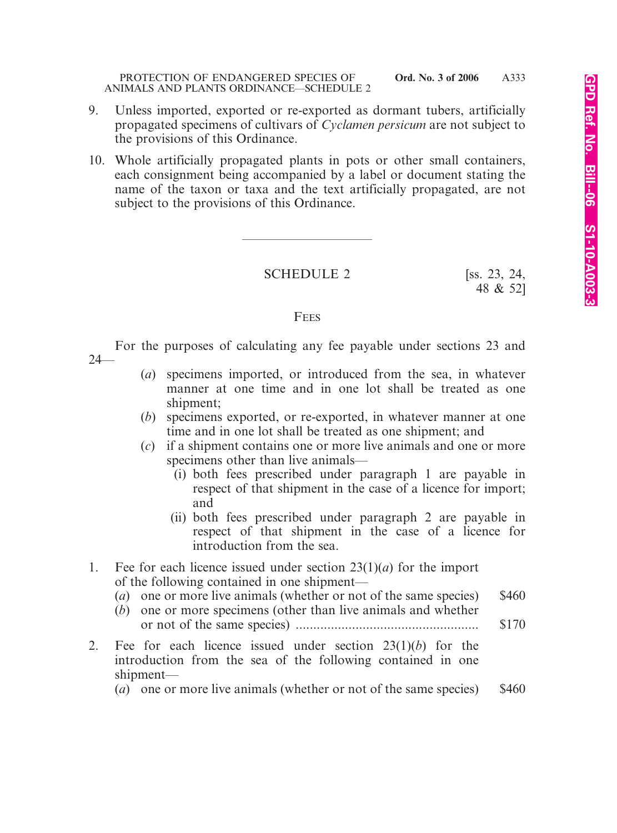- 9. Unless imported, exported or re-exported as dormant tubers, artificially propagated specimens of cultivars of *Cyclamen persicum* are not subject to the provisions of this Ordinance.
- 10. Whole artificially propagated plants in pots or other small containers, each consignment being accompanied by a label or document stating the name of the taxon or taxa and the text artificially propagated, are not subject to the provisions of this Ordinance.

SCHEDULE 2 [ss. 23, 24,

————————————————————

48 & 52]

#### **FEES**

For the purposes of calculating any fee payable under sections 23 and 24—

- (*a*) specimens imported, or introduced from the sea, in whatever manner at one time and in one lot shall be treated as one shipment;
- (*b*) specimens exported, or re-exported, in whatever manner at one time and in one lot shall be treated as one shipment; and
- (*c*) if a shipment contains one or more live animals and one or more specimens other than live animals—
	- (i) both fees prescribed under paragraph 1 are payable in respect of that shipment in the case of a licence for import; and
	- (ii) both fees prescribed under paragraph 2 are payable in respect of that shipment in the case of a licence for introduction from the sea.
- 1. Fee for each licence issued under section 23(1)(*a*) for the import of the following contained in one shipment—
	- (*a*) one or more live animals (whether or not of the same species) \$460
	- (*b*) one or more specimens (other than live animals and whether or not of the same species) .................................................... \$170
- 2. Fee for each licence issued under section 23(1)(*b*) for the introduction from the sea of the following contained in one shipment—

(*a*) one or more live animals (whether or not of the same species) \$460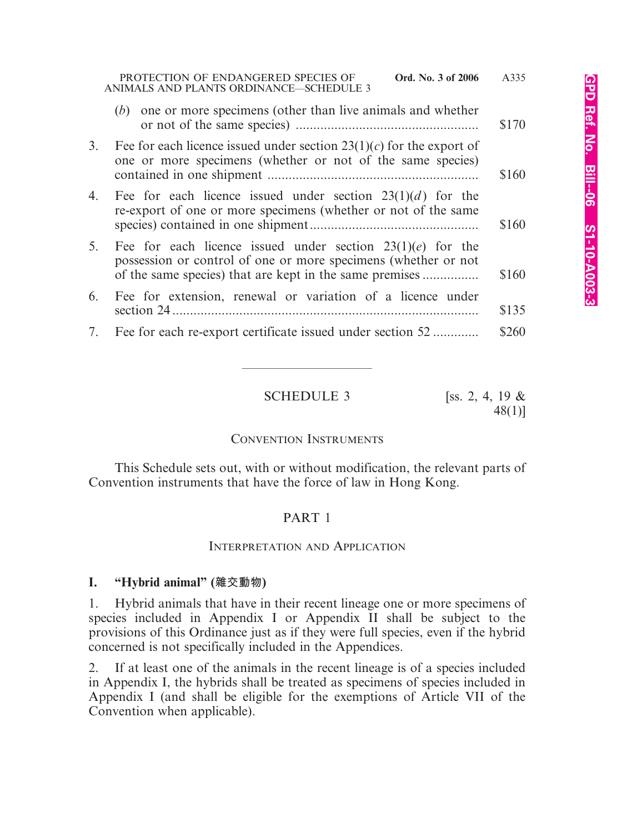|    | PROTECTION OF ENDANGERED SPECIES OF<br>Ord. No. 3 of 2006<br>ANIMALS AND PLANTS ORDINANCE-SCHEDULE 3                                                                                      | A335  |
|----|-------------------------------------------------------------------------------------------------------------------------------------------------------------------------------------------|-------|
|    | one or more specimens (other than live animals and whether<br>(b)                                                                                                                         | \$170 |
| 3. | Fee for each licence issued under section $23(1)(c)$ for the export of<br>one or more specimens (whether or not of the same species)                                                      | \$160 |
| 4. | Fee for each licence issued under section $23(1)(d)$ for the<br>re-export of one or more specimens (whether or not of the same                                                            | \$160 |
| 5. | Fee for each licence issued under section $23(1)(e)$ for the<br>possession or control of one or more specimens (whether or not<br>of the same species) that are kept in the same premises | \$160 |
| 6. | Fee for extension, renewal or variation of a licence under                                                                                                                                | \$135 |
|    | 7. Fee for each re-export certificate issued under section 52                                                                                                                             | \$260 |

**SCHEDULE 3** [ss. 2, 4, 19  $\&$ 

48(1)]

### CONVENTION INSTRUMENTS

————————————————————

This Schedule sets out, with or without modification, the relevant parts of Convention instruments that have the force of law in Hong Kong.

## PART 1

### INTERPRETATION AND APPLICATION

## **I. "Hybrid animal" (雜交動物)**

1. Hybrid animals that have in their recent lineage one or more specimens of species included in Appendix I or Appendix II shall be subject to the provisions of this Ordinance just as if they were full species, even if the hybrid concerned is not specifically included in the Appendices.

2. If at least one of the animals in the recent lineage is of a species included in Appendix I, the hybrids shall be treated as specimens of species included in Appendix I (and shall be eligible for the exemptions of Article VII of the Convention when applicable).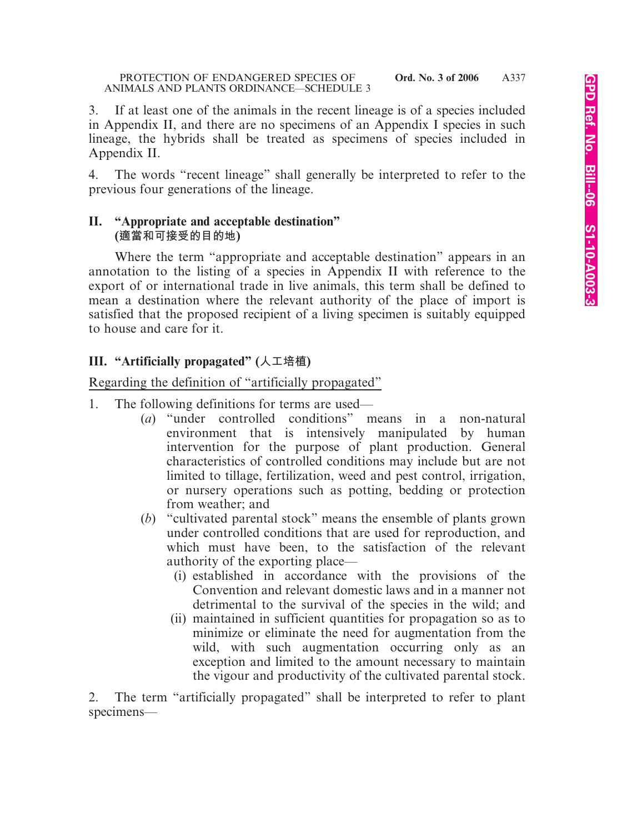3. If at least one of the animals in the recent lineage is of a species included in Appendix II, and there are no specimens of an Appendix I species in such lineage, the hybrids shall be treated as specimens of species included in Appendix II.

4. The words "recent lineage" shall generally be interpreted to refer to the previous four generations of the lineage.

### **II. "Appropriate and acceptable destination" (適當和可接受的目的地)**

Where the term "appropriate and acceptable destination" appears in an annotation to the listing of a species in Appendix II with reference to the export of or international trade in live animals, this term shall be defined to mean a destination where the relevant authority of the place of import is satisfied that the proposed recipient of a living specimen is suitably equipped to house and care for it.

# **III. "Artificially propagated" (人工培植)**

Regarding the definition of "artificially propagated"

- 1. The following definitions for terms are used—
	- (*a*) "under controlled conditions" means in a non-natural environment that is intensively manipulated by human intervention for the purpose of plant production. General characteristics of controlled conditions may include but are not limited to tillage, fertilization, weed and pest control, irrigation, or nursery operations such as potting, bedding or protection from weather; and
	- (*b*) "cultivated parental stock" means the ensemble of plants grown under controlled conditions that are used for reproduction, and which must have been, to the satisfaction of the relevant authority of the exporting place—
		- (i) established in accordance with the provisions of the Convention and relevant domestic laws and in a manner not detrimental to the survival of the species in the wild; and
		- (ii) maintained in sufficient quantities for propagation so as to minimize or eliminate the need for augmentation from the wild, with such augmentation occurring only as an exception and limited to the amount necessary to maintain the vigour and productivity of the cultivated parental stock.

2. The term "artificially propagated" shall be interpreted to refer to plant specimens—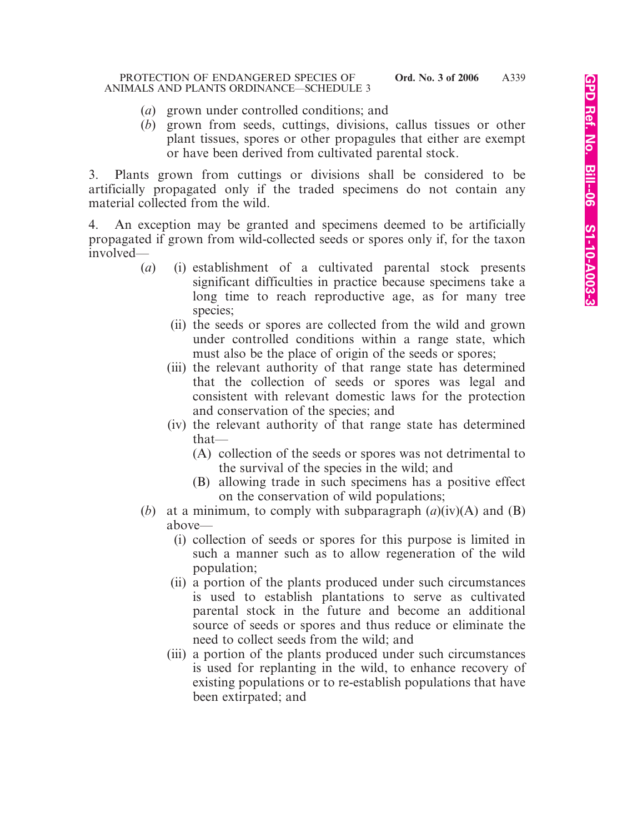- (*a*) grown under controlled conditions; and
- (*b*) grown from seeds, cuttings, divisions, callus tissues or other plant tissues, spores or other propagules that either are exempt or have been derived from cultivated parental stock.

3. Plants grown from cuttings or divisions shall be considered to be artificially propagated only if the traded specimens do not contain any material collected from the wild.

4. An exception may be granted and specimens deemed to be artificially propagated if grown from wild-collected seeds or spores only if, for the taxon involved—

- (*a*) (i) establishment of a cultivated parental stock presents significant difficulties in practice because specimens take a long time to reach reproductive age, as for many tree species;
	- (ii) the seeds or spores are collected from the wild and grown under controlled conditions within a range state, which must also be the place of origin of the seeds or spores;
	- (iii) the relevant authority of that range state has determined that the collection of seeds or spores was legal and consistent with relevant domestic laws for the protection and conservation of the species; and
	- (iv) the relevant authority of that range state has determined that—
		- (A) collection of the seeds or spores was not detrimental to the survival of the species in the wild; and
		- (B) allowing trade in such specimens has a positive effect on the conservation of wild populations;
- (*b*) at a minimum, to comply with subparagraph  $(a)(iv)(A)$  and  $(B)$ above—
	- (i) collection of seeds or spores for this purpose is limited in such a manner such as to allow regeneration of the wild population;
	- (ii) a portion of the plants produced under such circumstances is used to establish plantations to serve as cultivated parental stock in the future and become an additional source of seeds or spores and thus reduce or eliminate the need to collect seeds from the wild; and
	- (iii) a portion of the plants produced under such circumstances is used for replanting in the wild, to enhance recovery of existing populations or to re-establish populations that have been extirpated; and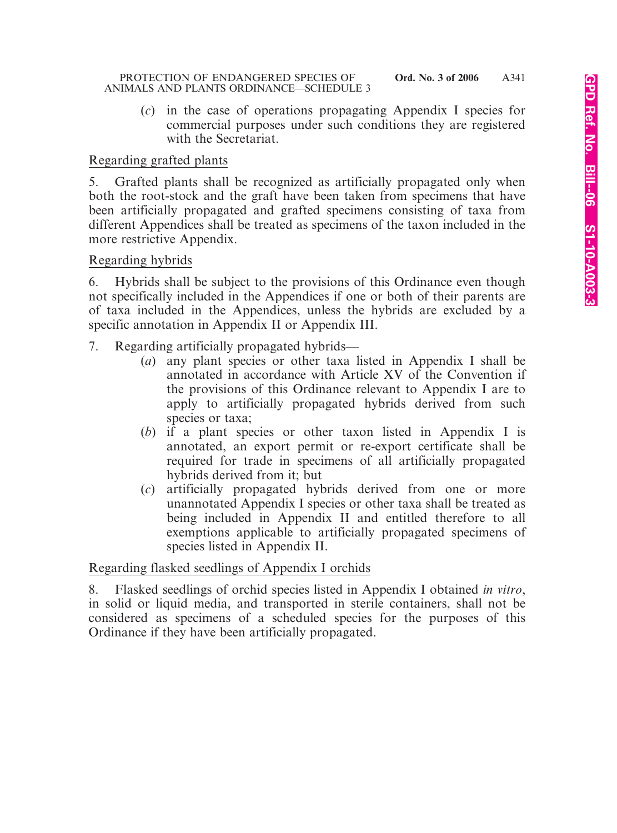(*c*) in the case of operations propagating Appendix I species for commercial purposes under such conditions they are registered with the Secretariat.

## Regarding grafted plants

5. Grafted plants shall be recognized as artificially propagated only when both the root-stock and the graft have been taken from specimens that have been artificially propagated and grafted specimens consisting of taxa from different Appendices shall be treated as specimens of the taxon included in the more restrictive Appendix.

### Regarding hybrids

6. Hybrids shall be subject to the provisions of this Ordinance even though not specifically included in the Appendices if one or both of their parents are of taxa included in the Appendices, unless the hybrids are excluded by a specific annotation in Appendix II or Appendix III.

- 7. Regarding artificially propagated hybrids—
	- (*a*) any plant species or other taxa listed in Appendix I shall be annotated in accordance with Article XV of the Convention if the provisions of this Ordinance relevant to Appendix I are to apply to artificially propagated hybrids derived from such species or taxa;
	- (*b*) if a plant species or other taxon listed in Appendix I is annotated, an export permit or re-export certificate shall be required for trade in specimens of all artificially propagated hybrids derived from it; but
	- (*c*) artificially propagated hybrids derived from one or more unannotated Appendix I species or other taxa shall be treated as being included in Appendix II and entitled therefore to all exemptions applicable to artificially propagated specimens of species listed in Appendix II.

## Regarding flasked seedlings of Appendix I orchids

8. Flasked seedlings of orchid species listed in Appendix I obtained *in vitro*, in solid or liquid media, and transported in sterile containers, shall not be considered as specimens of a scheduled species for the purposes of this Ordinance if they have been artificially propagated.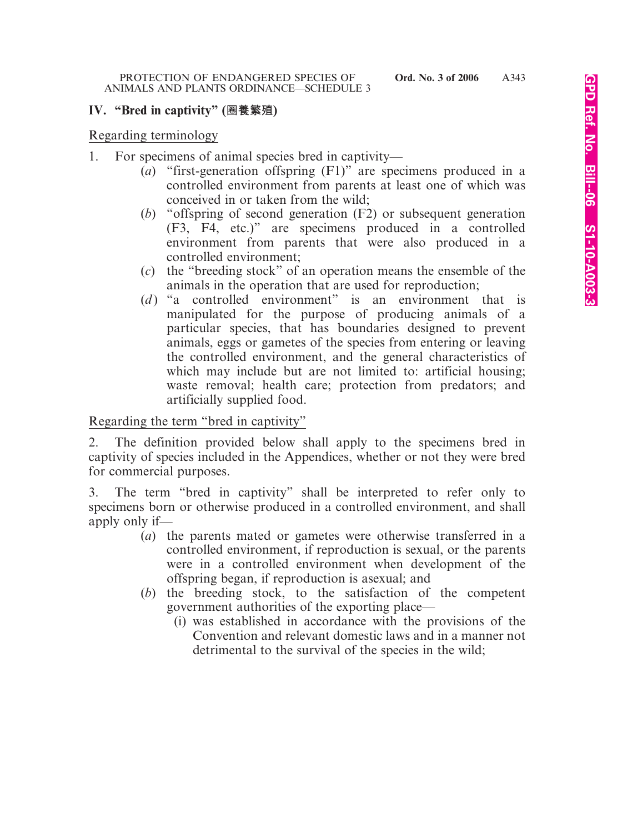## **IV. "Bred in captivity" (圈養繁殖)**

Regarding terminology

- 1. For specimens of animal species bred in captivity—
	- (*a*) "first-generation offspring (F1)" are specimens produced in a controlled environment from parents at least one of which was conceived in or taken from the wild;
	- (*b*) "offspring of second generation (F2) or subsequent generation (F3, F4, etc.)" are specimens produced in a controlled environment from parents that were also produced in a controlled environment;
	- (*c*) the "breeding stock" of an operation means the ensemble of the animals in the operation that are used for reproduction;
	- (*d* ) "a controlled environment" is an environment that is manipulated for the purpose of producing animals of a particular species, that has boundaries designed to prevent animals, eggs or gametes of the species from entering or leaving the controlled environment, and the general characteristics of which may include but are not limited to: artificial housing; waste removal; health care; protection from predators; and artificially supplied food.

Regarding the term "bred in captivity"

2. The definition provided below shall apply to the specimens bred in captivity of species included in the Appendices, whether or not they were bred for commercial purposes.

3. The term "bred in captivity" shall be interpreted to refer only to specimens born or otherwise produced in a controlled environment, and shall apply only if—

- (*a*) the parents mated or gametes were otherwise transferred in a controlled environment, if reproduction is sexual, or the parents were in a controlled environment when development of the offspring began, if reproduction is asexual; and
- (*b*) the breeding stock, to the satisfaction of the competent government authorities of the exporting place—
	- (i) was established in accordance with the provisions of the Convention and relevant domestic laws and in a manner not detrimental to the survival of the species in the wild;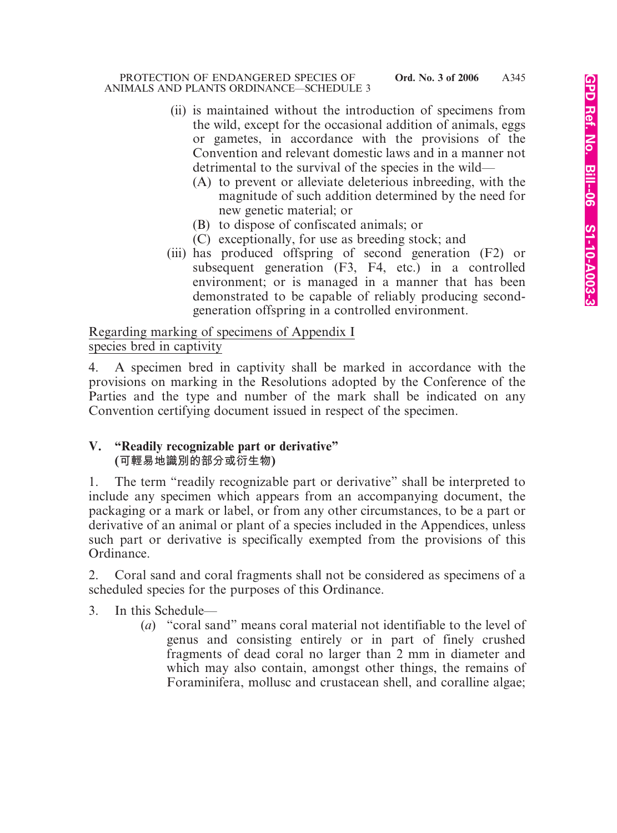- (ii) is maintained without the introduction of specimens from the wild, except for the occasional addition of animals, eggs or gametes, in accordance with the provisions of the Convention and relevant domestic laws and in a manner not detrimental to the survival of the species in the wild—
	- (A) to prevent or alleviate deleterious inbreeding, with the magnitude of such addition determined by the need for new genetic material; or
	- (B) to dispose of confiscated animals; or
	- (C) exceptionally, for use as breeding stock; and
- (iii) has produced offspring of second generation (F2) or subsequent generation (F3, F4, etc.) in a controlled environment; or is managed in a manner that has been demonstrated to be capable of reliably producing secondgeneration offspring in a controlled environment.

Regarding marking of specimens of Appendix I species bred in captivity

4. A specimen bred in captivity shall be marked in accordance with the provisions on marking in the Resolutions adopted by the Conference of the Parties and the type and number of the mark shall be indicated on any Convention certifying document issued in respect of the specimen.

## **V. "Readily recognizable part or derivative" (可輕易地識別的部分或衍生物)**

1. The term "readily recognizable part or derivative" shall be interpreted to include any specimen which appears from an accompanying document, the packaging or a mark or label, or from any other circumstances, to be a part or derivative of an animal or plant of a species included in the Appendices, unless such part or derivative is specifically exempted from the provisions of this Ordinance.

2. Coral sand and coral fragments shall not be considered as specimens of a scheduled species for the purposes of this Ordinance.

3. In this Schedule—

(*a*) "coral sand" means coral material not identifiable to the level of genus and consisting entirely or in part of finely crushed fragments of dead coral no larger than 2 mm in diameter and which may also contain, amongst other things, the remains of Foraminifera, mollusc and crustacean shell, and coralline algae;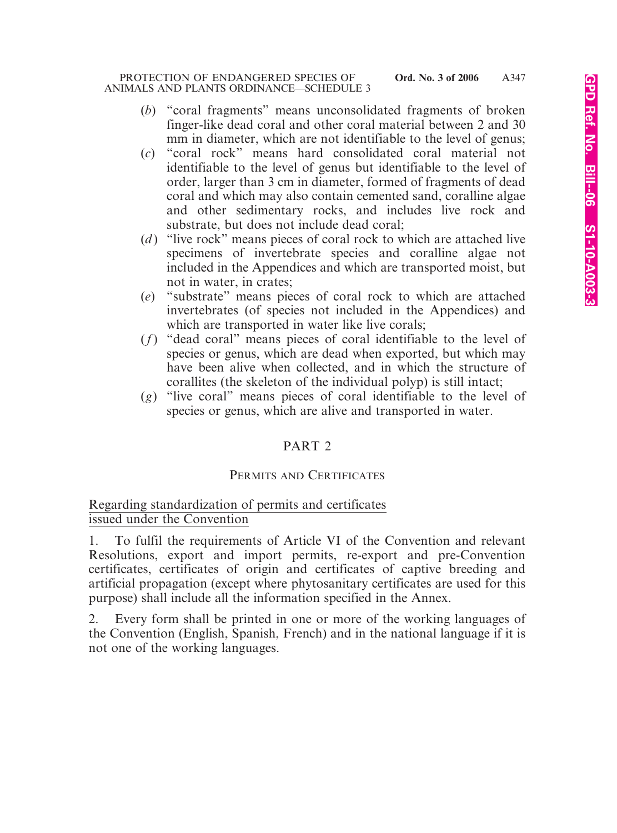- (*b*) "coral fragments" means unconsolidated fragments of broken finger-like dead coral and other coral material between 2 and 30 mm in diameter, which are not identifiable to the level of genus;
- (*c*) "coral rock" means hard consolidated coral material not identifiable to the level of genus but identifiable to the level of order, larger than 3 cm in diameter, formed of fragments of dead coral and which may also contain cemented sand, coralline algae and other sedimentary rocks, and includes live rock and substrate, but does not include dead coral;
- (*d* ) "live rock" means pieces of coral rock to which are attached live specimens of invertebrate species and coralline algae not included in the Appendices and which are transported moist, but not in water, in crates;
- (*e*) "substrate" means pieces of coral rock to which are attached invertebrates (of species not included in the Appendices) and which are transported in water like live corals;
- (*f*) "dead coral" means pieces of coral identifiable to the level of species or genus, which are dead when exported, but which may have been alive when collected, and in which the structure of corallites (the skeleton of the individual polyp) is still intact;
- (*g*) "live coral" means pieces of coral identifiable to the level of species or genus, which are alive and transported in water.

# PART 2

## PERMITS AND CERTIFICATES

## Regarding standardization of permits and certificates issued under the Convention

1. To fulfil the requirements of Article VI of the Convention and relevant Resolutions, export and import permits, re-export and pre-Convention certificates, certificates of origin and certificates of captive breeding and artificial propagation (except where phytosanitary certificates are used for this purpose) shall include all the information specified in the Annex.

2. Every form shall be printed in one or more of the working languages of the Convention (English, Spanish, French) and in the national language if it is not one of the working languages.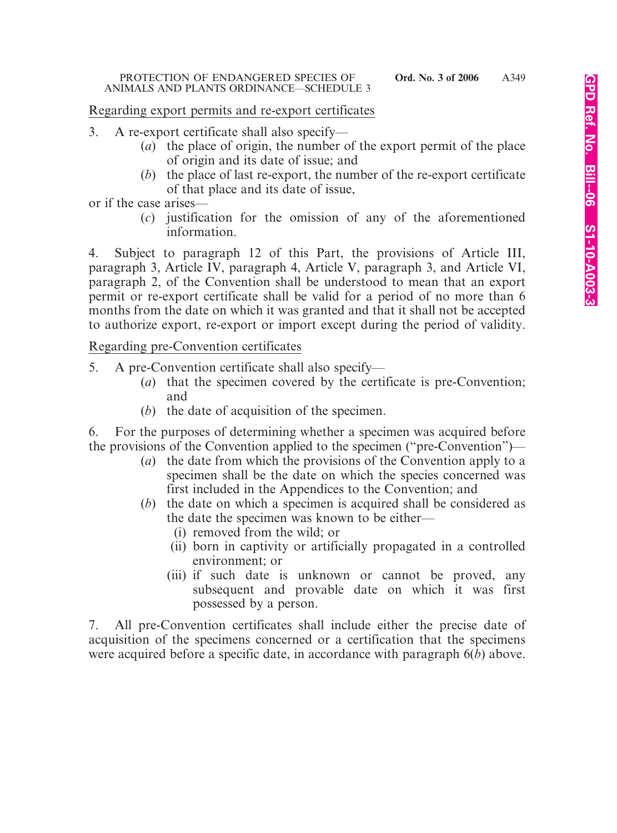### Regarding export permits and re-export certificates

- 3. A re-export certificate shall also specify—
	- (*a*) the place of origin, the number of the export permit of the place of origin and its date of issue; and
	- (*b*) the place of last re-export, the number of the re-export certificate of that place and its date of issue,

or if the case arises—

(*c*) justification for the omission of any of the aforementioned information.

4. Subject to paragraph 12 of this Part, the provisions of Article III, paragraph 3, Article IV, paragraph 4, Article V, paragraph 3, and Article VI, paragraph 2, of the Convention shall be understood to mean that an export permit or re-export certificate shall be valid for a period of no more than 6 months from the date on which it was granted and that it shall not be accepted to authorize export, re-export or import except during the period of validity.

Regarding pre-Convention certificates

- 5. A pre-Convention certificate shall also specify—
	- (*a*) that the specimen covered by the certificate is pre-Convention; and
	- (*b*) the date of acquisition of the specimen.

6. For the purposes of determining whether a specimen was acquired before the provisions of the Convention applied to the specimen ("pre-Convention")—

- (*a*) the date from which the provisions of the Convention apply to a specimen shall be the date on which the species concerned was first included in the Appendices to the Convention; and
- (*b*) the date on which a specimen is acquired shall be considered as the date the specimen was known to be either—
	- (i) removed from the wild; or
	- (ii) born in captivity or artificially propagated in a controlled environment; or
	- (iii) if such date is unknown or cannot be proved, any subsequent and provable date on which it was first possessed by a person.

7. All pre-Convention certificates shall include either the precise date of acquisition of the specimens concerned or a certification that the specimens were acquired before a specific date, in accordance with paragraph 6(*b*) above.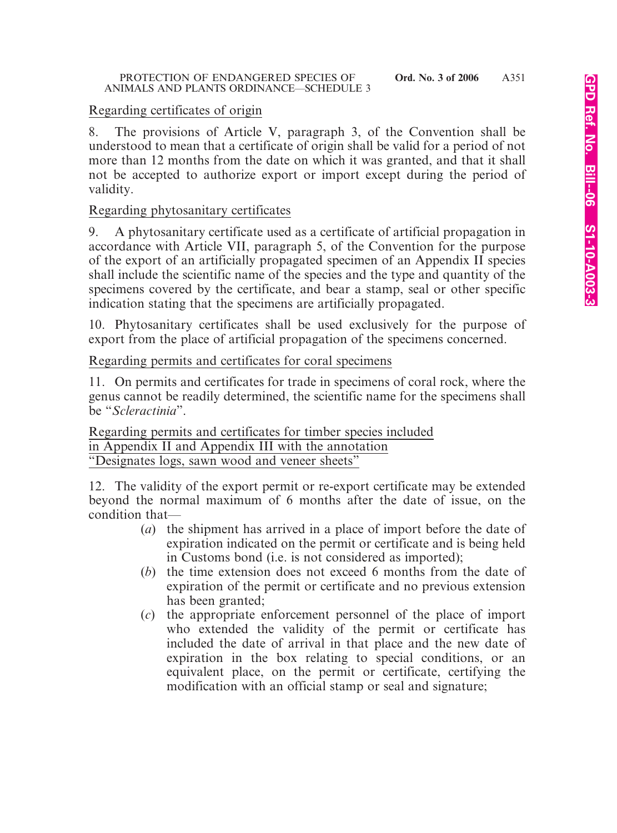# Regarding certificates of origin

8. The provisions of Article V, paragraph 3, of the Convention shall be understood to mean that a certificate of origin shall be valid for a period of not more than 12 months from the date on which it was granted, and that it shall not be accepted to authorize export or import except during the period of validity.

# Regarding phytosanitary certificates

9. A phytosanitary certificate used as a certificate of artificial propagation in accordance with Article VII, paragraph 5, of the Convention for the purpose of the export of an artificially propagated specimen of an Appendix II species shall include the scientific name of the species and the type and quantity of the specimens covered by the certificate, and bear a stamp, seal or other specific indication stating that the specimens are artificially propagated.

10. Phytosanitary certificates shall be used exclusively for the purpose of export from the place of artificial propagation of the specimens concerned.

Regarding permits and certificates for coral specimens

11. On permits and certificates for trade in specimens of coral rock, where the genus cannot be readily determined, the scientific name for the specimens shall be "*Scleractinia*".

Regarding permits and certificates for timber species included in Appendix II and Appendix III with the annotation "Designates logs, sawn wood and veneer sheets"

12. The validity of the export permit or re-export certificate may be extended beyond the normal maximum of 6 months after the date of issue, on the condition that—

- (*a*) the shipment has arrived in a place of import before the date of expiration indicated on the permit or certificate and is being held in Customs bond (i.e. is not considered as imported);
- (*b*) the time extension does not exceed 6 months from the date of expiration of the permit or certificate and no previous extension has been granted;
- (*c*) the appropriate enforcement personnel of the place of import who extended the validity of the permit or certificate has included the date of arrival in that place and the new date of expiration in the box relating to special conditions, or an equivalent place, on the permit or certificate, certifying the modification with an official stamp or seal and signature;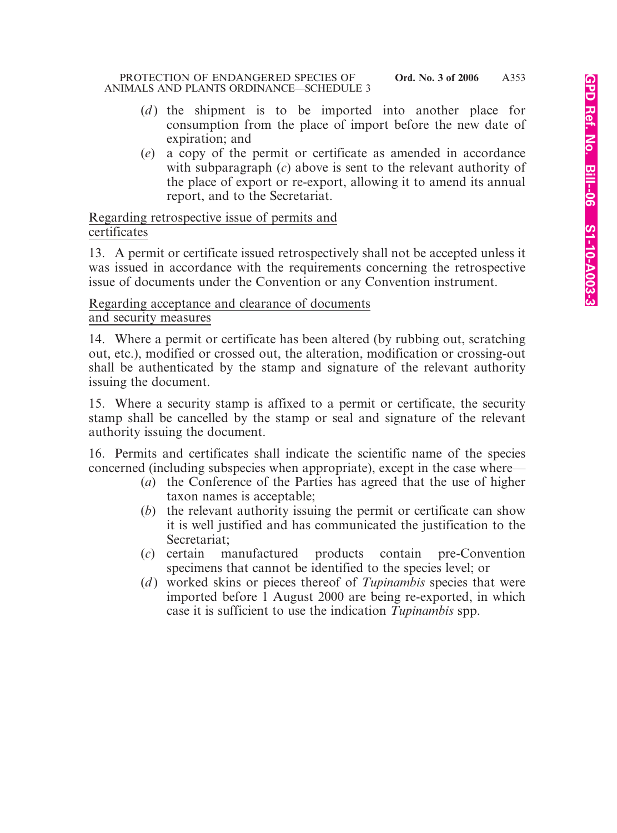- (*d*) the shipment is to be imported into another place for consumption from the place of import before the new date of expiration; and
- (*e*) a copy of the permit or certificate as amended in accordance with subparagraph (*c*) above is sent to the relevant authority of the place of export or re-export, allowing it to amend its annual report, and to the Secretariat.

Regarding retrospective issue of permits and certificates

13. A permit or certificate issued retrospectively shall not be accepted unless it was issued in accordance with the requirements concerning the retrospective issue of documents under the Convention or any Convention instrument.

Regarding acceptance and clearance of documents and security measures

14. Where a permit or certificate has been altered (by rubbing out, scratching out, etc.), modified or crossed out, the alteration, modification or crossing-out shall be authenticated by the stamp and signature of the relevant authority issuing the document.

15. Where a security stamp is affixed to a permit or certificate, the security stamp shall be cancelled by the stamp or seal and signature of the relevant authority issuing the document.

16. Permits and certificates shall indicate the scientific name of the species concerned (including subspecies when appropriate), except in the case where—

- (*a*) the Conference of the Parties has agreed that the use of higher taxon names is acceptable;
- (*b*) the relevant authority issuing the permit or certificate can show it is well justified and has communicated the justification to the Secretariat;
- (*c*) certain manufactured products contain pre-Convention specimens that cannot be identified to the species level; or
- (*d*) worked skins or pieces thereof of *Tupinambis* species that were imported before 1 August 2000 are being re-exported, in which case it is sufficient to use the indication *Tupinambis* spp.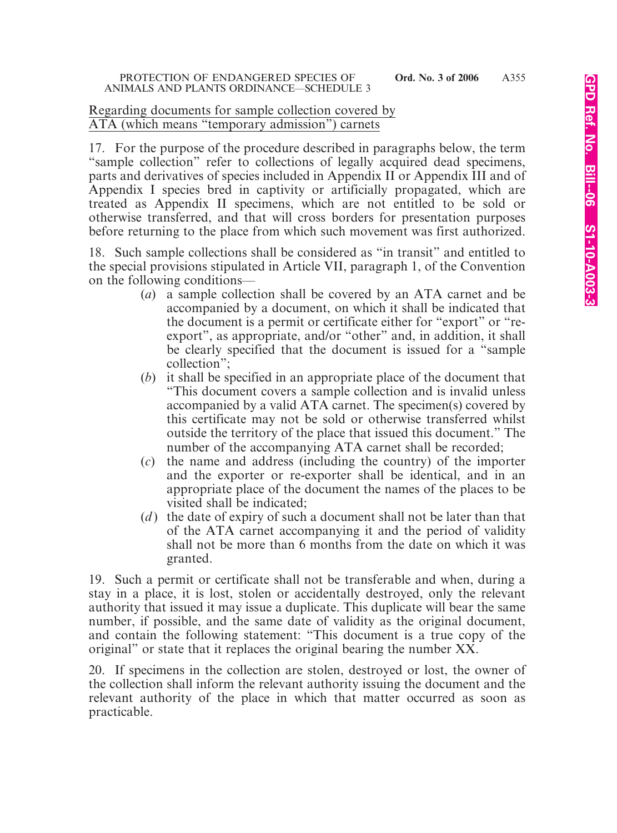### Regarding documents for sample collection covered by ATA (which means "temporary admission") carnets

17. For the purpose of the procedure described in paragraphs below, the term "sample collection" refer to collections of legally acquired dead specimens, parts and derivatives of species included in Appendix II or Appendix III and of Appendix I species bred in captivity or artificially propagated, which are treated as Appendix II specimens, which are not entitled to be sold or otherwise transferred, and that will cross borders for presentation purposes before returning to the place from which such movement was first authorized.

18. Such sample collections shall be considered as "in transit" and entitled to the special provisions stipulated in Article VII, paragraph 1, of the Convention on the following conditions—

- (*a*) a sample collection shall be covered by an ATA carnet and be accompanied by a document, on which it shall be indicated that the document is a permit or certificate either for "export" or "reexport", as appropriate, and/or "other" and, in addition, it shall be clearly specified that the document is issued for a "sample collection";
- (*b*) it shall be specified in an appropriate place of the document that "This document covers a sample collection and is invalid unless accompanied by a valid ATA carnet. The specimen(s) covered by this certificate may not be sold or otherwise transferred whilst outside the territory of the place that issued this document." The number of the accompanying ATA carnet shall be recorded;
- (*c*) the name and address (including the country) of the importer and the exporter or re-exporter shall be identical, and in an appropriate place of the document the names of the places to be visited shall be indicated;
- (*d* ) the date of expiry of such a document shall not be later than that of the ATA carnet accompanying it and the period of validity shall not be more than 6 months from the date on which it was granted.

19. Such a permit or certificate shall not be transferable and when, during a stay in a place, it is lost, stolen or accidentally destroyed, only the relevant authority that issued it may issue a duplicate. This duplicate will bear the same number, if possible, and the same date of validity as the original document, and contain the following statement: "This document is a true copy of the original" or state that it replaces the original bearing the number XX.

20. If specimens in the collection are stolen, destroyed or lost, the owner of the collection shall inform the relevant authority issuing the document and the relevant authority of the place in which that matter occurred as soon as practicable.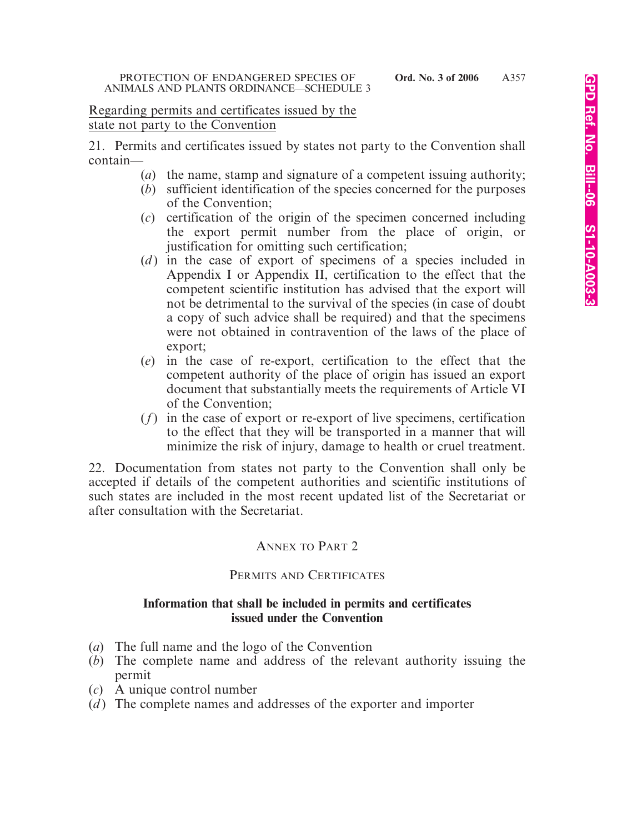### Regarding permits and certificates issued by the state not party to the Convention

21. Permits and certificates issued by states not party to the Convention shall contain—

- (*a*) the name, stamp and signature of a competent issuing authority;
- (*b*) sufficient identification of the species concerned for the purposes of the Convention;
- (*c*) certification of the origin of the specimen concerned including the export permit number from the place of origin, or justification for omitting such certification;
- (*d*) in the case of export of specimens of a species included in Appendix I or Appendix II, certification to the effect that the competent scientific institution has advised that the export will not be detrimental to the survival of the species (in case of doubt a copy of such advice shall be required) and that the specimens were not obtained in contravention of the laws of the place of export;
- (*e*) in the case of re-export, certification to the effect that the competent authority of the place of origin has issued an export document that substantially meets the requirements of Article VI of the Convention;
- (*f*) in the case of export or re-export of live specimens, certification to the effect that they will be transported in a manner that will minimize the risk of injury, damage to health or cruel treatment.

22. Documentation from states not party to the Convention shall only be accepted if details of the competent authorities and scientific institutions of such states are included in the most recent updated list of the Secretariat or after consultation with the Secretariat.

# ANNEX TO PART 2

## PERMITS AND CERTIFICATES

### **Information that shall be included in permits and certificates issued under the Convention**

- (*a*) The full name and the logo of the Convention
- (*b*) The complete name and address of the relevant authority issuing the permit
- (*c*) A unique control number
- (*d* ) The complete names and addresses of the exporter and importer